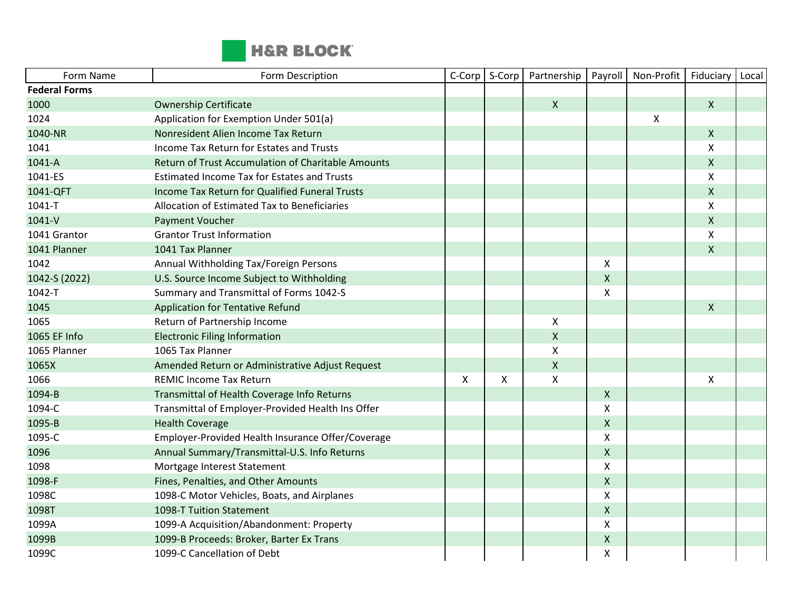

| Form Name            | Form Description                                   | C-Corp | S-Corp | Partnership        | Payroll            | Non-Profit | Fiduciary          | Local |
|----------------------|----------------------------------------------------|--------|--------|--------------------|--------------------|------------|--------------------|-------|
| <b>Federal Forms</b> |                                                    |        |        |                    |                    |            |                    |       |
| 1000                 | <b>Ownership Certificate</b>                       |        |        | $\mathsf{X}$       |                    |            | $\mathsf{X}$       |       |
| 1024                 | Application for Exemption Under 501(a)             |        |        |                    |                    | X          |                    |       |
| 1040-NR              | Nonresident Alien Income Tax Return                |        |        |                    |                    |            | $\mathsf{X}$       |       |
| 1041                 | Income Tax Return for Estates and Trusts           |        |        |                    |                    |            | $\pmb{\mathsf{X}}$ |       |
| 1041-A               | Return of Trust Accumulation of Charitable Amounts |        |        |                    |                    |            | $\mathsf{X}$       |       |
| 1041-ES              | <b>Estimated Income Tax for Estates and Trusts</b> |        |        |                    |                    |            | X                  |       |
| 1041-QFT             | Income Tax Return for Qualified Funeral Trusts     |        |        |                    |                    |            | $\mathsf{X}$       |       |
| 1041-T               | Allocation of Estimated Tax to Beneficiaries       |        |        |                    |                    |            | X                  |       |
| 1041-V               | <b>Payment Voucher</b>                             |        |        |                    |                    |            | $\pmb{\mathsf{X}}$ |       |
| 1041 Grantor         | <b>Grantor Trust Information</b>                   |        |        |                    |                    |            | X                  |       |
| 1041 Planner         | 1041 Tax Planner                                   |        |        |                    |                    |            | $\mathsf{X}$       |       |
| 1042                 | Annual Withholding Tax/Foreign Persons             |        |        |                    | $\pmb{\times}$     |            |                    |       |
| 1042-S (2022)        | U.S. Source Income Subject to Withholding          |        |        |                    | $\pmb{\mathsf{X}}$ |            |                    |       |
| 1042-T               | Summary and Transmittal of Forms 1042-S            |        |        |                    | $\pmb{\chi}$       |            |                    |       |
| 1045                 | <b>Application for Tentative Refund</b>            |        |        |                    |                    |            | $\mathsf{X}$       |       |
| 1065                 | Return of Partnership Income                       |        |        | X                  |                    |            |                    |       |
| 1065 EF Info         | <b>Electronic Filing Information</b>               |        |        | $\pmb{\times}$     |                    |            |                    |       |
| 1065 Planner         | 1065 Tax Planner                                   |        |        | $\pmb{\mathsf{X}}$ |                    |            |                    |       |
| 1065X                | Amended Return or Administrative Adjust Request    |        |        | $\pmb{\mathsf{X}}$ |                    |            |                    |       |
| 1066                 | <b>REMIC Income Tax Return</b>                     | X      | X      | $\pmb{\mathsf{X}}$ |                    |            | X                  |       |
| 1094-B               | Transmittal of Health Coverage Info Returns        |        |        |                    | X                  |            |                    |       |
| 1094-C               | Transmittal of Employer-Provided Health Ins Offer  |        |        |                    | $\mathsf{X}$       |            |                    |       |
| 1095-B               | <b>Health Coverage</b>                             |        |        |                    | $\pmb{\mathsf{X}}$ |            |                    |       |
| 1095-C               | Employer-Provided Health Insurance Offer/Coverage  |        |        |                    | $\pmb{\chi}$       |            |                    |       |
| 1096                 | Annual Summary/Transmittal-U.S. Info Returns       |        |        |                    | $\pmb{\mathsf{X}}$ |            |                    |       |
| 1098                 | Mortgage Interest Statement                        |        |        |                    | $\pmb{\mathsf{X}}$ |            |                    |       |
| 1098-F               | Fines, Penalties, and Other Amounts                |        |        |                    | $\pmb{\mathsf{X}}$ |            |                    |       |
| 1098C                | 1098-C Motor Vehicles, Boats, and Airplanes        |        |        |                    | $\pmb{\mathsf{X}}$ |            |                    |       |
| 1098T                | 1098-T Tuition Statement                           |        |        |                    | $\mathsf{X}$       |            |                    |       |
| 1099A                | 1099-A Acquisition/Abandonment: Property           |        |        |                    | Χ                  |            |                    |       |
| 1099B                | 1099-B Proceeds: Broker, Barter Ex Trans           |        |        |                    | $\pmb{\mathsf{X}}$ |            |                    |       |
| 1099C                | 1099-C Cancellation of Debt                        |        |        |                    | $\pmb{\chi}$       |            |                    |       |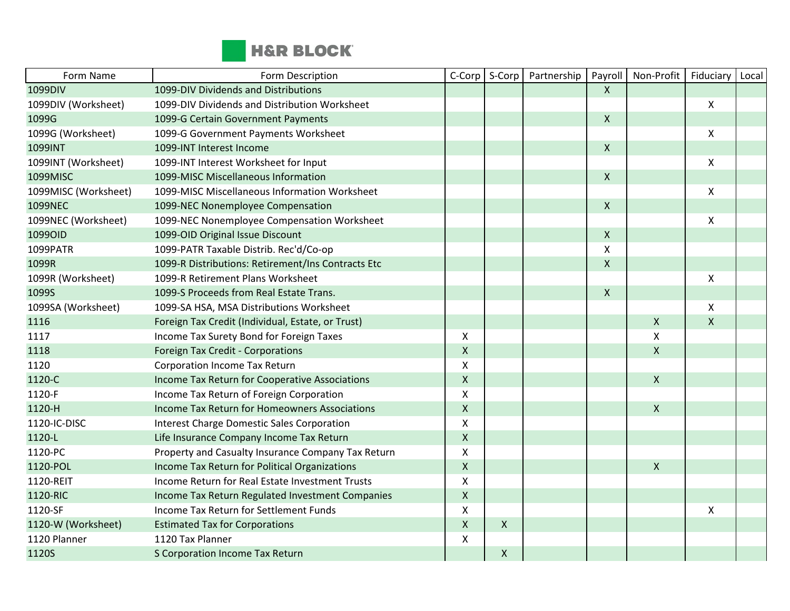

| Form Name            | Form Description                                   | C-Corp             | S-Corp | Partnership | Payroll                   | Non-Profit                | Fiduciary    | Local |
|----------------------|----------------------------------------------------|--------------------|--------|-------------|---------------------------|---------------------------|--------------|-------|
| 1099DIV              | 1099-DIV Dividends and Distributions               |                    |        |             | $\boldsymbol{X}$          |                           |              |       |
| 1099DIV (Worksheet)  | 1099-DIV Dividends and Distribution Worksheet      |                    |        |             |                           |                           | X            |       |
| 1099G                | 1099-G Certain Government Payments                 |                    |        |             | $\mathsf{X}$              |                           |              |       |
| 1099G (Worksheet)    | 1099-G Government Payments Worksheet               |                    |        |             |                           |                           | X            |       |
| 1099INT              | 1099-INT Interest Income                           |                    |        |             | $\boldsymbol{\mathsf{X}}$ |                           |              |       |
| 1099INT (Worksheet)  | 1099-INT Interest Worksheet for Input              |                    |        |             |                           |                           | X            |       |
| 1099MISC             | 1099-MISC Miscellaneous Information                |                    |        |             | $\pmb{\times}$            |                           |              |       |
| 1099MISC (Worksheet) | 1099-MISC Miscellaneous Information Worksheet      |                    |        |             |                           |                           | X            |       |
| 1099NEC              | 1099-NEC Nonemployee Compensation                  |                    |        |             | $\boldsymbol{\mathsf{X}}$ |                           |              |       |
| 1099NEC (Worksheet)  | 1099-NEC Nonemployee Compensation Worksheet        |                    |        |             |                           |                           | X            |       |
| 1099OID              | 1099-OID Original Issue Discount                   |                    |        |             | $\boldsymbol{\mathsf{X}}$ |                           |              |       |
| 1099PATR             | 1099-PATR Taxable Distrib. Rec'd/Co-op             |                    |        |             | X                         |                           |              |       |
| 1099R                | 1099-R Distributions: Retirement/Ins Contracts Etc |                    |        |             | $\boldsymbol{\mathsf{X}}$ |                           |              |       |
| 1099R (Worksheet)    | 1099-R Retirement Plans Worksheet                  |                    |        |             |                           |                           | X            |       |
| 1099S                | 1099-S Proceeds from Real Estate Trans.            |                    |        |             | $\boldsymbol{\mathsf{X}}$ |                           |              |       |
| 1099SA (Worksheet)   | 1099-SA HSA, MSA Distributions Worksheet           |                    |        |             |                           |                           | X            |       |
| 1116                 | Foreign Tax Credit (Individual, Estate, or Trust)  |                    |        |             |                           | $\pmb{\chi}$              | $\mathsf{x}$ |       |
| 1117                 | Income Tax Surety Bond for Foreign Taxes           | X                  |        |             |                           | $\boldsymbol{\mathsf{X}}$ |              |       |
| 1118                 | Foreign Tax Credit - Corporations                  | $\mathsf{X}$       |        |             |                           | $\mathsf{X}$              |              |       |
| 1120                 | <b>Corporation Income Tax Return</b>               | $\pmb{\times}$     |        |             |                           |                           |              |       |
| 1120-C               | Income Tax Return for Cooperative Associations     | $\mathsf{X}$       |        |             |                           | $\pmb{\chi}$              |              |       |
| 1120-F               | Income Tax Return of Foreign Corporation           | $\pmb{\mathsf{X}}$ |        |             |                           |                           |              |       |
| 1120-H               | Income Tax Return for Homeowners Associations      | $\mathsf{X}$       |        |             |                           | $\mathsf{X}$              |              |       |
| 1120-IC-DISC         | Interest Charge Domestic Sales Corporation         | X                  |        |             |                           |                           |              |       |
| 1120-L               | Life Insurance Company Income Tax Return           | $\mathsf X$        |        |             |                           |                           |              |       |
| 1120-PC              | Property and Casualty Insurance Company Tax Return | $\mathsf X$        |        |             |                           |                           |              |       |
| 1120-POL             | Income Tax Return for Political Organizations      | $\mathsf{X}$       |        |             |                           | $\mathsf{X}$              |              |       |
| 1120-REIT            | Income Return for Real Estate Investment Trusts    | $\pmb{\times}$     |        |             |                           |                           |              |       |
| 1120-RIC             | Income Tax Return Regulated Investment Companies   | $\mathsf{X}$       |        |             |                           |                           |              |       |
| 1120-SF              | Income Tax Return for Settlement Funds             | X                  |        |             |                           |                           | X            |       |
| 1120-W (Worksheet)   | <b>Estimated Tax for Corporations</b>              | $\mathsf{X}$       | X      |             |                           |                           |              |       |
| 1120 Planner         | 1120 Tax Planner                                   | X                  |        |             |                           |                           |              |       |
| 1120S                | S Corporation Income Tax Return                    |                    | X      |             |                           |                           |              |       |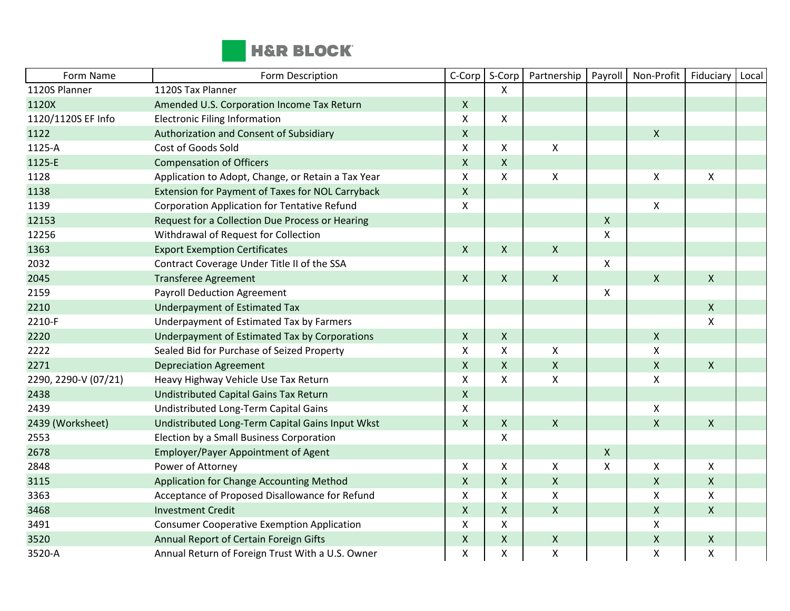

| Form Name            | Form Description                                    | C-Corp                    | S-Corp             | Partnership        | Payroll            | Non-Profit         | Fiduciary          | Local |
|----------------------|-----------------------------------------------------|---------------------------|--------------------|--------------------|--------------------|--------------------|--------------------|-------|
| 1120S Planner        | 1120S Tax Planner                                   |                           | X                  |                    |                    |                    |                    |       |
| 1120X                | Amended U.S. Corporation Income Tax Return          | $\mathsf{X}$              |                    |                    |                    |                    |                    |       |
| 1120/1120S EF Info   | <b>Electronic Filing Information</b>                | X                         | X                  |                    |                    |                    |                    |       |
| 1122                 | Authorization and Consent of Subsidiary             | $\pmb{\mathsf{X}}$        |                    |                    |                    | $\pmb{\chi}$       |                    |       |
| 1125-A               | Cost of Goods Sold                                  | $\pmb{\mathsf{X}}$        | X                  | X                  |                    |                    |                    |       |
| 1125-E               | <b>Compensation of Officers</b>                     | $\pmb{\mathsf{X}}$        | $\mathsf X$        |                    |                    |                    |                    |       |
| 1128                 | Application to Adopt, Change, or Retain a Tax Year  | $\pmb{\times}$            | X                  | $\pmb{\mathsf{X}}$ |                    | $\pmb{\times}$     | $\pmb{\mathsf{X}}$ |       |
| 1138                 | Extension for Payment of Taxes for NOL Carryback    | $\mathsf X$               |                    |                    |                    |                    |                    |       |
| 1139                 | <b>Corporation Application for Tentative Refund</b> | $\pmb{\mathsf{X}}$        |                    |                    |                    | $\pmb{\times}$     |                    |       |
| 12153                | Request for a Collection Due Process or Hearing     |                           |                    |                    | $\pmb{\mathsf{X}}$ |                    |                    |       |
| 12256                | Withdrawal of Request for Collection                |                           |                    |                    | X                  |                    |                    |       |
| 1363                 | <b>Export Exemption Certificates</b>                | $\mathsf{X}$              | X                  | $\mathsf{X}$       |                    |                    |                    |       |
| 2032                 | Contract Coverage Under Title II of the SSA         |                           |                    |                    | $\pmb{\mathsf{X}}$ |                    |                    |       |
| 2045                 | <b>Transferee Agreement</b>                         | $\mathsf{X}$              | $\mathsf{X}$       | $\mathsf{X}$       |                    | $\mathsf{X}$       | $\mathsf{X}$       |       |
| 2159                 | <b>Payroll Deduction Agreement</b>                  |                           |                    |                    | X                  |                    |                    |       |
| 2210                 | Underpayment of Estimated Tax                       |                           |                    |                    |                    |                    | $\mathsf{X}$       |       |
| 2210-F               | Underpayment of Estimated Tax by Farmers            |                           |                    |                    |                    |                    | X                  |       |
| 2220                 | Underpayment of Estimated Tax by Corporations       | $\mathsf{X}$              | $\pmb{\mathsf{X}}$ |                    |                    | $\pmb{\mathsf{X}}$ |                    |       |
| 2222                 | Sealed Bid for Purchase of Seized Property          | $\boldsymbol{\mathsf{X}}$ | X                  | X                  |                    | $\pmb{\chi}$       |                    |       |
| 2271                 | <b>Depreciation Agreement</b>                       | $\mathsf X$               | $\pmb{\mathsf{X}}$ | $\mathsf{X}$       |                    | $\pmb{\mathsf{X}}$ | $\mathsf{X}$       |       |
| 2290, 2290-V (07/21) | Heavy Highway Vehicle Use Tax Return                | X                         | X                  | X                  |                    | $\pmb{\mathsf{X}}$ |                    |       |
| 2438                 | Undistributed Capital Gains Tax Return              | $\mathsf X$               |                    |                    |                    |                    |                    |       |
| 2439                 | Undistributed Long-Term Capital Gains               | $\pmb{\mathsf{X}}$        |                    |                    |                    | $\pmb{\mathsf{X}}$ |                    |       |
| 2439 (Worksheet)     | Undistributed Long-Term Capital Gains Input Wkst    | $\mathsf{X}$              | $\mathsf{X}$       | $\mathsf{X}$       |                    | $\mathsf{X}$       | $\mathsf{X}$       |       |
| 2553                 | Election by a Small Business Corporation            |                           | X                  |                    |                    |                    |                    |       |
| 2678                 | Employer/Payer Appointment of Agent                 |                           |                    |                    | $\pmb{\mathsf{X}}$ |                    |                    |       |
| 2848                 | Power of Attorney                                   | X                         | X                  | X                  | X                  | $\pmb{\times}$     | X                  |       |
| 3115                 | Application for Change Accounting Method            | $\mathsf{X}$              | $\pmb{\mathsf{X}}$ | $\mathsf{X}$       |                    | $\mathsf{X}$       | $\mathsf{X}$       |       |
| 3363                 | Acceptance of Proposed Disallowance for Refund      | X                         | X                  | X                  |                    | $\mathsf{X}$       | X                  |       |
| 3468                 | <b>Investment Credit</b>                            | $\mathsf X$               | X                  | $\mathsf{X}$       |                    | $\pmb{\mathsf{X}}$ | $\mathsf{X}$       |       |
| 3491                 | <b>Consumer Cooperative Exemption Application</b>   | X                         | X                  |                    |                    | $\pmb{\mathsf{X}}$ |                    |       |
| 3520                 | Annual Report of Certain Foreign Gifts              | $\pmb{\mathsf{X}}$        | $\mathsf{X}$       | $\mathsf{X}$       |                    | $\pmb{\mathsf{X}}$ | $\mathsf{X}$       |       |
| 3520-A               | Annual Return of Foreign Trust With a U.S. Owner    | $\pmb{\mathsf{X}}$        | X                  | $\pmb{\mathsf{X}}$ |                    | $\pmb{\mathsf{X}}$ | $\pmb{\mathsf{X}}$ |       |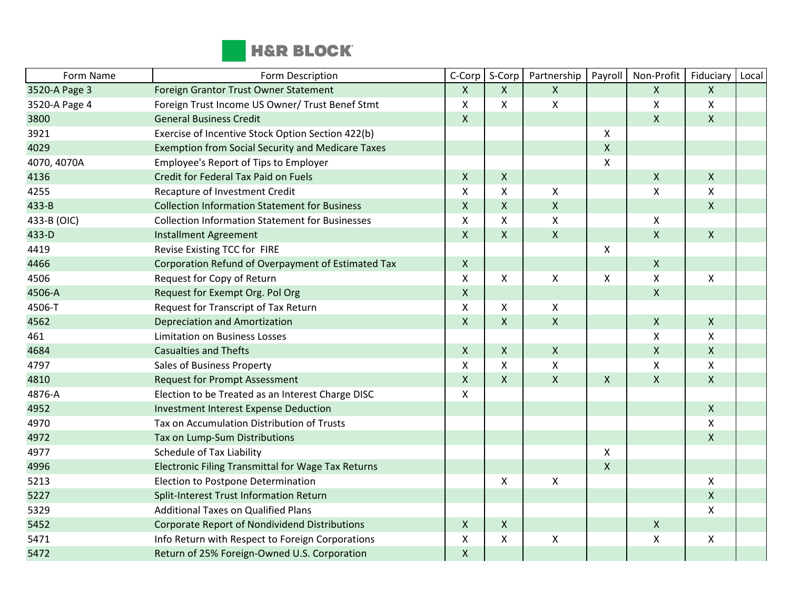

| Form Name     | Form Description                                         | C-Corp       | S-Corp             | Partnership               | Payroll            | Non-Profit         | Fiduciary          | Local |
|---------------|----------------------------------------------------------|--------------|--------------------|---------------------------|--------------------|--------------------|--------------------|-------|
| 3520-A Page 3 | Foreign Grantor Trust Owner Statement                    | X            | X                  | $\mathsf{X}$              |                    | X                  | X                  |       |
| 3520-A Page 4 | Foreign Trust Income US Owner/ Trust Benef Stmt          | X            | X                  | $\pmb{\mathsf{X}}$        |                    | Χ                  | Χ                  |       |
| 3800          | <b>General Business Credit</b>                           | X            |                    |                           |                    | $\pmb{\mathsf{X}}$ | $\pmb{\mathsf{X}}$ |       |
| 3921          | Exercise of Incentive Stock Option Section 422(b)        |              |                    |                           | X                  |                    |                    |       |
| 4029          | <b>Exemption from Social Security and Medicare Taxes</b> |              |                    |                           | $\pmb{\mathsf{X}}$ |                    |                    |       |
| 4070, 4070A   | Employee's Report of Tips to Employer                    |              |                    |                           | X                  |                    |                    |       |
| 4136          | Credit for Federal Tax Paid on Fuels                     | $\mathsf{X}$ | X                  |                           |                    | Χ                  | $\mathsf{X}$       |       |
| 4255          | Recapture of Investment Credit                           | $\mathsf{x}$ | X                  | $\boldsymbol{\mathsf{X}}$ |                    | X                  | $\mathsf{X}$       |       |
| 433-B         | <b>Collection Information Statement for Business</b>     | $\mathsf X$  | $\pmb{\mathsf{X}}$ | $\mathsf{X}$              |                    |                    | X                  |       |
| 433-B (OIC)   | <b>Collection Information Statement for Businesses</b>   | X            | X                  | X                         |                    | X                  |                    |       |
| 433-D         | <b>Installment Agreement</b>                             | $\mathsf{X}$ | X                  | $\mathsf{X}$              |                    | $\pmb{\mathsf{X}}$ | $\mathsf{X}$       |       |
| 4419          | Revise Existing TCC for FIRE                             |              |                    |                           | X                  |                    |                    |       |
| 4466          | Corporation Refund of Overpayment of Estimated Tax       | $\mathsf{X}$ |                    |                           |                    | $\pmb{\mathsf{X}}$ |                    |       |
| 4506          | Request for Copy of Return                               | X            | X                  | $\pmb{\times}$            | X                  | X                  | X                  |       |
| 4506-A        | Request for Exempt Org. Pol Org                          | $\mathsf{X}$ |                    |                           |                    | Χ                  |                    |       |
| 4506-T        | Request for Transcript of Tax Return                     | X            | X                  | X                         |                    |                    |                    |       |
| 4562          | <b>Depreciation and Amortization</b>                     | $\mathsf{X}$ | $\mathsf{X}$       | $\mathsf{X}$              |                    | X                  | $\mathsf{X}$       |       |
| 461           | <b>Limitation on Business Losses</b>                     |              |                    |                           |                    | X                  | Χ                  |       |
| 4684          | <b>Casualties and Thefts</b>                             | $\mathsf{X}$ | $\mathsf{X}$       | $\mathsf{X}$              |                    | $\pmb{\mathsf{X}}$ | $\mathsf{X}$       |       |
| 4797          | Sales of Business Property                               | X            | X                  | $\pmb{\times}$            |                    | $\pmb{\mathsf{X}}$ | X                  |       |
| 4810          | <b>Request for Prompt Assessment</b>                     | X            | X                  | $\mathsf{X}$              | $\mathsf{X}$       | $\pmb{\mathsf{X}}$ | $\mathsf{X}$       |       |
| 4876-A        | Election to be Treated as an Interest Charge DISC        | X            |                    |                           |                    |                    |                    |       |
| 4952          | <b>Investment Interest Expense Deduction</b>             |              |                    |                           |                    |                    | $\mathsf{X}$       |       |
| 4970          | Tax on Accumulation Distribution of Trusts               |              |                    |                           |                    |                    | X                  |       |
| 4972          | Tax on Lump-Sum Distributions                            |              |                    |                           |                    |                    | $\pmb{\mathsf{X}}$ |       |
| 4977          | <b>Schedule of Tax Liability</b>                         |              |                    |                           | X                  |                    |                    |       |
| 4996          | Electronic Filing Transmittal for Wage Tax Returns       |              |                    |                           | $\pmb{\mathsf{X}}$ |                    |                    |       |
| 5213          | Election to Postpone Determination                       |              | Χ                  | $\pmb{\mathsf{X}}$        |                    |                    | Χ                  |       |
| 5227          | Split-Interest Trust Information Return                  |              |                    |                           |                    |                    | $\mathsf{X}$       |       |
| 5329          | <b>Additional Taxes on Qualified Plans</b>               |              |                    |                           |                    |                    | X                  |       |
| 5452          | Corporate Report of Nondividend Distributions            | X            | $\mathsf{X}$       |                           |                    | $\pmb{\mathsf{X}}$ |                    |       |
| 5471          | Info Return with Respect to Foreign Corporations         | X            | X                  | $\pmb{\mathsf{X}}$        |                    | Χ                  | X                  |       |
| 5472          | Return of 25% Foreign-Owned U.S. Corporation             | $\mathsf{x}$ |                    |                           |                    |                    |                    |       |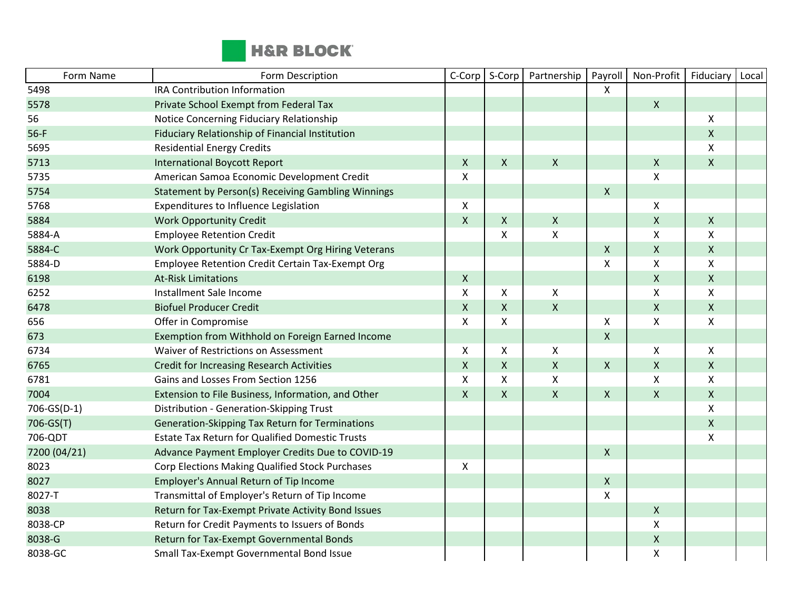

| Form Name    | Form Description                                        | C-Corp             | S-Corp             | Partnership               | Payroll                   | Non-Profit                | Fiduciary          | Local |
|--------------|---------------------------------------------------------|--------------------|--------------------|---------------------------|---------------------------|---------------------------|--------------------|-------|
| 5498         | <b>IRA Contribution Information</b>                     |                    |                    |                           | X                         |                           |                    |       |
| 5578         | Private School Exempt from Federal Tax                  |                    |                    |                           |                           | $\pmb{\mathsf{X}}$        |                    |       |
| 56           | Notice Concerning Fiduciary Relationship                |                    |                    |                           |                           |                           | $\pmb{\mathsf{X}}$ |       |
| $56-F$       | Fiduciary Relationship of Financial Institution         |                    |                    |                           |                           |                           | $\pmb{\mathsf{X}}$ |       |
| 5695         | <b>Residential Energy Credits</b>                       |                    |                    |                           |                           |                           | X                  |       |
| 5713         | <b>International Boycott Report</b>                     | $\mathsf{X}$       | X                  | $\mathsf{X}$              |                           | $\pmb{\mathsf{X}}$        | $\mathsf{X}$       |       |
| 5735         | American Samoa Economic Development Credit              | $\pmb{\times}$     |                    |                           |                           | $\boldsymbol{\mathsf{X}}$ |                    |       |
| 5754         | Statement by Person(s) Receiving Gambling Winnings      |                    |                    |                           | $\pmb{\mathsf{X}}$        |                           |                    |       |
| 5768         | Expenditures to Influence Legislation                   | $\mathsf{x}$       |                    |                           |                           | X                         |                    |       |
| 5884         | <b>Work Opportunity Credit</b>                          | $\pmb{\times}$     | X                  | $\boldsymbol{\mathsf{X}}$ |                           | $\pmb{\mathsf{X}}$        | $\mathsf{X}$       |       |
| 5884-A       | <b>Employee Retention Credit</b>                        |                    | X                  | X                         |                           | Χ                         | X                  |       |
| 5884-C       | Work Opportunity Cr Tax-Exempt Org Hiring Veterans      |                    |                    |                           | $\mathsf{X}$              | $\pmb{\mathsf{X}}$        | $\mathsf{X}$       |       |
| 5884-D       | <b>Employee Retention Credit Certain Tax-Exempt Org</b> |                    |                    |                           | $\pmb{\chi}$              | $\pmb{\mathsf{X}}$        | $\pmb{\mathsf{X}}$ |       |
| 6198         | <b>At-Risk Limitations</b>                              | $\mathsf{X}$       |                    |                           |                           | $\pmb{\mathsf{X}}$        | $\mathsf{X}$       |       |
| 6252         | Installment Sale Income                                 | X                  | X                  | X                         |                           | X                         | X                  |       |
| 6478         | <b>Biofuel Producer Credit</b>                          | $\mathsf{X}$       | X                  | $\mathsf{X}$              |                           | $\pmb{\mathsf{X}}$        | $\mathsf{X}$       |       |
| 656          | Offer in Compromise                                     | X                  | X                  |                           | X                         | $\boldsymbol{\mathsf{X}}$ | X                  |       |
| 673          | Exemption from Withhold on Foreign Earned Income        |                    |                    |                           | $\mathsf{X}$              |                           |                    |       |
| 6734         | Waiver of Restrictions on Assessment                    | X                  | X                  | X                         |                           | X                         | X                  |       |
| 6765         | <b>Credit for Increasing Research Activities</b>        | $\pmb{\times}$     | $\pmb{\mathsf{X}}$ | $\pmb{\mathsf{X}}$        | $\pmb{\mathsf{X}}$        | $\pmb{\mathsf{X}}$        | $\mathsf{X}$       |       |
| 6781         | Gains and Losses From Section 1256                      | X                  | X                  | X                         |                           | X                         | X                  |       |
| 7004         | Extension to File Business, Information, and Other      | $\pmb{\mathsf{X}}$ | X                  | $\pmb{\times}$            | $\boldsymbol{\mathsf{X}}$ | $\pmb{\mathsf{X}}$        | $\mathsf{X}$       |       |
| 706-GS(D-1)  | Distribution - Generation-Skipping Trust                |                    |                    |                           |                           |                           | $\pmb{\mathsf{X}}$ |       |
| 706-GS(T)    | Generation-Skipping Tax Return for Terminations         |                    |                    |                           |                           |                           | $\pmb{\mathsf{X}}$ |       |
| 706-QDT      | <b>Estate Tax Return for Qualified Domestic Trusts</b>  |                    |                    |                           |                           |                           | X                  |       |
| 7200 (04/21) | Advance Payment Employer Credits Due to COVID-19        |                    |                    |                           | $\pmb{\chi}$              |                           |                    |       |
| 8023         | Corp Elections Making Qualified Stock Purchases         | Х                  |                    |                           |                           |                           |                    |       |
| 8027         | Employer's Annual Return of Tip Income                  |                    |                    |                           | $\pmb{\mathsf{X}}$        |                           |                    |       |
| 8027-T       | Transmittal of Employer's Return of Tip Income          |                    |                    |                           | $\boldsymbol{\mathsf{X}}$ |                           |                    |       |
| 8038         | Return for Tax-Exempt Private Activity Bond Issues      |                    |                    |                           |                           | $\pmb{\mathsf{X}}$        |                    |       |
| 8038-CP      | Return for Credit Payments to Issuers of Bonds          |                    |                    |                           |                           | Χ                         |                    |       |
| 8038-G       | Return for Tax-Exempt Governmental Bonds                |                    |                    |                           |                           | $\pmb{\mathsf{X}}$        |                    |       |
| 8038-GC      | Small Tax-Exempt Governmental Bond Issue                |                    |                    |                           |                           | $\pmb{\mathsf{X}}$        |                    |       |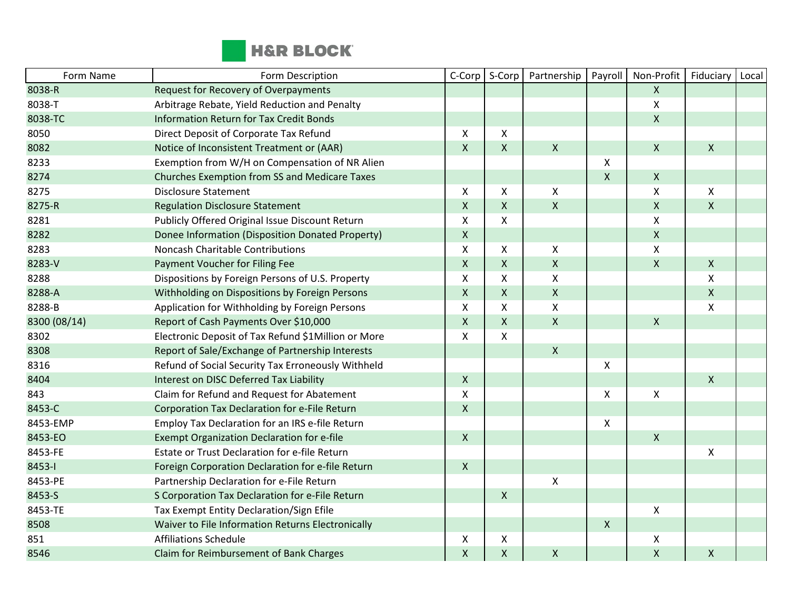

| Form Name    | Form Description                                    | C-Corp             | S-Corp       | Partnership        | Payroll      | Non-Profit         | Fiduciary        | Local |
|--------------|-----------------------------------------------------|--------------------|--------------|--------------------|--------------|--------------------|------------------|-------|
| 8038-R       | <b>Request for Recovery of Overpayments</b>         |                    |              |                    |              | $\mathsf{X}$       |                  |       |
| 8038-T       | Arbitrage Rebate, Yield Reduction and Penalty       |                    |              |                    |              | Χ                  |                  |       |
| 8038-TC      | <b>Information Return for Tax Credit Bonds</b>      |                    |              |                    |              | $\pmb{\mathsf{X}}$ |                  |       |
| 8050         | Direct Deposit of Corporate Tax Refund              | X                  | X            |                    |              |                    |                  |       |
| 8082         | Notice of Inconsistent Treatment or (AAR)           | X                  | $\mathsf{X}$ | $\pmb{\mathsf{X}}$ |              | $\pmb{\times}$     | $\mathsf{X}$     |       |
| 8233         | Exemption from W/H on Compensation of NR Alien      |                    |              |                    | X            |                    |                  |       |
| 8274         | Churches Exemption from SS and Medicare Taxes       |                    |              |                    | $\mathsf X$  | $\mathsf X$        |                  |       |
| 8275         | <b>Disclosure Statement</b>                         | X                  | X            | X                  |              | X                  | $\mathsf{X}$     |       |
| 8275-R       | <b>Regulation Disclosure Statement</b>              | $\pmb{\mathsf{X}}$ | $\mathsf{X}$ | $\pmb{\mathsf{X}}$ |              | $\pmb{\times}$     | $\mathsf{X}$     |       |
| 8281         | Publicly Offered Original Issue Discount Return     | Χ                  | X            |                    |              | X                  |                  |       |
| 8282         | Donee Information (Disposition Donated Property)    | $\pmb{\mathsf{X}}$ |              |                    |              | $\pmb{\times}$     |                  |       |
| 8283         | Noncash Charitable Contributions                    | X                  | X            | X                  |              | Χ                  |                  |       |
| 8283-V       | Payment Voucher for Filing Fee                      | $\pmb{\mathsf{X}}$ | $\mathsf{X}$ | $\mathsf{X}$       |              | $\sf X$            | $\mathsf{X}$     |       |
| 8288         | Dispositions by Foreign Persons of U.S. Property    | Χ                  | X            | X                  |              |                    | $\boldsymbol{X}$ |       |
| 8288-A       | Withholding on Dispositions by Foreign Persons      | $\pmb{\mathsf{X}}$ | $\mathsf{X}$ | $\mathsf{X}$       |              |                    | $\mathsf{X}$     |       |
| 8288-B       | Application for Withholding by Foreign Persons      | X                  | X            | X                  |              |                    | $\mathsf{X}$     |       |
| 8300 (08/14) | Report of Cash Payments Over \$10,000               | $\pmb{\mathsf{X}}$ | X            | $\mathsf{X}$       |              | $\pmb{\times}$     |                  |       |
| 8302         | Electronic Deposit of Tax Refund \$1Million or More | X                  | X            |                    |              |                    |                  |       |
| 8308         | Report of Sale/Exchange of Partnership Interests    |                    |              | $\mathsf{X}$       |              |                    |                  |       |
| 8316         | Refund of Social Security Tax Erroneously Withheld  |                    |              |                    | X            |                    |                  |       |
| 8404         | Interest on DISC Deferred Tax Liability             | X                  |              |                    |              |                    | $\mathsf{X}$     |       |
| 843          | Claim for Refund and Request for Abatement          | X                  |              |                    | X            | Χ                  |                  |       |
| 8453-C       | Corporation Tax Declaration for e-File Return       | $\mathsf{X}$       |              |                    |              |                    |                  |       |
| 8453-EMP     | Employ Tax Declaration for an IRS e-file Return     |                    |              |                    | X            |                    |                  |       |
| 8453-EO      | <b>Exempt Organization Declaration for e-file</b>   | Χ                  |              |                    |              | $\mathsf X$        |                  |       |
| 8453-FE      | Estate or Trust Declaration for e-file Return       |                    |              |                    |              |                    | $\mathsf{X}$     |       |
| 8453-1       | Foreign Corporation Declaration for e-file Return   | $\mathsf{X}$       |              |                    |              |                    |                  |       |
| 8453-PE      | Partnership Declaration for e-File Return           |                    |              | $\pmb{\mathsf{X}}$ |              |                    |                  |       |
| 8453-S       | S Corporation Tax Declaration for e-File Return     |                    | $\mathsf{X}$ |                    |              |                    |                  |       |
| 8453-TE      | Tax Exempt Entity Declaration/Sign Efile            |                    |              |                    |              | X                  |                  |       |
| 8508         | Waiver to File Information Returns Electronically   |                    |              |                    | $\mathsf{X}$ |                    |                  |       |
| 851          | <b>Affiliations Schedule</b>                        | X                  | x            |                    |              | X                  |                  |       |
| 8546         | Claim for Reimbursement of Bank Charges             | $\pmb{\mathsf{X}}$ | $\mathsf X$  | $\pmb{\mathsf{X}}$ |              | $\pmb{\mathsf{X}}$ | $\mathsf{X}$     |       |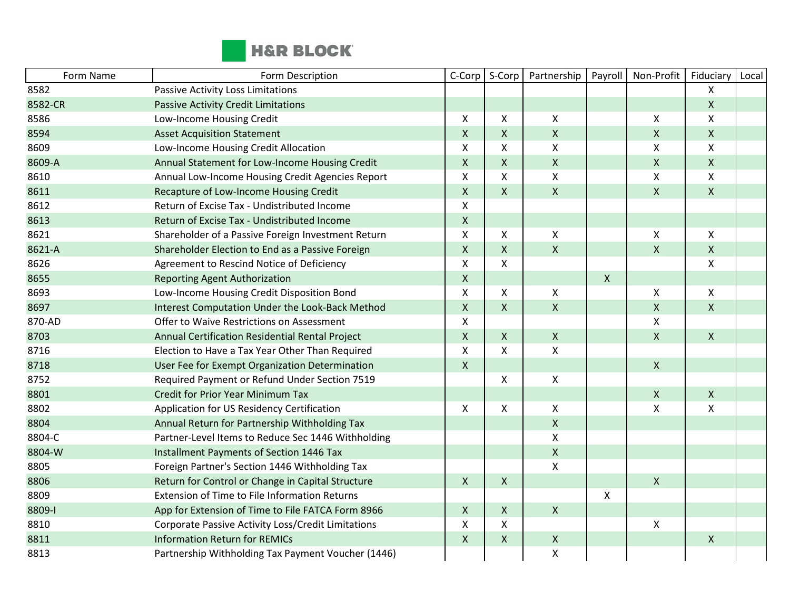

| Form Name | Form Description                                   | C-Corp             | S-Corp             | Partnership        | Payroll            | Non-Profit         | Fiduciary    | Local |
|-----------|----------------------------------------------------|--------------------|--------------------|--------------------|--------------------|--------------------|--------------|-------|
| 8582      | Passive Activity Loss Limitations                  |                    |                    |                    |                    |                    | X            |       |
| 8582-CR   | <b>Passive Activity Credit Limitations</b>         |                    |                    |                    |                    |                    | X            |       |
| 8586      | Low-Income Housing Credit                          | X                  | X                  | X                  |                    | X                  | X            |       |
| 8594      | <b>Asset Acquisition Statement</b>                 | $\mathsf{x}$       | $\mathsf{X}$       | $\pmb{\mathsf{X}}$ |                    | $\pmb{\mathsf{X}}$ | $\mathsf{X}$ |       |
| 8609      | Low-Income Housing Credit Allocation               | X                  | X                  | $\pmb{\times}$     |                    | $\pmb{\mathsf{X}}$ | X            |       |
| 8609-A    | Annual Statement for Low-Income Housing Credit     | $\mathsf{x}$       | $\mathsf X$        | $\pmb{\times}$     |                    | $\pmb{\mathsf{X}}$ | $\mathsf{X}$ |       |
| 8610      | Annual Low-Income Housing Credit Agencies Report   | X                  | Χ                  | $\pmb{\times}$     |                    | X                  | X            |       |
| 8611      | Recapture of Low-Income Housing Credit             | $\mathsf{X}$       | $\mathsf{X}$       | $\mathsf{X}$       |                    | $\pmb{\mathsf{X}}$ | X            |       |
| 8612      | Return of Excise Tax - Undistributed Income        | X                  |                    |                    |                    |                    |              |       |
| 8613      | Return of Excise Tax - Undistributed Income        | $\mathsf X$        |                    |                    |                    |                    |              |       |
| 8621      | Shareholder of a Passive Foreign Investment Return | X                  | X                  | $\mathsf{X}$       |                    | X                  | X            |       |
| 8621-A    | Shareholder Election to End as a Passive Foreign   | $\pmb{\mathsf{X}}$ | X                  | $\pmb{\times}$     |                    | $\pmb{\mathsf{X}}$ | X            |       |
| 8626      | Agreement to Rescind Notice of Deficiency          | X                  | Χ                  |                    |                    |                    | X            |       |
| 8655      | <b>Reporting Agent Authorization</b>               | $\mathsf X$        |                    |                    | $\pmb{\mathsf{X}}$ |                    |              |       |
| 8693      | Low-Income Housing Credit Disposition Bond         | $\pmb{\mathsf{X}}$ | X                  | X                  |                    | X                  | X            |       |
| 8697      | Interest Computation Under the Look-Back Method    | $\mathsf{X}$       | $\mathsf{X}$       | $\mathsf{X}$       |                    | $\pmb{\mathsf{X}}$ | $\mathsf{X}$ |       |
| 870-AD    | Offer to Waive Restrictions on Assessment          | X                  |                    |                    |                    | X                  |              |       |
| 8703      | Annual Certification Residential Rental Project    | $\pmb{\mathsf{X}}$ | $\mathsf X$        | $\pmb{\times}$     |                    | $\pmb{\mathsf{X}}$ | $\mathsf{X}$ |       |
| 8716      | Election to Have a Tax Year Other Than Required    | X                  | X                  | $\pmb{\times}$     |                    |                    |              |       |
| 8718      | User Fee for Exempt Organization Determination     | $\mathsf X$        |                    |                    |                    | $\pmb{\mathsf{X}}$ |              |       |
| 8752      | Required Payment or Refund Under Section 7519      |                    | X                  | $\pmb{\mathsf{X}}$ |                    |                    |              |       |
| 8801      | <b>Credit for Prior Year Minimum Tax</b>           |                    |                    |                    |                    | $\pmb{\mathsf{X}}$ | X            |       |
| 8802      | Application for US Residency Certification         | X                  | $\pmb{\mathsf{X}}$ | $\pmb{\mathsf{X}}$ |                    | Χ                  | X            |       |
| 8804      | Annual Return for Partnership Withholding Tax      |                    |                    | $\pmb{\times}$     |                    |                    |              |       |
| 8804-C    | Partner-Level Items to Reduce Sec 1446 Withholding |                    |                    | $\pmb{\times}$     |                    |                    |              |       |
| 8804-W    | Installment Payments of Section 1446 Tax           |                    |                    | $\mathsf{X}$       |                    |                    |              |       |
| 8805      | Foreign Partner's Section 1446 Withholding Tax     |                    |                    | $\pmb{\times}$     |                    |                    |              |       |
| 8806      | Return for Control or Change in Capital Structure  | $\mathsf{X}$       | $\mathsf X$        |                    |                    | $\pmb{\mathsf{X}}$ |              |       |
| 8809      | Extension of Time to File Information Returns      |                    |                    |                    | X                  |                    |              |       |
| 8809-l    | App for Extension of Time to File FATCA Form 8966  | $\mathsf{X}$       | Χ                  | $\pmb{\times}$     |                    |                    |              |       |
| 8810      | Corporate Passive Activity Loss/Credit Limitations | X                  | X                  |                    |                    | $\pmb{\mathsf{X}}$ |              |       |
| 8811      | <b>Information Return for REMICs</b>               | $\mathsf{X}$       | $\pmb{\times}$     | $\pmb{\times}$     |                    |                    | X            |       |
| 8813      | Partnership Withholding Tax Payment Voucher (1446) |                    |                    | $\pmb{\mathsf{X}}$ |                    |                    |              |       |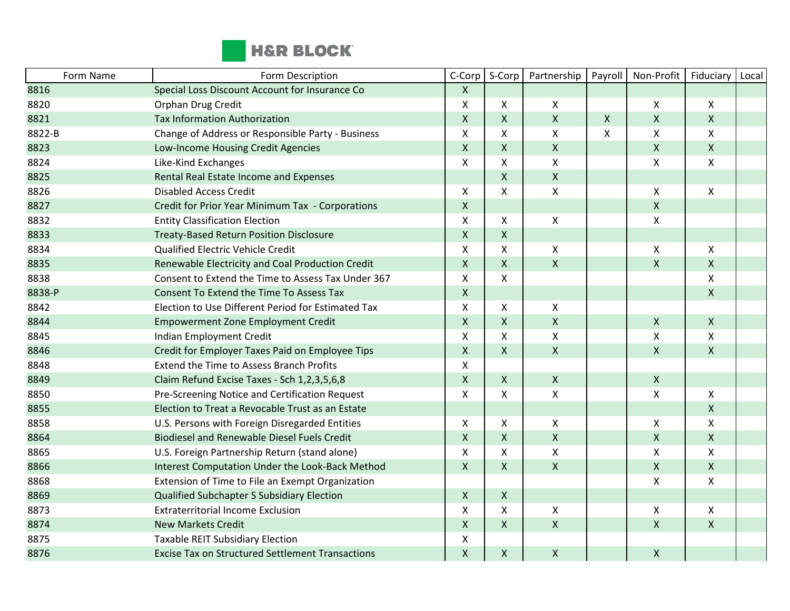

| Form Name | Form Description                                        | C-Corp             | S-Corp             | Partnership               | Payroll     | Non-Profit         | Fiduciary      | Local |
|-----------|---------------------------------------------------------|--------------------|--------------------|---------------------------|-------------|--------------------|----------------|-------|
| 8816      | Special Loss Discount Account for Insurance Co          | $\mathsf{X}$       |                    |                           |             |                    |                |       |
| 8820      | Orphan Drug Credit                                      | X                  | X                  | X                         |             | X                  | X              |       |
| 8821      | <b>Tax Information Authorization</b>                    | $\mathsf X$        | $\pmb{\mathsf{X}}$ | $\pmb{\times}$            | $\mathsf X$ | $\pmb{\mathsf{X}}$ | $\mathsf{X}$   |       |
| 8822-B    | Change of Address or Responsible Party - Business       | X                  | X                  | $\mathsf{X}$              | X           | Χ                  | Χ              |       |
| 8823      | Low-Income Housing Credit Agencies                      | $\mathsf X$        | X                  | $\mathsf{X}$              |             | $\pmb{\mathsf{X}}$ | X              |       |
| 8824      | Like-Kind Exchanges                                     | X                  | X                  | $\mathsf{X}$              |             | X                  | X              |       |
| 8825      | Rental Real Estate Income and Expenses                  |                    | $\mathsf{X}$       | $\mathsf{X}$              |             |                    |                |       |
| 8826      | <b>Disabled Access Credit</b>                           | X                  | X                  | $\mathsf{X}$              |             | X                  | X              |       |
| 8827      | Credit for Prior Year Minimum Tax - Corporations        | $\mathsf X$        |                    |                           |             | $\pmb{\mathsf{X}}$ |                |       |
| 8832      | <b>Entity Classification Election</b>                   | X                  | X                  | X                         |             | Χ                  |                |       |
| 8833      | <b>Treaty-Based Return Position Disclosure</b>          | $\mathsf{X}$       | X                  |                           |             |                    |                |       |
| 8834      | Qualified Electric Vehicle Credit                       | X                  | Χ                  | X                         |             | X                  | X              |       |
| 8835      | Renewable Electricity and Coal Production Credit        | $\pmb{\mathsf{X}}$ | $\pmb{\mathsf{X}}$ | $\pmb{\times}$            |             | $\pmb{\mathsf{X}}$ | $\mathsf{X}$   |       |
| 8838      | Consent to Extend the Time to Assess Tax Under 367      | X                  | X                  |                           |             |                    | X              |       |
| 8838-P    | Consent To Extend the Time To Assess Tax                | $\mathsf{X}$       |                    |                           |             |                    | Χ              |       |
| 8842      | Election to Use Different Period for Estimated Tax      | X                  | X                  | X                         |             |                    |                |       |
| 8844      | <b>Empowerment Zone Employment Credit</b>               | $\mathsf X$        | $\mathsf{X}$       | $\mathsf{X}$              |             | X                  | $\mathsf{X}$   |       |
| 8845      | Indian Employment Credit                                | X                  | X                  | $\boldsymbol{\mathsf{X}}$ |             | X                  | X              |       |
| 8846      | Credit for Employer Taxes Paid on Employee Tips         | $\mathsf{X}$       | X                  | $\mathsf{X}$              |             | $\pmb{\mathsf{X}}$ | X              |       |
| 8848      | <b>Extend the Time to Assess Branch Profits</b>         | X                  |                    |                           |             |                    |                |       |
| 8849      | Claim Refund Excise Taxes - Sch 1,2,3,5,6,8             | $\mathsf{X}$       | $\mathsf{X}$       | $\mathsf{X}$              |             | X                  |                |       |
| 8850      | Pre-Screening Notice and Certification Request          | X                  | X                  | $\pmb{\times}$            |             | $\pmb{\mathsf{X}}$ | X              |       |
| 8855      | Election to Treat a Revocable Trust as an Estate        |                    |                    |                           |             |                    | $\overline{X}$ |       |
| 8858      | U.S. Persons with Foreign Disregarded Entities          | X                  | X                  | $\mathsf{X}$              |             | X                  | X              |       |
| 8864      | <b>Biodiesel and Renewable Diesel Fuels Credit</b>      | $\pmb{\mathsf{X}}$ | $\pmb{\mathsf{X}}$ | $\pmb{\mathsf{X}}$        |             | $\pmb{\mathsf{X}}$ | $\mathsf{X}$   |       |
| 8865      | U.S. Foreign Partnership Return (stand alone)           | X                  | X                  | $\mathsf{X}$              |             | $\pmb{\mathsf{X}}$ | X              |       |
| 8866      | Interest Computation Under the Look-Back Method         | $\mathsf{X}$       | $\mathsf{X}$       | $\mathsf{X}$              |             | Χ                  | X              |       |
| 8868      | Extension of Time to File an Exempt Organization        |                    |                    |                           |             | $\pmb{\mathsf{X}}$ | Χ              |       |
| 8869      | Qualified Subchapter S Subsidiary Election              | $\mathsf{X}$       | $\mathsf{X}$       |                           |             |                    |                |       |
| 8873      | <b>Extraterritorial Income Exclusion</b>                | X                  | X                  | X                         |             | X                  | X              |       |
| 8874      | <b>New Markets Credit</b>                               | $\mathsf{X}$       | $\mathsf{X}$       | $\mathsf{X}$              |             | $\pmb{\mathsf{X}}$ | $\mathsf{X}$   |       |
| 8875      | <b>Taxable REIT Subsidiary Election</b>                 | X                  |                    |                           |             |                    |                |       |
| 8876      | <b>Excise Tax on Structured Settlement Transactions</b> | $\mathsf{X}$       | $\pmb{\mathsf{X}}$ | $\pmb{\mathsf{X}}$        |             | $\pmb{\mathsf{X}}$ |                |       |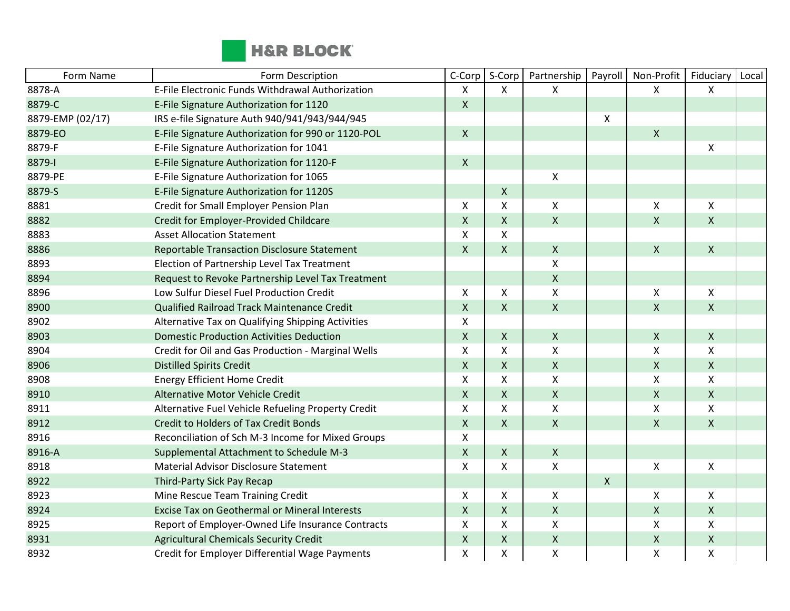

| Form Name        | Form Description                                     | C-Corp             | S-Corp             | Partnership        | Payroll | Non-Profit                | Fiduciary                 | Local |
|------------------|------------------------------------------------------|--------------------|--------------------|--------------------|---------|---------------------------|---------------------------|-------|
| 8878-A           | E-File Electronic Funds Withdrawal Authorization     | X                  | X                  | X                  |         | X                         | X                         |       |
| 8879-C           | E-File Signature Authorization for 1120              | $\mathsf{X}$       |                    |                    |         |                           |                           |       |
| 8879-EMP (02/17) | IRS e-file Signature Auth 940/941/943/944/945        |                    |                    |                    | X       |                           |                           |       |
| 8879-EO          | E-File Signature Authorization for 990 or 1120-POL   | $\mathsf{X}$       |                    |                    |         | $\pmb{\times}$            |                           |       |
| 8879-F           | E-File Signature Authorization for 1041              |                    |                    |                    |         |                           | $\boldsymbol{\mathsf{X}}$ |       |
| 8879-1           | E-File Signature Authorization for 1120-F            | $\mathsf{X}$       |                    |                    |         |                           |                           |       |
| 8879-PE          | E-File Signature Authorization for 1065              |                    |                    | X                  |         |                           |                           |       |
| 8879-S           | E-File Signature Authorization for 1120S             |                    | $\pmb{\mathsf{X}}$ |                    |         |                           |                           |       |
| 8881             | Credit for Small Employer Pension Plan               | X                  | X                  | X                  |         | $\boldsymbol{\mathsf{X}}$ | $\mathsf{X}$              |       |
| 8882             | Credit for Employer-Provided Childcare               | $\pmb{\mathsf{X}}$ | X                  | $\pmb{\mathsf{X}}$ |         | $\pmb{\mathsf{X}}$        | $\mathsf{X}$              |       |
| 8883             | <b>Asset Allocation Statement</b>                    | X                  | Χ                  |                    |         |                           |                           |       |
| 8886             | <b>Reportable Transaction Disclosure Statement</b>   | $\mathsf{X}$       | X                  | $\mathsf{X}$       |         | $\pmb{\times}$            | $\mathsf{X}$              |       |
| 8893             | Election of Partnership Level Tax Treatment          |                    |                    | $\pmb{\mathsf{X}}$ |         |                           |                           |       |
| 8894             | Request to Revoke Partnership Level Tax Treatment    |                    |                    | $\pmb{\times}$     |         |                           |                           |       |
| 8896             | Low Sulfur Diesel Fuel Production Credit             | X                  | X                  | X                  |         | Χ                         | X                         |       |
| 8900             | Qualified Railroad Track Maintenance Credit          | $\mathsf{X}$       | X                  | $\mathsf{X}$       |         | $\mathsf{X}$              | $\mathsf{X}$              |       |
| 8902             | Alternative Tax on Qualifying Shipping Activities    | X                  |                    |                    |         |                           |                           |       |
| 8903             | <b>Domestic Production Activities Deduction</b>      | $\mathsf{X}$       | $\mathsf{X}$       | $\mathsf{X}$       |         | $\pmb{\mathsf{X}}$        | $\mathsf{X}$              |       |
| 8904             | Credit for Oil and Gas Production - Marginal Wells   | X                  | X                  | X                  |         | Χ                         | $\mathsf{X}$              |       |
| 8906             | <b>Distilled Spirits Credit</b>                      | $\mathsf{X}$       | $\pmb{\mathsf{X}}$ | $\pmb{\mathsf{X}}$ |         | $\pmb{\mathsf{X}}$        | $\pmb{\times}$            |       |
| 8908             | <b>Energy Efficient Home Credit</b>                  | X                  | X                  | X                  |         | X                         | X                         |       |
| 8910             | Alternative Motor Vehicle Credit                     | $\mathsf{X}$       | X                  | $\mathsf X$        |         | X                         | $\mathsf{X}$              |       |
| 8911             | Alternative Fuel Vehicle Refueling Property Credit   | X                  | X                  | $\pmb{\mathsf{X}}$ |         | $\pmb{\mathsf{X}}$        | X                         |       |
| 8912             | <b>Credit to Holders of Tax Credit Bonds</b>         | $\mathsf{X}$       | $\mathsf{X}$       | $\mathsf{X}$       |         | $\boldsymbol{\mathsf{X}}$ | $\mathsf{X}$              |       |
| 8916             | Reconciliation of Sch M-3 Income for Mixed Groups    | X                  |                    |                    |         |                           |                           |       |
| 8916-A           | Supplemental Attachment to Schedule M-3              | $\mathsf{X}$       | X                  | $\mathsf{X}$       |         |                           |                           |       |
| 8918             | <b>Material Advisor Disclosure Statement</b>         | X                  | X                  | $\pmb{\mathsf{X}}$ |         | Χ                         | $\mathsf{X}$              |       |
| 8922             | Third-Party Sick Pay Recap                           |                    |                    |                    | X       |                           |                           |       |
| 8923             | Mine Rescue Team Training Credit                     | X                  | X                  | X                  |         | Χ                         | $\mathsf{X}$              |       |
| 8924             | <b>Excise Tax on Geothermal or Mineral Interests</b> | $\pmb{\mathsf{X}}$ | X                  | $\pmb{\mathsf{X}}$ |         | $\pmb{\mathsf{X}}$        | $\mathsf{X}$              |       |
| 8925             | Report of Employer-Owned Life Insurance Contracts    | X                  | Χ                  | X                  |         | X                         | $\mathsf{X}$              |       |
| 8931             | <b>Agricultural Chemicals Security Credit</b>        | $\mathsf{X}$       | $\mathsf{X}$       | $\mathsf{X}$       |         | Χ                         | $\mathsf{X}$              |       |
| 8932             | Credit for Employer Differential Wage Payments       | X                  | X                  | $\mathsf{x}$       |         | X                         | X                         |       |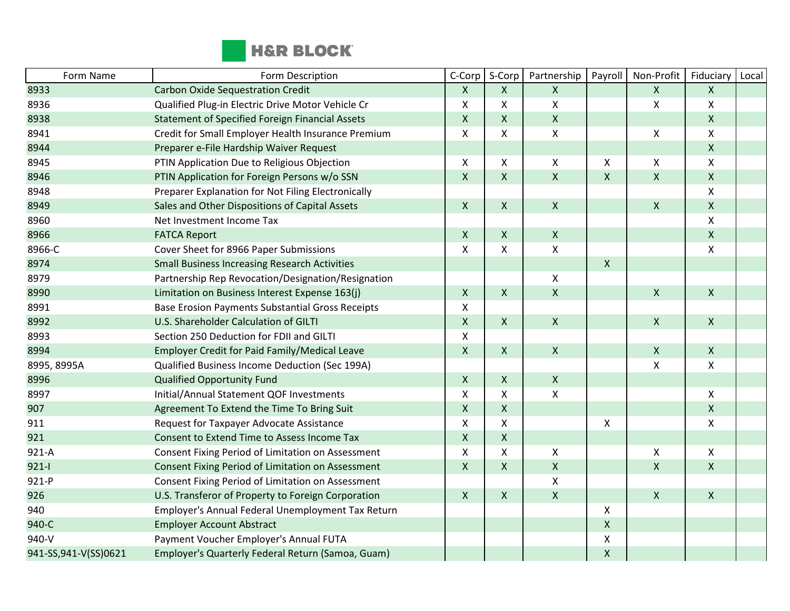

| Form Name              | Form Description                                        | C-Corp             | S-Corp         | Partnership        | Payroll            | Non-Profit         | <b>Fiduciary</b>          | Local |
|------------------------|---------------------------------------------------------|--------------------|----------------|--------------------|--------------------|--------------------|---------------------------|-------|
| 8933                   | <b>Carbon Oxide Sequestration Credit</b>                | $\mathsf{X}$       | X              | $\mathsf{X}$       |                    | $\pmb{\mathsf{X}}$ | $\mathsf{X}$              |       |
| 8936                   | Qualified Plug-in Electric Drive Motor Vehicle Cr       | X                  | X              | $\pmb{\mathsf{X}}$ |                    | X                  | X                         |       |
| 8938                   | <b>Statement of Specified Foreign Financial Assets</b>  | X                  | X              | $\mathsf{X}$       |                    |                    | $\mathsf{X}$              |       |
| 8941                   | Credit for Small Employer Health Insurance Premium      | X                  | X              | $\pmb{\mathsf{X}}$ |                    | X                  | $\mathsf{X}$              |       |
| 8944                   | Preparer e-File Hardship Waiver Request                 |                    |                |                    |                    |                    | $\mathsf{X}$              |       |
| 8945                   | PTIN Application Due to Religious Objection             | X                  | X              | X                  | X                  | X                  | X                         |       |
| 8946                   | PTIN Application for Foreign Persons w/o SSN            | $\pmb{\mathsf{X}}$ | $\mathsf{X}$   | $\mathsf{x}$       | $\mathsf{x}$       | $\mathsf{x}$       | $\mathsf{X}$              |       |
| 8948                   | Preparer Explanation for Not Filing Electronically      |                    |                |                    |                    |                    | $\mathsf{X}$              |       |
| 8949                   | Sales and Other Dispositions of Capital Assets          | $\pmb{\mathsf{X}}$ | X              | $\mathsf X$        |                    | $\pmb{\mathsf{X}}$ | $\pmb{\times}$            |       |
| 8960                   | Net Investment Income Tax                               |                    |                |                    |                    |                    | $\mathsf{X}$              |       |
| 8966                   | <b>FATCA Report</b>                                     | X                  | X              | $\mathsf{X}$       |                    |                    | $\mathsf{X}$              |       |
| 8966-C                 | Cover Sheet for 8966 Paper Submissions                  | X                  | X              | $\mathsf{X}$       |                    |                    | X                         |       |
| 8974                   | <b>Small Business Increasing Research Activities</b>    |                    |                |                    | $\pmb{\mathsf{X}}$ |                    |                           |       |
| 8979                   | Partnership Rep Revocation/Designation/Resignation      |                    |                | X                  |                    |                    |                           |       |
| 8990                   | Limitation on Business Interest Expense 163(j)          | X                  | $\mathsf{X}$   | $\pmb{\mathsf{X}}$ |                    | $\pmb{\times}$     | $\mathsf{X}$              |       |
| 8991                   | <b>Base Erosion Payments Substantial Gross Receipts</b> | X                  |                |                    |                    |                    |                           |       |
| 8992                   | U.S. Shareholder Calculation of GILTI                   | $\pmb{\mathsf{X}}$ | $\pmb{\times}$ | $\mathsf X$        |                    | $\pmb{\mathsf{X}}$ | $\mathsf{X}$              |       |
| 8993                   | Section 250 Deduction for FDII and GILTI                | Χ                  |                |                    |                    |                    |                           |       |
| 8994                   | Employer Credit for Paid Family/Medical Leave           | $\pmb{\mathsf{X}}$ | $\mathsf{X}$   | $\mathsf{X}$       |                    | $\mathsf X$        | $\mathsf{X}$              |       |
| 8995, 8995A            | Qualified Business Income Deduction (Sec 199A)          |                    |                |                    |                    | X                  | $\mathsf{X}$              |       |
| 8996                   | <b>Qualified Opportunity Fund</b>                       | X                  | $\mathsf{X}$   | $\mathsf{X}$       |                    |                    |                           |       |
| 8997                   | Initial/Annual Statement QOF Investments                | Χ                  | Χ              | $\pmb{\mathsf{X}}$ |                    |                    | X                         |       |
| 907                    | Agreement To Extend the Time To Bring Suit              | $\pmb{\mathsf{X}}$ | X              |                    |                    |                    | $\mathsf{X}$              |       |
| 911                    | Request for Taxpayer Advocate Assistance                | X                  | X              |                    | X                  |                    | $\boldsymbol{\mathsf{X}}$ |       |
| 921                    | Consent to Extend Time to Assess Income Tax             | $\pmb{\mathsf{X}}$ | X              |                    |                    |                    |                           |       |
| $921-A$                | Consent Fixing Period of Limitation on Assessment       | X                  | X              | X                  |                    | X                  | $\boldsymbol{X}$          |       |
| $921 - 1$              | Consent Fixing Period of Limitation on Assessment       | $\mathsf{X}$       | X              | $\pmb{\mathsf{X}}$ |                    | $\pmb{\mathsf{X}}$ | $\mathsf{X}$              |       |
| 921-P                  | Consent Fixing Period of Limitation on Assessment       |                    |                | $\pmb{\mathsf{X}}$ |                    |                    |                           |       |
| 926                    | U.S. Transferor of Property to Foreign Corporation      | X                  | $\mathsf{X}$   | $\pmb{\mathsf{X}}$ |                    | $\pmb{\times}$     | $\mathsf{X}$              |       |
| 940                    | Employer's Annual Federal Unemployment Tax Return       |                    |                |                    | X                  |                    |                           |       |
| 940-C                  | <b>Employer Account Abstract</b>                        |                    |                |                    | X                  |                    |                           |       |
| 940-V                  | Payment Voucher Employer's Annual FUTA                  |                    |                |                    | Χ                  |                    |                           |       |
| 941-SS, 941-V(SS) 0621 | Employer's Quarterly Federal Return (Samoa, Guam)       |                    |                |                    | $\pmb{\mathsf{X}}$ |                    |                           |       |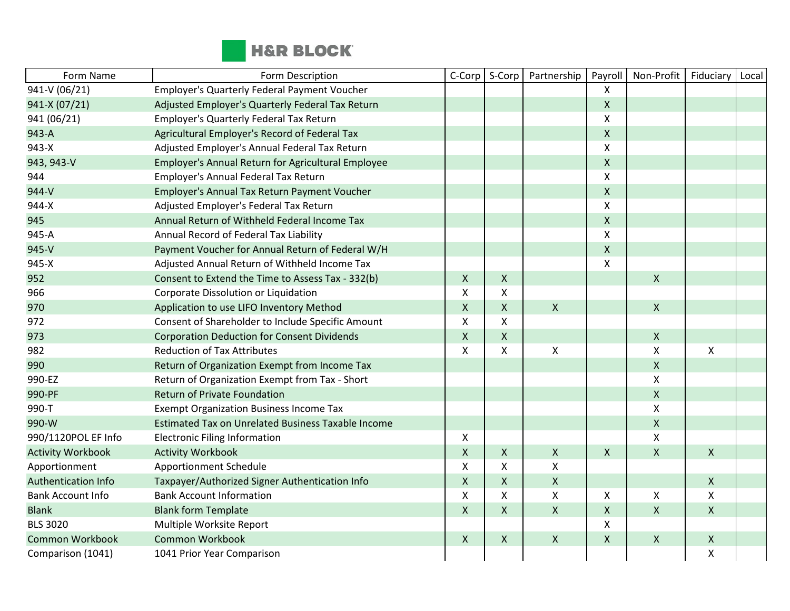

| Form Name                  | Form Description                                          | C-Corp       | S-Corp       | Partnership        | Payroll                   | Non-Profit         | Fiduciary                 | Local |
|----------------------------|-----------------------------------------------------------|--------------|--------------|--------------------|---------------------------|--------------------|---------------------------|-------|
| 941-V (06/21)              | Employer's Quarterly Federal Payment Voucher              |              |              |                    | $\boldsymbol{\mathsf{X}}$ |                    |                           |       |
| 941-X (07/21)              | Adjusted Employer's Quarterly Federal Tax Return          |              |              |                    | $\mathsf{X}$              |                    |                           |       |
| 941 (06/21)                | <b>Employer's Quarterly Federal Tax Return</b>            |              |              |                    | $\boldsymbol{\mathsf{X}}$ |                    |                           |       |
| 943-A                      | Agricultural Employer's Record of Federal Tax             |              |              |                    | $\pmb{\mathsf{X}}$        |                    |                           |       |
| 943-X                      | Adjusted Employer's Annual Federal Tax Return             |              |              |                    | $\boldsymbol{\mathsf{X}}$ |                    |                           |       |
| 943, 943-V                 | Employer's Annual Return for Agricultural Employee        |              |              |                    | $\pmb{\times}$            |                    |                           |       |
| 944                        | Employer's Annual Federal Tax Return                      |              |              |                    | $\boldsymbol{\mathsf{x}}$ |                    |                           |       |
| 944-V                      | Employer's Annual Tax Return Payment Voucher              |              |              |                    | $\boldsymbol{\mathsf{X}}$ |                    |                           |       |
| 944-X                      | Adjusted Employer's Federal Tax Return                    |              |              |                    | $\boldsymbol{\mathsf{X}}$ |                    |                           |       |
| 945                        | Annual Return of Withheld Federal Income Tax              |              |              |                    | $\mathsf X$               |                    |                           |       |
| 945-A                      | Annual Record of Federal Tax Liability                    |              |              |                    | $\boldsymbol{\mathsf{X}}$ |                    |                           |       |
| 945-V                      | Payment Voucher for Annual Return of Federal W/H          |              |              |                    | $\boldsymbol{\mathsf{X}}$ |                    |                           |       |
| 945-X                      | Adjusted Annual Return of Withheld Income Tax             |              |              |                    | $\boldsymbol{\mathsf{x}}$ |                    |                           |       |
| 952                        | Consent to Extend the Time to Assess Tax - 332(b)         | $\mathsf{X}$ | $\mathsf{X}$ |                    |                           | $\pmb{\times}$     |                           |       |
| 966                        | Corporate Dissolution or Liquidation                      | X            | X            |                    |                           |                    |                           |       |
| 970                        | Application to use LIFO Inventory Method                  | $\mathsf{X}$ | $\mathsf{X}$ | $\boldsymbol{X}$   |                           | $\mathsf{X}$       |                           |       |
| 972                        | Consent of Shareholder to Include Specific Amount         | Χ            | X            |                    |                           |                    |                           |       |
| 973                        | <b>Corporation Deduction for Consent Dividends</b>        | $\mathsf{X}$ | $\mathsf X$  |                    |                           | $\pmb{\mathsf{X}}$ |                           |       |
| 982                        | <b>Reduction of Tax Attributes</b>                        | $\mathsf{x}$ | X            | $\pmb{\times}$     |                           | $\mathsf{X}$       | $\boldsymbol{\mathsf{X}}$ |       |
| 990                        | Return of Organization Exempt from Income Tax             |              |              |                    |                           | $\mathsf{X}$       |                           |       |
| 990-EZ                     | Return of Organization Exempt from Tax - Short            |              |              |                    |                           | $\pmb{\chi}$       |                           |       |
| 990-PF                     | <b>Return of Private Foundation</b>                       |              |              |                    |                           | $\mathsf{X}$       |                           |       |
| 990-T                      | <b>Exempt Organization Business Income Tax</b>            |              |              |                    |                           | $\pmb{\chi}$       |                           |       |
| 990-W                      | <b>Estimated Tax on Unrelated Business Taxable Income</b> |              |              |                    |                           | $\pmb{\mathsf{X}}$ |                           |       |
| 990/1120POL EF Info        | <b>Electronic Filing Information</b>                      | X            |              |                    |                           | $\pmb{\chi}$       |                           |       |
| <b>Activity Workbook</b>   | <b>Activity Workbook</b>                                  | $\mathsf{X}$ | $\mathsf{X}$ | $\pmb{\times}$     | $\boldsymbol{X}$          | $\mathsf{X}$       | $\mathsf{X}$              |       |
| Apportionment              | <b>Apportionment Schedule</b>                             | X            | X            | Χ                  |                           |                    |                           |       |
| <b>Authentication Info</b> | Taxpayer/Authorized Signer Authentication Info            | $\mathsf{X}$ | $\mathsf{X}$ | $\mathsf{x}$       |                           |                    | $\mathsf{X}$              |       |
| <b>Bank Account Info</b>   | <b>Bank Account Information</b>                           | X            | X            | X                  | X                         | Χ                  | X                         |       |
| <b>Blank</b>               | <b>Blank form Template</b>                                | $\mathsf{X}$ | $\mathsf{X}$ | $\pmb{\mathsf{X}}$ | $\mathsf X$               | $\mathsf{X}$       | $\pmb{\mathsf{X}}$        |       |
| <b>BLS 3020</b>            | Multiple Worksite Report                                  |              |              |                    | $\boldsymbol{\mathsf{X}}$ |                    |                           |       |
| <b>Common Workbook</b>     | <b>Common Workbook</b>                                    | $\mathsf{X}$ | $\mathsf{X}$ | $\pmb{\times}$     | $\mathsf{X}$              | $\pmb{\times}$     | X                         |       |
| Comparison (1041)          | 1041 Prior Year Comparison                                |              |              |                    |                           |                    | X                         |       |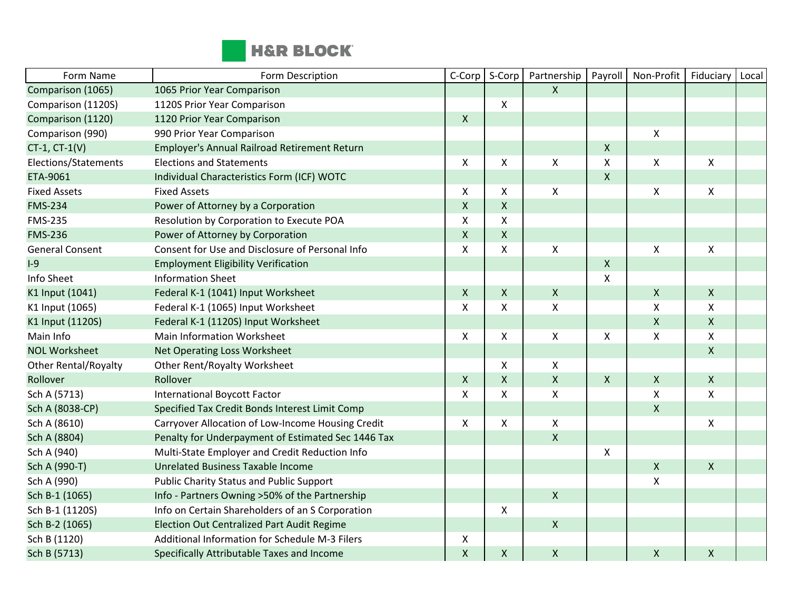

| Form Name                   | Form Description                                   | C-Corp                    | S-Corp             | Partnership        | Payroll            | Non-Profit         | Fiduciary          | Local |
|-----------------------------|----------------------------------------------------|---------------------------|--------------------|--------------------|--------------------|--------------------|--------------------|-------|
| Comparison (1065)           | 1065 Prior Year Comparison                         |                           |                    | $\mathsf{X}$       |                    |                    |                    |       |
| Comparison (1120S)          | 1120S Prior Year Comparison                        |                           | X                  |                    |                    |                    |                    |       |
| Comparison (1120)           | 1120 Prior Year Comparison                         | $\mathsf{X}$              |                    |                    |                    |                    |                    |       |
| Comparison (990)            | 990 Prior Year Comparison                          |                           |                    |                    |                    | X                  |                    |       |
| $CT-1$ , $CT-1(V)$          | Employer's Annual Railroad Retirement Return       |                           |                    |                    | $\pmb{\mathsf{X}}$ |                    |                    |       |
| Elections/Statements        | <b>Elections and Statements</b>                    | $\mathsf{X}$              | X                  | $\pmb{\times}$     | $\pmb{\mathsf{X}}$ | Χ                  | X                  |       |
| ETA-9061                    | Individual Characteristics Form (ICF) WOTC         |                           |                    |                    | $\pmb{\mathsf{X}}$ |                    |                    |       |
| <b>Fixed Assets</b>         | <b>Fixed Assets</b>                                | X                         | X                  | $\pmb{\mathsf{X}}$ |                    | Χ                  | $\pmb{\mathsf{X}}$ |       |
| <b>FMS-234</b>              | Power of Attorney by a Corporation                 | $\pmb{\times}$            | $\pmb{\mathsf{X}}$ |                    |                    |                    |                    |       |
| <b>FMS-235</b>              | Resolution by Corporation to Execute POA           | $\pmb{\times}$            | X                  |                    |                    |                    |                    |       |
| <b>FMS-236</b>              | Power of Attorney by Corporation                   | $\mathsf{X}$              | X                  |                    |                    |                    |                    |       |
| <b>General Consent</b>      | Consent for Use and Disclosure of Personal Info    | X                         | X                  | $\pmb{\times}$     |                    | $\pmb{\mathsf{X}}$ | X                  |       |
| $I-9$                       | <b>Employment Eligibility Verification</b>         |                           |                    |                    | $\pmb{\mathsf{X}}$ |                    |                    |       |
| Info Sheet                  | <b>Information Sheet</b>                           |                           |                    |                    | X                  |                    |                    |       |
| K1 Input (1041)             | Federal K-1 (1041) Input Worksheet                 | $\mathsf{X}$              | $\mathsf{X}$       | $\pmb{\times}$     |                    | $\pmb{\mathsf{X}}$ | $\mathsf{X}$       |       |
| K1 Input (1065)             | Federal K-1 (1065) Input Worksheet                 | $\boldsymbol{\mathsf{X}}$ | X                  | $\mathsf X$        |                    | $\pmb{\mathsf{X}}$ | $\pmb{\mathsf{X}}$ |       |
| K1 Input (1120S)            | Federal K-1 (1120S) Input Worksheet                |                           |                    |                    |                    | $\pmb{\mathsf{X}}$ | $\mathsf{X}$       |       |
| Main Info                   | Main Information Worksheet                         | $\boldsymbol{\mathsf{X}}$ | X                  | $\pmb{\mathsf{X}}$ | X                  | $\pmb{\mathsf{X}}$ | Χ                  |       |
| <b>NOL Worksheet</b>        | Net Operating Loss Worksheet                       |                           |                    |                    |                    |                    | $\mathsf{x}$       |       |
| <b>Other Rental/Royalty</b> | Other Rent/Royalty Worksheet                       |                           | X                  | $\pmb{\times}$     |                    |                    |                    |       |
| Rollover                    | Rollover                                           | $\boldsymbol{\mathsf{X}}$ | $\pmb{\mathsf{X}}$ | $\pmb{\mathsf{X}}$ | $\pmb{\mathsf{X}}$ | $\pmb{\mathsf{X}}$ | $\mathsf{X}$       |       |
| Sch A (5713)                | <b>International Boycott Factor</b>                | X                         | X                  | $\mathsf{X}$       |                    | Χ                  | X                  |       |
| Sch A (8038-CP)             | Specified Tax Credit Bonds Interest Limit Comp     |                           |                    |                    |                    | $\pmb{\mathsf{X}}$ |                    |       |
| Sch A (8610)                | Carryover Allocation of Low-Income Housing Credit  | X                         | X                  | $\mathsf X$        |                    |                    | $\pmb{\mathsf{X}}$ |       |
| Sch A (8804)                | Penalty for Underpayment of Estimated Sec 1446 Tax |                           |                    | $\mathsf{X}$       |                    |                    |                    |       |
| Sch A (940)                 | Multi-State Employer and Credit Reduction Info     |                           |                    |                    | X                  |                    |                    |       |
| Sch A (990-T)               | <b>Unrelated Business Taxable Income</b>           |                           |                    |                    |                    | $\pmb{\mathsf{X}}$ | $\mathsf{X}$       |       |
| Sch A (990)                 | <b>Public Charity Status and Public Support</b>    |                           |                    |                    |                    | $\pmb{\mathsf{X}}$ |                    |       |
| Sch B-1 (1065)              | Info - Partners Owning >50% of the Partnership     |                           |                    | $\mathsf{X}$       |                    |                    |                    |       |
| Sch B-1 (1120S)             | Info on Certain Shareholders of an S Corporation   |                           | X                  |                    |                    |                    |                    |       |
| Sch B-2 (1065)              | <b>Election Out Centralized Part Audit Regime</b>  |                           |                    | $\mathsf{X}$       |                    |                    |                    |       |
| Sch B (1120)                | Additional Information for Schedule M-3 Filers     | X                         |                    |                    |                    |                    |                    |       |
| Sch B (5713)                | Specifically Attributable Taxes and Income         | $\mathsf{X}$              | X                  | $\pmb{\times}$     |                    | $\pmb{\mathsf{X}}$ | $\mathsf{X}$       |       |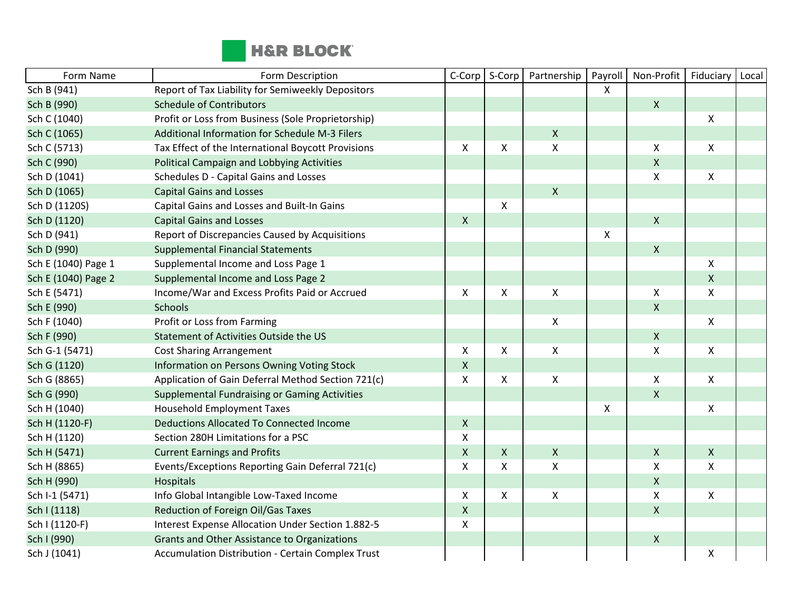

| Form Name           | Form Description                                         | C-Corp             | S-Corp | Partnership        | Payroll | Non-Profit         | Fiduciary          | Local |
|---------------------|----------------------------------------------------------|--------------------|--------|--------------------|---------|--------------------|--------------------|-------|
| Sch B (941)         | Report of Tax Liability for Semiweekly Depositors        |                    |        |                    | X       |                    |                    |       |
| Sch B (990)         | <b>Schedule of Contributors</b>                          |                    |        |                    |         | X                  |                    |       |
| Sch C (1040)        | Profit or Loss from Business (Sole Proprietorship)       |                    |        |                    |         |                    | $\mathsf{X}$       |       |
| Sch C (1065)        | Additional Information for Schedule M-3 Filers           |                    |        | $\mathsf X$        |         |                    |                    |       |
| Sch C (5713)        | Tax Effect of the International Boycott Provisions       | X                  | X      | $\mathsf{X}$       |         | X                  | X                  |       |
| Sch C (990)         | Political Campaign and Lobbying Activities               |                    |        |                    |         | $\pmb{\mathsf{X}}$ |                    |       |
| Sch D (1041)        | Schedules D - Capital Gains and Losses                   |                    |        |                    |         | $\pmb{\mathsf{X}}$ | $\pmb{\mathsf{X}}$ |       |
| Sch D (1065)        | <b>Capital Gains and Losses</b>                          |                    |        | $\mathsf{X}$       |         |                    |                    |       |
| Sch D (1120S)       | Capital Gains and Losses and Built-In Gains              |                    | X      |                    |         |                    |                    |       |
| Sch D (1120)        | <b>Capital Gains and Losses</b>                          | $\pmb{\times}$     |        |                    |         | $\pmb{\mathsf{X}}$ |                    |       |
| Sch D (941)         | Report of Discrepancies Caused by Acquisitions           |                    |        |                    | X       |                    |                    |       |
| Sch D (990)         | <b>Supplemental Financial Statements</b>                 |                    |        |                    |         | $\mathsf X$        |                    |       |
| Sch E (1040) Page 1 | Supplemental Income and Loss Page 1                      |                    |        |                    |         |                    | X                  |       |
| Sch E (1040) Page 2 | Supplemental Income and Loss Page 2                      |                    |        |                    |         |                    | $\pmb{\mathsf{X}}$ |       |
| Sch E (5471)        | Income/War and Excess Profits Paid or Accrued            | X                  | X      | X                  |         | Χ                  | X                  |       |
| Sch E (990)         | <b>Schools</b>                                           |                    |        |                    |         | Χ                  |                    |       |
| Sch F (1040)        | Profit or Loss from Farming                              |                    |        | $\mathsf X$        |         |                    | $\pmb{\mathsf{X}}$ |       |
| Sch F (990)         | Statement of Activities Outside the US                   |                    |        |                    |         | $\pmb{\mathsf{X}}$ |                    |       |
| Sch G-1 (5471)      | <b>Cost Sharing Arrangement</b>                          | X                  | X      | $\pmb{\times}$     |         | Χ                  | X                  |       |
| Sch G (1120)        | Information on Persons Owning Voting Stock               | $\pmb{\mathsf{X}}$ |        |                    |         |                    |                    |       |
| Sch G (8865)        | Application of Gain Deferral Method Section 721(c)       | X                  | X      | $\mathsf{X}$       |         | X                  | $\mathsf{X}$       |       |
| Sch G (990)         | <b>Supplemental Fundraising or Gaming Activities</b>     |                    |        |                    |         | $\pmb{\mathsf{X}}$ |                    |       |
| Sch H (1040)        | <b>Household Employment Taxes</b>                        |                    |        |                    | X       |                    | X                  |       |
| Sch H (1120-F)      | <b>Deductions Allocated To Connected Income</b>          | $\mathsf{X}$       |        |                    |         |                    |                    |       |
| Sch H (1120)        | Section 280H Limitations for a PSC                       | $\pmb{\times}$     |        |                    |         |                    |                    |       |
| Sch H (5471)        | <b>Current Earnings and Profits</b>                      | $\mathsf X$        | X      | $\mathsf{X}$       |         | $\pmb{\mathsf{X}}$ | $\mathsf{X}$       |       |
| Sch H (8865)        | Events/Exceptions Reporting Gain Deferral 721(c)         | X                  | X      | $\pmb{\times}$     |         | Χ                  | X                  |       |
| Sch H (990)         | Hospitals                                                |                    |        |                    |         | $\pmb{\mathsf{X}}$ |                    |       |
| Sch I-1 (5471)      | Info Global Intangible Low-Taxed Income                  | $\mathsf X$        | X      | $\pmb{\mathsf{X}}$ |         | Χ                  | $\pmb{\mathsf{X}}$ |       |
| Sch I (1118)        | Reduction of Foreign Oil/Gas Taxes                       | $\pmb{\times}$     |        |                    |         | $\pmb{\mathsf{X}}$ |                    |       |
| Sch I (1120-F)      | Interest Expense Allocation Under Section 1.882-5        | X                  |        |                    |         |                    |                    |       |
| Sch I (990)         | Grants and Other Assistance to Organizations             |                    |        |                    |         | $\mathsf X$        |                    |       |
| Sch J (1041)        | <b>Accumulation Distribution - Certain Complex Trust</b> |                    |        |                    |         |                    | Χ                  |       |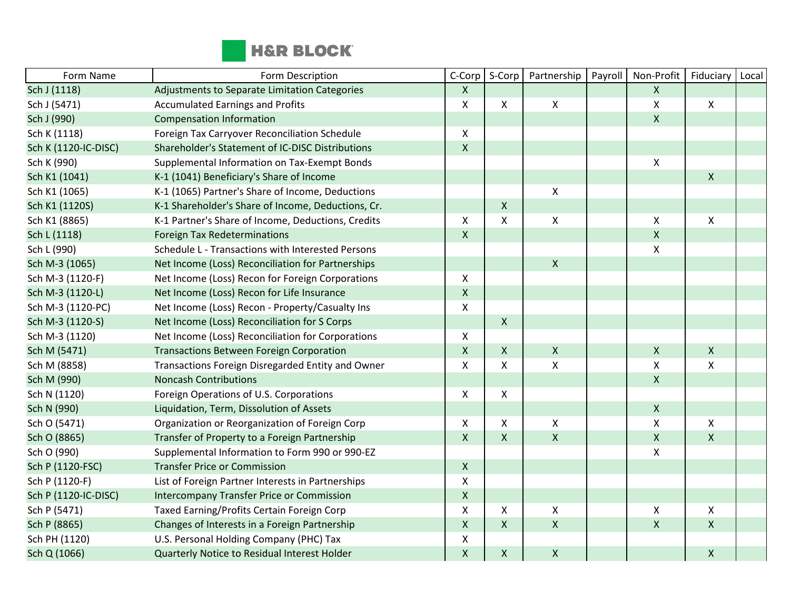

| Form Name            | Form Description                                   | C-Corp                    | S-Corp             | Partnership        | Payroll | Non-Profit                | Fiduciary    | Local |
|----------------------|----------------------------------------------------|---------------------------|--------------------|--------------------|---------|---------------------------|--------------|-------|
| Sch J (1118)         | Adjustments to Separate Limitation Categories      | $\mathsf{X}$              |                    |                    |         | $\boldsymbol{\mathsf{X}}$ |              |       |
| Sch J (5471)         | <b>Accumulated Earnings and Profits</b>            | X                         | X                  | $\mathsf{X}$       |         | Χ                         | $\mathsf{X}$ |       |
| Sch J (990)          | <b>Compensation Information</b>                    |                           |                    |                    |         | $\mathsf{X}$              |              |       |
| Sch K (1118)         | Foreign Tax Carryover Reconciliation Schedule      | X                         |                    |                    |         |                           |              |       |
| Sch K (1120-IC-DISC) | Shareholder's Statement of IC-DISC Distributions   | $\boldsymbol{\mathsf{X}}$ |                    |                    |         |                           |              |       |
| Sch K (990)          | Supplemental Information on Tax-Exempt Bonds       |                           |                    |                    |         | $\pmb{\mathsf{X}}$        |              |       |
| Sch K1 (1041)        | K-1 (1041) Beneficiary's Share of Income           |                           |                    |                    |         |                           | $\mathsf{X}$ |       |
| Sch K1 (1065)        | K-1 (1065) Partner's Share of Income, Deductions   |                           |                    | $\pmb{\mathsf{X}}$ |         |                           |              |       |
| Sch K1 (1120S)       | K-1 Shareholder's Share of Income, Deductions, Cr. |                           | $\mathsf{X}$       |                    |         |                           |              |       |
| Sch K1 (8865)        | K-1 Partner's Share of Income, Deductions, Credits | X                         | X                  | X                  |         | $\pmb{\mathsf{X}}$        | X            |       |
| Sch L (1118)         | <b>Foreign Tax Redeterminations</b>                | $\mathsf{X}$              |                    |                    |         | $\pmb{\mathsf{X}}$        |              |       |
| Sch L (990)          | Schedule L - Transactions with Interested Persons  |                           |                    |                    |         | $\pmb{\mathsf{X}}$        |              |       |
| Sch M-3 (1065)       | Net Income (Loss) Reconciliation for Partnerships  |                           |                    | $\mathsf{X}$       |         |                           |              |       |
| Sch M-3 (1120-F)     | Net Income (Loss) Recon for Foreign Corporations   | X                         |                    |                    |         |                           |              |       |
| Sch M-3 (1120-L)     | Net Income (Loss) Recon for Life Insurance         | $\mathsf X$               |                    |                    |         |                           |              |       |
| Sch M-3 (1120-PC)    | Net Income (Loss) Recon - Property/Casualty Ins    | X                         |                    |                    |         |                           |              |       |
| Sch M-3 (1120-S)     | Net Income (Loss) Reconciliation for S Corps       |                           | $\mathsf{X}$       |                    |         |                           |              |       |
| Sch M-3 (1120)       | Net Income (Loss) Reconciliation for Corporations  | X                         |                    |                    |         |                           |              |       |
| Sch M (5471)         | <b>Transactions Between Foreign Corporation</b>    | $\mathsf{X}$              | $\mathsf{X}$       | $\mathsf X$        |         | $\pmb{\times}$            | $\mathsf{X}$ |       |
| Sch M (8858)         | Transactions Foreign Disregarded Entity and Owner  | X                         | X                  | $\pmb{\mathsf{X}}$ |         | $\pmb{\mathsf{X}}$        | $\mathsf{x}$ |       |
| Sch M (990)          | <b>Noncash Contributions</b>                       |                           |                    |                    |         | $\pmb{\mathsf{X}}$        |              |       |
| Sch N (1120)         | Foreign Operations of U.S. Corporations            | $\boldsymbol{\mathsf{X}}$ | $\mathsf{X}$       |                    |         |                           |              |       |
| Sch N (990)          | Liquidation, Term, Dissolution of Assets           |                           |                    |                    |         | $\pmb{\mathsf{X}}$        |              |       |
| Sch O (5471)         | Organization or Reorganization of Foreign Corp     | X                         | X                  | Χ                  |         | $\pmb{\mathsf{X}}$        | X            |       |
| Sch O (8865)         | Transfer of Property to a Foreign Partnership      | $\pmb{\mathsf{X}}$        | $\pmb{\mathsf{X}}$ | $\mathsf{X}$       |         | $\pmb{\mathsf{X}}$        | $\mathsf{X}$ |       |
| Sch O (990)          | Supplemental Information to Form 990 or 990-EZ     |                           |                    |                    |         | $\pmb{\chi}$              |              |       |
| Sch P (1120-FSC)     | <b>Transfer Price or Commission</b>                | $\boldsymbol{X}$          |                    |                    |         |                           |              |       |
| Sch P (1120-F)       | List of Foreign Partner Interests in Partnerships  | $\pmb{\mathsf{X}}$        |                    |                    |         |                           |              |       |
| Sch P (1120-IC-DISC) | Intercompany Transfer Price or Commission          | $\pmb{\mathsf{X}}$        |                    |                    |         |                           |              |       |
| Sch P (5471)         | Taxed Earning/Profits Certain Foreign Corp         | X                         | X                  | X                  |         | $\pmb{\times}$            | $\mathsf{X}$ |       |
| Sch P (8865)         | Changes of Interests in a Foreign Partnership      | $\mathsf{X}$              | $\mathsf{X}$       | $\mathsf{X}$       |         | $\pmb{\mathsf{X}}$        | $\mathsf{X}$ |       |
| Sch PH (1120)        | U.S. Personal Holding Company (PHC) Tax            | X                         |                    |                    |         |                           |              |       |
| Sch Q (1066)         | Quarterly Notice to Residual Interest Holder       | $\pmb{\mathsf{X}}$        | $\pmb{\mathsf{X}}$ | $\pmb{\times}$     |         |                           | $\mathsf{X}$ |       |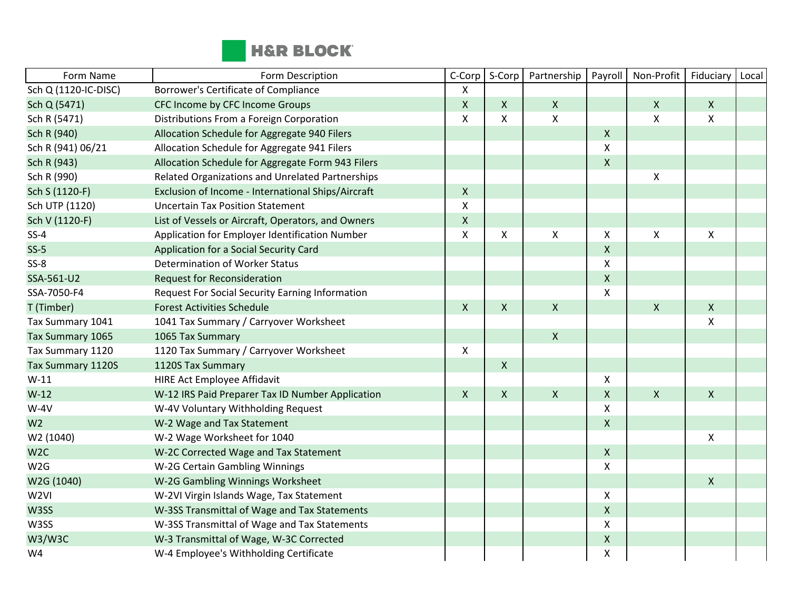

| Form Name            | Form Description                                       | C-Corp         | S-Corp             | Partnership        | Payroll            | Non-Profit         | Fiduciary                 | Local |
|----------------------|--------------------------------------------------------|----------------|--------------------|--------------------|--------------------|--------------------|---------------------------|-------|
| Sch Q (1120-IC-DISC) | Borrower's Certificate of Compliance                   | X              |                    |                    |                    |                    |                           |       |
| Sch Q (5471)         | CFC Income by CFC Income Groups                        | $\pmb{\times}$ | $\pmb{\mathsf{X}}$ | $\mathsf{X}$       |                    | X                  | $\mathsf{X}$              |       |
| Sch R (5471)         | Distributions From a Foreign Corporation               | X              | X                  | $\pmb{\mathsf{X}}$ |                    | X                  | $\boldsymbol{\mathsf{X}}$ |       |
| Sch R (940)          | Allocation Schedule for Aggregate 940 Filers           |                |                    |                    | $\pmb{\mathsf{X}}$ |                    |                           |       |
| Sch R (941) 06/21    | Allocation Schedule for Aggregate 941 Filers           |                |                    |                    | X                  |                    |                           |       |
| Sch R (943)          | Allocation Schedule for Aggregate Form 943 Filers      |                |                    |                    | $\pmb{\mathsf{X}}$ |                    |                           |       |
| Sch R (990)          | Related Organizations and Unrelated Partnerships       |                |                    |                    |                    | Χ                  |                           |       |
| Sch S (1120-F)       | Exclusion of Income - International Ships/Aircraft     | $\mathsf{X}$   |                    |                    |                    |                    |                           |       |
| Sch UTP (1120)       | <b>Uncertain Tax Position Statement</b>                | X              |                    |                    |                    |                    |                           |       |
| Sch V (1120-F)       | List of Vessels or Aircraft, Operators, and Owners     | $\mathsf X$    |                    |                    |                    |                    |                           |       |
| $SS-4$               | Application for Employer Identification Number         | X              | $\pmb{\mathsf{X}}$ | $\pmb{\mathsf{X}}$ | X                  | Χ                  | $\pmb{\times}$            |       |
| $SS-5$               | Application for a Social Security Card                 |                |                    |                    | X                  |                    |                           |       |
| $SS-8$               | Determination of Worker Status                         |                |                    |                    | Χ                  |                    |                           |       |
| SSA-561-U2           | <b>Request for Reconsideration</b>                     |                |                    |                    | $\pmb{\mathsf{X}}$ |                    |                           |       |
| SSA-7050-F4          | <b>Request For Social Security Earning Information</b> |                |                    |                    | X                  |                    |                           |       |
| T (Timber)           | <b>Forest Activities Schedule</b>                      | X              | $\pmb{\times}$     | $\mathsf{X}$       |                    | $\pmb{\mathsf{X}}$ | $\mathsf{x}$              |       |
| Tax Summary 1041     | 1041 Tax Summary / Carryover Worksheet                 |                |                    |                    |                    |                    | X                         |       |
| Tax Summary 1065     | 1065 Tax Summary                                       |                |                    | $\mathsf{X}$       |                    |                    |                           |       |
| Tax Summary 1120     | 1120 Tax Summary / Carryover Worksheet                 | X              |                    |                    |                    |                    |                           |       |
| Tax Summary 1120S    | 1120S Tax Summary                                      |                | $\pmb{\mathsf{X}}$ |                    |                    |                    |                           |       |
| $W-11$               | <b>HIRE Act Employee Affidavit</b>                     |                |                    |                    | Χ                  |                    |                           |       |
| $W-12$               | W-12 IRS Paid Preparer Tax ID Number Application       | $\mathsf{X}$   | $\mathsf{X}$       | $\mathsf{X}$       | Χ                  | X                  | $\mathsf{X}$              |       |
| $W-4V$               | W-4V Voluntary Withholding Request                     |                |                    |                    | Χ                  |                    |                           |       |
| W <sub>2</sub>       | W-2 Wage and Tax Statement                             |                |                    |                    | X                  |                    |                           |       |
| W2 (1040)            | W-2 Wage Worksheet for 1040                            |                |                    |                    |                    |                    | $\boldsymbol{\mathsf{X}}$ |       |
| W <sub>2C</sub>      | W-2C Corrected Wage and Tax Statement                  |                |                    |                    | $\pmb{\mathsf{X}}$ |                    |                           |       |
| W2G                  | W-2G Certain Gambling Winnings                         |                |                    |                    | X                  |                    |                           |       |
| W2G (1040)           | W-2G Gambling Winnings Worksheet                       |                |                    |                    |                    |                    | $\mathsf{X}$              |       |
| W <sub>2VI</sub>     | W-2VI Virgin Islands Wage, Tax Statement               |                |                    |                    | Χ                  |                    |                           |       |
| W3SS                 | W-3SS Transmittal of Wage and Tax Statements           |                |                    |                    | $\pmb{\mathsf{X}}$ |                    |                           |       |
| W3SS                 | W-3SS Transmittal of Wage and Tax Statements           |                |                    |                    | X                  |                    |                           |       |
| <b>W3/W3C</b>        | W-3 Transmittal of Wage, W-3C Corrected                |                |                    |                    | Χ                  |                    |                           |       |
| W4                   | W-4 Employee's Withholding Certificate                 |                |                    |                    | Χ                  |                    |                           |       |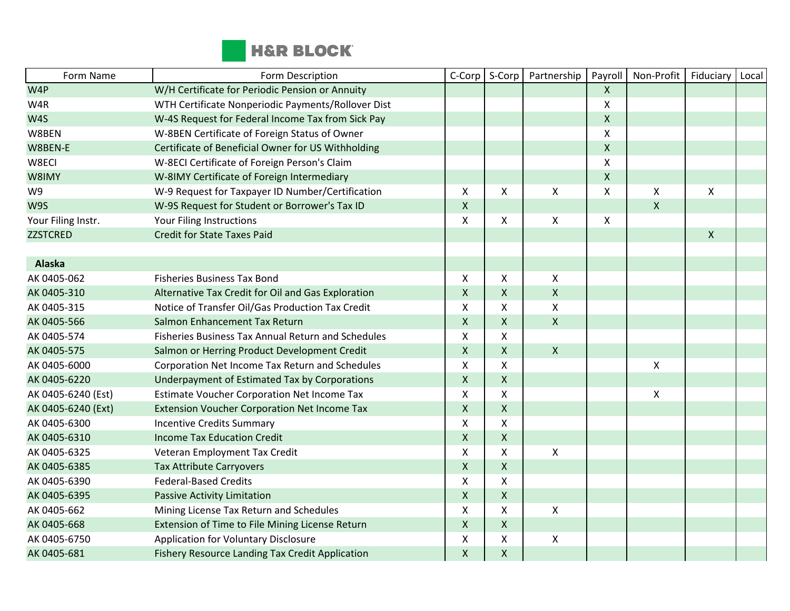

| Form Name          | Form Description                                    | C-Corp                    | S-Corp             | Partnership  | Payroll            | Non-Profit         | Fiduciary    | Local |
|--------------------|-----------------------------------------------------|---------------------------|--------------------|--------------|--------------------|--------------------|--------------|-------|
| W4P                | W/H Certificate for Periodic Pension or Annuity     |                           |                    |              | $\mathsf{X}$       |                    |              |       |
| W4R                | WTH Certificate Nonperiodic Payments/Rollover Dist  |                           |                    |              | $\pmb{\chi}$       |                    |              |       |
| W4S                | W-4S Request for Federal Income Tax from Sick Pay   |                           |                    |              | $\pmb{\mathsf{X}}$ |                    |              |       |
| W8BEN              | W-8BEN Certificate of Foreign Status of Owner       |                           |                    |              | $\pmb{\mathsf{X}}$ |                    |              |       |
| W8BEN-E            | Certificate of Beneficial Owner for US Withholding  |                           |                    |              | $\mathsf{X}$       |                    |              |       |
| W8ECI              | W-8ECI Certificate of Foreign Person's Claim        |                           |                    |              | $\pmb{\times}$     |                    |              |       |
| W8IMY              | W-8IMY Certificate of Foreign Intermediary          |                           |                    |              | $\pmb{\mathsf{X}}$ |                    |              |       |
| W9                 | W-9 Request for Taxpayer ID Number/Certification    | $\boldsymbol{\mathsf{X}}$ | X                  | Χ            | $\mathsf{\chi}$    | X                  | X            |       |
| W9S                | W-9S Request for Student or Borrower's Tax ID       | $\mathsf{X}$              |                    |              |                    | $\pmb{\mathsf{X}}$ |              |       |
| Your Filing Instr. | Your Filing Instructions                            | X                         | X                  | X            | X                  |                    |              |       |
| <b>ZZSTCRED</b>    | <b>Credit for State Taxes Paid</b>                  |                           |                    |              |                    |                    | $\mathsf{X}$ |       |
|                    |                                                     |                           |                    |              |                    |                    |              |       |
| <b>Alaska</b>      |                                                     |                           |                    |              |                    |                    |              |       |
| AK 0405-062        | <b>Fisheries Business Tax Bond</b>                  | X                         | X                  | $\mathsf{X}$ |                    |                    |              |       |
| AK 0405-310        | Alternative Tax Credit for Oil and Gas Exploration  | $\mathsf X$               | X                  | $\mathsf X$  |                    |                    |              |       |
| AK 0405-315        | Notice of Transfer Oil/Gas Production Tax Credit    | X                         | Χ                  | X            |                    |                    |              |       |
| AK 0405-566        | Salmon Enhancement Tax Return                       | $\mathsf X$               | $\pmb{\mathsf{X}}$ | $\mathsf{X}$ |                    |                    |              |       |
| AK 0405-574        | Fisheries Business Tax Annual Return and Schedules  | X                         | X                  |              |                    |                    |              |       |
| AK 0405-575        | Salmon or Herring Product Development Credit        | $\mathsf{X}$              | X                  | $\mathsf{X}$ |                    |                    |              |       |
| AK 0405-6000       | Corporation Net Income Tax Return and Schedules     | $\pmb{\times}$            | X                  |              |                    | Χ                  |              |       |
| AK 0405-6220       | Underpayment of Estimated Tax by Corporations       | $\mathsf{X}$              | X                  |              |                    |                    |              |       |
| AK 0405-6240 (Est) | Estimate Voucher Corporation Net Income Tax         | X                         | X                  |              |                    | X                  |              |       |
| AK 0405-6240 (Ext) | <b>Extension Voucher Corporation Net Income Tax</b> | $\mathsf{X}$              | X                  |              |                    |                    |              |       |
| AK 0405-6300       | <b>Incentive Credits Summary</b>                    | X                         | X                  |              |                    |                    |              |       |
| AK 0405-6310       | <b>Income Tax Education Credit</b>                  | $\mathsf{X}$              | X                  |              |                    |                    |              |       |
| AK 0405-6325       | Veteran Employment Tax Credit                       | $\boldsymbol{\mathsf{X}}$ | Χ                  | X            |                    |                    |              |       |
| AK 0405-6385       | <b>Tax Attribute Carryovers</b>                     | $\mathsf{X}$              | X                  |              |                    |                    |              |       |
| AK 0405-6390       | <b>Federal-Based Credits</b>                        | X                         | X                  |              |                    |                    |              |       |
| AK 0405-6395       | <b>Passive Activity Limitation</b>                  | $\mathsf{X}$              | $\pmb{\mathsf{X}}$ |              |                    |                    |              |       |
| AK 0405-662        | Mining License Tax Return and Schedules             | X                         | X                  | X            |                    |                    |              |       |
| AK 0405-668        | Extension of Time to File Mining License Return     | $\mathsf X$               | X                  |              |                    |                    |              |       |
| AK 0405-6750       | Application for Voluntary Disclosure                | X                         | X                  | X            |                    |                    |              |       |
| AK 0405-681        | Fishery Resource Landing Tax Credit Application     | $\mathsf X$               | $\pmb{\mathsf{X}}$ |              |                    |                    |              |       |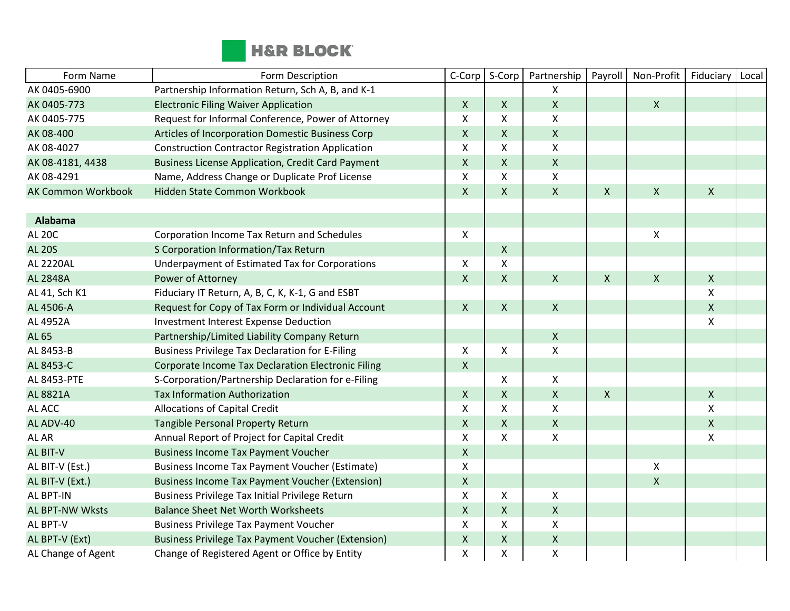

| Form Name                 | Form Description                                          | C-Corp         | S-Corp       | Partnership               | Payroll        | Non-Profit         | Fiduciary          | Local |
|---------------------------|-----------------------------------------------------------|----------------|--------------|---------------------------|----------------|--------------------|--------------------|-------|
| AK 0405-6900              | Partnership Information Return, Sch A, B, and K-1         |                |              | X                         |                |                    |                    |       |
| AK 0405-773               | <b>Electronic Filing Waiver Application</b>               | $\mathsf{X}$   | $\mathsf{X}$ | $\mathsf{X}$              |                | $\mathsf{X}$       |                    |       |
| AK 0405-775               | Request for Informal Conference, Power of Attorney        | $\mathsf{x}$   | X            | Χ                         |                |                    |                    |       |
| AK 08-400                 | Articles of Incorporation Domestic Business Corp          | $\mathsf{X}$   | $\mathsf{X}$ | $\boldsymbol{X}$          |                |                    |                    |       |
| AK 08-4027                | <b>Construction Contractor Registration Application</b>   | $\pmb{\times}$ | X            | $\pmb{\mathsf{X}}$        |                |                    |                    |       |
| AK 08-4181, 4438          | <b>Business License Application, Credit Card Payment</b>  | $\mathsf{X}$   | $\mathsf{X}$ | $\pmb{\times}$            |                |                    |                    |       |
| AK 08-4291                | Name, Address Change or Duplicate Prof License            | X              | X            | X                         |                |                    |                    |       |
| <b>AK Common Workbook</b> | Hidden State Common Workbook                              | $\mathsf{X}$   | $\mathsf{X}$ | $\mathsf{X}$              | $\mathsf{X}$   | $\mathsf{X}$       | $\mathsf{X}$       |       |
|                           |                                                           |                |              |                           |                |                    |                    |       |
| <b>Alabama</b>            |                                                           |                |              |                           |                |                    |                    |       |
| <b>AL 20C</b>             | Corporation Income Tax Return and Schedules               | $\pmb{\times}$ |              |                           |                | $\pmb{\times}$     |                    |       |
| <b>AL 20S</b>             | S Corporation Information/Tax Return                      |                | $\mathsf{X}$ |                           |                |                    |                    |       |
| <b>AL 2220AL</b>          | Underpayment of Estimated Tax for Corporations            | X              | X            |                           |                |                    |                    |       |
| <b>AL 2848A</b>           | Power of Attorney                                         | $\mathsf{X}$   | $\mathsf{X}$ | $\mathsf{X}$              | $\mathsf{X}$   | $\pmb{\mathsf{X}}$ | $\mathsf{X}$       |       |
| AL 41, Sch K1             | Fiduciary IT Return, A, B, C, K, K-1, G and ESBT          |                |              |                           |                |                    | X                  |       |
| AL 4506-A                 | Request for Copy of Tax Form or Individual Account        | $\mathsf{X}$   | $\mathsf{X}$ | $\mathsf{X}$              |                |                    | $\mathsf{X}$       |       |
| AL 4952A                  | <b>Investment Interest Expense Deduction</b>              |                |              |                           |                |                    | X                  |       |
| <b>AL 65</b>              | Partnership/Limited Liability Company Return              |                |              | $\boldsymbol{X}$          |                |                    |                    |       |
| AL 8453-B                 | <b>Business Privilege Tax Declaration for E-Filing</b>    | $\mathsf{X}$   | X            | Χ                         |                |                    |                    |       |
| AL 8453-C                 | Corporate Income Tax Declaration Electronic Filing        | $\mathsf X$    |              |                           |                |                    |                    |       |
| AL 8453-PTE               | S-Corporation/Partnership Declaration for e-Filing        |                | X            | $\pmb{\times}$            |                |                    |                    |       |
| AL 8821A                  | <b>Tax Information Authorization</b>                      | $\mathsf{X}$   | $\mathsf{X}$ | $\pmb{\times}$            | $\pmb{\times}$ |                    | $\mathsf{X}$       |       |
| AL ACC                    | <b>Allocations of Capital Credit</b>                      | X              | X            | X                         |                |                    | $\pmb{\mathsf{X}}$ |       |
| AL ADV-40                 | Tangible Personal Property Return                         | $\mathsf{X}$   | $\mathsf{X}$ | $\mathsf X$               |                |                    | $\mathsf{X}$       |       |
| AL AR                     | Annual Report of Project for Capital Credit               | $\mathsf X$    | X            | $\boldsymbol{\mathsf{X}}$ |                |                    | X                  |       |
| AL BIT-V                  | <b>Business Income Tax Payment Voucher</b>                | $\mathsf{X}$   |              |                           |                |                    |                    |       |
| AL BIT-V (Est.)           | Business Income Tax Payment Voucher (Estimate)            | X              |              |                           |                | $\pmb{\times}$     |                    |       |
| AL BIT-V (Ext.)           | <b>Business Income Tax Payment Voucher (Extension)</b>    | $\mathsf{X}$   |              |                           |                | $\mathsf{X}$       |                    |       |
| AL BPT-IN                 | Business Privilege Tax Initial Privilege Return           | $\mathsf X$    | X            | X                         |                |                    |                    |       |
| AL BPT-NW Wksts           | <b>Balance Sheet Net Worth Worksheets</b>                 | $\mathsf{X}$   | $\mathsf{X}$ | $\mathsf X$               |                |                    |                    |       |
| AL BPT-V                  | <b>Business Privilege Tax Payment Voucher</b>             | $\pmb{\times}$ | X            | $\pmb{\times}$            |                |                    |                    |       |
| AL BPT-V (Ext)            | <b>Business Privilege Tax Payment Voucher (Extension)</b> | $\mathsf{X}$   | X            | $\mathsf X$               |                |                    |                    |       |
| AL Change of Agent        | Change of Registered Agent or Office by Entity            | $\pmb{\times}$ | X            | Χ                         |                |                    |                    |       |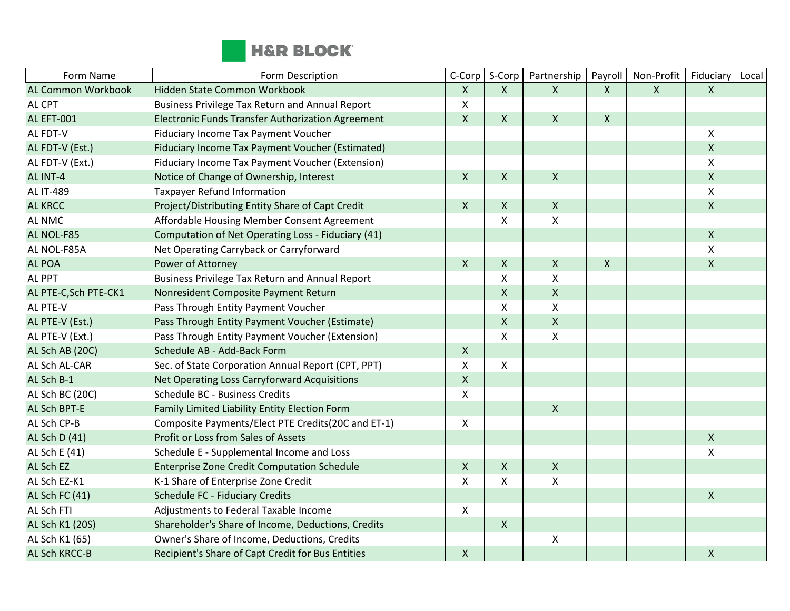

| Form Name                 | Form Description                                         | C-Corp         | S-Corp       | Partnership        | Payroll        | Non-Profit   | Fiduciary    | Local |
|---------------------------|----------------------------------------------------------|----------------|--------------|--------------------|----------------|--------------|--------------|-------|
| <b>AL Common Workbook</b> | Hidden State Common Workbook                             | $\mathsf{X}$   | $\mathsf{X}$ | $\mathsf{X}$       | $\mathsf{X}$   | $\mathsf{X}$ | $\mathsf{X}$ |       |
| AL CPT                    | <b>Business Privilege Tax Return and Annual Report</b>   | X              |              |                    |                |              |              |       |
| <b>AL EFT-001</b>         | <b>Electronic Funds Transfer Authorization Agreement</b> | $\mathsf{X}$   | $\mathsf{X}$ | $\mathsf{X}$       | $\pmb{\times}$ |              |              |       |
| AL FDT-V                  | Fiduciary Income Tax Payment Voucher                     |                |              |                    |                |              | X            |       |
| AL FDT-V (Est.)           | Fiduciary Income Tax Payment Voucher (Estimated)         |                |              |                    |                |              | $\mathsf{X}$ |       |
| AL FDT-V (Ext.)           | Fiduciary Income Tax Payment Voucher (Extension)         |                |              |                    |                |              | X            |       |
| AL INT-4                  | Notice of Change of Ownership, Interest                  | $\mathsf{X}$   | $\mathsf{X}$ | $\mathsf X$        |                |              | $\mathsf{X}$ |       |
| <b>AL IT-489</b>          | Taxpayer Refund Information                              |                |              |                    |                |              | X            |       |
| <b>AL KRCC</b>            | Project/Distributing Entity Share of Capt Credit         | $\mathsf{X}$   | $\mathsf{X}$ | $\mathsf{X}$       |                |              | $\mathsf{X}$ |       |
| AL NMC                    | Affordable Housing Member Consent Agreement              |                | X            | X                  |                |              |              |       |
| AL NOL-F85                | Computation of Net Operating Loss - Fiduciary (41)       |                |              |                    |                |              | $\mathsf{X}$ |       |
| AL NOL-F85A               | Net Operating Carryback or Carryforward                  |                |              |                    |                |              | X            |       |
| <b>AL POA</b>             | Power of Attorney                                        | $\mathsf{X}$   | $\mathsf{X}$ | $\mathsf{X}$       | $\mathsf{X}$   |              | $\mathsf{X}$ |       |
| AL PPT                    | <b>Business Privilege Tax Return and Annual Report</b>   |                | X            | X                  |                |              |              |       |
| AL PTE-C, Sch PTE-CK1     | Nonresident Composite Payment Return                     |                | $\mathsf{X}$ | $\mathsf{X}$       |                |              |              |       |
| AL PTE-V                  | Pass Through Entity Payment Voucher                      |                | X            | X                  |                |              |              |       |
| AL PTE-V (Est.)           | Pass Through Entity Payment Voucher (Estimate)           |                | $\mathsf{X}$ | $\mathsf{X}$       |                |              |              |       |
| AL PTE-V (Ext.)           | Pass Through Entity Payment Voucher (Extension)          |                | X            | $\pmb{\mathsf{X}}$ |                |              |              |       |
| AL Sch AB (20C)           | Schedule AB - Add-Back Form                              | $\mathsf{X}$   |              |                    |                |              |              |       |
| AL Sch AL-CAR             | Sec. of State Corporation Annual Report (CPT, PPT)       | X              | X            |                    |                |              |              |       |
| AL Sch B-1                | Net Operating Loss Carryforward Acquisitions             | $\mathsf X$    |              |                    |                |              |              |       |
| AL Sch BC (20C)           | Schedule BC - Business Credits                           | $\mathsf X$    |              |                    |                |              |              |       |
| AL Sch BPT-E              | Family Limited Liability Entity Election Form            |                |              | $\mathsf{X}$       |                |              |              |       |
| AL Sch CP-B               | Composite Payments/Elect PTE Credits(20C and ET-1)       | $\mathsf{X}$   |              |                    |                |              |              |       |
| AL Sch D (41)             | Profit or Loss from Sales of Assets                      |                |              |                    |                |              | $\mathsf{X}$ |       |
| AL Sch E (41)             | Schedule E - Supplemental Income and Loss                |                |              |                    |                |              | X            |       |
| AL Sch EZ                 | <b>Enterprise Zone Credit Computation Schedule</b>       | $\mathsf X$    | $\mathsf{X}$ | $\mathsf X$        |                |              |              |       |
| AL Sch EZ-K1              | K-1 Share of Enterprise Zone Credit                      | $\pmb{\times}$ | X            | $\pmb{\mathsf{X}}$ |                |              |              |       |
| AL Sch FC (41)            | <b>Schedule FC - Fiduciary Credits</b>                   |                |              |                    |                |              | $\mathsf{X}$ |       |
| AL Sch FTI                | Adjustments to Federal Taxable Income                    | $\pmb{\times}$ |              |                    |                |              |              |       |
| AL Sch K1 (20S)           | Shareholder's Share of Income, Deductions, Credits       |                | $\mathsf{X}$ |                    |                |              |              |       |
| AL Sch K1 (65)            | Owner's Share of Income, Deductions, Credits             |                |              | $\pmb{\mathsf{X}}$ |                |              |              |       |
| AL Sch KRCC-B             | Recipient's Share of Capt Credit for Bus Entities        | $\mathsf{X}$   |              |                    |                |              | X            |       |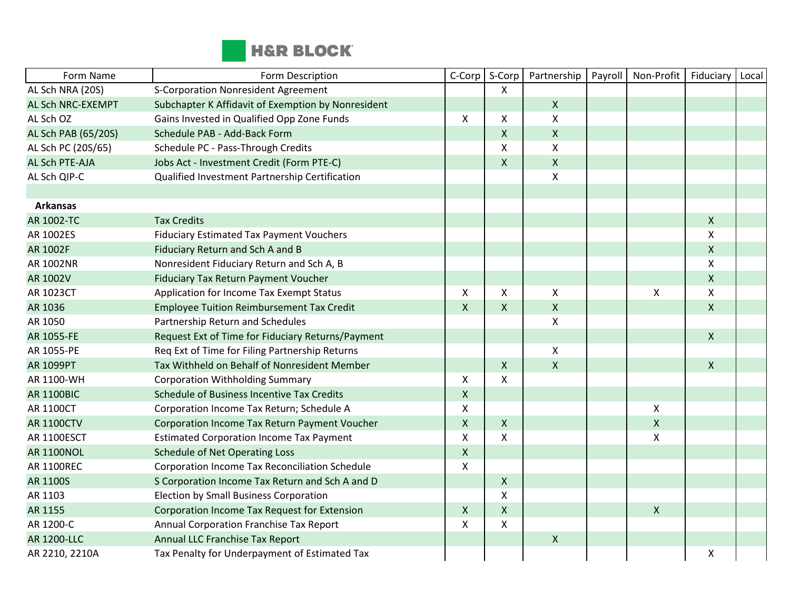

| Form Name           | Form Description                                   | C-Corp       | S-Corp             | Partnership        | Payroll | Non-Profit         | Fiduciary    | Local |
|---------------------|----------------------------------------------------|--------------|--------------------|--------------------|---------|--------------------|--------------|-------|
| AL Sch NRA (20S)    | <b>S-Corporation Nonresident Agreement</b>         |              | X                  |                    |         |                    |              |       |
| AL Sch NRC-EXEMPT   | Subchapter K Affidavit of Exemption by Nonresident |              |                    | $\mathsf{X}$       |         |                    |              |       |
| AL Sch OZ           | Gains Invested in Qualified Opp Zone Funds         | $\mathsf{X}$ | X                  | $\pmb{\mathsf{X}}$ |         |                    |              |       |
| AL Sch PAB (65/20S) | Schedule PAB - Add-Back Form                       |              | X                  | $\mathsf{X}$       |         |                    |              |       |
| AL Sch PC (20S/65)  | Schedule PC - Pass-Through Credits                 |              | X                  | X                  |         |                    |              |       |
| AL Sch PTE-AJA      | Jobs Act - Investment Credit (Form PTE-C)          |              | X                  | $\mathsf X$        |         |                    |              |       |
| AL Sch QIP-C        | Qualified Investment Partnership Certification     |              |                    | $\pmb{\times}$     |         |                    |              |       |
|                     |                                                    |              |                    |                    |         |                    |              |       |
| <b>Arkansas</b>     |                                                    |              |                    |                    |         |                    |              |       |
| AR 1002-TC          | <b>Tax Credits</b>                                 |              |                    |                    |         |                    | $\mathsf{X}$ |       |
| AR 1002ES           | <b>Fiduciary Estimated Tax Payment Vouchers</b>    |              |                    |                    |         |                    | X            |       |
| AR 1002F            | Fiduciary Return and Sch A and B                   |              |                    |                    |         |                    | $\mathsf{X}$ |       |
| AR 1002NR           | Nonresident Fiduciary Return and Sch A, B          |              |                    |                    |         |                    | X            |       |
| AR 1002V            | Fiduciary Tax Return Payment Voucher               |              |                    |                    |         |                    | $\mathsf{X}$ |       |
| AR 1023CT           | Application for Income Tax Exempt Status           | $\mathsf{X}$ | X                  | X                  |         | X                  | X            |       |
| AR 1036             | <b>Employee Tuition Reimbursement Tax Credit</b>   | $\mathsf{X}$ | X                  | $\mathsf{X}$       |         |                    | $\mathsf{X}$ |       |
| AR 1050             | Partnership Return and Schedules                   |              |                    | $\pmb{\times}$     |         |                    |              |       |
| AR 1055-FE          | Request Ext of Time for Fiduciary Returns/Payment  |              |                    |                    |         |                    | $\mathsf{X}$ |       |
| AR 1055-PE          | Req Ext of Time for Filing Partnership Returns     |              |                    | X                  |         |                    |              |       |
| AR 1099PT           | Tax Withheld on Behalf of Nonresident Member       |              | X                  | $\sf X$            |         |                    | $\mathsf{X}$ |       |
| AR 1100-WH          | <b>Corporation Withholding Summary</b>             | $\mathsf{X}$ | X                  |                    |         |                    |              |       |
| <b>AR 1100BIC</b>   | Schedule of Business Incentive Tax Credits         | $\mathsf X$  |                    |                    |         |                    |              |       |
| <b>AR 1100CT</b>    | Corporation Income Tax Return; Schedule A          | X            |                    |                    |         | $\pmb{\mathsf{X}}$ |              |       |
| <b>AR 1100CTV</b>   | Corporation Income Tax Return Payment Voucher      | $\mathsf{X}$ | X                  |                    |         | $\pmb{\mathsf{X}}$ |              |       |
| <b>AR 1100ESCT</b>  | <b>Estimated Corporation Income Tax Payment</b>    | $\mathsf{X}$ | X                  |                    |         | X                  |              |       |
| <b>AR 1100NOL</b>   | <b>Schedule of Net Operating Loss</b>              | $\mathsf X$  |                    |                    |         |                    |              |       |
| <b>AR 1100REC</b>   | Corporation Income Tax Reconciliation Schedule     | X            |                    |                    |         |                    |              |       |
| AR 1100S            | S Corporation Income Tax Return and Sch A and D    |              | X                  |                    |         |                    |              |       |
| AR 1103             | Election by Small Business Corporation             |              | X                  |                    |         |                    |              |       |
| AR 1155             | Corporation Income Tax Request for Extension       | $\mathsf{X}$ | $\pmb{\mathsf{X}}$ |                    |         | $\pmb{\mathsf{X}}$ |              |       |
| AR 1200-C           | Annual Corporation Franchise Tax Report            | X            | X                  |                    |         |                    |              |       |
| <b>AR 1200-LLC</b>  | Annual LLC Franchise Tax Report                    |              |                    | $\mathsf{X}$       |         |                    |              |       |
| AR 2210, 2210A      | Tax Penalty for Underpayment of Estimated Tax      |              |                    |                    |         |                    | X            |       |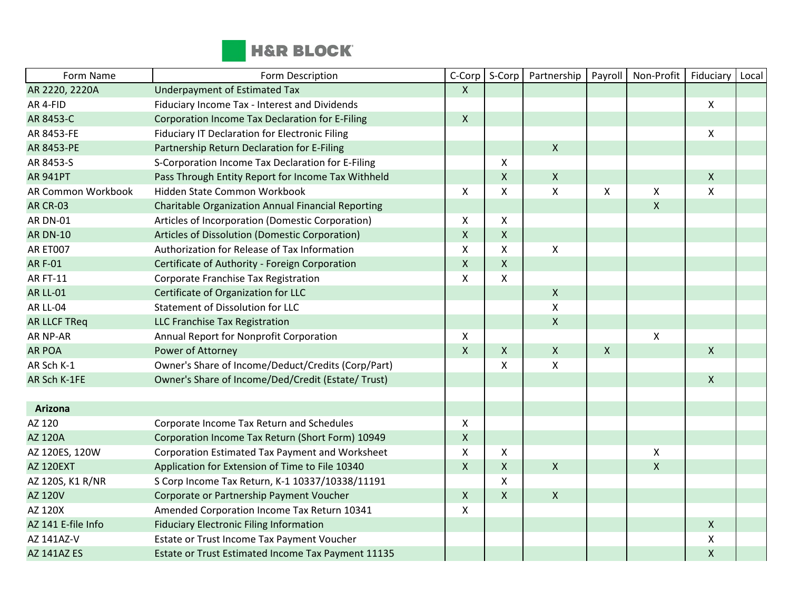

| Form Name           | Form Description                                          | C-Corp             | S-Corp       | Partnership    | Payroll      | Non-Profit                | Fiduciary    | Local |
|---------------------|-----------------------------------------------------------|--------------------|--------------|----------------|--------------|---------------------------|--------------|-------|
| AR 2220, 2220A      | Underpayment of Estimated Tax                             | $\mathsf{X}$       |              |                |              |                           |              |       |
| AR 4-FID            | Fiduciary Income Tax - Interest and Dividends             |                    |              |                |              |                           | X            |       |
| AR 8453-C           | Corporation Income Tax Declaration for E-Filing           | $\mathsf{X}$       |              |                |              |                           |              |       |
| AR 8453-FE          | Fiduciary IT Declaration for Electronic Filing            |                    |              |                |              |                           | X            |       |
| AR 8453-PE          | Partnership Return Declaration for E-Filing               |                    |              | $\mathsf{X}$   |              |                           |              |       |
| AR 8453-S           | S-Corporation Income Tax Declaration for E-Filing         |                    | X            |                |              |                           |              |       |
| <b>AR 941PT</b>     | Pass Through Entity Report for Income Tax Withheld        |                    | X            | $\mathsf{X}$   |              |                           | $\mathsf{X}$ |       |
| AR Common Workbook  | Hidden State Common Workbook                              | X                  | X            | $\pmb{\times}$ | X            | X                         | X            |       |
| <b>AR CR-03</b>     | <b>Charitable Organization Annual Financial Reporting</b> |                    |              |                |              | $\pmb{\mathsf{X}}$        |              |       |
| <b>AR DN-01</b>     | Articles of Incorporation (Domestic Corporation)          | $\pmb{\times}$     | X            |                |              |                           |              |       |
| <b>AR DN-10</b>     | Articles of Dissolution (Domestic Corporation)            | $\mathsf{X}$       | $\mathsf{X}$ |                |              |                           |              |       |
| AR ET007            | Authorization for Release of Tax Information              | X                  | X            | X              |              |                           |              |       |
| <b>ARF-01</b>       | Certificate of Authority - Foreign Corporation            | $\mathsf{X}$       | X            |                |              |                           |              |       |
| <b>AR FT-11</b>     | Corporate Franchise Tax Registration                      | $\mathsf{X}$       | X            |                |              |                           |              |       |
| <b>AR LL-01</b>     | Certificate of Organization for LLC                       |                    |              | $\mathsf{X}$   |              |                           |              |       |
| AR LL-04            | Statement of Dissolution for LLC                          |                    |              | X              |              |                           |              |       |
| <b>AR LLCF TReq</b> | LLC Franchise Tax Registration                            |                    |              | $\mathsf{X}$   |              |                           |              |       |
| AR NP-AR            | Annual Report for Nonprofit Corporation                   | $\mathsf{X}$       |              |                |              | $\boldsymbol{\mathsf{X}}$ |              |       |
| <b>AR POA</b>       | Power of Attorney                                         | $\mathsf{X}$       | $\mathsf{X}$ | $\mathsf{X}$   | $\mathsf{X}$ |                           | $\mathsf{X}$ |       |
| AR Sch K-1          | Owner's Share of Income/Deduct/Credits (Corp/Part)        |                    | X            | X              |              |                           |              |       |
| AR Sch K-1FE        | Owner's Share of Income/Ded/Credit (Estate/ Trust)        |                    |              |                |              |                           | $\mathsf{X}$ |       |
|                     |                                                           |                    |              |                |              |                           |              |       |
| <b>Arizona</b>      |                                                           |                    |              |                |              |                           |              |       |
| AZ 120              | Corporate Income Tax Return and Schedules                 | $\mathsf{X}$       |              |                |              |                           |              |       |
| AZ 120A             | Corporation Income Tax Return (Short Form) 10949          | $\pmb{\mathsf{X}}$ |              |                |              |                           |              |       |
| AZ 120ES, 120W      | Corporation Estimated Tax Payment and Worksheet           | $\mathsf{X}$       | X            |                |              | $\pmb{\mathsf{X}}$        |              |       |
| <b>AZ 120EXT</b>    | Application for Extension of Time to File 10340           | $\mathsf{X}$       | $\mathsf{X}$ | $\mathsf{X}$   |              | $\pmb{\mathsf{X}}$        |              |       |
| AZ 120S, K1 R/NR    | S Corp Income Tax Return, K-1 10337/10338/11191           |                    | X            |                |              |                           |              |       |
| AZ 120V             | Corporate or Partnership Payment Voucher                  | $\mathsf{X}$       | X            | $\mathsf{X}$   |              |                           |              |       |
| AZ 120X             | Amended Corporation Income Tax Return 10341               | X                  |              |                |              |                           |              |       |
| AZ 141 E-file Info  | <b>Fiduciary Electronic Filing Information</b>            |                    |              |                |              |                           | $\mathsf{X}$ |       |
| AZ 141AZ-V          | Estate or Trust Income Tax Payment Voucher                |                    |              |                |              |                           | X            |       |
| <b>AZ 141AZ ES</b>  | Estate or Trust Estimated Income Tax Payment 11135        |                    |              |                |              |                           | $\mathsf X$  |       |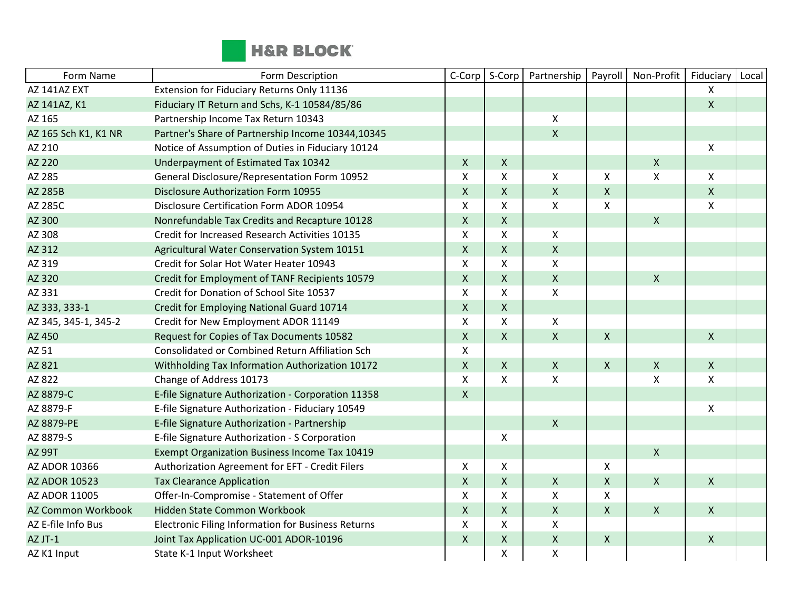

| Form Name                 | Form Description                                     | C-Corp             | S-Corp             | Partnership        | Payroll            | Non-Profit     | Fiduciary                 | Local |
|---------------------------|------------------------------------------------------|--------------------|--------------------|--------------------|--------------------|----------------|---------------------------|-------|
| AZ 141AZ EXT              | Extension for Fiduciary Returns Only 11136           |                    |                    |                    |                    |                | $\mathsf{X}$              |       |
| AZ 141AZ, K1              | Fiduciary IT Return and Schs, K-1 10584/85/86        |                    |                    |                    |                    |                | $\mathsf{X}$              |       |
| AZ 165                    | Partnership Income Tax Return 10343                  |                    |                    | X                  |                    |                |                           |       |
| AZ 165 Sch K1, K1 NR      | Partner's Share of Partnership Income 10344,10345    |                    |                    | $\mathsf{X}$       |                    |                |                           |       |
| AZ 210                    | Notice of Assumption of Duties in Fiduciary 10124    |                    |                    |                    |                    |                | $\boldsymbol{\mathsf{X}}$ |       |
| AZ 220                    | Underpayment of Estimated Tax 10342                  | X                  | $\mathsf{X}$       |                    |                    | $\pmb{\times}$ |                           |       |
| AZ 285                    | General Disclosure/Representation Form 10952         | X                  | X                  | X                  | X                  | X              | $\mathsf{X}$              |       |
| AZ 285B                   | <b>Disclosure Authorization Form 10955</b>           | $\mathsf{X}$       | X                  | $\mathsf{X}$       | $\pmb{\mathsf{X}}$ |                | $\mathsf{X}$              |       |
| AZ 285C                   | Disclosure Certification Form ADOR 10954             | X                  | X                  | X                  | X                  |                | $\mathsf{X}$              |       |
| AZ 300                    | Nonrefundable Tax Credits and Recapture 10128        | $\pmb{\mathsf{X}}$ | $\pmb{\mathsf{X}}$ |                    |                    | $\mathsf{X}$   |                           |       |
| AZ 308                    | Credit for Increased Research Activities 10135       | X                  | X                  | X                  |                    |                |                           |       |
| AZ 312                    | Agricultural Water Conservation System 10151         | $\mathsf{X}$       | $\pmb{\mathsf{X}}$ | $\mathsf{X}$       |                    |                |                           |       |
| AZ 319                    | Credit for Solar Hot Water Heater 10943              | $\pmb{\mathsf{X}}$ | Χ                  | X                  |                    |                |                           |       |
| AZ 320                    | Credit for Employment of TANF Recipients 10579       | $\pmb{\mathsf{X}}$ | $\mathsf{x}$       | $\mathsf{X}$       |                    | $\mathsf{X}$   |                           |       |
| AZ 331                    | Credit for Donation of School Site 10537             | X                  | X                  | X                  |                    |                |                           |       |
| AZ 333, 333-1             | Credit for Employing National Guard 10714            | $\mathsf{X}$       | X                  |                    |                    |                |                           |       |
| AZ 345, 345-1, 345-2      | Credit for New Employment ADOR 11149                 | X                  | X                  | X                  |                    |                |                           |       |
| AZ 450                    | Request for Copies of Tax Documents 10582            | $\mathsf{X}$       | $\mathsf{X}$       | $\mathsf{X}$       | $\mathsf{X}$       |                | $\mathsf{X}$              |       |
| AZ 51                     | Consolidated or Combined Return Affiliation Sch      | X                  |                    |                    |                    |                |                           |       |
| AZ 821                    | Withholding Tax Information Authorization 10172      | $\pmb{\mathsf{X}}$ | $\mathsf{X}$       | $\pmb{\mathsf{X}}$ | $\mathsf{X}$       | $\mathsf{X}$   | $\mathsf{X}$              |       |
| AZ 822                    | Change of Address 10173                              | X                  | X                  | X                  |                    | X              | $\mathsf{X}$              |       |
| AZ 8879-C                 | E-file Signature Authorization - Corporation 11358   | $\mathsf{X}$       |                    |                    |                    |                |                           |       |
| AZ 8879-F                 | E-file Signature Authorization - Fiduciary 10549     |                    |                    |                    |                    |                | $\boldsymbol{\mathsf{X}}$ |       |
| AZ 8879-PE                | E-file Signature Authorization - Partnership         |                    |                    | $\mathsf{X}$       |                    |                |                           |       |
| AZ 8879-S                 | E-file Signature Authorization - S Corporation       |                    | X                  |                    |                    |                |                           |       |
| <b>AZ 99T</b>             | <b>Exempt Organization Business Income Tax 10419</b> |                    |                    |                    |                    | $\mathsf{X}$   |                           |       |
| AZ ADOR 10366             | Authorization Agreement for EFT - Credit Filers      | X                  | X                  |                    | X                  |                |                           |       |
| <b>AZ ADOR 10523</b>      | <b>Tax Clearance Application</b>                     | $\pmb{\mathsf{X}}$ | $\pmb{\mathsf{X}}$ | $\pmb{\mathsf{X}}$ | X                  | $\mathsf{X}$   | $\mathsf{X}$              |       |
| AZ ADOR 11005             | Offer-In-Compromise - Statement of Offer             | X                  | X                  | X                  | Χ                  |                |                           |       |
| <b>AZ Common Workbook</b> | Hidden State Common Workbook                         | $\pmb{\mathsf{X}}$ | X                  | $\pmb{\mathsf{X}}$ | $\mathsf{X}$       | $\pmb{\times}$ | $\mathsf{X}$              |       |
| AZ E-file Info Bus        | Electronic Filing Information for Business Returns   | X                  | X                  | X                  |                    |                |                           |       |
| AZ JT-1                   | Joint Tax Application UC-001 ADOR-10196              | $\mathsf{X}$       | $\mathsf{X}$       | $\mathsf{X}$       | $\pmb{\times}$     |                | $\mathsf{X}$              |       |
| AZ K1 Input               | State K-1 Input Worksheet                            |                    | X                  | Χ                  |                    |                |                           |       |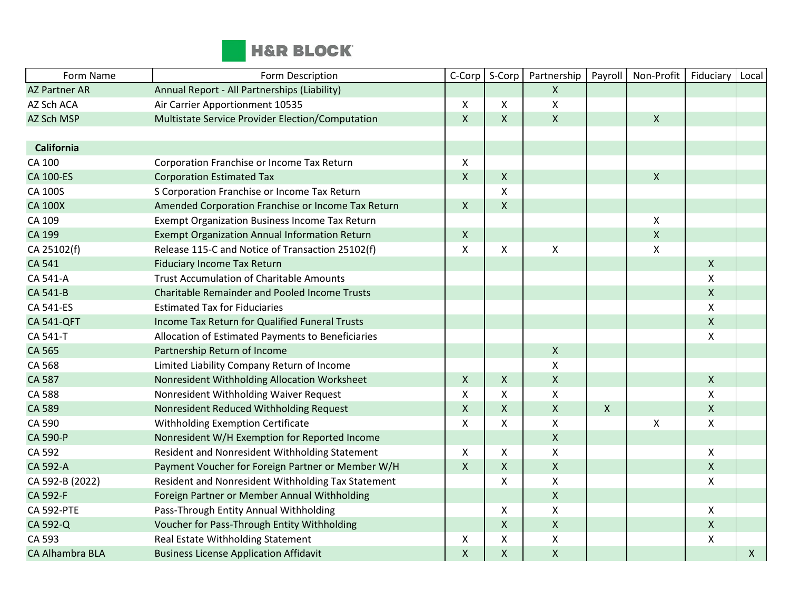

| Form Name              | Form Description                                      | C-Corp       | S-Corp             | Partnership        | Payroll      | Non-Profit     | Fiduciary          | Local        |
|------------------------|-------------------------------------------------------|--------------|--------------------|--------------------|--------------|----------------|--------------------|--------------|
| <b>AZ Partner AR</b>   | Annual Report - All Partnerships (Liability)          |              |                    | $\mathsf{X}$       |              |                |                    |              |
| AZ Sch ACA             | Air Carrier Apportionment 10535                       | X            | X                  | Χ                  |              |                |                    |              |
| AZ Sch MSP             | Multistate Service Provider Election/Computation      | $\mathsf{X}$ | $\mathsf{X}$       | $\mathsf{X}$       |              | $\pmb{\times}$ |                    |              |
|                        |                                                       |              |                    |                    |              |                |                    |              |
| <b>California</b>      |                                                       |              |                    |                    |              |                |                    |              |
| CA 100                 | Corporation Franchise or Income Tax Return            | $\mathsf{X}$ |                    |                    |              |                |                    |              |
| <b>CA 100-ES</b>       | <b>Corporation Estimated Tax</b>                      | $\mathsf{X}$ | $\pmb{\times}$     |                    |              | $\pmb{\chi}$   |                    |              |
| CA 100S                | S Corporation Franchise or Income Tax Return          |              | $\mathsf{X}$       |                    |              |                |                    |              |
| <b>CA 100X</b>         | Amended Corporation Franchise or Income Tax Return    | $\mathsf{X}$ | $\mathsf{X}$       |                    |              |                |                    |              |
| CA 109                 | <b>Exempt Organization Business Income Tax Return</b> |              |                    |                    |              | $\pmb{\times}$ |                    |              |
| CA 199                 | Exempt Organization Annual Information Return         | $\mathsf{X}$ |                    |                    |              | $\mathsf X$    |                    |              |
| CA 25102(f)            | Release 115-C and Notice of Transaction 25102(f)      | $\mathsf{X}$ | X                  | Χ                  |              | $\pmb{\chi}$   |                    |              |
| CA 541                 | <b>Fiduciary Income Tax Return</b>                    |              |                    |                    |              |                | $\mathsf{X}$       |              |
| CA 541-A               | <b>Trust Accumulation of Charitable Amounts</b>       |              |                    |                    |              |                | X                  |              |
| CA 541-B               | <b>Charitable Remainder and Pooled Income Trusts</b>  |              |                    |                    |              |                | $\mathsf{X}$       |              |
| CA 541-ES              | <b>Estimated Tax for Fiduciaries</b>                  |              |                    |                    |              |                | $\mathsf{X}$       |              |
| <b>CA 541-QFT</b>      | Income Tax Return for Qualified Funeral Trusts        |              |                    |                    |              |                | $\mathsf{X}$       |              |
| CA 541-T               | Allocation of Estimated Payments to Beneficiaries     |              |                    |                    |              |                | $\mathsf{\chi}$    |              |
| CA 565                 | Partnership Return of Income                          |              |                    | $\mathsf{X}$       |              |                |                    |              |
| CA 568                 | Limited Liability Company Return of Income            |              |                    | $\pmb{\times}$     |              |                |                    |              |
| CA 587                 | Nonresident Withholding Allocation Worksheet          | $\mathsf{X}$ | $\mathsf{X}$       | $\mathsf{X}$       |              |                | $\mathsf{X}$       |              |
| CA 588                 | Nonresident Withholding Waiver Request                | X            | X                  | Χ                  |              |                | X                  |              |
| CA 589                 | Nonresident Reduced Withholding Request               | $\mathsf{X}$ | $\mathsf{X}$       | $\mathsf{X}$       | $\mathsf{X}$ |                | $\mathsf{X}$       |              |
| CA 590                 | Withholding Exemption Certificate                     | X            | X                  | X                  |              | X              | X                  |              |
| CA 590-P               | Nonresident W/H Exemption for Reported Income         |              |                    | $\mathsf X$        |              |                |                    |              |
| CA 592                 | Resident and Nonresident Withholding Statement        | $\mathsf{X}$ | X                  | X                  |              |                | $\mathsf{X}$       |              |
| CA 592-A               | Payment Voucher for Foreign Partner or Member W/H     | $\mathsf{X}$ | $\mathsf{X}$       | $\mathsf{X}$       |              |                | $\mathsf{X}$       |              |
| CA 592-B (2022)        | Resident and Nonresident Withholding Tax Statement    |              | $\pmb{\mathsf{X}}$ | $\pmb{\mathsf{X}}$ |              |                | $\pmb{\mathsf{X}}$ |              |
| CA 592-F               | Foreign Partner or Member Annual Withholding          |              |                    | $\mathsf{X}$       |              |                |                    |              |
| <b>CA 592-PTE</b>      | Pass-Through Entity Annual Withholding                |              | X                  | Χ                  |              |                | X                  |              |
| CA 592-Q               | Voucher for Pass-Through Entity Withholding           |              | $\mathsf{X}$       | $\pmb{\times}$     |              |                | $\mathsf{X}$       |              |
| CA 593                 | Real Estate Withholding Statement                     | X            | X                  | Χ                  |              |                | $\pmb{\mathsf{X}}$ |              |
| <b>CA Alhambra BLA</b> | <b>Business License Application Affidavit</b>         | $\mathsf{x}$ | $\mathsf{X}$       | $\mathsf X$        |              |                |                    | $\mathsf{X}$ |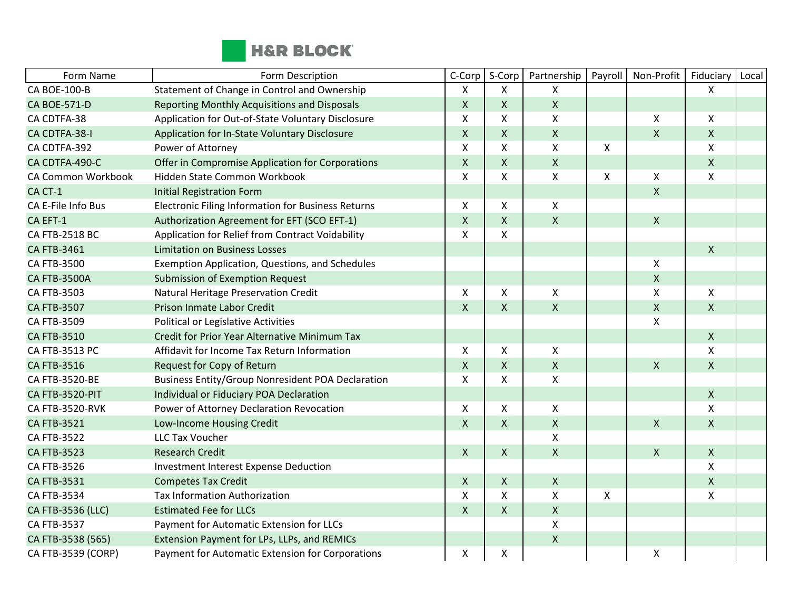

| Form Name                 | Form Description                                         | C-Corp                    | S-Corp             | Partnership        | Payroll      | Non-Profit         | Fiduciary          | Local |
|---------------------------|----------------------------------------------------------|---------------------------|--------------------|--------------------|--------------|--------------------|--------------------|-------|
| <b>CA BOE-100-B</b>       | Statement of Change in Control and Ownership             | $\mathsf{X}$              | X                  | X                  |              |                    | X                  |       |
| <b>CA BOE-571-D</b>       | Reporting Monthly Acquisitions and Disposals             | $\mathsf X$               | $\mathsf{X}$       | $\pmb{\times}$     |              |                    |                    |       |
| CA CDTFA-38               | Application for Out-of-State Voluntary Disclosure        | $\boldsymbol{\mathsf{X}}$ | X                  | $\pmb{\mathsf{X}}$ |              | X                  | X                  |       |
| CA CDTFA-38-I             | Application for In-State Voluntary Disclosure            | $\mathsf{X}$              | X                  | $\mathsf{X}$       |              | Χ                  | $\mathsf{X}$       |       |
| CA CDTFA-392              | Power of Attorney                                        | X                         | X                  | $\mathsf{X}$       | X            |                    | X                  |       |
| CA CDTFA-490-C            | Offer in Compromise Application for Corporations         | $\mathsf{X}$              | X                  | $\mathsf{X}$       |              |                    | $\mathsf{X}$       |       |
| <b>CA Common Workbook</b> | Hidden State Common Workbook                             | X                         | X                  | X                  | X            | Χ                  | X                  |       |
| CA CT-1                   | <b>Initial Registration Form</b>                         |                           |                    |                    |              | X                  |                    |       |
| CA E-File Info Bus        | Electronic Filing Information for Business Returns       | X                         | X                  | $\mathsf{X}$       |              |                    |                    |       |
| CA EFT-1                  | Authorization Agreement for EFT (SCO EFT-1)              | $\mathsf{X}$              | X                  | $\mathsf{x}$       |              | $\pmb{\mathsf{X}}$ |                    |       |
| CA FTB-2518 BC            | Application for Relief from Contract Voidability         | $\mathsf{x}$              | X                  |                    |              |                    |                    |       |
| CA FTB-3461               | <b>Limitation on Business Losses</b>                     |                           |                    |                    |              |                    | $\mathsf{X}$       |       |
| CA FTB-3500               | Exemption Application, Questions, and Schedules          |                           |                    |                    |              | X                  |                    |       |
| <b>CA FTB-3500A</b>       | <b>Submission of Exemption Request</b>                   |                           |                    |                    |              | $\pmb{\mathsf{X}}$ |                    |       |
| CA FTB-3503               | Natural Heritage Preservation Credit                     | X                         | X                  | X                  |              | Χ                  | X                  |       |
| <b>CA FTB-3507</b>        | Prison Inmate Labor Credit                               | $\mathsf{X}$              | X                  | $\mathsf{X}$       |              | $\pmb{\mathsf{X}}$ | $\mathsf{X}$       |       |
| CA FTB-3509               | Political or Legislative Activities                      |                           |                    |                    |              | Χ                  |                    |       |
| <b>CA FTB-3510</b>        | <b>Credit for Prior Year Alternative Minimum Tax</b>     |                           |                    |                    |              |                    | $\mathsf{X}$       |       |
| CA FTB-3513 PC            | Affidavit for Income Tax Return Information              | X                         | X                  | $\mathsf{X}$       |              |                    | X                  |       |
| <b>CA FTB-3516</b>        | Request for Copy of Return                               | $\mathsf{X}$              | X                  | $\mathsf X$        |              | $\pmb{\mathsf{X}}$ | $\mathsf{X}$       |       |
| CA FTB-3520-BE            | <b>Business Entity/Group Nonresident POA Declaration</b> | X                         | X                  | $\mathsf{X}$       |              |                    |                    |       |
| CA FTB-3520-PIT           | Individual or Fiduciary POA Declaration                  |                           |                    |                    |              |                    | $\mathsf{X}$       |       |
| <b>CA FTB-3520-RVK</b>    | Power of Attorney Declaration Revocation                 | X                         | Χ                  | $\mathsf{X}$       |              |                    | X                  |       |
| <b>CA FTB-3521</b>        | Low-Income Housing Credit                                | $\mathsf{X}$              | X                  | $\pmb{\times}$     |              | $\pmb{\mathsf{X}}$ | $\pmb{\mathsf{X}}$ |       |
| CA FTB-3522               | <b>LLC Tax Voucher</b>                                   |                           |                    | $\mathsf{X}$       |              |                    |                    |       |
| <b>CA FTB-3523</b>        | <b>Research Credit</b>                                   | $\mathsf{X}$              | X                  | $\mathsf{X}$       |              | $\pmb{\mathsf{X}}$ | X                  |       |
| CA FTB-3526               | <b>Investment Interest Expense Deduction</b>             |                           |                    |                    |              |                    | X                  |       |
| <b>CA FTB-3531</b>        | <b>Competes Tax Credit</b>                               | $\mathsf{X}$              | X                  | $\mathsf{X}$       |              |                    | $\mathsf{X}$       |       |
| CA FTB-3534               | <b>Tax Information Authorization</b>                     | $\boldsymbol{\mathsf{X}}$ | X                  | X                  | $\mathsf{X}$ |                    | X                  |       |
| CA FTB-3536 (LLC)         | <b>Estimated Fee for LLCs</b>                            | $\pmb{\mathsf{X}}$        | $\pmb{\mathsf{X}}$ | $\mathsf{X}$       |              |                    |                    |       |
| CA FTB-3537               | Payment for Automatic Extension for LLCs                 |                           |                    | $\pmb{\times}$     |              |                    |                    |       |
| CA FTB-3538 (565)         | Extension Payment for LPs, LLPs, and REMICs              |                           |                    | $\pmb{\times}$     |              |                    |                    |       |
| CA FTB-3539 (CORP)        | Payment for Automatic Extension for Corporations         | X                         | Χ                  |                    |              | Χ                  |                    |       |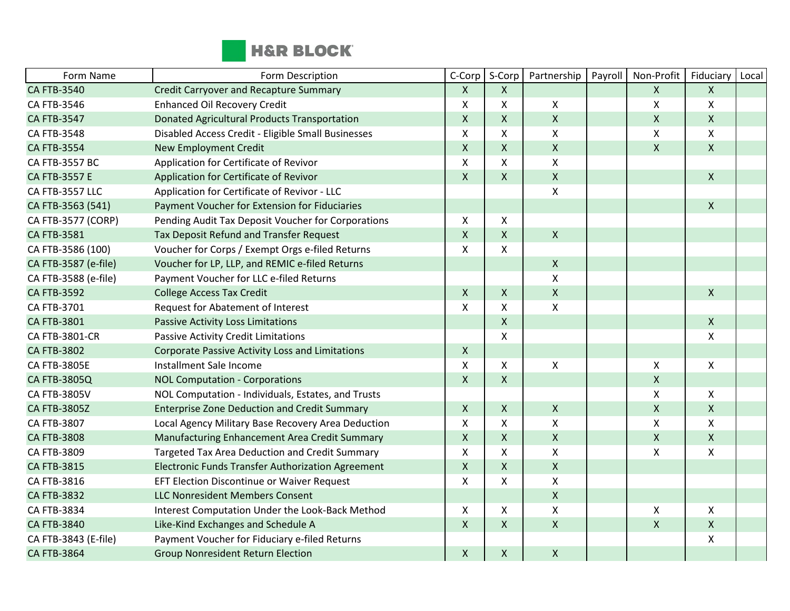

| Form Name            | Form Description                                      | C-Corp             | S-Corp             | Partnership        | Payroll | Non-Profit         | Fiduciary    | Local |
|----------------------|-------------------------------------------------------|--------------------|--------------------|--------------------|---------|--------------------|--------------|-------|
| <b>CA FTB-3540</b>   | <b>Credit Carryover and Recapture Summary</b>         | $\mathsf{X}$       | $\mathsf{X}$       |                    |         | $\mathsf{X}$       | $\mathsf{X}$ |       |
| CA FTB-3546          | <b>Enhanced Oil Recovery Credit</b>                   | X                  | X                  | $\mathsf{X}$       |         | $\pmb{\mathsf{X}}$ | X            |       |
| <b>CA FTB-3547</b>   | <b>Donated Agricultural Products Transportation</b>   | $\mathsf{X}$       | $\mathsf{X}$       | $\pmb{\mathsf{X}}$ |         | $\pmb{\mathsf{X}}$ | $\mathsf{X}$ |       |
| CA FTB-3548          | Disabled Access Credit - Eligible Small Businesses    | X                  | X                  | X                  |         | X                  | X            |       |
| <b>CA FTB-3554</b>   | <b>New Employment Credit</b>                          | $\mathsf{X}$       | $\mathsf{X}$       | $\pmb{\times}$     |         | $\pmb{\mathsf{X}}$ | $\mathsf{X}$ |       |
| CA FTB-3557 BC       | Application for Certificate of Revivor                | X                  | X                  | $\mathsf{X}$       |         |                    |              |       |
| CA FTB-3557 E        | Application for Certificate of Revivor                | $\mathsf{X}$       | $\mathsf{X}$       | $\pmb{\times}$     |         |                    | $\mathsf{X}$ |       |
| CA FTB-3557 LLC      | Application for Certificate of Revivor - LLC          |                    |                    | X                  |         |                    |              |       |
| CA FTB-3563 (541)    | Payment Voucher for Extension for Fiduciaries         |                    |                    |                    |         |                    | $\mathsf{X}$ |       |
| CA FTB-3577 (CORP)   | Pending Audit Tax Deposit Voucher for Corporations    | X                  | X                  |                    |         |                    |              |       |
| <b>CA FTB-3581</b>   | Tax Deposit Refund and Transfer Request               | $\mathsf{X}$       | $\mathsf{X}$       | $\pmb{\times}$     |         |                    |              |       |
| CA FTB-3586 (100)    | Voucher for Corps / Exempt Orgs e-filed Returns       | X                  | X                  |                    |         |                    |              |       |
| CA FTB-3587 (e-file) | Voucher for LP, LLP, and REMIC e-filed Returns        |                    |                    | $\mathsf{X}$       |         |                    |              |       |
| CA FTB-3588 (e-file) | Payment Voucher for LLC e-filed Returns               |                    |                    | $\pmb{\times}$     |         |                    |              |       |
| <b>CA FTB-3592</b>   | <b>College Access Tax Credit</b>                      | $\pmb{\mathsf{X}}$ | X                  | $\mathsf X$        |         |                    | $\mathsf{X}$ |       |
| CA FTB-3701          | Request for Abatement of Interest                     | X                  | X                  | $\pmb{\times}$     |         |                    |              |       |
| CA FTB-3801          | Passive Activity Loss Limitations                     |                    | $\pmb{\mathsf{X}}$ |                    |         |                    | $\mathsf{X}$ |       |
| CA FTB-3801-CR       | Passive Activity Credit Limitations                   |                    | X                  |                    |         |                    | X            |       |
| <b>CA FTB-3802</b>   | Corporate Passive Activity Loss and Limitations       | $\mathsf{X}$       |                    |                    |         |                    |              |       |
| CA FTB-3805E         | Installment Sale Income                               | X                  | X                  | X                  |         | Χ                  | X            |       |
| <b>CA FTB-3805Q</b>  | <b>NOL Computation - Corporations</b>                 | $\mathsf{X}$       | $\mathsf{X}$       |                    |         | $\pmb{\mathsf{X}}$ |              |       |
| CA FTB-3805V         | NOL Computation - Individuals, Estates, and Trusts    |                    |                    |                    |         | X                  | $\mathsf{X}$ |       |
| <b>CA FTB-3805Z</b>  | <b>Enterprise Zone Deduction and Credit Summary</b>   | $\mathsf{X}$       | $\mathsf{X}$       | $\mathsf{X}$       |         | $\pmb{\mathsf{X}}$ | $\mathsf{X}$ |       |
| CA FTB-3807          | Local Agency Military Base Recovery Area Deduction    | X                  | X                  | $\pmb{\mathsf{X}}$ |         | $\pmb{\mathsf{X}}$ | $\mathsf{X}$ |       |
| <b>CA FTB-3808</b>   | Manufacturing Enhancement Area Credit Summary         | $\mathsf{X}$       | $\mathsf{X}$       | $\pmb{\times}$     |         | $\pmb{\mathsf{X}}$ | $\mathsf{X}$ |       |
| CA FTB-3809          | <b>Targeted Tax Area Deduction and Credit Summary</b> | X                  | X                  | $\pmb{\times}$     |         | $\pmb{\mathsf{X}}$ | X            |       |
| CA FTB-3815          | Electronic Funds Transfer Authorization Agreement     | $\mathsf{X}$       | $\mathsf{X}$       | $\mathsf{X}$       |         |                    |              |       |
| CA FTB-3816          | EFT Election Discontinue or Waiver Request            | X                  | X                  | $\pmb{\mathsf{X}}$ |         |                    |              |       |
| <b>CA FTB-3832</b>   | <b>LLC Nonresident Members Consent</b>                |                    |                    | $\pmb{\mathsf{X}}$ |         |                    |              |       |
| CA FTB-3834          | Interest Computation Under the Look-Back Method       | X                  | X                  | X                  |         | X                  | $\mathsf{X}$ |       |
| <b>CA FTB-3840</b>   | Like-Kind Exchanges and Schedule A                    | $\mathsf{X}$       | $\mathsf{X}$       | $\pmb{\times}$     |         | $\pmb{\mathsf{X}}$ | $\mathsf{X}$ |       |
| CA FTB-3843 (E-file) | Payment Voucher for Fiduciary e-filed Returns         |                    |                    |                    |         |                    | X            |       |
| <b>CA FTB-3864</b>   | <b>Group Nonresident Return Election</b>              | $\mathsf{X}$       | $\mathsf{X}$       | $\mathsf{X}$       |         |                    |              |       |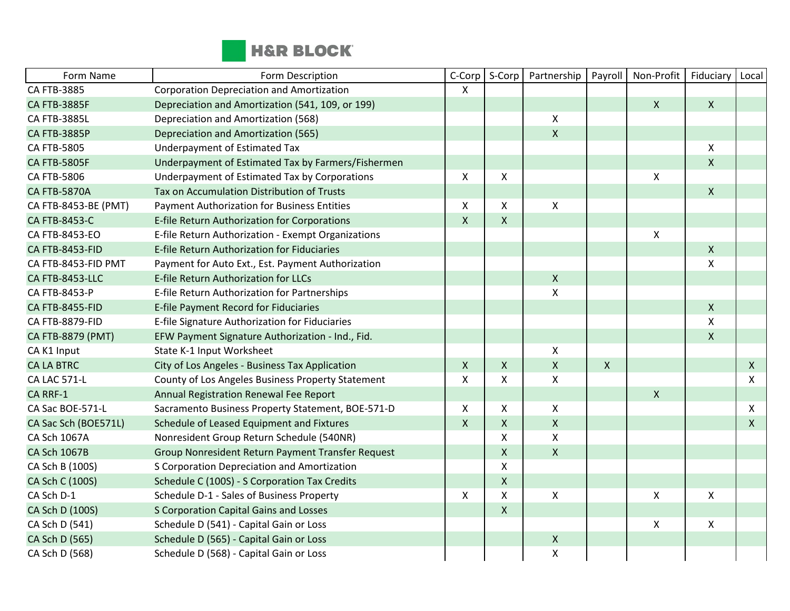

| Form Name            | Form Description                                   | C-Corp       | S-Corp             | Partnership        | Payroll      | Non-Profit         | Fiduciary      | Local        |
|----------------------|----------------------------------------------------|--------------|--------------------|--------------------|--------------|--------------------|----------------|--------------|
| CA FTB-3885          | Corporation Depreciation and Amortization          | X            |                    |                    |              |                    |                |              |
| <b>CA FTB-3885F</b>  | Depreciation and Amortization (541, 109, or 199)   |              |                    |                    |              | $\mathsf{X}$       | $\mathsf{X}$   |              |
| <b>CA FTB-3885L</b>  | Depreciation and Amortization (568)                |              |                    | $\pmb{\times}$     |              |                    |                |              |
| <b>CA FTB-3885P</b>  | Depreciation and Amortization (565)                |              |                    | $\pmb{\times}$     |              |                    |                |              |
| CA FTB-5805          | Underpayment of Estimated Tax                      |              |                    |                    |              |                    | $\mathsf{X}$   |              |
| <b>CA FTB-5805F</b>  | Underpayment of Estimated Tax by Farmers/Fishermen |              |                    |                    |              |                    | $\mathsf{X}$   |              |
| CA FTB-5806          | Underpayment of Estimated Tax by Corporations      | X            | X                  |                    |              | $\pmb{\mathsf{X}}$ |                |              |
| <b>CA FTB-5870A</b>  | Tax on Accumulation Distribution of Trusts         |              |                    |                    |              |                    | $\mathsf{X}$   |              |
| CA FTB-8453-BE (PMT) | <b>Payment Authorization for Business Entities</b> | X            | X                  | X                  |              |                    |                |              |
| <b>CA FTB-8453-C</b> | E-file Return Authorization for Corporations       | $\mathsf{X}$ | $\mathsf{X}$       |                    |              |                    |                |              |
| CA FTB-8453-EO       | E-file Return Authorization - Exempt Organizations |              |                    |                    |              | $\pmb{\times}$     |                |              |
| CA FTB-8453-FID      | E-file Return Authorization for Fiduciaries        |              |                    |                    |              |                    | $\mathsf{X}$   |              |
| CA FTB-8453-FID PMT  | Payment for Auto Ext., Est. Payment Authorization  |              |                    |                    |              |                    | X              |              |
| CA FTB-8453-LLC      | E-file Return Authorization for LLCs               |              |                    | $\pmb{\mathsf{X}}$ |              |                    |                |              |
| CA FTB-8453-P        | E-file Return Authorization for Partnerships       |              |                    | $\pmb{\mathsf{X}}$ |              |                    |                |              |
| CA FTB-8455-FID      | E-file Payment Record for Fiduciaries              |              |                    |                    |              |                    | $\mathsf{X}$   |              |
| CA FTB-8879-FID      | E-file Signature Authorization for Fiduciaries     |              |                    |                    |              |                    | X              |              |
| CA FTB-8879 (PMT)    | EFW Payment Signature Authorization - Ind., Fid.   |              |                    |                    |              |                    | $\mathsf{X}$   |              |
| CA K1 Input          | State K-1 Input Worksheet                          |              |                    | $\pmb{\times}$     |              |                    |                |              |
| <b>CA LA BTRC</b>    | City of Los Angeles - Business Tax Application     | $\mathsf{X}$ | X                  | $\mathsf{X}$       | $\mathsf{x}$ |                    |                | $\mathsf{X}$ |
| CA LAC 571-L         | County of Los Angeles Business Property Statement  | X            | X                  | $\pmb{\mathsf{X}}$ |              |                    |                | X            |
| CA RRF-1             | Annual Registration Renewal Fee Report             |              |                    |                    |              | $\mathsf{X}$       |                |              |
| CA Sac BOE-571-L     | Sacramento Business Property Statement, BOE-571-D  | X            | $\pmb{\mathsf{X}}$ | $\pmb{\times}$     |              |                    |                | X            |
| CA Sac Sch (BOE571L) | Schedule of Leased Equipment and Fixtures          | $\mathsf{X}$ | X                  | $\pmb{\times}$     |              |                    |                | X            |
| CA Sch 1067A         | Nonresident Group Return Schedule (540NR)          |              | X                  | X                  |              |                    |                |              |
| <b>CA Sch 1067B</b>  | Group Nonresident Return Payment Transfer Request  |              | Χ                  | $\mathsf{X}$       |              |                    |                |              |
| CA Sch B (100S)      | S Corporation Depreciation and Amortization        |              | Χ                  |                    |              |                    |                |              |
| CA Sch C (100S)      | Schedule C (100S) - S Corporation Tax Credits      |              | X                  |                    |              |                    |                |              |
| CA Sch D-1           | Schedule D-1 - Sales of Business Property          | X            | Χ                  | $\pmb{\times}$     |              | $\pmb{\mathsf{X}}$ | $\mathsf{X}$   |              |
| CA Sch D (100S)      | S Corporation Capital Gains and Losses             |              | X                  |                    |              |                    |                |              |
| CA Sch D (541)       | Schedule D (541) - Capital Gain or Loss            |              |                    |                    |              | $\pmb{\times}$     | $\pmb{\times}$ |              |
| CA Sch D (565)       | Schedule D (565) - Capital Gain or Loss            |              |                    | $\pmb{\mathsf{X}}$ |              |                    |                |              |
| CA Sch D (568)       | Schedule D (568) - Capital Gain or Loss            |              |                    | $\pmb{\mathsf{X}}$ |              |                    |                |              |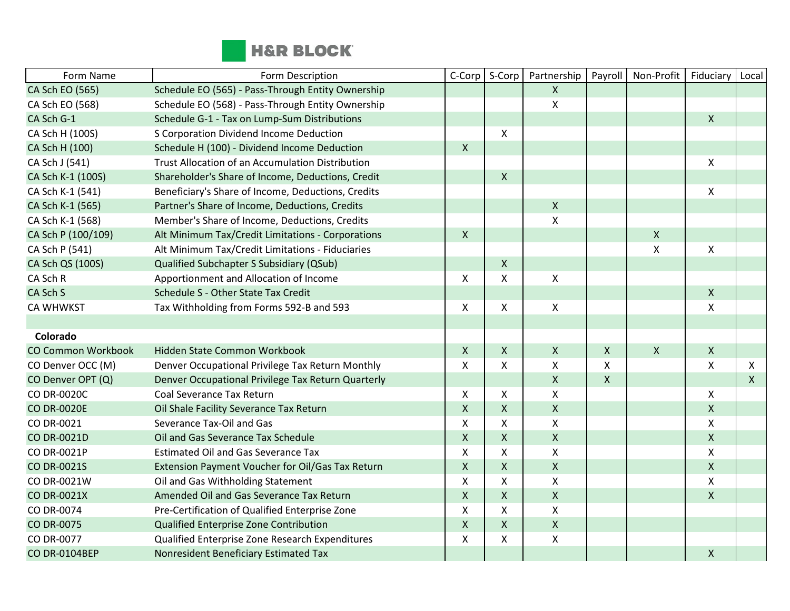

| Form Name                 | Form Description                                   | C-Corp             | S-Corp       | Partnership               | Payroll            | Non-Profit     | Fiduciary      | Local        |
|---------------------------|----------------------------------------------------|--------------------|--------------|---------------------------|--------------------|----------------|----------------|--------------|
| CA Sch EO (565)           | Schedule EO (565) - Pass-Through Entity Ownership  |                    |              | $\mathsf{X}$              |                    |                |                |              |
| CA Sch EO (568)           | Schedule EO (568) - Pass-Through Entity Ownership  |                    |              | $\pmb{\mathsf{X}}$        |                    |                |                |              |
| CA Sch G-1                | Schedule G-1 - Tax on Lump-Sum Distributions       |                    |              |                           |                    |                | X              |              |
| CA Sch H (100S)           | S Corporation Dividend Income Deduction            |                    | X            |                           |                    |                |                |              |
| CA Sch H (100)            | Schedule H (100) - Dividend Income Deduction       | $\mathsf{X}$       |              |                           |                    |                |                |              |
| CA Sch J (541)            | Trust Allocation of an Accumulation Distribution   |                    |              |                           |                    |                | $\pmb{\times}$ |              |
| CA Sch K-1 (100S)         | Shareholder's Share of Income, Deductions, Credit  |                    | $\mathsf{X}$ |                           |                    |                |                |              |
| CA Sch K-1 (541)          | Beneficiary's Share of Income, Deductions, Credits |                    |              |                           |                    |                | X              |              |
| CA Sch K-1 (565)          | Partner's Share of Income, Deductions, Credits     |                    |              | $\pmb{\mathsf{X}}$        |                    |                |                |              |
| CA Sch K-1 (568)          | Member's Share of Income, Deductions, Credits      |                    |              | $\mathsf{\chi}$           |                    |                |                |              |
| CA Sch P (100/109)        | Alt Minimum Tax/Credit Limitations - Corporations  | $\mathsf{X}$       |              |                           |                    | $\pmb{\times}$ |                |              |
| CA Sch P (541)            | Alt Minimum Tax/Credit Limitations - Fiduciaries   |                    |              |                           |                    | X              | $\pmb{\times}$ |              |
| CA Sch QS (100S)          | Qualified Subchapter S Subsidiary (QSub)           |                    | $\mathsf{X}$ |                           |                    |                |                |              |
| CA Sch R                  | Apportionment and Allocation of Income             | X                  | X            | $\pmb{\times}$            |                    |                |                |              |
| CA Sch S                  | Schedule S - Other State Tax Credit                |                    |              |                           |                    |                | $\mathsf{X}$   |              |
| <b>CA WHWKST</b>          | Tax Withholding from Forms 592-B and 593           | X                  | X            | $\pmb{\times}$            |                    |                | X              |              |
|                           |                                                    |                    |              |                           |                    |                |                |              |
| Colorado                  |                                                    |                    |              |                           |                    |                |                |              |
| <b>CO Common Workbook</b> | Hidden State Common Workbook                       | $\mathsf{X}$       | $\mathsf{X}$ | $\pmb{\times}$            | $\pmb{\mathsf{X}}$ | $\mathsf{X}$   | $\mathsf{X}$   |              |
| CO Denver OCC (M)         | Denver Occupational Privilege Tax Return Monthly   | $\mathsf{x}$       | $\mathsf{X}$ | $\boldsymbol{\mathsf{X}}$ | X                  |                | $\mathsf{x}$   | X            |
| CO Denver OPT (Q)         | Denver Occupational Privilege Tax Return Quarterly |                    |              | $\mathsf{X}$              | $\pmb{\mathsf{X}}$ |                |                | $\mathsf{X}$ |
| <b>CO DR-0020C</b>        | Coal Severance Tax Return                          | X                  | X            | X                         |                    |                | X              |              |
| <b>CO DR-0020E</b>        | Oil Shale Facility Severance Tax Return            | $\pmb{\mathsf{X}}$ | $\mathsf X$  | $\pmb{\times}$            |                    |                | $\mathsf{X}$   |              |
| CO DR-0021                | Severance Tax-Oil and Gas                          | $\mathsf{X}$       | Χ            | $\boldsymbol{\mathsf{X}}$ |                    |                | X              |              |
| <b>CO DR-0021D</b>        | Oil and Gas Severance Tax Schedule                 | $\mathsf{X}$       | Χ            | $\mathsf{X}$              |                    |                | $\mathsf{X}$   |              |
| CO DR-0021P               | <b>Estimated Oil and Gas Severance Tax</b>         | X                  | X            | $\pmb{\times}$            |                    |                | Χ              |              |
| CO DR-0021S               | Extension Payment Voucher for Oil/Gas Tax Return   | $\pmb{\mathsf{X}}$ | $\mathsf{X}$ | $\pmb{\times}$            |                    |                | $\mathsf{X}$   |              |
| CO DR-0021W               | Oil and Gas Withholding Statement                  | X                  | X            | $\boldsymbol{\mathsf{X}}$ |                    |                | X              |              |
| <b>CO DR-0021X</b>        | Amended Oil and Gas Severance Tax Return           | $\pmb{\times}$     | X            | $\mathsf{X}$              |                    |                | X              |              |
| CO DR-0074                | Pre-Certification of Qualified Enterprise Zone     | X                  | Χ            | $\pmb{\mathsf{X}}$        |                    |                |                |              |
| <b>CO DR-0075</b>         | Qualified Enterprise Zone Contribution             | $\pmb{\mathsf{X}}$ | $\mathsf X$  | $\pmb{\mathsf{X}}$        |                    |                |                |              |
| CO DR-0077                | Qualified Enterprise Zone Research Expenditures    | $\pmb{\times}$     | X            | $\pmb{\mathsf{X}}$        |                    |                |                |              |
| CO DR-0104BEP             | Nonresident Beneficiary Estimated Tax              |                    |              |                           |                    |                | X              |              |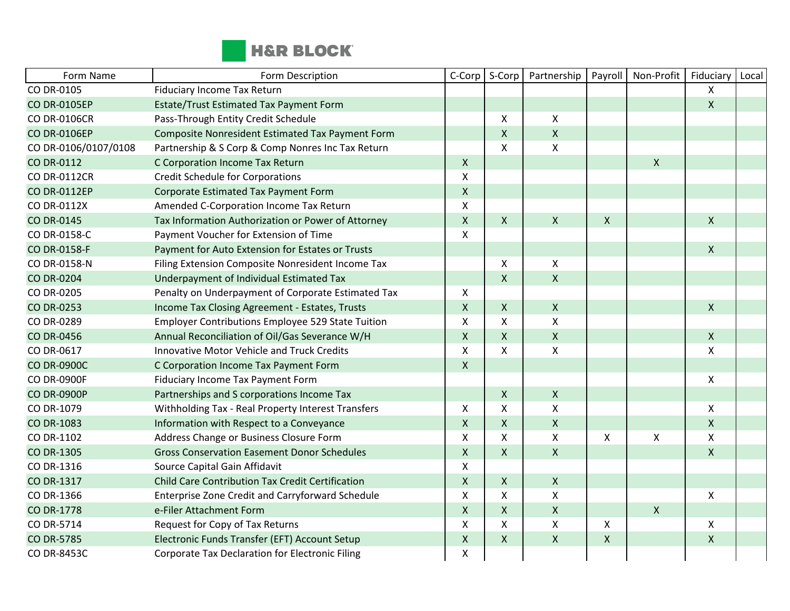

| Form Name            | Form Description                                        | C-Corp             | S-Corp             | Partnership        | Payroll                   | Non-Profit     | Fiduciary    | Local |
|----------------------|---------------------------------------------------------|--------------------|--------------------|--------------------|---------------------------|----------------|--------------|-------|
| CO DR-0105           | <b>Fiduciary Income Tax Return</b>                      |                    |                    |                    |                           |                | X            |       |
| <b>CO DR-0105EP</b>  | Estate/Trust Estimated Tax Payment Form                 |                    |                    |                    |                           |                | $\mathsf{X}$ |       |
| <b>CO DR-0106CR</b>  | Pass-Through Entity Credit Schedule                     |                    | X                  | $\pmb{\mathsf{X}}$ |                           |                |              |       |
| <b>CO DR-0106EP</b>  | <b>Composite Nonresident Estimated Tax Payment Form</b> |                    | $\mathsf{X}$       | $\pmb{\times}$     |                           |                |              |       |
| CO DR-0106/0107/0108 | Partnership & S Corp & Comp Nonres Inc Tax Return       |                    | $\pmb{\mathsf{X}}$ | $\pmb{\times}$     |                           |                |              |       |
| CO DR-0112           | C Corporation Income Tax Return                         | $\mathsf{X}$       |                    |                    |                           | $\pmb{\times}$ |              |       |
| <b>CO DR-0112CR</b>  | <b>Credit Schedule for Corporations</b>                 | Χ                  |                    |                    |                           |                |              |       |
| <b>CO DR-0112EP</b>  | Corporate Estimated Tax Payment Form                    | $\mathsf{X}$       |                    |                    |                           |                |              |       |
| CO DR-0112X          | Amended C-Corporation Income Tax Return                 | X                  |                    |                    |                           |                |              |       |
| <b>CO DR-0145</b>    | Tax Information Authorization or Power of Attorney      | $\mathsf X$        | $\mathsf{X}$       | $\mathsf{X}$       | $\boldsymbol{\mathsf{X}}$ |                | $\mathsf{X}$ |       |
| CO DR-0158-C         | Payment Voucher for Extension of Time                   | X                  |                    |                    |                           |                |              |       |
| CO DR-0158-F         | Payment for Auto Extension for Estates or Trusts        |                    |                    |                    |                           |                | $\mathsf{X}$ |       |
| CO DR-0158-N         | Filing Extension Composite Nonresident Income Tax       |                    | X                  | Χ                  |                           |                |              |       |
| <b>CO DR-0204</b>    | Underpayment of Individual Estimated Tax                |                    | $\mathsf{X}$       | $\pmb{\mathsf{X}}$ |                           |                |              |       |
| CO DR-0205           | Penalty on Underpayment of Corporate Estimated Tax      | $\mathsf{X}$       |                    |                    |                           |                |              |       |
| <b>CO DR-0253</b>    | Income Tax Closing Agreement - Estates, Trusts          | $\mathsf{X}$       | $\mathsf{X}$       | $\mathsf{X}$       |                           |                | $\mathsf{X}$ |       |
| CO DR-0289           | Employer Contributions Employee 529 State Tuition       | X                  | X                  | X                  |                           |                |              |       |
| <b>CO DR-0456</b>    | Annual Reconciliation of Oil/Gas Severance W/H          | $\mathsf{X}$       | $\mathsf{X}$       | $\pmb{\times}$     |                           |                | $\mathsf{X}$ |       |
| CO DR-0617           | <b>Innovative Motor Vehicle and Truck Credits</b>       | X                  | X                  | X                  |                           |                | X            |       |
| <b>CO DR-0900C</b>   | C Corporation Income Tax Payment Form                   | $\mathsf{X}$       |                    |                    |                           |                |              |       |
| <b>CO DR-0900F</b>   | <b>Fiduciary Income Tax Payment Form</b>                |                    |                    |                    |                           |                | $\mathsf{X}$ |       |
| <b>CO DR-0900P</b>   | Partnerships and S corporations Income Tax              |                    | $\mathsf{X}$       | $\mathsf{X}$       |                           |                |              |       |
| CO DR-1079           | Withholding Tax - Real Property Interest Transfers      | $\mathsf{X}$       | X                  | X                  |                           |                | X            |       |
| <b>CO DR-1083</b>    | Information with Respect to a Conveyance                | $\mathsf{X}$       | $\mathsf{X}$       | $\mathsf X$        |                           |                | $\mathsf{X}$ |       |
| CO DR-1102           | Address Change or Business Closure Form                 | X                  | X                  | $\mathsf{X}$       | $\boldsymbol{\mathsf{X}}$ | $\pmb{\times}$ | X            |       |
| CO DR-1305           | <b>Gross Conservation Easement Donor Schedules</b>      | $\mathsf X$        | $\mathsf{X}$       | $\mathsf X$        |                           |                | $\mathsf{X}$ |       |
| CO DR-1316           | Source Capital Gain Affidavit                           | X                  |                    |                    |                           |                |              |       |
| <b>CO DR-1317</b>    | Child Care Contribution Tax Credit Certification        | $\mathsf{X}$       | $\mathsf{X}$       | $\pmb{\times}$     |                           |                |              |       |
| CO DR-1366           | Enterprise Zone Credit and Carryforward Schedule        | X                  | X                  | $\mathsf{X}$       |                           |                | $\mathsf{X}$ |       |
| <b>CO DR-1778</b>    | e-Filer Attachment Form                                 | $\mathsf{X}$       | $\mathsf{X}$       | $\pmb{\mathsf{X}}$ |                           | $\pmb{\chi}$   |              |       |
| CO DR-5714           | Request for Copy of Tax Returns                         | X                  | X                  | $\pmb{\mathsf{X}}$ | Χ                         |                | X            |       |
| <b>CO DR-5785</b>    | Electronic Funds Transfer (EFT) Account Setup           | $\pmb{\mathsf{X}}$ | $\mathsf{X}$       | $\pmb{\times}$     | $\pmb{\times}$            |                | $\mathsf{X}$ |       |
| CO DR-8453C          | Corporate Tax Declaration for Electronic Filing         | Χ                  |                    |                    |                           |                |              |       |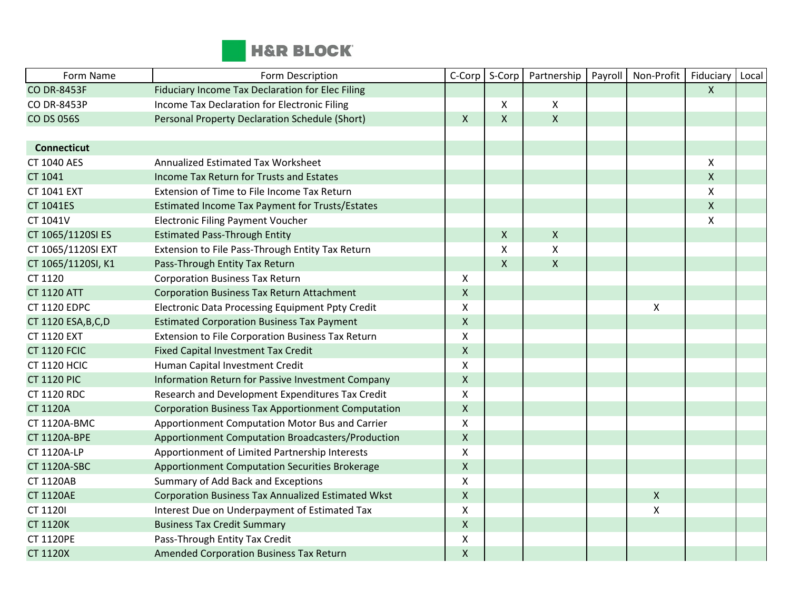

| Form Name            | Form Description                                          | C-Corp             | S-Corp       | Partnership        | Payroll | Non-Profit         | Fiduciary          | Local |
|----------------------|-----------------------------------------------------------|--------------------|--------------|--------------------|---------|--------------------|--------------------|-------|
| <b>CO DR-8453F</b>   | Fiduciary Income Tax Declaration for Elec Filing          |                    |              |                    |         |                    | $\mathsf{X}$       |       |
| <b>CO DR-8453P</b>   | Income Tax Declaration for Electronic Filing              |                    | X            | X                  |         |                    |                    |       |
| <b>CO DS 056S</b>    | Personal Property Declaration Schedule (Short)            | $\mathsf{X}$       | $\mathsf{X}$ | $\mathsf{X}$       |         |                    |                    |       |
|                      |                                                           |                    |              |                    |         |                    |                    |       |
| <b>Connecticut</b>   |                                                           |                    |              |                    |         |                    |                    |       |
| <b>CT 1040 AES</b>   | Annualized Estimated Tax Worksheet                        |                    |              |                    |         |                    | X                  |       |
| CT 1041              | Income Tax Return for Trusts and Estates                  |                    |              |                    |         |                    | $\mathsf{X}$       |       |
| <b>CT 1041 EXT</b>   | Extension of Time to File Income Tax Return               |                    |              |                    |         |                    | X                  |       |
| <b>CT 1041ES</b>     | Estimated Income Tax Payment for Trusts/Estates           |                    |              |                    |         |                    | $\pmb{\mathsf{X}}$ |       |
| CT 1041V             | <b>Electronic Filing Payment Voucher</b>                  |                    |              |                    |         |                    | X                  |       |
| CT 1065/1120SI ES    | <b>Estimated Pass-Through Entity</b>                      |                    | $\mathsf{X}$ | $\mathsf{X}$       |         |                    |                    |       |
| CT 1065/1120SI EXT   | Extension to File Pass-Through Entity Tax Return          |                    | X            | $\pmb{\mathsf{X}}$ |         |                    |                    |       |
| CT 1065/1120SI, K1   | Pass-Through Entity Tax Return                            |                    | X            | $\mathsf{X}$       |         |                    |                    |       |
| CT 1120              | <b>Corporation Business Tax Return</b>                    | X                  |              |                    |         |                    |                    |       |
| <b>CT 1120 ATT</b>   | <b>Corporation Business Tax Return Attachment</b>         | $\pmb{\times}$     |              |                    |         |                    |                    |       |
| <b>CT 1120 EDPC</b>  | <b>Electronic Data Processing Equipment Ppty Credit</b>   | X                  |              |                    |         | X                  |                    |       |
| CT 1120 ESA, B, C, D | <b>Estimated Corporation Business Tax Payment</b>         | $\mathsf X$        |              |                    |         |                    |                    |       |
| <b>CT 1120 EXT</b>   | Extension to File Corporation Business Tax Return         | $\pmb{\times}$     |              |                    |         |                    |                    |       |
| <b>CT 1120 FCIC</b>  | Fixed Capital Investment Tax Credit                       | $\mathsf{X}$       |              |                    |         |                    |                    |       |
| <b>CT 1120 HCIC</b>  | Human Capital Investment Credit                           | X                  |              |                    |         |                    |                    |       |
| <b>CT 1120 PIC</b>   | Information Return for Passive Investment Company         | $\pmb{\mathsf{X}}$ |              |                    |         |                    |                    |       |
| <b>CT 1120 RDC</b>   | Research and Development Expenditures Tax Credit          | X                  |              |                    |         |                    |                    |       |
| <b>CT 1120A</b>      | <b>Corporation Business Tax Apportionment Computation</b> | $\mathsf{X}$       |              |                    |         |                    |                    |       |
| <b>CT 1120A-BMC</b>  | Apportionment Computation Motor Bus and Carrier           | X                  |              |                    |         |                    |                    |       |
| <b>CT 1120A-BPE</b>  | Apportionment Computation Broadcasters/Production         | $\mathsf{X}$       |              |                    |         |                    |                    |       |
| CT 1120A-LP          | Apportionment of Limited Partnership Interests            | $\pmb{\times}$     |              |                    |         |                    |                    |       |
| <b>CT 1120A-SBC</b>  | Apportionment Computation Securities Brokerage            | $\mathsf{X}$       |              |                    |         |                    |                    |       |
| <b>CT 1120AB</b>     | Summary of Add Back and Exceptions                        | X                  |              |                    |         |                    |                    |       |
| <b>CT 1120AE</b>     | <b>Corporation Business Tax Annualized Estimated Wkst</b> | $\mathsf{X}$       |              |                    |         | $\pmb{\mathsf{X}}$ |                    |       |
| CT 1120I             | Interest Due on Underpayment of Estimated Tax             | $\mathsf{x}$       |              |                    |         | X                  |                    |       |
| <b>CT 1120K</b>      | <b>Business Tax Credit Summary</b>                        | $\mathsf{X}$       |              |                    |         |                    |                    |       |
| <b>CT 1120PE</b>     | Pass-Through Entity Tax Credit                            | X                  |              |                    |         |                    |                    |       |
| <b>CT 1120X</b>      | Amended Corporation Business Tax Return                   | $\pmb{\mathsf{X}}$ |              |                    |         |                    |                    |       |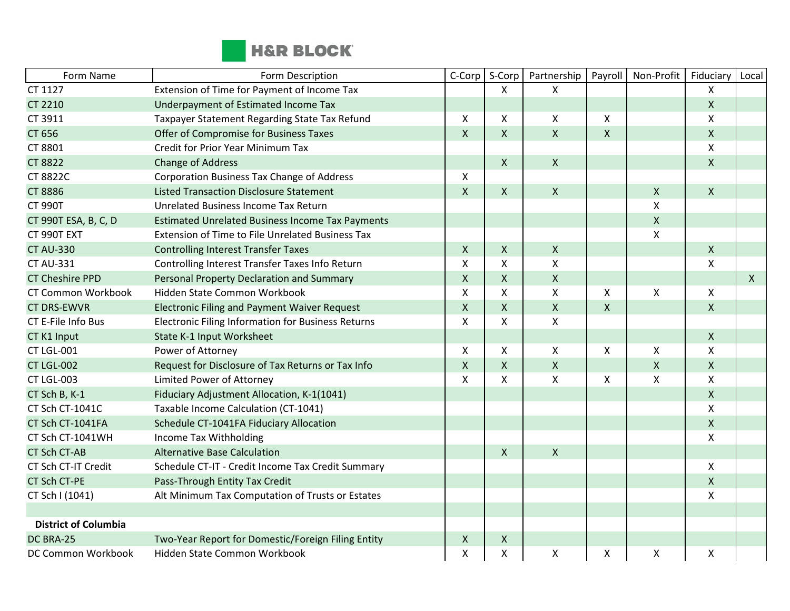

| Form Name                   | Form Description                                          | C-Corp             | S-Corp       | Partnership        | Payroll            | Non-Profit         | Fiduciary          | Local        |
|-----------------------------|-----------------------------------------------------------|--------------------|--------------|--------------------|--------------------|--------------------|--------------------|--------------|
| CT 1127                     | Extension of Time for Payment of Income Tax               |                    | X            | $\mathsf{X}$       |                    |                    | X                  |              |
| <b>CT 2210</b>              | Underpayment of Estimated Income Tax                      |                    |              |                    |                    |                    | $\pmb{\mathsf{X}}$ |              |
| CT 3911                     | Taxpayer Statement Regarding State Tax Refund             | $\mathsf{x}$       | X            | $\pmb{\times}$     | X                  |                    | X                  |              |
| CT 656                      | Offer of Compromise for Business Taxes                    | $\mathsf{X}$       | X            | $\pmb{\times}$     | $\pmb{\mathsf{X}}$ |                    | $\pmb{\mathsf{X}}$ |              |
| CT 8801                     | <b>Credit for Prior Year Minimum Tax</b>                  |                    |              |                    |                    |                    | X                  |              |
| <b>CT 8822</b>              | <b>Change of Address</b>                                  |                    | $\mathsf{X}$ | $\mathsf{X}$       |                    |                    | X                  |              |
| <b>CT 8822C</b>             | Corporation Business Tax Change of Address                | X                  |              |                    |                    |                    |                    |              |
| <b>CT 8886</b>              | <b>Listed Transaction Disclosure Statement</b>            | $\mathsf{x}$       | X            | $\pmb{\times}$     |                    | X                  | $\mathsf{X}$       |              |
| <b>CT 990T</b>              | Unrelated Business Income Tax Return                      |                    |              |                    |                    | Χ                  |                    |              |
| CT 990T ESA, B, C, D        | <b>Estimated Unrelated Business Income Tax Payments</b>   |                    |              |                    |                    | $\pmb{\mathsf{X}}$ |                    |              |
| CT 990T EXT                 | Extension of Time to File Unrelated Business Tax          |                    |              |                    |                    | $\pmb{\mathsf{X}}$ |                    |              |
| <b>CT AU-330</b>            | <b>Controlling Interest Transfer Taxes</b>                | $\mathsf{X}$       | X            | $\pmb{\times}$     |                    |                    | $\mathsf{x}$       |              |
| <b>CT AU-331</b>            | Controlling Interest Transfer Taxes Info Return           | $\sf X$            | Χ            | $\pmb{\mathsf{X}}$ |                    |                    | X                  |              |
| <b>CT Cheshire PPD</b>      | Personal Property Declaration and Summary                 | $\mathsf{X}$       | X            | $\mathsf{X}$       |                    |                    |                    | $\mathsf{X}$ |
| <b>CT Common Workbook</b>   | Hidden State Common Workbook                              | X                  | X            | X                  | X                  | Χ                  | X                  |              |
| <b>CT DRS-EWVR</b>          | <b>Electronic Filing and Payment Waiver Request</b>       | $\mathsf{X}$       | X            | $\mathsf{X}$       | $\pmb{\mathsf{X}}$ |                    | $\mathsf{X}$       |              |
| CT E-File Info Bus          | <b>Electronic Filing Information for Business Returns</b> | X                  | X            | $\pmb{\times}$     |                    |                    |                    |              |
| CT K1 Input                 | State K-1 Input Worksheet                                 |                    |              |                    |                    |                    | X                  |              |
| CT LGL-001                  | Power of Attorney                                         | X                  | X            | $\pmb{\times}$     | X                  | Χ                  | X                  |              |
| <b>CT LGL-002</b>           | Request for Disclosure of Tax Returns or Tax Info         | $\pmb{\mathsf{X}}$ | $\mathsf{X}$ | $\pmb{\mathsf{X}}$ |                    | $\pmb{\mathsf{X}}$ | $\pmb{\mathsf{X}}$ |              |
| CT LGL-003                  | Limited Power of Attorney                                 | $\mathsf{x}$       | X            | $\mathsf{x}$       | X                  | X                  | X                  |              |
| CT Sch B, K-1               | Fiduciary Adjustment Allocation, K-1(1041)                |                    |              |                    |                    |                    | $\mathsf{X}$       |              |
| CT Sch CT-1041C             | Taxable Income Calculation (CT-1041)                      |                    |              |                    |                    |                    | X                  |              |
| CT Sch CT-1041FA            | Schedule CT-1041FA Fiduciary Allocation                   |                    |              |                    |                    |                    | $\pmb{\mathsf{X}}$ |              |
| CT Sch CT-1041WH            | Income Tax Withholding                                    |                    |              |                    |                    |                    | Χ                  |              |
| <b>CT Sch CT-AB</b>         | <b>Alternative Base Calculation</b>                       |                    | X            | $\mathsf{X}$       |                    |                    |                    |              |
| CT Sch CT-IT Credit         | Schedule CT-IT - Credit Income Tax Credit Summary         |                    |              |                    |                    |                    | X                  |              |
| <b>CT Sch CT-PE</b>         | Pass-Through Entity Tax Credit                            |                    |              |                    |                    |                    | $\mathsf{X}$       |              |
| CT Sch I (1041)             | Alt Minimum Tax Computation of Trusts or Estates          |                    |              |                    |                    |                    | X                  |              |
|                             |                                                           |                    |              |                    |                    |                    |                    |              |
| <b>District of Columbia</b> |                                                           |                    |              |                    |                    |                    |                    |              |
| DC BRA-25                   | Two-Year Report for Domestic/Foreign Filing Entity        | X                  | X            |                    |                    |                    |                    |              |
| DC Common Workbook          | Hidden State Common Workbook                              | X                  | Χ            | $\pmb{\times}$     | X                  | X                  | X                  |              |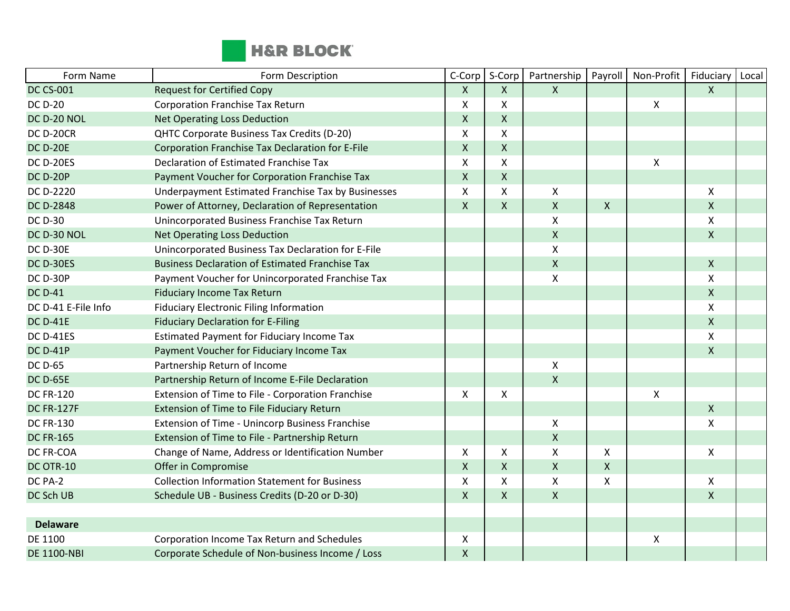

| Form Name           | Form Description                                       | C-Corp                    | S-Corp             | Partnership               | Payroll            | Non-Profit     | Fiduciary          | Local |
|---------------------|--------------------------------------------------------|---------------------------|--------------------|---------------------------|--------------------|----------------|--------------------|-------|
| <b>DC CS-001</b>    | <b>Request for Certified Copy</b>                      | $\mathsf{X}$              | X                  | $\mathsf{X}$              |                    |                | $\mathsf{X}$       |       |
| <b>DC D-20</b>      | <b>Corporation Franchise Tax Return</b>                | X                         | Χ                  |                           |                    | $\pmb{\times}$ |                    |       |
| DC D-20 NOL         | <b>Net Operating Loss Deduction</b>                    | $\mathsf{X}$              | X                  |                           |                    |                |                    |       |
| <b>DC D-20CR</b>    | QHTC Corporate Business Tax Credits (D-20)             | $\boldsymbol{\mathsf{X}}$ | X                  |                           |                    |                |                    |       |
| <b>DC D-20E</b>     | Corporation Franchise Tax Declaration for E-File       | $\mathsf{X}$              | X                  |                           |                    |                |                    |       |
| <b>DC D-20ES</b>    | Declaration of Estimated Franchise Tax                 | $\pmb{\times}$            | X                  |                           |                    | Χ              |                    |       |
| <b>DC D-20P</b>     | Payment Voucher for Corporation Franchise Tax          | $\pmb{\mathsf{X}}$        | $\pmb{\mathsf{X}}$ |                           |                    |                |                    |       |
| DC D-2220           | Underpayment Estimated Franchise Tax by Businesses     | X                         | X                  | X                         |                    |                | X                  |       |
| <b>DC D-2848</b>    | Power of Attorney, Declaration of Representation       | $\mathsf{X}$              | $\mathsf{X}$       | $\boldsymbol{\mathsf{X}}$ | $\pmb{\mathsf{X}}$ |                | $\mathsf{X}$       |       |
| <b>DC D-30</b>      | Unincorporated Business Franchise Tax Return           |                           |                    | X                         |                    |                | X                  |       |
| DC D-30 NOL         | <b>Net Operating Loss Deduction</b>                    |                           |                    | $\mathsf{X}$              |                    |                | $\mathsf{X}$       |       |
| <b>DC D-30E</b>     | Unincorporated Business Tax Declaration for E-File     |                           |                    | Χ                         |                    |                |                    |       |
| DC D-30ES           | <b>Business Declaration of Estimated Franchise Tax</b> |                           |                    | $\mathsf{X}$              |                    |                | $\mathsf{X}$       |       |
| <b>DC D-30P</b>     | Payment Voucher for Unincorporated Franchise Tax       |                           |                    | $\pmb{\mathsf{X}}$        |                    |                | X                  |       |
| <b>DC D-41</b>      | <b>Fiduciary Income Tax Return</b>                     |                           |                    |                           |                    |                | $\mathsf{X}$       |       |
| DC D-41 E-File Info | <b>Fiduciary Electronic Filing Information</b>         |                           |                    |                           |                    |                | X                  |       |
| <b>DC D-41E</b>     | <b>Fiduciary Declaration for E-Filing</b>              |                           |                    |                           |                    |                | $\mathsf{X}$       |       |
| <b>DC D-41ES</b>    | <b>Estimated Payment for Fiduciary Income Tax</b>      |                           |                    |                           |                    |                | $\pmb{\mathsf{X}}$ |       |
| <b>DC D-41P</b>     | Payment Voucher for Fiduciary Income Tax               |                           |                    |                           |                    |                | $\mathsf{X}$       |       |
| <b>DC D-65</b>      | Partnership Return of Income                           |                           |                    | X                         |                    |                |                    |       |
| <b>DC D-65E</b>     | Partnership Return of Income E-File Declaration        |                           |                    | $\mathsf{X}$              |                    |                |                    |       |
| <b>DC FR-120</b>    | Extension of Time to File - Corporation Franchise      | X                         | X                  |                           |                    | $\pmb{\times}$ |                    |       |
| <b>DC FR-127F</b>   | Extension of Time to File Fiduciary Return             |                           |                    |                           |                    |                | $\mathsf{x}$       |       |
| <b>DC FR-130</b>    | Extension of Time - Unincorp Business Franchise        |                           |                    | X                         |                    |                | X                  |       |
| <b>DC FR-165</b>    | Extension of Time to File - Partnership Return         |                           |                    | $\pmb{\mathsf{X}}$        |                    |                |                    |       |
| DC FR-COA           | Change of Name, Address or Identification Number       | X                         | X                  | $\pmb{\mathsf{X}}$        | X                  |                | X                  |       |
| DC OTR-10           | Offer in Compromise                                    | $\mathsf{X}$              | X                  | $\mathsf{X}$              | $\pmb{\mathsf{X}}$ |                |                    |       |
| DC PA-2             | <b>Collection Information Statement for Business</b>   | $\mathsf{X}$              | X                  | X                         | $\mathsf{\chi}$    |                | $\pmb{\mathsf{X}}$ |       |
| DC Sch UB           | Schedule UB - Business Credits (D-20 or D-30)          | $\mathsf{X}$              | X                  | $\mathsf{X}$              |                    |                | $\mathsf{X}$       |       |
|                     |                                                        |                           |                    |                           |                    |                |                    |       |
| <b>Delaware</b>     |                                                        |                           |                    |                           |                    |                |                    |       |
| DE 1100             | Corporation Income Tax Return and Schedules            | X                         |                    |                           |                    | $\pmb{\times}$ |                    |       |
| <b>DE 1100-NBI</b>  | Corporate Schedule of Non-business Income / Loss       | $\pmb{\mathsf{X}}$        |                    |                           |                    |                |                    |       |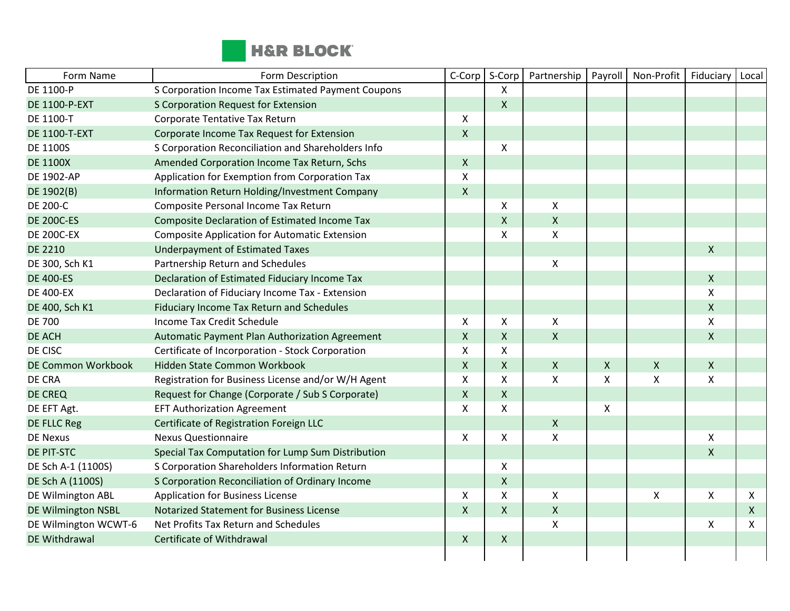

| Form Name                 | Form Description                                     | C-Corp       | S-Corp       | Partnership        | Payroll      | Non-Profit         | Fiduciary                 | Local |
|---------------------------|------------------------------------------------------|--------------|--------------|--------------------|--------------|--------------------|---------------------------|-------|
| DE 1100-P                 | S Corporation Income Tax Estimated Payment Coupons   |              | X            |                    |              |                    |                           |       |
| <b>DE 1100-P-EXT</b>      | S Corporation Request for Extension                  |              | $\mathsf{X}$ |                    |              |                    |                           |       |
| DE 1100-T                 | Corporate Tentative Tax Return                       | X            |              |                    |              |                    |                           |       |
| <b>DE 1100-T-EXT</b>      | Corporate Income Tax Request for Extension           | $\mathsf{X}$ |              |                    |              |                    |                           |       |
| <b>DE 1100S</b>           | S Corporation Reconciliation and Shareholders Info   |              | X            |                    |              |                    |                           |       |
| <b>DE 1100X</b>           | Amended Corporation Income Tax Return, Schs          | $\mathsf{X}$ |              |                    |              |                    |                           |       |
| <b>DE 1902-AP</b>         | Application for Exemption from Corporation Tax       | Χ            |              |                    |              |                    |                           |       |
| DE 1902(B)                | Information Return Holding/Investment Company        | $\mathsf{X}$ |              |                    |              |                    |                           |       |
| <b>DE 200-C</b>           | Composite Personal Income Tax Return                 |              | X            | $\mathsf{X}$       |              |                    |                           |       |
| <b>DE 200C-ES</b>         | <b>Composite Declaration of Estimated Income Tax</b> |              | $\mathsf{X}$ | $\pmb{\times}$     |              |                    |                           |       |
| <b>DE 200C-EX</b>         | <b>Composite Application for Automatic Extension</b> |              | X            | X                  |              |                    |                           |       |
| <b>DE 2210</b>            | <b>Underpayment of Estimated Taxes</b>               |              |              |                    |              |                    | $\pmb{\mathsf{X}}$        |       |
| DE 300, Sch K1            | Partnership Return and Schedules                     |              |              | X                  |              |                    |                           |       |
| <b>DE 400-ES</b>          | Declaration of Estimated Fiduciary Income Tax        |              |              |                    |              |                    | $\mathsf{X}$              |       |
| <b>DE 400-EX</b>          | Declaration of Fiduciary Income Tax - Extension      |              |              |                    |              |                    | $\boldsymbol{\mathsf{X}}$ |       |
| DE 400, Sch K1            | <b>Fiduciary Income Tax Return and Schedules</b>     |              |              |                    |              |                    | $\pmb{\mathsf{X}}$        |       |
| <b>DE 700</b>             | Income Tax Credit Schedule                           | X            | X            | $\mathsf{X}$       |              |                    | X                         |       |
| DE ACH                    | Automatic Payment Plan Authorization Agreement       | $\mathsf{X}$ | $\mathsf{X}$ | $\mathsf{X}$       |              |                    | $\mathsf{X}$              |       |
| DE CISC                   | Certificate of Incorporation - Stock Corporation     | Χ            | X            |                    |              |                    |                           |       |
| <b>DE Common Workbook</b> | Hidden State Common Workbook                         | $\mathsf{X}$ | $\mathsf{X}$ | $\mathsf{X}$       | $\mathsf{X}$ | $\mathsf{X}$       | $\boldsymbol{\mathsf{X}}$ |       |
| DE CRA                    | Registration for Business License and/or W/H Agent   | X            | X            | X                  | X            | X                  | X                         |       |
| <b>DE CREQ</b>            | Request for Change (Corporate / Sub S Corporate)     | $\mathsf{X}$ | $\mathsf{X}$ |                    |              |                    |                           |       |
| DE EFT Agt.               | <b>EFT Authorization Agreement</b>                   | X            | X            |                    | X            |                    |                           |       |
| <b>DE FLLC Reg</b>        | Certificate of Registration Foreign LLC              |              |              | $\mathsf{X}$       |              |                    |                           |       |
| <b>DE Nexus</b>           | <b>Nexus Questionnaire</b>                           | X            | X            | X                  |              |                    | X                         |       |
| <b>DE PIT-STC</b>         | Special Tax Computation for Lump Sum Distribution    |              |              |                    |              |                    | $\pmb{\mathsf{X}}$        |       |
| DE Sch A-1 (1100S)        | S Corporation Shareholders Information Return        |              | X            |                    |              |                    |                           |       |
| DE Sch A (1100S)          | S Corporation Reconciliation of Ordinary Income      |              | $\mathsf{X}$ |                    |              |                    |                           |       |
| DE Wilmington ABL         | <b>Application for Business License</b>              | X            | X            | Χ                  |              | $\pmb{\mathsf{X}}$ | X                         | X     |
| DE Wilmington NSBL        | <b>Notarized Statement for Business License</b>      | $\mathsf{X}$ | $\mathsf{X}$ | $\pmb{\mathsf{X}}$ |              |                    |                           | X     |
| DE Wilmington WCWT-6      | Net Profits Tax Return and Schedules                 |              |              | Χ                  |              |                    | $\boldsymbol{\mathsf{x}}$ | X     |
| DE Withdrawal             | Certificate of Withdrawal                            | $\mathsf{X}$ | $\mathsf{X}$ |                    |              |                    |                           |       |
|                           |                                                      |              |              |                    |              |                    |                           |       |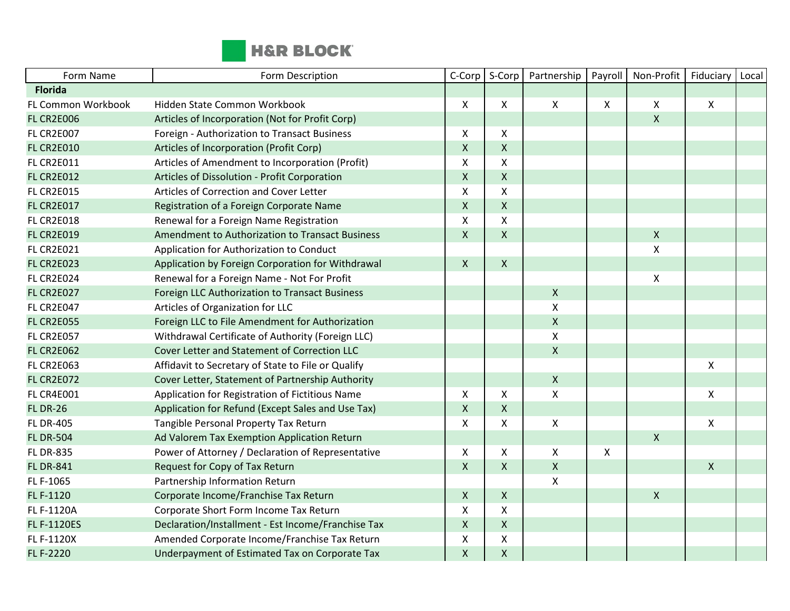

| Form Name          | Form Description                                   | C-Corp             | S-Corp             | Partnership        | Payroll                   | Non-Profit                | Fiduciary    | Local |
|--------------------|----------------------------------------------------|--------------------|--------------------|--------------------|---------------------------|---------------------------|--------------|-------|
| <b>Florida</b>     |                                                    |                    |                    |                    |                           |                           |              |       |
| FL Common Workbook | Hidden State Common Workbook                       | $\mathsf{X}$       | X                  | $\pmb{\times}$     | $\boldsymbol{\mathsf{X}}$ | X                         | X            |       |
| <b>FL CR2E006</b>  | Articles of Incorporation (Not for Profit Corp)    |                    |                    |                    |                           | $\mathsf{X}$              |              |       |
| <b>FL CR2E007</b>  | Foreign - Authorization to Transact Business       | X                  | X                  |                    |                           |                           |              |       |
| <b>FL CR2E010</b>  | Articles of Incorporation (Profit Corp)            | $\pmb{\mathsf{X}}$ | $\mathsf X$        |                    |                           |                           |              |       |
| <b>FL CR2E011</b>  | Articles of Amendment to Incorporation (Profit)    | X                  | $\pmb{\times}$     |                    |                           |                           |              |       |
| <b>FL CR2E012</b>  | Articles of Dissolution - Profit Corporation       | $\mathsf{X}$       | $\mathsf{X}$       |                    |                           |                           |              |       |
| <b>FL CR2E015</b>  | Articles of Correction and Cover Letter            | X                  | $\pmb{\times}$     |                    |                           |                           |              |       |
| <b>FL CR2E017</b>  | Registration of a Foreign Corporate Name           | $\mathsf{X}$       | $\pmb{\times}$     |                    |                           |                           |              |       |
| <b>FL CR2E018</b>  | Renewal for a Foreign Name Registration            | $\pmb{\mathsf{X}}$ | $\pmb{\times}$     |                    |                           |                           |              |       |
| <b>FL CR2E019</b>  | Amendment to Authorization to Transact Business    | $\mathsf{X}$       | $\mathsf{X}$       |                    |                           | $\mathsf{X}$              |              |       |
| <b>FL CR2E021</b>  | Application for Authorization to Conduct           |                    |                    |                    |                           | $\pmb{\chi}$              |              |       |
| <b>FL CR2E023</b>  | Application by Foreign Corporation for Withdrawal  | $\mathsf{X}$       | $\mathsf{X}$       |                    |                           |                           |              |       |
| <b>FL CR2E024</b>  | Renewal for a Foreign Name - Not For Profit        |                    |                    |                    |                           | $\boldsymbol{\mathsf{X}}$ |              |       |
| <b>FL CR2E027</b>  | Foreign LLC Authorization to Transact Business     |                    |                    | $\pmb{\mathsf{X}}$ |                           |                           |              |       |
| <b>FL CR2E047</b>  | Articles of Organization for LLC                   |                    |                    | $\pmb{\mathsf{X}}$ |                           |                           |              |       |
| <b>FL CR2E055</b>  | Foreign LLC to File Amendment for Authorization    |                    |                    | $\pmb{\mathsf{X}}$ |                           |                           |              |       |
| <b>FL CR2E057</b>  | Withdrawal Certificate of Authority (Foreign LLC)  |                    |                    | Χ                  |                           |                           |              |       |
| <b>FL CR2E062</b>  | Cover Letter and Statement of Correction LLC       |                    |                    | $\mathsf{X}$       |                           |                           |              |       |
| <b>FL CR2E063</b>  | Affidavit to Secretary of State to File or Qualify |                    |                    |                    |                           |                           | X            |       |
| <b>FL CR2E072</b>  | Cover Letter, Statement of Partnership Authority   |                    |                    | $\pmb{\mathsf{X}}$ |                           |                           |              |       |
| <b>FL CR4E001</b>  | Application for Registration of Fictitious Name    | X                  | X                  | Χ                  |                           |                           | X            |       |
| <b>FL DR-26</b>    | Application for Refund (Except Sales and Use Tax)  | $\mathsf{X}$       | $\mathsf{X}$       |                    |                           |                           |              |       |
| <b>FL DR-405</b>   | Tangible Personal Property Tax Return              | $\mathsf{X}$       | $\pmb{\times}$     | $\pmb{\mathsf{X}}$ |                           |                           | X            |       |
| <b>FL DR-504</b>   | Ad Valorem Tax Exemption Application Return        |                    |                    |                    |                           | $\mathsf{X}$              |              |       |
| <b>FL DR-835</b>   | Power of Attorney / Declaration of Representative  | X                  | $\mathsf{X}$       | X                  | $\boldsymbol{\mathsf{X}}$ |                           |              |       |
| <b>FL DR-841</b>   | Request for Copy of Tax Return                     | $\mathsf{X}$       | $\mathsf{X}$       | $\pmb{\mathsf{X}}$ |                           |                           | $\mathsf{X}$ |       |
| FL F-1065          | Partnership Information Return                     |                    |                    | $\pmb{\mathsf{X}}$ |                           |                           |              |       |
| FL F-1120          | Corporate Income/Franchise Tax Return              | $\mathsf{X}$       | $\mathsf{X}$       |                    |                           | $\mathsf{X}$              |              |       |
| FL F-1120A         | Corporate Short Form Income Tax Return             | X                  | X                  |                    |                           |                           |              |       |
| <b>FL F-1120ES</b> | Declaration/Installment - Est Income/Franchise Tax | $\mathsf{X}$       | $\mathsf{X}$       |                    |                           |                           |              |       |
| FL F-1120X         | Amended Corporate Income/Franchise Tax Return      | X                  | $\pmb{\mathsf{X}}$ |                    |                           |                           |              |       |
| FL F-2220          | Underpayment of Estimated Tax on Corporate Tax     | $\mathsf{X}$       | $\pmb{\times}$     |                    |                           |                           |              |       |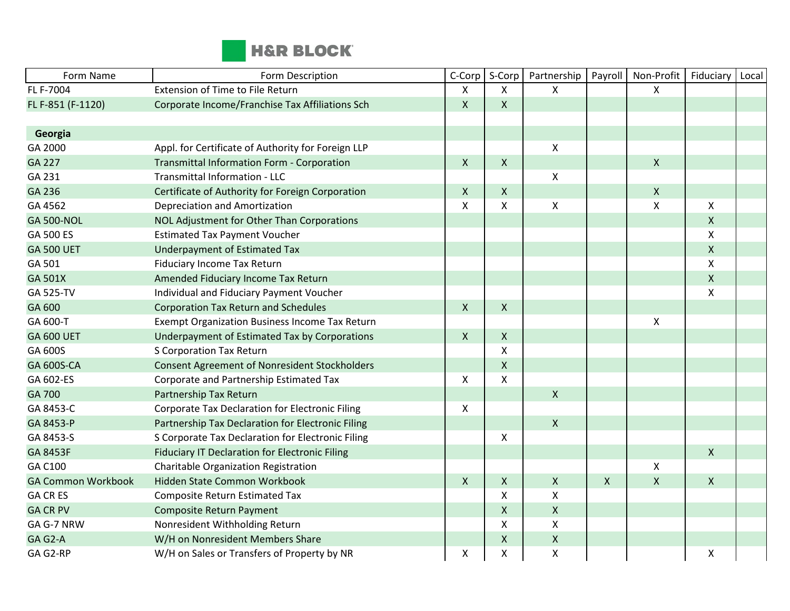

| Form Name                 | Form Description                                      | C-Corp           | S-Corp             | Partnership        | Payroll      | Non-Profit                | Fiduciary    | Local |
|---------------------------|-------------------------------------------------------|------------------|--------------------|--------------------|--------------|---------------------------|--------------|-------|
| FL F-7004                 | Extension of Time to File Return                      | $\mathsf{x}$     | X                  | X                  |              | $\mathsf{X}$              |              |       |
| FL F-851 (F-1120)         | Corporate Income/Franchise Tax Affiliations Sch       | $\mathsf{X}$     | $\mathsf{X}$       |                    |              |                           |              |       |
|                           |                                                       |                  |                    |                    |              |                           |              |       |
| Georgia                   |                                                       |                  |                    |                    |              |                           |              |       |
| GA 2000                   | Appl. for Certificate of Authority for Foreign LLP    |                  |                    | $\pmb{\mathsf{X}}$ |              |                           |              |       |
| <b>GA 227</b>             | Transmittal Information Form - Corporation            | $\boldsymbol{X}$ | $\pmb{\mathsf{X}}$ |                    |              | $\mathsf{X}$              |              |       |
| GA 231                    | Transmittal Information - LLC                         |                  |                    | $\pmb{\mathsf{X}}$ |              |                           |              |       |
| GA 236                    | Certificate of Authority for Foreign Corporation      | $\mathsf{X}$     | $\mathsf{X}$       |                    |              | $\boldsymbol{\mathsf{X}}$ |              |       |
| GA 4562                   | <b>Depreciation and Amortization</b>                  | X                | $\pmb{\times}$     | $\pmb{\mathsf{X}}$ |              | $\boldsymbol{\mathsf{X}}$ | X            |       |
| <b>GA 500-NOL</b>         | NOL Adjustment for Other Than Corporations            |                  |                    |                    |              |                           | $\mathsf{X}$ |       |
| GA 500 ES                 | <b>Estimated Tax Payment Voucher</b>                  |                  |                    |                    |              |                           | X            |       |
| <b>GA 500 UET</b>         | <b>Underpayment of Estimated Tax</b>                  |                  |                    |                    |              |                           | $\mathsf{X}$ |       |
| GA 501                    | <b>Fiduciary Income Tax Return</b>                    |                  |                    |                    |              |                           | $\mathsf{x}$ |       |
| GA 501X                   | Amended Fiduciary Income Tax Return                   |                  |                    |                    |              |                           | $\mathsf X$  |       |
| GA 525-TV                 | Individual and Fiduciary Payment Voucher              |                  |                    |                    |              |                           | X            |       |
| GA 600                    | <b>Corporation Tax Return and Schedules</b>           | $\mathsf{X}$     | $\mathsf{X}$       |                    |              |                           |              |       |
| GA 600-T                  | <b>Exempt Organization Business Income Tax Return</b> |                  |                    |                    |              | $\boldsymbol{\mathsf{X}}$ |              |       |
| <b>GA 600 UET</b>         | Underpayment of Estimated Tax by Corporations         | $\mathsf{X}$     | $\mathsf{X}$       |                    |              |                           |              |       |
| GA 600S                   | S Corporation Tax Return                              |                  | X                  |                    |              |                           |              |       |
| <b>GA 600S-CA</b>         | <b>Consent Agreement of Nonresident Stockholders</b>  |                  | $\mathsf{X}$       |                    |              |                           |              |       |
| GA 602-ES                 | Corporate and Partnership Estimated Tax               | X                | X                  |                    |              |                           |              |       |
| GA 700                    | Partnership Tax Return                                |                  |                    | $\mathsf{X}$       |              |                           |              |       |
| GA 8453-C                 | Corporate Tax Declaration for Electronic Filing       | X                |                    |                    |              |                           |              |       |
| GA 8453-P                 | Partnership Tax Declaration for Electronic Filing     |                  |                    | $\pmb{\mathsf{X}}$ |              |                           |              |       |
| GA 8453-S                 | S Corporate Tax Declaration for Electronic Filing     |                  | X                  |                    |              |                           |              |       |
| GA 8453F                  | <b>Fiduciary IT Declaration for Electronic Filing</b> |                  |                    |                    |              |                           | $\mathsf{X}$ |       |
| GA C100                   | Charitable Organization Registration                  |                  |                    |                    |              | Χ                         |              |       |
| <b>GA Common Workbook</b> | Hidden State Common Workbook                          | $\mathsf{X}$     | $\mathsf{X}$       | $\pmb{\mathsf{X}}$ | $\mathsf{X}$ | $\mathsf{x}$              | $\mathsf{X}$ |       |
| <b>GA CR ES</b>           | <b>Composite Return Estimated Tax</b>                 |                  | X                  | Χ                  |              |                           |              |       |
| <b>GA CR PV</b>           | <b>Composite Return Payment</b>                       |                  | $\pmb{\times}$     | $\pmb{\mathsf{X}}$ |              |                           |              |       |
| GA G-7 NRW                | Nonresident Withholding Return                        |                  | X                  | $\pmb{\mathsf{X}}$ |              |                           |              |       |
| GA G2-A                   | W/H on Nonresident Members Share                      |                  | $\pmb{\times}$     | $\pmb{\mathsf{X}}$ |              |                           |              |       |
| GA G2-RP                  | W/H on Sales or Transfers of Property by NR           | Χ                | X                  | X                  |              |                           | Χ            |       |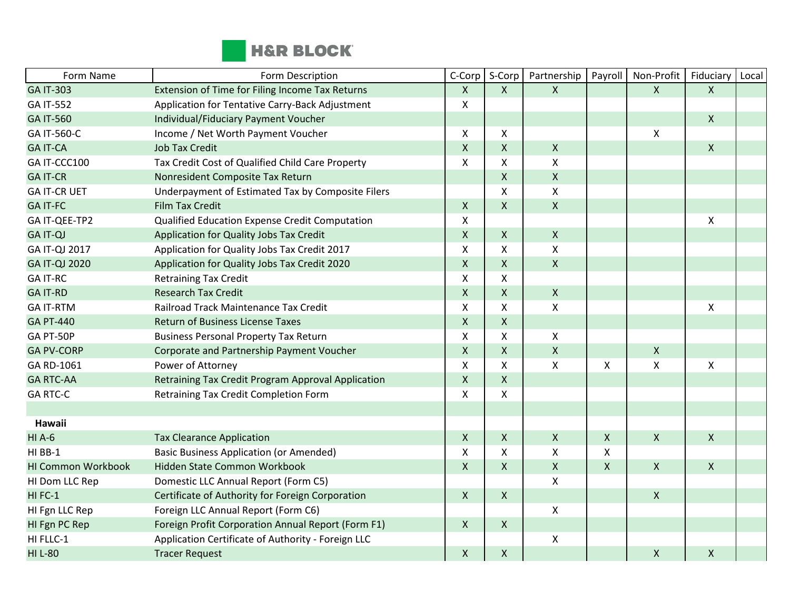

| Form Name                 | Form Description                                   | C-Corp         | S-Corp         | Partnership      | Payroll                   | Non-Profit         | Fiduciary          | Local |
|---------------------------|----------------------------------------------------|----------------|----------------|------------------|---------------------------|--------------------|--------------------|-------|
| <b>GA IT-303</b>          | Extension of Time for Filing Income Tax Returns    | $\mathsf{X}$   | $\mathsf{X}$   | $\mathsf{X}$     |                           | $\mathsf{X}$       | $\mathsf{X}$       |       |
| <b>GA IT-552</b>          | Application for Tentative Carry-Back Adjustment    | X              |                |                  |                           |                    |                    |       |
| <b>GA IT-560</b>          | Individual/Fiduciary Payment Voucher               |                |                |                  |                           |                    | $\mathsf{X}$       |       |
| GA IT-560-C               | Income / Net Worth Payment Voucher                 | $\mathsf{X}$   | X              |                  |                           | $\pmb{\times}$     |                    |       |
| <b>GA IT-CA</b>           | <b>Job Tax Credit</b>                              | $\pmb{\times}$ | $\mathsf{X}$   | $\mathsf{X}$     |                           |                    | $\mathsf{X}$       |       |
| GA IT-CCC100              | Tax Credit Cost of Qualified Child Care Property   | $\mathsf{X}$   | X              | $\mathsf{X}$     |                           |                    |                    |       |
| <b>GA IT-CR</b>           | Nonresident Composite Tax Return                   |                | $\pmb{\times}$ | $\mathsf X$      |                           |                    |                    |       |
| <b>GA IT-CR UET</b>       | Underpayment of Estimated Tax by Composite Filers  |                | X              | X                |                           |                    |                    |       |
| <b>GA IT-FC</b>           | <b>Film Tax Credit</b>                             | $\mathsf{X}$   | $\mathsf{X}$   | $\pmb{\times}$   |                           |                    |                    |       |
| GA IT-QEE-TP2             | Qualified Education Expense Credit Computation     | X              |                |                  |                           |                    | X                  |       |
| <b>GA IT-QJ</b>           | Application for Quality Jobs Tax Credit            | $\mathsf{X}$   | $\mathsf{X}$   | $\boldsymbol{X}$ |                           |                    |                    |       |
| GA IT-QJ 2017             | Application for Quality Jobs Tax Credit 2017       | X              | X              | Χ                |                           |                    |                    |       |
| GA IT-QJ 2020             | Application for Quality Jobs Tax Credit 2020       | $\mathsf{X}$   | $\mathsf{X}$   | $\mathsf{X}$     |                           |                    |                    |       |
| <b>GA IT-RC</b>           | <b>Retraining Tax Credit</b>                       | X              | X              |                  |                           |                    |                    |       |
| <b>GA IT-RD</b>           | <b>Research Tax Credit</b>                         | $\pmb{\times}$ | $\mathsf{X}$   | $\mathsf{X}$     |                           |                    |                    |       |
| <b>GA IT-RTM</b>          | Railroad Track Maintenance Tax Credit              | X              | X              | $\pmb{\times}$   |                           |                    | $\pmb{\mathsf{X}}$ |       |
| <b>GA PT-440</b>          | <b>Return of Business License Taxes</b>            | $\mathsf{X}$   | $\mathsf{X}$   |                  |                           |                    |                    |       |
| GA PT-50P                 | <b>Business Personal Property Tax Return</b>       | $\mathsf{X}$   | X              | X                |                           |                    |                    |       |
| <b>GA PV-CORP</b>         | Corporate and Partnership Payment Voucher          | $\mathsf{X}$   | $\mathsf{X}$   | $\mathsf{X}$     |                           | $\pmb{\times}$     |                    |       |
| GA RD-1061                | Power of Attorney                                  | X              | X              | $\pmb{\times}$   | $\boldsymbol{\mathsf{X}}$ | $\pmb{\chi}$       | X                  |       |
| <b>GA RTC-AA</b>          | Retraining Tax Credit Program Approval Application | $\mathsf{X}$   | $\mathsf{X}$   |                  |                           |                    |                    |       |
| <b>GA RTC-C</b>           | Retraining Tax Credit Completion Form              | X              | X              |                  |                           |                    |                    |       |
|                           |                                                    |                |                |                  |                           |                    |                    |       |
| Hawaii                    |                                                    |                |                |                  |                           |                    |                    |       |
| <b>HIA-6</b>              | <b>Tax Clearance Application</b>                   | $\mathsf X$    | X              | $\pmb{\times}$   | $\pmb{\times}$            | $\pmb{\mathsf{X}}$ | $\mathsf{x}$       |       |
| HI BB-1                   | <b>Basic Business Application (or Amended)</b>     | X              | X              | $\pmb{\times}$   | $\boldsymbol{\mathsf{X}}$ |                    |                    |       |
| <b>HI Common Workbook</b> | Hidden State Common Workbook                       | $\mathsf{X}$   | $\mathsf{X}$   | $\pmb{\times}$   | $\mathsf{X}$              | $\mathsf{X}$       | $\mathsf{X}$       |       |
| HI Dom LLC Rep            | Domestic LLC Annual Report (Form C5)               |                |                | X                |                           |                    |                    |       |
| HIFC-1                    | Certificate of Authority for Foreign Corporation   | $\mathsf{X}$   | $\mathsf{X}$   |                  |                           | $\pmb{\mathsf{X}}$ |                    |       |
| HI Fgn LLC Rep            | Foreign LLC Annual Report (Form C6)                |                |                | Χ                |                           |                    |                    |       |
| HI Fgn PC Rep             | Foreign Profit Corporation Annual Report (Form F1) | $\mathsf{X}$   | $\mathsf{X}$   |                  |                           |                    |                    |       |
| HI FLLC-1                 | Application Certificate of Authority - Foreign LLC |                |                | $\pmb{\times}$   |                           |                    |                    |       |
| <b>HI L-80</b>            | <b>Tracer Request</b>                              | $\mathsf X$    | $\mathsf X$    |                  |                           | $\mathsf X$        | $\pmb{\mathsf{X}}$ |       |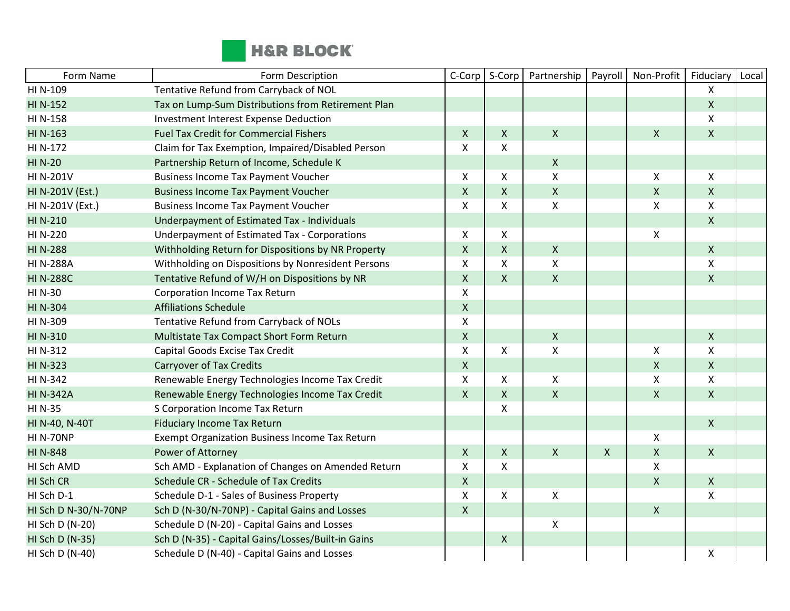

| Form Name            | Form Description                                    | C-Corp             | S-Corp             | Partnership        | Payroll            | Non-Profit         | Fiduciary      | Local |
|----------------------|-----------------------------------------------------|--------------------|--------------------|--------------------|--------------------|--------------------|----------------|-------|
| HI N-109             | Tentative Refund from Carryback of NOL              |                    |                    |                    |                    |                    | X              |       |
| HI N-152             | Tax on Lump-Sum Distributions from Retirement Plan  |                    |                    |                    |                    |                    | $\mathsf{X}$   |       |
| HI N-158             | Investment Interest Expense Deduction               |                    |                    |                    |                    |                    | $\mathsf{X}$   |       |
| HI N-163             | <b>Fuel Tax Credit for Commercial Fishers</b>       | $\mathsf{X}$       | Χ                  | $\pmb{\times}$     |                    | Χ                  | $\pmb{\times}$ |       |
| HI N-172             | Claim for Tax Exemption, Impaired/Disabled Person   | X                  | X                  |                    |                    |                    |                |       |
| <b>HI N-20</b>       | Partnership Return of Income, Schedule K            |                    |                    | $\mathsf{X}$       |                    |                    |                |       |
| <b>HI N-201V</b>     | <b>Business Income Tax Payment Voucher</b>          | X                  | Χ                  | $\pmb{\mathsf{X}}$ |                    | Χ                  | $\mathsf{X}$   |       |
| HI N-201V (Est.)     | <b>Business Income Tax Payment Voucher</b>          | $\mathsf{X}$       | $\pmb{\mathsf{X}}$ | $\pmb{\mathsf{X}}$ |                    | $\pmb{\mathsf{X}}$ | $\mathsf{X}$   |       |
| HI N-201V (Ext.)     | <b>Business Income Tax Payment Voucher</b>          | X                  | X                  | $\pmb{\mathsf{X}}$ |                    | Χ                  | $\mathsf{X}$   |       |
| HI N-210             | Underpayment of Estimated Tax - Individuals         |                    |                    |                    |                    |                    | $\mathsf{X}$   |       |
| HI N-220             | <b>Underpayment of Estimated Tax - Corporations</b> | X                  | X                  |                    |                    | $\pmb{\mathsf{X}}$ |                |       |
| <b>HI N-288</b>      | Withholding Return for Dispositions by NR Property  | $\pmb{\mathsf{X}}$ | $\pmb{\mathsf{X}}$ | $\mathsf{X}$       |                    |                    | $\mathsf{X}$   |       |
| <b>HI N-288A</b>     | Withholding on Dispositions by Nonresident Persons  | X                  | X                  | $\pmb{\mathsf{X}}$ |                    |                    | $\mathsf{X}$   |       |
| <b>HI N-288C</b>     | Tentative Refund of W/H on Dispositions by NR       | $\pmb{\mathsf{X}}$ | $\mathsf{X}$       | $\mathsf X$        |                    |                    | $\mathsf{X}$   |       |
| HI N-30              | <b>Corporation Income Tax Return</b>                | X                  |                    |                    |                    |                    |                |       |
| HI N-304             | <b>Affiliations Schedule</b>                        | $\mathsf{X}$       |                    |                    |                    |                    |                |       |
| HI N-309             | Tentative Refund from Carryback of NOLs             | $\pmb{\mathsf{X}}$ |                    |                    |                    |                    |                |       |
| HI N-310             | Multistate Tax Compact Short Form Return            | $\mathsf{X}$       |                    | $\pmb{\mathsf{X}}$ |                    |                    | $\mathsf{X}$   |       |
| HI N-312             | Capital Goods Excise Tax Credit                     | X                  | X                  | X                  |                    | X                  | $\mathsf{X}$   |       |
| <b>HI N-323</b>      | <b>Carryover of Tax Credits</b>                     | $\pmb{\mathsf{X}}$ |                    |                    |                    | $\pmb{\mathsf{X}}$ | $\mathsf{X}$   |       |
| <b>HI N-342</b>      | Renewable Energy Technologies Income Tax Credit     | X                  | X                  | X                  |                    | Χ                  | $\mathsf{X}$   |       |
| <b>HI N-342A</b>     | Renewable Energy Technologies Income Tax Credit     | $\mathsf{X}$       | X                  | $\mathsf{X}$       |                    | $\pmb{\mathsf{X}}$ | $\mathsf{X}$   |       |
| <b>HI N-35</b>       | S Corporation Income Tax Return                     |                    | Χ                  |                    |                    |                    |                |       |
| HI N-40, N-40T       | <b>Fiduciary Income Tax Return</b>                  |                    |                    |                    |                    |                    | $\mathsf{X}$   |       |
| <b>HI N-70NP</b>     | Exempt Organization Business Income Tax Return      |                    |                    |                    |                    | X                  |                |       |
| <b>HIN-848</b>       | Power of Attorney                                   | $\mathsf{X}$       | $\mathsf{X}$       | $\pmb{\mathsf{X}}$ | $\pmb{\mathsf{X}}$ | $\pmb{\mathsf{X}}$ | $\mathsf{X}$   |       |
| HI Sch AMD           | Sch AMD - Explanation of Changes on Amended Return  | X                  | X                  |                    |                    | X                  |                |       |
| HI Sch CR            | Schedule CR - Schedule of Tax Credits               | $\pmb{\mathsf{X}}$ |                    |                    |                    | $\mathsf{X}$       | $\mathsf{X}$   |       |
| HI Sch D-1           | Schedule D-1 - Sales of Business Property           | X                  | Χ                  | $\pmb{\mathsf{X}}$ |                    |                    | X              |       |
| HI Sch D N-30/N-70NP | Sch D (N-30/N-70NP) - Capital Gains and Losses      | $\mathsf{X}$       |                    |                    |                    | $\pmb{\mathsf{X}}$ |                |       |
| HI Sch D (N-20)      | Schedule D (N-20) - Capital Gains and Losses        |                    |                    | X                  |                    |                    |                |       |
| HI Sch D (N-35)      | Sch D (N-35) - Capital Gains/Losses/Built-in Gains  |                    | X                  |                    |                    |                    |                |       |
| HI Sch D (N-40)      | Schedule D (N-40) - Capital Gains and Losses        |                    |                    |                    |                    |                    | X              |       |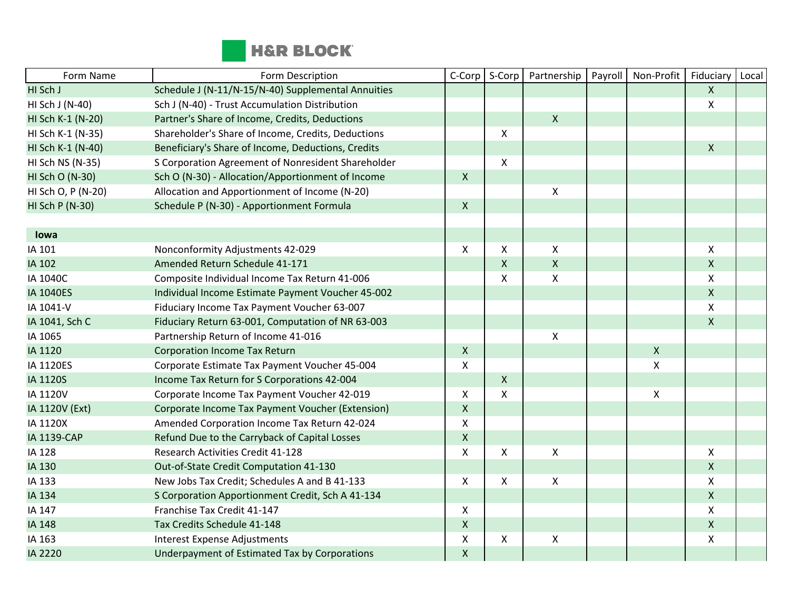

| Form Name          | Form Description                                   | C-Corp             | S-Corp       | Partnership        | Payroll | Non-Profit         | Fiduciary    | Local |
|--------------------|----------------------------------------------------|--------------------|--------------|--------------------|---------|--------------------|--------------|-------|
| HI Sch J           | Schedule J (N-11/N-15/N-40) Supplemental Annuities |                    |              |                    |         |                    | $\mathsf{X}$ |       |
| HI Sch J (N-40)    | Sch J (N-40) - Trust Accumulation Distribution     |                    |              |                    |         |                    | X            |       |
| HI Sch K-1 (N-20)  | Partner's Share of Income, Credits, Deductions     |                    |              | $\mathsf{X}$       |         |                    |              |       |
| HI Sch K-1 (N-35)  | Shareholder's Share of Income, Credits, Deductions |                    | X            |                    |         |                    |              |       |
| HI Sch K-1 (N-40)  | Beneficiary's Share of Income, Deductions, Credits |                    |              |                    |         |                    | $\mathsf{X}$ |       |
| HI Sch NS (N-35)   | S Corporation Agreement of Nonresident Shareholder |                    | X            |                    |         |                    |              |       |
| HI Sch O (N-30)    | Sch O (N-30) - Allocation/Apportionment of Income  | $\mathsf{X}$       |              |                    |         |                    |              |       |
| HI Sch O, P (N-20) | Allocation and Apportionment of Income (N-20)      |                    |              | X                  |         |                    |              |       |
| HI Sch P (N-30)    | Schedule P (N-30) - Apportionment Formula          | $\pmb{\times}$     |              |                    |         |                    |              |       |
|                    |                                                    |                    |              |                    |         |                    |              |       |
| lowa               |                                                    |                    |              |                    |         |                    |              |       |
| IA 101             | Nonconformity Adjustments 42-029                   | X                  | X            | X                  |         |                    | X            |       |
| IA 102             | Amended Return Schedule 41-171                     |                    | $\mathsf{X}$ | $\pmb{\times}$     |         |                    | $\mathsf{X}$ |       |
| IA 1040C           | Composite Individual Income Tax Return 41-006      |                    | X            | X                  |         |                    | X            |       |
| <b>IA 1040ES</b>   | Individual Income Estimate Payment Voucher 45-002  |                    |              |                    |         |                    | $\mathsf{X}$ |       |
| IA 1041-V          | Fiduciary Income Tax Payment Voucher 63-007        |                    |              |                    |         |                    | X.           |       |
| IA 1041, Sch C     | Fiduciary Return 63-001, Computation of NR 63-003  |                    |              |                    |         |                    | $\mathsf{X}$ |       |
| IA 1065            | Partnership Return of Income 41-016                |                    |              | $\pmb{\mathsf{X}}$ |         |                    |              |       |
| IA 1120            | <b>Corporation Income Tax Return</b>               | $\mathsf{X}$       |              |                    |         | $\pmb{\mathsf{X}}$ |              |       |
| IA 1120ES          | Corporate Estimate Tax Payment Voucher 45-004      | $\pmb{\times}$     |              |                    |         | X                  |              |       |
| IA 1120S           | Income Tax Return for S Corporations 42-004        |                    | $\mathsf{X}$ |                    |         |                    |              |       |
| IA 1120V           | Corporate Income Tax Payment Voucher 42-019        | X                  | X            |                    |         | Χ                  |              |       |
| IA 1120V (Ext)     | Corporate Income Tax Payment Voucher (Extension)   | $\mathsf{X}$       |              |                    |         |                    |              |       |
| IA 1120X           | Amended Corporation Income Tax Return 42-024       | $\mathsf{X}$       |              |                    |         |                    |              |       |
| <b>IA 1139-CAP</b> | Refund Due to the Carryback of Capital Losses      | $\pmb{\times}$     |              |                    |         |                    |              |       |
| IA 128             | Research Activities Credit 41-128                  | $\mathsf{X}$       | X            | X                  |         |                    | X            |       |
| IA 130             | Out-of-State Credit Computation 41-130             |                    |              |                    |         |                    | $\mathsf{X}$ |       |
| IA 133             | New Jobs Tax Credit; Schedules A and B 41-133      | $\pmb{\mathsf{X}}$ | X            | $\pmb{\times}$     |         |                    | X            |       |
| IA 134             | S Corporation Apportionment Credit, Sch A 41-134   |                    |              |                    |         |                    | $\mathsf{X}$ |       |
| IA 147             | Franchise Tax Credit 41-147                        | $\mathsf{X}$       |              |                    |         |                    | X            |       |
| IA 148             | Tax Credits Schedule 41-148                        | $\mathsf{X}$       |              |                    |         |                    | $\mathsf{X}$ |       |
| IA 163             | Interest Expense Adjustments                       | $\pmb{\mathsf{X}}$ | X            | $\pmb{\times}$     |         |                    | X            |       |
| IA 2220            | Underpayment of Estimated Tax by Corporations      | $\mathsf{X}$       |              |                    |         |                    |              |       |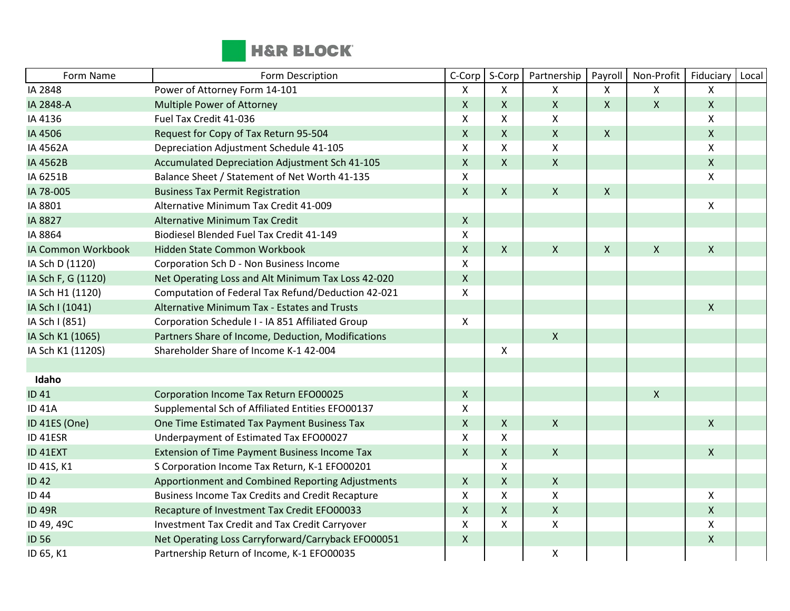

| Form Name          | Form Description                                        | C-Corp                    | S-Corp             | Partnership    | Payroll            | Non-Profit   | Fiduciary    | Local |
|--------------------|---------------------------------------------------------|---------------------------|--------------------|----------------|--------------------|--------------|--------------|-------|
| IA 2848            | Power of Attorney Form 14-101                           | X                         | X                  | X              | X                  | X            | X            |       |
| IA 2848-A          | Multiple Power of Attorney                              | $\mathsf X$               | $\pmb{\mathsf{X}}$ | $\mathsf{X}$   | $\mathsf{X}$       | $\mathsf{X}$ | $\mathsf{X}$ |       |
| IA 4136            | Fuel Tax Credit 41-036                                  | $\boldsymbol{\mathsf{X}}$ | X                  | $\mathsf{x}$   |                    |              | X            |       |
| IA 4506            | Request for Copy of Tax Return 95-504                   | $\mathsf{X}$              | X                  | $\mathsf{X}$   | $\mathsf{X}$       |              | $\mathsf{X}$ |       |
| IA 4562A           | Depreciation Adjustment Schedule 41-105                 | X                         | X                  | $\mathsf{X}$   |                    |              | X            |       |
| IA 4562B           | Accumulated Depreciation Adjustment Sch 41-105          | $\mathsf{X}$              | X                  | $\mathsf{X}$   |                    |              | $\mathsf{X}$ |       |
| IA 6251B           | Balance Sheet / Statement of Net Worth 41-135           | X                         |                    |                |                    |              | X.           |       |
| IA 78-005          | <b>Business Tax Permit Registration</b>                 | $\mathsf{X}$              | $\mathsf{X}$       | $\mathsf{X}$   | $\pmb{\mathsf{X}}$ |              |              |       |
| IA 8801            | Alternative Minimum Tax Credit 41-009                   |                           |                    |                |                    |              | X            |       |
| IA 8827            | <b>Alternative Minimum Tax Credit</b>                   | $\mathsf{X}$              |                    |                |                    |              |              |       |
| IA 8864            | Biodiesel Blended Fuel Tax Credit 41-149                | X                         |                    |                |                    |              |              |       |
| IA Common Workbook | Hidden State Common Workbook                            | $\mathsf X$               | $\mathsf{X}$       | $\pmb{\times}$ | $\mathsf{X}$       | $\mathsf{X}$ | $\mathsf{X}$ |       |
| IA Sch D (1120)    | Corporation Sch D - Non Business Income                 | $\boldsymbol{\mathsf{X}}$ |                    |                |                    |              |              |       |
| IA Sch F, G (1120) | Net Operating Loss and Alt Minimum Tax Loss 42-020      | $\mathsf X$               |                    |                |                    |              |              |       |
| IA Sch H1 (1120)   | Computation of Federal Tax Refund/Deduction 42-021      | X                         |                    |                |                    |              |              |       |
| IA Sch I (1041)    | Alternative Minimum Tax - Estates and Trusts            |                           |                    |                |                    |              | $\mathsf{X}$ |       |
| IA Sch I (851)     | Corporation Schedule I - IA 851 Affiliated Group        | X                         |                    |                |                    |              |              |       |
| IA Sch K1 (1065)   | Partners Share of Income, Deduction, Modifications      |                           |                    | $\mathsf{X}$   |                    |              |              |       |
| IA Sch K1 (1120S)  | Shareholder Share of Income K-1 42-004                  |                           | X                  |                |                    |              |              |       |
|                    |                                                         |                           |                    |                |                    |              |              |       |
| Idaho              |                                                         |                           |                    |                |                    |              |              |       |
| <b>ID 41</b>       | Corporation Income Tax Return EFO00025                  | $\mathsf{X}$              |                    |                |                    | $\mathsf{X}$ |              |       |
| <b>ID 41A</b>      | Supplemental Sch of Affiliated Entities EFO00137        | $\boldsymbol{\mathsf{X}}$ |                    |                |                    |              |              |       |
| ID 41ES (One)      | One Time Estimated Tax Payment Business Tax             | $\mathsf{X}$              | $\mathsf{X}$       | $\mathsf{X}$   |                    |              | $\mathsf{X}$ |       |
| ID 41ESR           | Underpayment of Estimated Tax EFO00027                  | X                         | X                  |                |                    |              |              |       |
| ID 41EXT           | Extension of Time Payment Business Income Tax           | $\mathsf{X}$              | $\mathsf X$        | $\mathsf X$    |                    |              | $\mathsf{X}$ |       |
| ID 41S, K1         | S Corporation Income Tax Return, K-1 EFO00201           |                           | X                  |                |                    |              |              |       |
| <b>ID42</b>        | Apportionment and Combined Reporting Adjustments        | $\mathsf{X}$              | $\pmb{\mathsf{X}}$ | $\mathsf{X}$   |                    |              |              |       |
| <b>ID 44</b>       | <b>Business Income Tax Credits and Credit Recapture</b> | X                         | X                  | X              |                    |              | X            |       |
| <b>ID 49R</b>      | Recapture of Investment Tax Credit EFO00033             | $\mathsf X$               | $\mathsf{X}$       | $\mathsf X$    |                    |              | $\mathsf{X}$ |       |
| ID 49, 49C         | Investment Tax Credit and Tax Credit Carryover          | $\pmb{\times}$            | X                  | $\mathsf{X}$   |                    |              | X            |       |
| <b>ID 56</b>       | Net Operating Loss Carryforward/Carryback EFO00051      | $\mathsf X$               |                    |                |                    |              | $\mathsf{X}$ |       |
| ID 65, K1          | Partnership Return of Income, K-1 EFO00035              |                           |                    | X              |                    |              |              |       |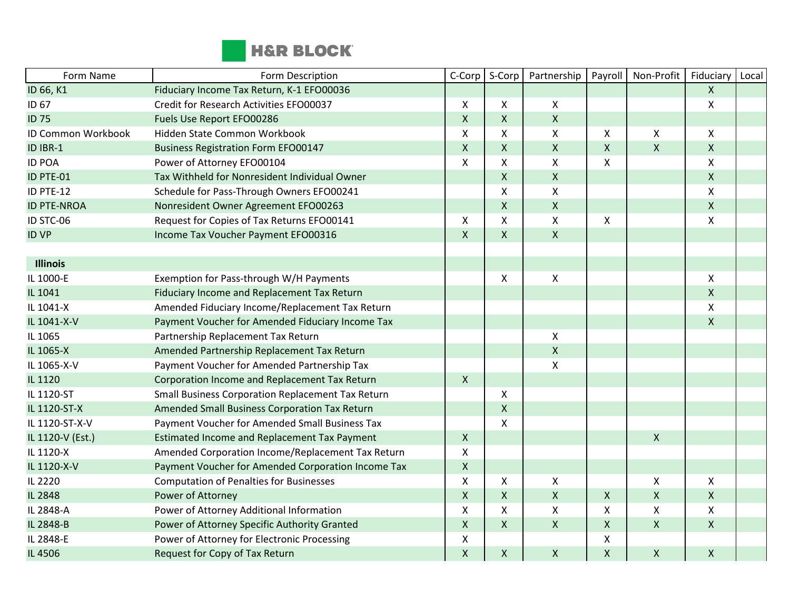

| Form Name          | Form Description                                   | C-Corp                    | S-Corp             | Partnership        | Payroll                   | Non-Profit         | Fiduciary          | Local |
|--------------------|----------------------------------------------------|---------------------------|--------------------|--------------------|---------------------------|--------------------|--------------------|-------|
| ID 66, K1          | Fiduciary Income Tax Return, K-1 EFO00036          |                           |                    |                    |                           |                    | $\mathsf{X}$       |       |
| ID 67              | Credit for Research Activities EFO00037            | X                         | X                  | X                  |                           |                    | Χ                  |       |
| <b>ID 75</b>       | Fuels Use Report EFO00286                          | $\mathsf{X}$              | X                  | $\mathsf{X}$       |                           |                    |                    |       |
| ID Common Workbook | Hidden State Common Workbook                       | X                         | X                  | X                  | $\pmb{\times}$            | X                  | X.                 |       |
| ID IBR-1           | <b>Business Registration Form EFO00147</b>         | $\mathsf X$               | X                  | $\mathsf{x}$       | $\pmb{\chi}$              | $\pmb{\mathsf{X}}$ | $\mathsf{X}$       |       |
| <b>ID POA</b>      | Power of Attorney EFO00104                         | X                         | X                  | $\pmb{\times}$     | $\pmb{\chi}$              |                    | Χ                  |       |
| ID PTE-01          | Tax Withheld for Nonresident Individual Owner      |                           | $\mathsf{X}$       | $\mathsf{X}$       |                           |                    | $\mathsf{X}$       |       |
| ID PTE-12          | Schedule for Pass-Through Owners EFO00241          |                           | $\pmb{\mathsf{X}}$ | $\pmb{\mathsf{X}}$ |                           |                    | Χ                  |       |
| <b>ID PTE-NROA</b> | Nonresident Owner Agreement EFO00263               |                           | X                  | $\mathsf{X}$       |                           |                    | $\mathsf{X}$       |       |
| ID STC-06          | Request for Copies of Tax Returns EFO00141         | X                         | X                  | $\mathsf{X}$       | $\pmb{\times}$            |                    | Χ                  |       |
| <b>ID VP</b>       | Income Tax Voucher Payment EFO00316                | $\mathsf{X}$              | $\mathsf{X}$       | $\mathsf{X}$       |                           |                    |                    |       |
|                    |                                                    |                           |                    |                    |                           |                    |                    |       |
| <b>Illinois</b>    |                                                    |                           |                    |                    |                           |                    |                    |       |
| IL 1000-E          | Exemption for Pass-through W/H Payments            |                           | X                  | $\mathsf{X}$       |                           |                    | X                  |       |
| IL 1041            | Fiduciary Income and Replacement Tax Return        |                           |                    |                    |                           |                    | $\pmb{\mathsf{X}}$ |       |
| IL 1041-X          | Amended Fiduciary Income/Replacement Tax Return    |                           |                    |                    |                           |                    | X                  |       |
| IL 1041-X-V        | Payment Voucher for Amended Fiduciary Income Tax   |                           |                    |                    |                           |                    | X                  |       |
| IL 1065            | Partnership Replacement Tax Return                 |                           |                    | $\pmb{\times}$     |                           |                    |                    |       |
| IL 1065-X          | Amended Partnership Replacement Tax Return         |                           |                    | $\pmb{\times}$     |                           |                    |                    |       |
| IL 1065-X-V        | Payment Voucher for Amended Partnership Tax        |                           |                    | $\pmb{\mathsf{X}}$ |                           |                    |                    |       |
| IL 1120            | Corporation Income and Replacement Tax Return      | $\mathsf{X}$              |                    |                    |                           |                    |                    |       |
| IL 1120-ST         | Small Business Corporation Replacement Tax Return  |                           | X                  |                    |                           |                    |                    |       |
| IL 1120-ST-X       | Amended Small Business Corporation Tax Return      |                           | $\pmb{\mathsf{X}}$ |                    |                           |                    |                    |       |
| IL 1120-ST-X-V     | Payment Voucher for Amended Small Business Tax     |                           | X                  |                    |                           |                    |                    |       |
| IL 1120-V (Est.)   | Estimated Income and Replacement Tax Payment       | $\mathsf{X}$              |                    |                    |                           | $\pmb{\mathsf{X}}$ |                    |       |
| IL 1120-X          | Amended Corporation Income/Replacement Tax Return  | X                         |                    |                    |                           |                    |                    |       |
| IL 1120-X-V        | Payment Voucher for Amended Corporation Income Tax | $\pmb{\mathsf{X}}$        |                    |                    |                           |                    |                    |       |
| IL 2220            | <b>Computation of Penalties for Businesses</b>     | X                         | X                  | $\mathsf{X}$       |                           | X                  | X                  |       |
| IL 2848            | Power of Attorney                                  | $\mathsf{X}$              | $\pmb{\mathsf{X}}$ | $\mathsf{x}$       | $\pmb{\times}$            | $\pmb{\mathsf{X}}$ | $\mathsf{X}$       |       |
| IL 2848-A          | Power of Attorney Additional Information           | $\boldsymbol{\mathsf{X}}$ | X                  | X                  | $\boldsymbol{\mathsf{X}}$ | X                  | X                  |       |
| IL 2848-B          | Power of Attorney Specific Authority Granted       | $\mathsf X$               | $\pmb{\mathsf{X}}$ | $\mathsf{X}$       | $\pmb{\chi}$              | $\pmb{\mathsf{X}}$ | $\pmb{\mathsf{X}}$ |       |
| IL 2848-E          | Power of Attorney for Electronic Processing        | $\pmb{\mathsf{X}}$        |                    |                    | $\pmb{\mathsf{X}}$        |                    |                    |       |
| IL 4506            | Request for Copy of Tax Return                     | $\mathsf{X}$              | X                  | $\pmb{\times}$     | $\pmb{\chi}$              | $\pmb{\mathsf{X}}$ | $\pmb{\mathsf{X}}$ |       |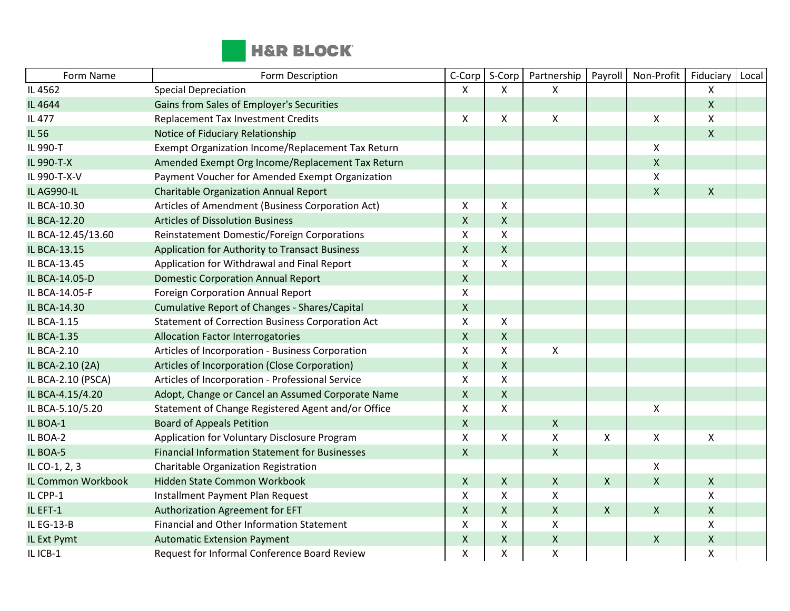

| Form Name          | Form Description                                        | C-Corp                    | S-Corp         | Partnership        | Payroll                   | Non-Profit                | Fiduciary          | Local |
|--------------------|---------------------------------------------------------|---------------------------|----------------|--------------------|---------------------------|---------------------------|--------------------|-------|
| IL 4562            | <b>Special Depreciation</b>                             | X                         | X              | X                  |                           |                           | X                  |       |
| IL 4644            | Gains from Sales of Employer's Securities               |                           |                |                    |                           |                           | $\mathsf{X}$       |       |
| IL 477             | <b>Replacement Tax Investment Credits</b>               | $\mathsf{X}$              | X              | $\mathsf{X}$       |                           | $\boldsymbol{\mathsf{X}}$ | X                  |       |
| IL 56              | Notice of Fiduciary Relationship                        |                           |                |                    |                           |                           | $\mathsf{X}$       |       |
| IL 990-T           | Exempt Organization Income/Replacement Tax Return       |                           |                |                    |                           | $\pmb{\mathsf{X}}$        |                    |       |
| IL 990-T-X         | Amended Exempt Org Income/Replacement Tax Return        |                           |                |                    |                           | $\mathsf{X}$              |                    |       |
| IL 990-T-X-V       | Payment Voucher for Amended Exempt Organization         |                           |                |                    |                           | $\pmb{\mathsf{X}}$        |                    |       |
| IL AG990-IL        | <b>Charitable Organization Annual Report</b>            |                           |                |                    |                           | $\pmb{\chi}$              | $\mathsf{X}$       |       |
| IL BCA-10.30       | Articles of Amendment (Business Corporation Act)        | $\mathsf{X}$              | X              |                    |                           |                           |                    |       |
| IL BCA-12.20       | <b>Articles of Dissolution Business</b>                 | $\mathsf{X}$              | $\mathsf{X}$   |                    |                           |                           |                    |       |
| IL BCA-12.45/13.60 | Reinstatement Domestic/Foreign Corporations             | X                         | X              |                    |                           |                           |                    |       |
| IL BCA-13.15       | Application for Authority to Transact Business          | $\mathsf{x}$              | $\mathsf{X}$   |                    |                           |                           |                    |       |
| IL BCA-13.45       | Application for Withdrawal and Final Report             | X                         | X              |                    |                           |                           |                    |       |
| IL BCA-14.05-D     | <b>Domestic Corporation Annual Report</b>               | $\mathsf{X}$              |                |                    |                           |                           |                    |       |
| IL BCA-14.05-F     | Foreign Corporation Annual Report                       | $\mathsf X$               |                |                    |                           |                           |                    |       |
| IL BCA-14.30       | <b>Cumulative Report of Changes - Shares/Capital</b>    | $\mathsf X$               |                |                    |                           |                           |                    |       |
| IL BCA-1.15        | <b>Statement of Correction Business Corporation Act</b> | $\pmb{\mathsf{X}}$        | X              |                    |                           |                           |                    |       |
| IL BCA-1.35        | <b>Allocation Factor Interrogatories</b>                | $\mathsf{X}$              | $\pmb{\times}$ |                    |                           |                           |                    |       |
| IL BCA-2.10        | Articles of Incorporation - Business Corporation        | $\boldsymbol{\mathsf{X}}$ | X              | Χ                  |                           |                           |                    |       |
| IL BCA-2.10 (2A)   | Articles of Incorporation (Close Corporation)           | $\mathsf{X}$              | $\mathsf{X}$   |                    |                           |                           |                    |       |
| IL BCA-2.10 (PSCA) | Articles of Incorporation - Professional Service        | $\pmb{\mathsf{X}}$        | X              |                    |                           |                           |                    |       |
| IL BCA-4.15/4.20   | Adopt, Change or Cancel an Assumed Corporate Name       | $\pmb{\times}$            | $\mathsf{X}$   |                    |                           |                           |                    |       |
| IL BCA-5.10/5.20   | Statement of Change Registered Agent and/or Office      | X                         | X              |                    |                           | $\pmb{\chi}$              |                    |       |
| IL BOA-1           | <b>Board of Appeals Petition</b>                        | $\mathsf{X}$              |                | $\boldsymbol{X}$   |                           |                           |                    |       |
| IL BOA-2           | Application for Voluntary Disclosure Program            | $\mathsf{X}$              | X              | $\mathsf{x}$       | $\boldsymbol{\mathsf{X}}$ | $\mathsf{X}$              | X                  |       |
| IL BOA-5           | <b>Financial Information Statement for Businesses</b>   | $\mathsf{X}$              |                | $\mathsf{X}$       |                           |                           |                    |       |
| IL CO-1, 2, 3      | Charitable Organization Registration                    |                           |                |                    |                           | $\pmb{\times}$            |                    |       |
| IL Common Workbook | Hidden State Common Workbook                            | $\mathsf{X}$              | $\mathsf{X}$   | $\mathsf{X}$       | $\mathsf{X}$              | $\pmb{\mathsf{X}}$        | $\mathsf{X}$       |       |
| IL CPP-1           | Installment Payment Plan Request                        | X                         | X              | X                  |                           |                           | X                  |       |
| IL EFT-1           | Authorization Agreement for EFT                         | $\mathsf{X}$              | $\mathsf{X}$   | $\mathsf{X}$       | $\boldsymbol{\mathsf{X}}$ | $\mathsf{X}$              | $\mathsf{X}$       |       |
| IL EG-13-B         | Financial and Other Information Statement               | X                         | X              | X                  |                           |                           | X                  |       |
| IL Ext Pymt        | <b>Automatic Extension Payment</b>                      | $\mathsf{X}$              | $\mathsf{X}$   | $\pmb{\times}$     |                           | $\pmb{\times}$            | $\mathsf{X}$       |       |
| IL ICB-1           | Request for Informal Conference Board Review            | $\pmb{\times}$            | X              | $\pmb{\mathsf{X}}$ |                           |                           | $\pmb{\mathsf{X}}$ |       |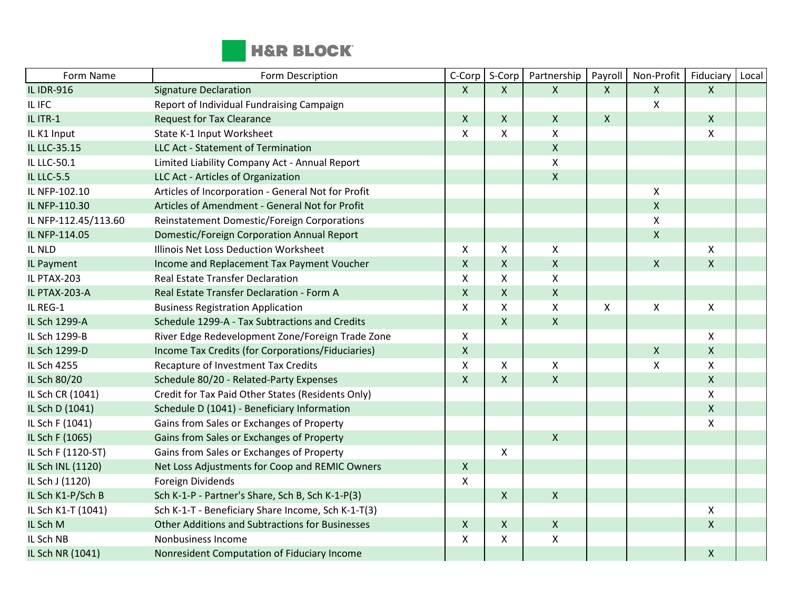

| Form Name            | Form Description                                       | C-Corp           | S-Corp             | Partnership        | Payroll                   | Non-Profit         | Fiduciary      | Local |
|----------------------|--------------------------------------------------------|------------------|--------------------|--------------------|---------------------------|--------------------|----------------|-------|
| <b>IL IDR-916</b>    | <b>Signature Declaration</b>                           | $\mathsf{X}$     | X                  | $\mathsf{X}$       | $\mathsf{X}$              | $\mathsf{X}$       | $\mathsf{X}$   |       |
| IL IFC               | Report of Individual Fundraising Campaign              |                  |                    |                    |                           | $\mathsf{X}$       |                |       |
| IL ITR-1             | <b>Request for Tax Clearance</b>                       | $\mathsf{X}$     | $\mathsf{X}$       | $\mathsf{X}$       | $\mathsf{X}$              |                    | $\mathsf{X}$   |       |
| IL K1 Input          | State K-1 Input Worksheet                              | X                | X                  | Χ                  |                           |                    | X              |       |
| IL LLC-35.15         | LLC Act - Statement of Termination                     |                  |                    | $\pmb{\mathsf{X}}$ |                           |                    |                |       |
| IL LLC-50.1          | Limited Liability Company Act - Annual Report          |                  |                    | X                  |                           |                    |                |       |
| <b>IL LLC-5.5</b>    | LLC Act - Articles of Organization                     |                  |                    | $\mathsf{x}$       |                           |                    |                |       |
| IL NFP-102.10        | Articles of Incorporation - General Not for Profit     |                  |                    |                    |                           | $\pmb{\mathsf{X}}$ |                |       |
| IL NFP-110.30        | Articles of Amendment - General Not for Profit         |                  |                    |                    |                           | $\pmb{\mathsf{X}}$ |                |       |
| IL NFP-112.45/113.60 | Reinstatement Domestic/Foreign Corporations            |                  |                    |                    |                           | $\pmb{\mathsf{X}}$ |                |       |
| IL NFP-114.05        | Domestic/Foreign Corporation Annual Report             |                  |                    |                    |                           | $\pmb{\mathsf{X}}$ |                |       |
| IL NLD               | Illinois Net Loss Deduction Worksheet                  | X                | X                  | Χ                  |                           |                    | $\pmb{\times}$ |       |
| IL Payment           | Income and Replacement Tax Payment Voucher             | $\mathsf{X}$     | $\mathsf{X}$       | $\pmb{\mathsf{X}}$ |                           | $\pmb{\times}$     | $\mathsf{X}$   |       |
| IL PTAX-203          | <b>Real Estate Transfer Declaration</b>                | X                | $\pmb{\mathsf{X}}$ | $\pmb{\mathsf{X}}$ |                           |                    |                |       |
| IL PTAX-203-A        | Real Estate Transfer Declaration - Form A              | $\mathsf{X}$     | $\mathsf{X}$       | $\mathsf{X}$       |                           |                    |                |       |
| IL REG-1             | <b>Business Registration Application</b>               | X                | X                  | X                  | $\boldsymbol{\mathsf{X}}$ | $\pmb{\mathsf{X}}$ | X              |       |
| IL Sch 1299-A        | Schedule 1299-A - Tax Subtractions and Credits         |                  | $\mathsf{X}$       | $\mathsf{x}$       |                           |                    |                |       |
| IL Sch 1299-B        | River Edge Redevelopment Zone/Foreign Trade Zone       | X                |                    |                    |                           |                    | X              |       |
| IL Sch 1299-D        | Income Tax Credits (for Corporations/Fiduciaries)      | $\mathsf{X}$     |                    |                    |                           | $\pmb{\times}$     | $\mathsf{X}$   |       |
| IL Sch 4255          | Recapture of Investment Tax Credits                    | X                | X                  | $\mathsf{X}$       |                           | $\mathsf{X}$       | $\mathsf{X}$   |       |
| IL Sch 80/20         | Schedule 80/20 - Related-Party Expenses                | $\mathsf{X}$     | $\mathsf{X}$       | $\mathsf{X}$       |                           |                    | $\mathsf{X}$   |       |
| IL Sch CR (1041)     | Credit for Tax Paid Other States (Residents Only)      |                  |                    |                    |                           |                    | X              |       |
| IL Sch D (1041)      | Schedule D (1041) - Beneficiary Information            |                  |                    |                    |                           |                    | $\mathsf{X}$   |       |
| IL Sch F (1041)      | Gains from Sales or Exchanges of Property              |                  |                    |                    |                           |                    | X              |       |
| IL Sch F (1065)      | Gains from Sales or Exchanges of Property              |                  |                    | $\pmb{\times}$     |                           |                    |                |       |
| IL Sch F (1120-ST)   | Gains from Sales or Exchanges of Property              |                  | X                  |                    |                           |                    |                |       |
| IL Sch INL (1120)    | Net Loss Adjustments for Coop and REMIC Owners         | $\boldsymbol{X}$ |                    |                    |                           |                    |                |       |
| IL Sch J (1120)      | Foreign Dividends                                      | X                |                    |                    |                           |                    |                |       |
| IL Sch K1-P/Sch B    | Sch K-1-P - Partner's Share, Sch B, Sch K-1-P(3)       |                  | $\mathsf{X}$       | $\mathsf{X}$       |                           |                    |                |       |
| IL Sch K1-T (1041)   | Sch K-1-T - Beneficiary Share Income, Sch K-1-T(3)     |                  |                    |                    |                           |                    | X              |       |
| IL Sch M             | <b>Other Additions and Subtractions for Businesses</b> | $\mathsf{X}$     | $\mathsf{X}$       | $\mathsf{X}$       |                           |                    | $\mathsf{X}$   |       |
| IL Sch NB            | Nonbusiness Income                                     | X                | X                  | $\pmb{\mathsf{X}}$ |                           |                    |                |       |
| IL Sch NR (1041)     | Nonresident Computation of Fiduciary Income            |                  |                    |                    |                           |                    | $\mathsf{X}$   |       |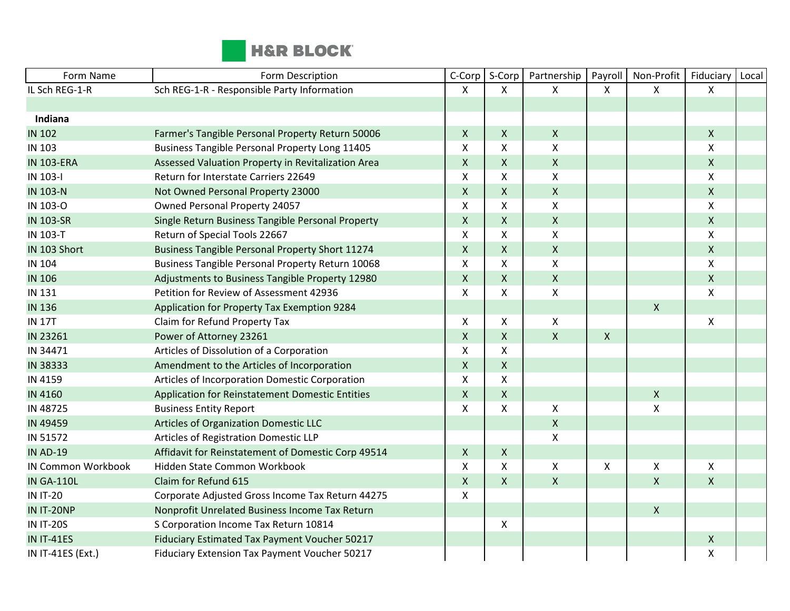

| Form Name                 | Form Description                                   | C-Corp                    | S-Corp             | Partnership               | Payroll      | Non-Profit         | Fiduciary    | Local |
|---------------------------|----------------------------------------------------|---------------------------|--------------------|---------------------------|--------------|--------------------|--------------|-------|
| IL Sch REG-1-R            | Sch REG-1-R - Responsible Party Information        | $\mathsf{X}$              | X                  | X                         | X            | X                  | X            |       |
|                           |                                                    |                           |                    |                           |              |                    |              |       |
| Indiana                   |                                                    |                           |                    |                           |              |                    |              |       |
| <b>IN 102</b>             | Farmer's Tangible Personal Property Return 50006   | $\mathsf{X}$              | X                  | $\mathsf{X}$              |              |                    | $\mathsf{X}$ |       |
| IN 103                    | Business Tangible Personal Property Long 11405     | $\boldsymbol{\mathsf{X}}$ | X                  | $\boldsymbol{\mathsf{X}}$ |              |                    | X            |       |
| <b>IN 103-ERA</b>         | Assessed Valuation Property in Revitalization Area | $\mathsf{X}$              | X                  | $\mathsf{X}$              |              |                    | $\mathsf{X}$ |       |
| IN 103-I                  | Return for Interstate Carriers 22649               | X                         | X                  | $\pmb{\mathsf{X}}$        |              |                    | X            |       |
| <b>IN 103-N</b>           | Not Owned Personal Property 23000                  | $\mathsf{X}$              | X                  | $\mathsf{X}$              |              |                    | $\mathsf{X}$ |       |
| IN 103-O                  | Owned Personal Property 24057                      | $\pmb{\mathsf{X}}$        | X                  | X                         |              |                    | X            |       |
| <b>IN 103-SR</b>          | Single Return Business Tangible Personal Property  | $\mathsf{X}$              | X                  | $\mathsf{X}$              |              |                    | $\mathsf{X}$ |       |
| IN 103-T                  | Return of Special Tools 22667                      | X                         | X                  | $\mathsf{X}$              |              |                    | X            |       |
| IN 103 Short              | Business Tangible Personal Property Short 11274    | $\mathsf X$               | $\mathsf X$        | $\pmb{\times}$            |              |                    | $\mathsf{X}$ |       |
| <b>IN 104</b>             | Business Tangible Personal Property Return 10068   | $\boldsymbol{\mathsf{X}}$ | X                  | $\pmb{\mathsf{X}}$        |              |                    | X            |       |
| <b>IN 106</b>             | Adjustments to Business Tangible Property 12980    | $\mathsf{X}$              | X                  | $\pmb{\times}$            |              |                    | $\mathsf{X}$ |       |
| IN 131                    | Petition for Review of Assessment 42936            | X                         | X                  | X                         |              |                    | X            |       |
| <b>IN 136</b>             | Application for Property Tax Exemption 9284        |                           |                    |                           |              | Χ                  |              |       |
| <b>IN 17T</b>             | Claim for Refund Property Tax                      | X                         | X                  | $\mathsf{X}$              |              |                    | X            |       |
| IN 23261                  | Power of Attorney 23261                            | $\mathsf{X}$              | $\pmb{\mathsf{X}}$ | $\mathsf{X}$              | $\mathsf{X}$ |                    |              |       |
| IN 34471                  | Articles of Dissolution of a Corporation           | X                         | X                  |                           |              |                    |              |       |
| IN 38333                  | Amendment to the Articles of Incorporation         | $\pmb{\mathsf{X}}$        | $\pmb{\mathsf{X}}$ |                           |              |                    |              |       |
| IN 4159                   | Articles of Incorporation Domestic Corporation     | X                         | X                  |                           |              |                    |              |       |
| IN 4160                   | Application for Reinstatement Domestic Entities    | $\mathsf{X}$              | $\mathsf{X}$       |                           |              | X                  |              |       |
| IN 48725                  | <b>Business Entity Report</b>                      | $\boldsymbol{\mathsf{X}}$ | X                  | X                         |              | $\pmb{\mathsf{X}}$ |              |       |
| IN 49459                  | Articles of Organization Domestic LLC              |                           |                    | $\mathsf{X}$              |              |                    |              |       |
| IN 51572                  | Articles of Registration Domestic LLP              |                           |                    | $\pmb{\mathsf{X}}$        |              |                    |              |       |
| <b>IN AD-19</b>           | Affidavit for Reinstatement of Domestic Corp 49514 | $\pmb{\mathsf{X}}$        | X                  |                           |              |                    |              |       |
| <b>IN Common Workbook</b> | Hidden State Common Workbook                       | X                         | X                  | X                         | X            | X                  | X            |       |
| <b>IN GA-110L</b>         | Claim for Refund 615                               | $\pmb{\mathsf{X}}$        | $\pmb{\mathsf{X}}$ | $\mathsf{X}$              |              | X                  | $\mathsf{X}$ |       |
| <b>IN IT-20</b>           | Corporate Adjusted Gross Income Tax Return 44275   | X                         |                    |                           |              |                    |              |       |
| IN IT-20NP                | Nonprofit Unrelated Business Income Tax Return     |                           |                    |                           |              | $\pmb{\mathsf{X}}$ |              |       |
| <b>IN IT-20S</b>          | S Corporation Income Tax Return 10814              |                           | X                  |                           |              |                    |              |       |
| <b>IN IT-41ES</b>         | Fiduciary Estimated Tax Payment Voucher 50217      |                           |                    |                           |              |                    | X            |       |
| IN IT-41ES (Ext.)         | Fiduciary Extension Tax Payment Voucher 50217      |                           |                    |                           |              |                    | X            |       |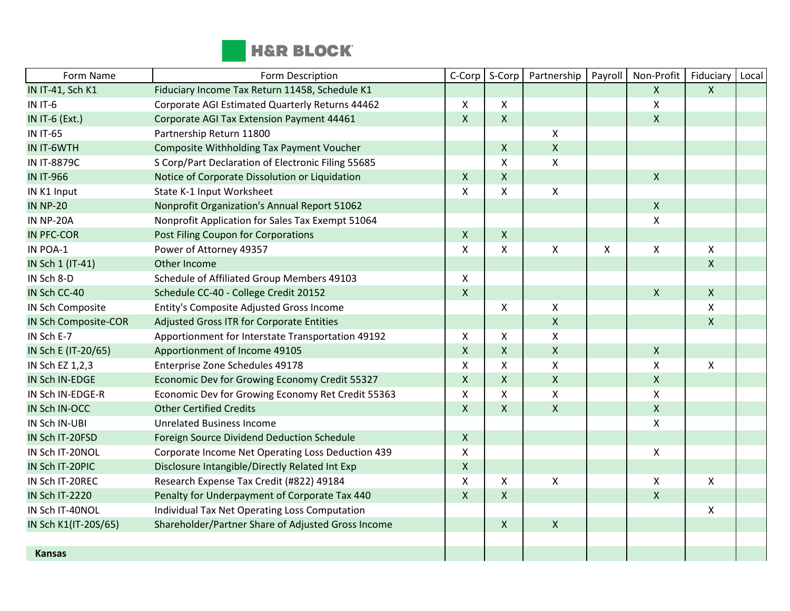

| Form Name            | Form Description                                   | C-Corp                    | S-Corp       | Partnership               | Payroll | Non-Profit         | Fiduciary      | Local |
|----------------------|----------------------------------------------------|---------------------------|--------------|---------------------------|---------|--------------------|----------------|-------|
| IN IT-41, Sch K1     | Fiduciary Income Tax Return 11458, Schedule K1     |                           |              |                           |         | X                  | X              |       |
| IN IT-6              | Corporate AGI Estimated Quarterly Returns 44462    | X                         | X            |                           |         | Χ                  |                |       |
| IN IT-6 (Ext.)       | Corporate AGI Tax Extension Payment 44461          | $\mathsf{X}$              | $\mathsf{X}$ |                           |         | $\mathsf X$        |                |       |
| <b>IN IT-65</b>      | Partnership Return 11800                           |                           |              | $\mathsf{X}$              |         |                    |                |       |
| IN IT-6WTH           | Composite Withholding Tax Payment Voucher          |                           | X            | $\mathsf{X}$              |         |                    |                |       |
| <b>IN IT-8879C</b>   | S Corp/Part Declaration of Electronic Filing 55685 |                           | X            | X                         |         |                    |                |       |
| <b>IN IT-966</b>     | Notice of Corporate Dissolution or Liquidation     | X                         | $\mathsf{X}$ |                           |         | $\pmb{\times}$     |                |       |
| IN K1 Input          | State K-1 Input Worksheet                          | $\boldsymbol{\mathsf{X}}$ | Χ            | $\pmb{\times}$            |         |                    |                |       |
| <b>IN NP-20</b>      | Nonprofit Organization's Annual Report 51062       |                           |              |                           |         | $\mathsf X$        |                |       |
| <b>IN NP-20A</b>     | Nonprofit Application for Sales Tax Exempt 51064   |                           |              |                           |         | Χ                  |                |       |
| <b>IN PFC-COR</b>    | Post Filing Coupon for Corporations                | $\mathsf{X}$              | X            |                           |         |                    |                |       |
| IN POA-1             | Power of Attorney 49357                            | $\mathsf{x}$              | X            | $\mathsf{X}$              | X       | X                  | X              |       |
| IN Sch 1 (IT-41)     | Other Income                                       |                           |              |                           |         |                    | $\mathsf{X}$   |       |
| IN Sch 8-D           | Schedule of Affiliated Group Members 49103         | $\mathsf{X}$              |              |                           |         |                    |                |       |
| IN Sch CC-40         | Schedule CC-40 - College Credit 20152              | $\pmb{\times}$            |              |                           |         | $\pmb{\mathsf{X}}$ | $\mathsf{X}$   |       |
| IN Sch Composite     | Entity's Composite Adjusted Gross Income           |                           | X            | X                         |         |                    | X              |       |
| IN Sch Composite-COR | Adjusted Gross ITR for Corporate Entities          |                           |              | $\mathsf{X}$              |         |                    | X              |       |
| IN Sch E-7           | Apportionment for Interstate Transportation 49192  | X                         | X            | $\pmb{\mathsf{X}}$        |         |                    |                |       |
| IN Sch E (IT-20/65)  | Apportionment of Income 49105                      | $\mathsf{X}$              | X            | $\pmb{\mathsf{X}}$        |         | $\pmb{\mathsf{X}}$ |                |       |
| IN Sch EZ 1,2,3      | Enterprise Zone Schedules 49178                    | $\mathsf{x}$              | X            | $\mathsf{X}$              |         | Χ                  | $\pmb{\times}$ |       |
| IN Sch IN-EDGE       | Economic Dev for Growing Economy Credit 55327      | $\mathsf{X}$              | X            | $\mathsf{X}$              |         | X                  |                |       |
| IN Sch IN-EDGE-R     | Economic Dev for Growing Economy Ret Credit 55363  | X                         | X            | $\boldsymbol{\mathsf{X}}$ |         | Χ                  |                |       |
| IN Sch IN-OCC        | <b>Other Certified Credits</b>                     | $\pmb{\times}$            | X            | $\mathsf{X}$              |         | X                  |                |       |
| IN Sch IN-UBI        | <b>Unrelated Business Income</b>                   |                           |              |                           |         | Χ                  |                |       |
| IN Sch IT-20FSD      | Foreign Source Dividend Deduction Schedule         | $\mathsf{X}$              |              |                           |         |                    |                |       |
| IN Sch IT-20NOL      | Corporate Income Net Operating Loss Deduction 439  | $\mathsf{x}$              |              |                           |         | X                  |                |       |
| IN Sch IT-20PIC      | Disclosure Intangible/Directly Related Int Exp     | $\mathsf{X}$              |              |                           |         |                    |                |       |
| IN Sch IT-20REC      | Research Expense Tax Credit (#822) 49184           | X                         | X            | $\pmb{\chi}$              |         | Χ                  | X              |       |
| IN Sch IT-2220       | Penalty for Underpayment of Corporate Tax 440      | $\mathsf{X}$              | X            |                           |         | X                  |                |       |
| IN Sch IT-40NOL      | Individual Tax Net Operating Loss Computation      |                           |              |                           |         |                    | X              |       |
| IN Sch K1(IT-20S/65) | Shareholder/Partner Share of Adjusted Gross Income |                           | $\mathsf{X}$ | $\mathsf{X}$              |         |                    |                |       |
|                      |                                                    |                           |              |                           |         |                    |                |       |
| <b>Kansas</b>        |                                                    |                           |              |                           |         |                    |                |       |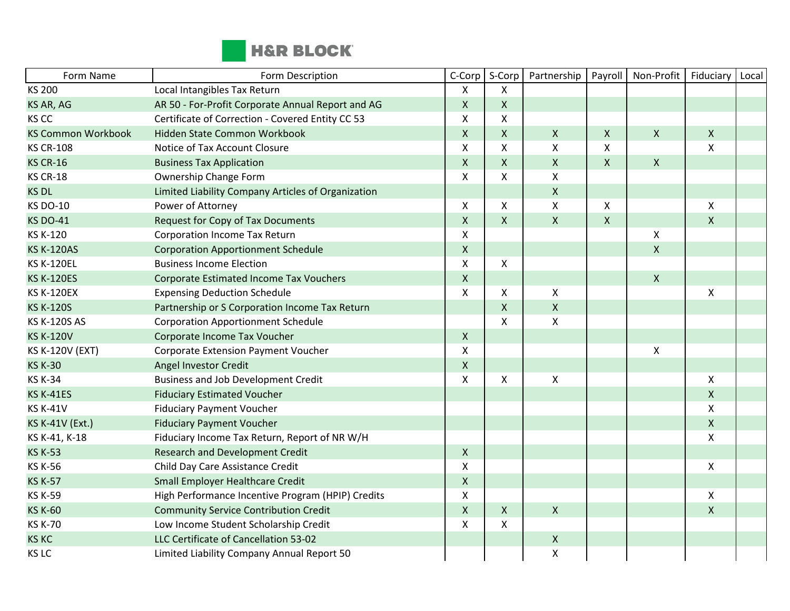

| Form Name                 | Form Description                                   | C-Corp             | S-Corp             | Partnership               | Payroll            | Non-Profit         | Fiduciary          | Local |
|---------------------------|----------------------------------------------------|--------------------|--------------------|---------------------------|--------------------|--------------------|--------------------|-------|
| <b>KS 200</b>             | Local Intangibles Tax Return                       | X                  | X                  |                           |                    |                    |                    |       |
| KS AR, AG                 | AR 50 - For-Profit Corporate Annual Report and AG  | $\mathsf{X}$       | X                  |                           |                    |                    |                    |       |
| KS CC                     | Certificate of Correction - Covered Entity CC 53   | X                  | Χ                  |                           |                    |                    |                    |       |
| <b>KS Common Workbook</b> | Hidden State Common Workbook                       | $\mathsf{X}$       | X                  | $\mathsf{X}$              | $\mathsf{X}$       | $\pmb{\mathsf{X}}$ | $\mathsf{X}$       |       |
| <b>KS CR-108</b>          | Notice of Tax Account Closure                      | X                  | X                  | X                         | X                  |                    | Χ                  |       |
| <b>KS CR-16</b>           | <b>Business Tax Application</b>                    | $\mathsf{X}$       | X                  | $\mathsf{X}$              | $\mathsf{X}$       | $\pmb{\times}$     |                    |       |
| <b>KS CR-18</b>           | Ownership Change Form                              | X                  | X                  | $\pmb{\times}$            |                    |                    |                    |       |
| <b>KS DL</b>              | Limited Liability Company Articles of Organization |                    |                    | $\mathsf{X}$              |                    |                    |                    |       |
| <b>KS DO-10</b>           | Power of Attorney                                  | X                  | X                  | $\boldsymbol{\mathsf{X}}$ | X                  |                    | X                  |       |
| <b>KS DO-41</b>           | <b>Request for Copy of Tax Documents</b>           | $\pmb{\mathsf{X}}$ | $\pmb{\mathsf{X}}$ | $\pmb{\times}$            | $\pmb{\mathsf{X}}$ |                    | X                  |       |
| KS K-120                  | Corporation Income Tax Return                      | X                  |                    |                           |                    | X                  |                    |       |
| <b>KS K-120AS</b>         | <b>Corporation Apportionment Schedule</b>          | $\mathsf X$        |                    |                           |                    | $\pmb{\mathsf{X}}$ |                    |       |
| <b>KS K-120EL</b>         | <b>Business Income Election</b>                    | X                  | X                  |                           |                    |                    |                    |       |
| <b>KS K-120ES</b>         | Corporate Estimated Income Tax Vouchers            | $\mathsf{X}$       |                    |                           |                    | $\pmb{\times}$     |                    |       |
| <b>KS K-120EX</b>         | <b>Expensing Deduction Schedule</b>                | X                  | Χ                  | X                         |                    |                    | X                  |       |
| <b>KS K-120S</b>          | Partnership or S Corporation Income Tax Return     |                    | $\pmb{\mathsf{X}}$ | $\pmb{\times}$            |                    |                    |                    |       |
| <b>KS K-120S AS</b>       | <b>Corporation Apportionment Schedule</b>          |                    | X                  | $\pmb{\times}$            |                    |                    |                    |       |
| <b>KS K-120V</b>          | Corporate Income Tax Voucher                       | $\mathsf{X}$       |                    |                           |                    |                    |                    |       |
| <b>KS K-120V (EXT)</b>    | Corporate Extension Payment Voucher                | X                  |                    |                           |                    | Χ                  |                    |       |
| <b>KS K-30</b>            | Angel Investor Credit                              | $\pmb{\mathsf{X}}$ |                    |                           |                    |                    |                    |       |
| <b>KS K-34</b>            | <b>Business and Job Development Credit</b>         | X                  | Χ                  | X                         |                    |                    | X                  |       |
| <b>KS K-41ES</b>          | <b>Fiduciary Estimated Voucher</b>                 |                    |                    |                           |                    |                    | X                  |       |
| <b>KS K-41V</b>           | <b>Fiduciary Payment Voucher</b>                   |                    |                    |                           |                    |                    | Χ                  |       |
| <b>KS K-41V (Ext.)</b>    | <b>Fiduciary Payment Voucher</b>                   |                    |                    |                           |                    |                    | X                  |       |
| KS K-41, K-18             | Fiduciary Income Tax Return, Report of NR W/H      |                    |                    |                           |                    |                    | X                  |       |
| <b>KS K-53</b>            | <b>Research and Development Credit</b>             | $\mathsf{X}$       |                    |                           |                    |                    |                    |       |
| <b>KS K-56</b>            | Child Day Care Assistance Credit                   | X                  |                    |                           |                    |                    | X                  |       |
| <b>KS K-57</b>            | Small Employer Healthcare Credit                   | $\mathsf{X}$       |                    |                           |                    |                    |                    |       |
| <b>KS K-59</b>            | High Performance Incentive Program (HPIP) Credits  | X                  |                    |                           |                    |                    | $\mathsf{X}$       |       |
| <b>KS K-60</b>            | <b>Community Service Contribution Credit</b>       | $\mathsf{X}$       | $\mathsf{X}$       | $\pmb{\times}$            |                    |                    | $\pmb{\mathsf{X}}$ |       |
| <b>KS K-70</b>            | Low Income Student Scholarship Credit              | X                  | X                  |                           |                    |                    |                    |       |
| <b>KS KC</b>              | LLC Certificate of Cancellation 53-02              |                    |                    | $\mathsf X$               |                    |                    |                    |       |
| KS LC                     | Limited Liability Company Annual Report 50         |                    |                    | $\pmb{\chi}$              |                    |                    |                    |       |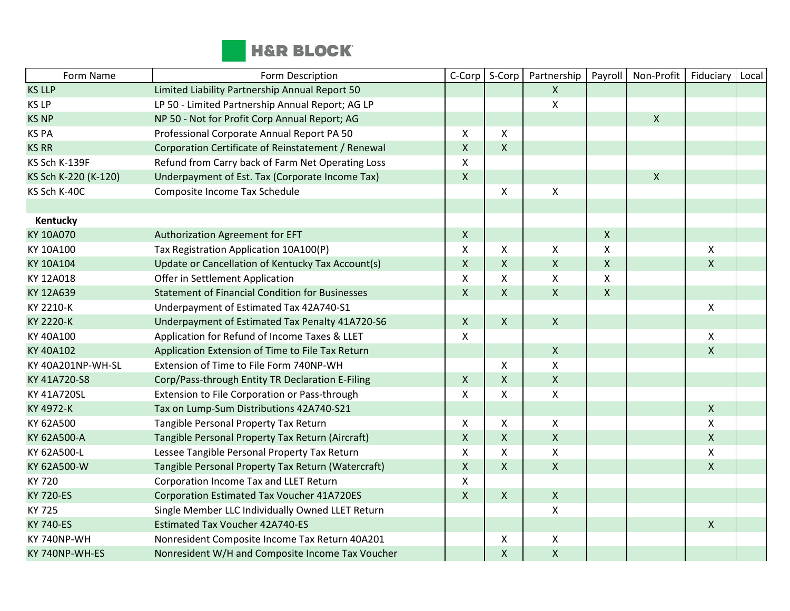

| Form Name            | Form Description                                       | C-Corp                    | S-Corp             | Partnership        | Payroll        | Non-Profit         | Fiduciary    | Local |
|----------------------|--------------------------------------------------------|---------------------------|--------------------|--------------------|----------------|--------------------|--------------|-------|
| <b>KS LLP</b>        | Limited Liability Partnership Annual Report 50         |                           |                    | $\mathsf{X}$       |                |                    |              |       |
| KS LP                | LP 50 - Limited Partnership Annual Report; AG LP       |                           |                    | $\mathsf{X}$       |                |                    |              |       |
| <b>KS NP</b>         | NP 50 - Not for Profit Corp Annual Report; AG          |                           |                    |                    |                | $\mathsf X$        |              |       |
| <b>KS PA</b>         | Professional Corporate Annual Report PA 50             | X                         | X                  |                    |                |                    |              |       |
| <b>KS RR</b>         | Corporation Certificate of Reinstatement / Renewal     | $\mathsf X$               | X                  |                    |                |                    |              |       |
| KS Sch K-139F        | Refund from Carry back of Farm Net Operating Loss      | X                         |                    |                    |                |                    |              |       |
| KS Sch K-220 (K-120) | Underpayment of Est. Tax (Corporate Income Tax)        | $\mathsf{X}$              |                    |                    |                | $\pmb{\mathsf{X}}$ |              |       |
| KS Sch K-40C         | Composite Income Tax Schedule                          |                           | X                  | $\pmb{\mathsf{X}}$ |                |                    |              |       |
|                      |                                                        |                           |                    |                    |                |                    |              |       |
| Kentucky             |                                                        |                           |                    |                    |                |                    |              |       |
| KY 10A070            | Authorization Agreement for EFT                        | $\pmb{\mathsf{X}}$        |                    |                    | $\mathsf X$    |                    |              |       |
| KY 10A100            | Tax Registration Application 10A100(P)                 | X                         | X                  | X                  | X              |                    | X            |       |
| KY 10A104            | Update or Cancellation of Kentucky Tax Account(s)      | $\mathsf X$               | X                  | $\mathsf{X}$       | $\pmb{\times}$ |                    | X            |       |
| KY 12A018            | Offer in Settlement Application                        | $\boldsymbol{\mathsf{X}}$ | X                  | X                  | $\mathsf{X}$   |                    |              |       |
| KY 12A639            | <b>Statement of Financial Condition for Businesses</b> | $\pmb{\mathsf{X}}$        | $\pmb{\mathsf{X}}$ | $\mathsf{X}$       | $\mathsf{X}$   |                    |              |       |
| KY 2210-K            | Underpayment of Estimated Tax 42A740-S1                |                           |                    |                    |                |                    | X            |       |
| KY 2220-K            | Underpayment of Estimated Tax Penalty 41A720-S6        | $\mathsf{X}$              | $\mathsf{X}$       | $\mathsf{X}$       |                |                    |              |       |
| KY 40A100            | Application for Refund of Income Taxes & LLET          | $\pmb{\mathsf{X}}$        |                    |                    |                |                    | X            |       |
| KY 40A102            | Application Extension of Time to File Tax Return       |                           |                    | $\pmb{\times}$     |                |                    | $\mathsf{X}$ |       |
| KY 40A201NP-WH-SL    | Extension of Time to File Form 740NP-WH                |                           | X                  | $\mathsf{X}$       |                |                    |              |       |
| KY 41A720-S8         | Corp/Pass-through Entity TR Declaration E-Filing       | $\mathsf{X}$              | $\pmb{\mathsf{X}}$ | $\pmb{\times}$     |                |                    |              |       |
| KY 41A720SL          | Extension to File Corporation or Pass-through          | X                         | X                  | X                  |                |                    |              |       |
| KY 4972-K            | Tax on Lump-Sum Distributions 42A740-S21               |                           |                    |                    |                |                    | $\mathsf{X}$ |       |
| KY 62A500            | Tangible Personal Property Tax Return                  | X                         | X                  | X                  |                |                    | X            |       |
| KY 62A500-A          | Tangible Personal Property Tax Return (Aircraft)       | $\mathsf X$               | X                  | $\mathsf{X}$       |                |                    | $\mathsf{X}$ |       |
| KY 62A500-L          | Lessee Tangible Personal Property Tax Return           | $\pmb{\mathsf{X}}$        | X                  | $\mathsf{X}$       |                |                    | X            |       |
| KY 62A500-W          | Tangible Personal Property Tax Return (Watercraft)     | $\mathsf{X}$              | X                  | $\mathsf{X}$       |                |                    | $\mathsf{X}$ |       |
| KY 720               | Corporation Income Tax and LLET Return                 | $\mathsf{X}$              |                    |                    |                |                    |              |       |
| <b>KY 720-ES</b>     | <b>Corporation Estimated Tax Voucher 41A720ES</b>      | $\mathsf{X}$              | $\mathsf{X}$       | $\pmb{\times}$     |                |                    |              |       |
| <b>KY 725</b>        | Single Member LLC Individually Owned LLET Return       |                           |                    | X                  |                |                    |              |       |
| <b>KY 740-ES</b>     | <b>Estimated Tax Voucher 42A740-ES</b>                 |                           |                    |                    |                |                    | $\mathsf{X}$ |       |
| KY 740NP-WH          | Nonresident Composite Income Tax Return 40A201         |                           | X                  | $\pmb{\times}$     |                |                    |              |       |
| KY 740NP-WH-ES       | Nonresident W/H and Composite Income Tax Voucher       |                           | $\pmb{\mathsf{X}}$ | $\mathsf{X}$       |                |                    |              |       |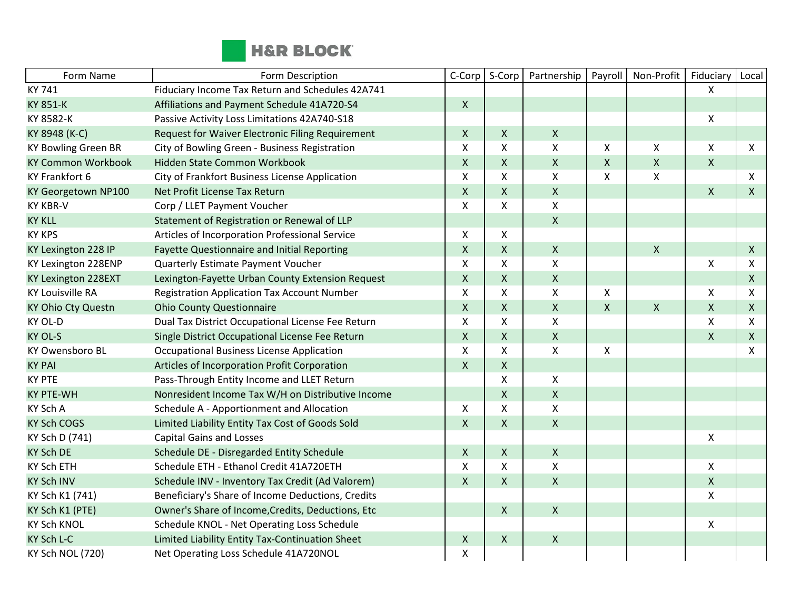

| Form Name                  | Form Description                                   | C-Corp             | S-Corp             | Partnership        | Payroll | Non-Profit         | Fiduciary    | Local        |
|----------------------------|----------------------------------------------------|--------------------|--------------------|--------------------|---------|--------------------|--------------|--------------|
| KY 741                     | Fiduciary Income Tax Return and Schedules 42A741   |                    |                    |                    |         |                    | X            |              |
| KY 851-K                   | Affiliations and Payment Schedule 41A720-S4        | $\mathsf{X}$       |                    |                    |         |                    |              |              |
| KY 8582-K                  | Passive Activity Loss Limitations 42A740-S18       |                    |                    |                    |         |                    | $\mathsf{X}$ |              |
| KY 8948 (K-C)              | Request for Waiver Electronic Filing Requirement   | $\mathsf X$        | X                  | $\pmb{\mathsf{X}}$ |         |                    |              |              |
| <b>KY Bowling Green BR</b> | City of Bowling Green - Business Registration      | X                  | X                  | $\mathsf{x}$       | X       | Χ                  | $\mathsf{X}$ | X            |
| <b>KY Common Workbook</b>  | Hidden State Common Workbook                       | $\mathsf{X}$       | X                  | $\mathsf{X}$       | Χ       | $\pmb{\times}$     | $\mathsf{X}$ |              |
| KY Frankfort 6             | City of Frankfort Business License Application     | X                  | X                  | $\pmb{\mathsf{X}}$ | Χ       | X                  |              | X            |
| KY Georgetown NP100        | Net Profit License Tax Return                      | $\mathsf{X}$       | $\pmb{\mathsf{X}}$ | $\pmb{\mathsf{X}}$ |         |                    | $\mathsf{X}$ | $\mathsf{X}$ |
| <b>KY KBR-V</b>            | Corp / LLET Payment Voucher                        | X                  | X                  | $\pmb{\times}$     |         |                    |              |              |
| <b>KY KLL</b>              | Statement of Registration or Renewal of LLP        |                    |                    | $\pmb{\times}$     |         |                    |              |              |
| <b>KY KPS</b>              | Articles of Incorporation Professional Service     | X                  | X                  |                    |         |                    |              |              |
| KY Lexington 228 IP        | <b>Fayette Questionnaire and Initial Reporting</b> | $\mathsf{X}$       | X                  | $\pmb{\times}$     |         | $\pmb{\times}$     |              | X            |
| KY Lexington 228ENP        | Quarterly Estimate Payment Voucher                 | X                  | X                  | $\pmb{\mathsf{X}}$ |         |                    | X            | X            |
| KY Lexington 228EXT        | Lexington-Fayette Urban County Extension Request   | $\pmb{\mathsf{X}}$ | X                  | $\mathsf{X}$       |         |                    |              | X            |
| <b>KY Louisville RA</b>    | <b>Registration Application Tax Account Number</b> | X                  | X                  | $\pmb{\mathsf{X}}$ | X       |                    | $\mathsf{X}$ | X            |
| KY Ohio Cty Questn         | <b>Ohio County Questionnaire</b>                   | $\mathsf{X}$       | Χ                  | $\mathsf{X}$       | Χ       | $\pmb{\mathsf{X}}$ | $\mathsf{X}$ | X            |
| KY OL-D                    | Dual Tax District Occupational License Fee Return  | X                  | X                  | $\pmb{\times}$     |         |                    | $\mathsf{X}$ | X            |
| <b>KY OL-S</b>             | Single District Occupational License Fee Return    | $\pmb{\mathsf{X}}$ | $\pmb{\mathsf{X}}$ | $\pmb{\mathsf{X}}$ |         |                    | $\mathsf{X}$ | $\mathsf{X}$ |
| KY Owensboro BL            | <b>Occupational Business License Application</b>   | X                  | X                  | X                  | X       |                    |              | X            |
| <b>KY PAI</b>              | Articles of Incorporation Profit Corporation       | $\pmb{\mathsf{X}}$ | $\pmb{\mathsf{X}}$ |                    |         |                    |              |              |
| <b>KY PTE</b>              | Pass-Through Entity Income and LLET Return         |                    | X                  | X                  |         |                    |              |              |
| <b>KY PTE-WH</b>           | Nonresident Income Tax W/H on Distributive Income  |                    | X                  | $\mathsf{X}$       |         |                    |              |              |
| KY Sch A                   | Schedule A - Apportionment and Allocation          | X                  | X                  | $\pmb{\mathsf{X}}$ |         |                    |              |              |
| <b>KY Sch COGS</b>         | Limited Liability Entity Tax Cost of Goods Sold    | $\mathsf{X}$       | X                  | $\mathsf{X}$       |         |                    |              |              |
| KY Sch D (741)             | <b>Capital Gains and Losses</b>                    |                    |                    |                    |         |                    | $\mathsf{X}$ |              |
| <b>KY Sch DE</b>           | Schedule DE - Disregarded Entity Schedule          | $\mathsf X$        | $\pmb{\mathsf{X}}$ | $\mathsf{X}$       |         |                    |              |              |
| <b>KY Sch ETH</b>          | Schedule ETH - Ethanol Credit 41A720ETH            | X                  | X                  | X                  |         |                    | $\mathsf{X}$ |              |
| <b>KY Sch INV</b>          | Schedule INV - Inventory Tax Credit (Ad Valorem)   | $\mathsf{X}$       | $\pmb{\mathsf{X}}$ | $\mathsf{X}$       |         |                    | $\mathsf{X}$ |              |
| KY Sch K1 (741)            | Beneficiary's Share of Income Deductions, Credits  |                    |                    |                    |         |                    | X            |              |
| KY Sch K1 (PTE)            | Owner's Share of Income, Credits, Deductions, Etc  |                    | $\mathsf{X}$       | $\mathsf{X}$       |         |                    |              |              |
| <b>KY Sch KNOL</b>         | Schedule KNOL - Net Operating Loss Schedule        |                    |                    |                    |         |                    | $\mathsf{X}$ |              |
| KY Sch L-C                 | Limited Liability Entity Tax-Continuation Sheet    | X                  | $\mathsf X$        | $\mathsf X$        |         |                    |              |              |
| KY Sch NOL (720)           | Net Operating Loss Schedule 41A720NOL              | X                  |                    |                    |         |                    |              |              |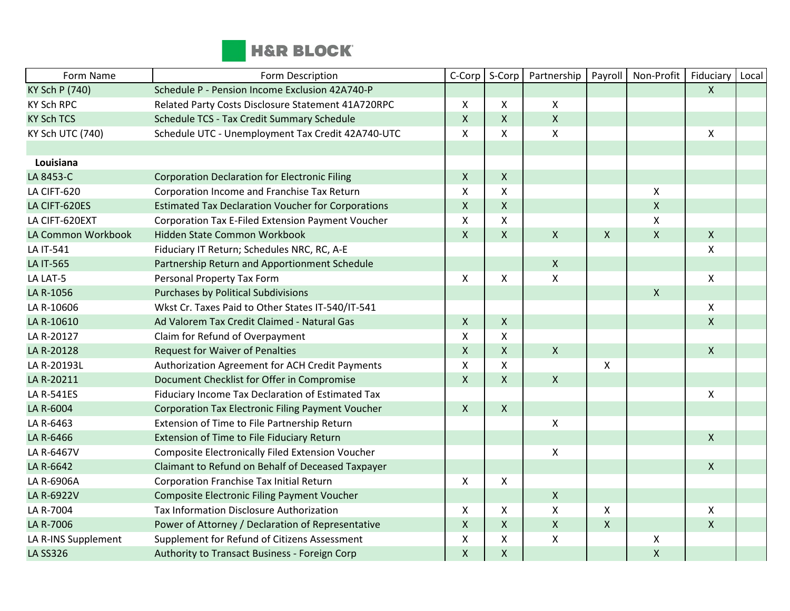

| Form Name             | Form Description                                          | C-Corp             | S-Corp             | Partnership        | Payroll                   | Non-Profit         | Fiduciary          | Local |
|-----------------------|-----------------------------------------------------------|--------------------|--------------------|--------------------|---------------------------|--------------------|--------------------|-------|
| <b>KY Sch P (740)</b> | Schedule P - Pension Income Exclusion 42A740-P            |                    |                    |                    |                           |                    | $\mathsf{X}$       |       |
| <b>KY Sch RPC</b>     | Related Party Costs Disclosure Statement 41A720RPC        | $\mathsf{X}$       | X                  | X                  |                           |                    |                    |       |
| <b>KY Sch TCS</b>     | Schedule TCS - Tax Credit Summary Schedule                | $\mathsf{X}$       | $\mathsf{X}$       | $\mathsf{X}$       |                           |                    |                    |       |
| KY Sch UTC (740)      | Schedule UTC - Unemployment Tax Credit 42A740-UTC         | $\mathsf{X}$       | X                  | X                  |                           |                    | $\mathsf{X}$       |       |
|                       |                                                           |                    |                    |                    |                           |                    |                    |       |
| Louisiana             |                                                           |                    |                    |                    |                           |                    |                    |       |
| LA 8453-C             | <b>Corporation Declaration for Electronic Filing</b>      | $\pmb{\mathsf{X}}$ | $\mathsf X$        |                    |                           |                    |                    |       |
| LA CIFT-620           | Corporation Income and Franchise Tax Return               | $\mathsf{x}$       | X                  |                    |                           | $\pmb{\mathsf{X}}$ |                    |       |
| LA CIFT-620ES         | <b>Estimated Tax Declaration Voucher for Corporations</b> | $\mathsf{X}$       | $\mathsf{X}$       |                    |                           | $\pmb{\mathsf{X}}$ |                    |       |
| LA CIFT-620EXT        | Corporation Tax E-Filed Extension Payment Voucher         | X                  | X                  |                    |                           | $\pmb{\mathsf{X}}$ |                    |       |
| LA Common Workbook    | Hidden State Common Workbook                              | $\mathsf{X}$       | $\mathsf{X}$       | $\mathsf{X}$       | $\mathsf{X}$              | $\pmb{\mathsf{X}}$ | $\mathsf{X}$       |       |
| LA IT-541             | Fiduciary IT Return; Schedules NRC, RC, A-E               |                    |                    |                    |                           |                    | X                  |       |
| LA IT-565             | Partnership Return and Apportionment Schedule             |                    |                    | $\mathsf{X}$       |                           |                    |                    |       |
| LA LAT-5              | Personal Property Tax Form                                | $\mathsf{X}$       | X                  | X                  |                           |                    | X                  |       |
| LA R-1056             | Purchases by Political Subdivisions                       |                    |                    |                    |                           | $\pmb{\mathsf{X}}$ |                    |       |
| LA R-10606            | Wkst Cr. Taxes Paid to Other States IT-540/IT-541         |                    |                    |                    |                           |                    | X                  |       |
| LA R-10610            | Ad Valorem Tax Credit Claimed - Natural Gas               | $\mathsf{X}$       | $\mathsf{X}$       |                    |                           |                    | $\mathsf{X}$       |       |
| LA R-20127            | Claim for Refund of Overpayment                           | X                  | $\pmb{\mathsf{X}}$ |                    |                           |                    |                    |       |
| LA R-20128            | <b>Request for Waiver of Penalties</b>                    | $\mathsf{X}$       | $\mathsf{X}$       | $\mathsf{X}$       |                           |                    | $\mathsf{X}$       |       |
| LA R-20193L           | Authorization Agreement for ACH Credit Payments           | $\pmb{\times}$     | X                  |                    | $\boldsymbol{\mathsf{X}}$ |                    |                    |       |
| LA R-20211            | Document Checklist for Offer in Compromise                | $\mathsf{X}$       | $\mathsf{X}$       | $\mathsf{X}$       |                           |                    |                    |       |
| LA R-541ES            | Fiduciary Income Tax Declaration of Estimated Tax         |                    |                    |                    |                           |                    | X                  |       |
| LA R-6004             | <b>Corporation Tax Electronic Filing Payment Voucher</b>  | $\mathsf{X}$       | $\mathsf{X}$       |                    |                           |                    |                    |       |
| LA R-6463             | Extension of Time to File Partnership Return              |                    |                    | $\mathsf{X}$       |                           |                    |                    |       |
| LA R-6466             | Extension of Time to File Fiduciary Return                |                    |                    |                    |                           |                    | $\mathsf{X}$       |       |
| LA R-6467V            | Composite Electronically Filed Extension Voucher          |                    |                    | X                  |                           |                    |                    |       |
| LA R-6642             | Claimant to Refund on Behalf of Deceased Taxpayer         |                    |                    |                    |                           |                    | $\mathsf{X}$       |       |
| LA R-6906A            | Corporation Franchise Tax Initial Return                  | $\mathsf{X}$       | X                  |                    |                           |                    |                    |       |
| LA R-6922V            | Composite Electronic Filing Payment Voucher               |                    |                    | $\mathsf{X}$       |                           |                    |                    |       |
| LA R-7004             | Tax Information Disclosure Authorization                  | X                  | X                  | X                  | $\boldsymbol{\mathsf{X}}$ |                    | X                  |       |
| LA R-7006             | Power of Attorney / Declaration of Representative         | $\pmb{\times}$     | $\mathsf{X}$       | $\mathsf{X}$       | $\pmb{\mathsf{X}}$        |                    | $\pmb{\mathsf{X}}$ |       |
| LA R-INS Supplement   | Supplement for Refund of Citizens Assessment              | $\mathsf X$        | X                  | $\pmb{\mathsf{X}}$ |                           | Χ                  |                    |       |
| <b>LA SS326</b>       | Authority to Transact Business - Foreign Corp             | $\mathsf{X}$       | $\mathsf{X}$       |                    |                           | $\pmb{\mathsf{X}}$ |                    |       |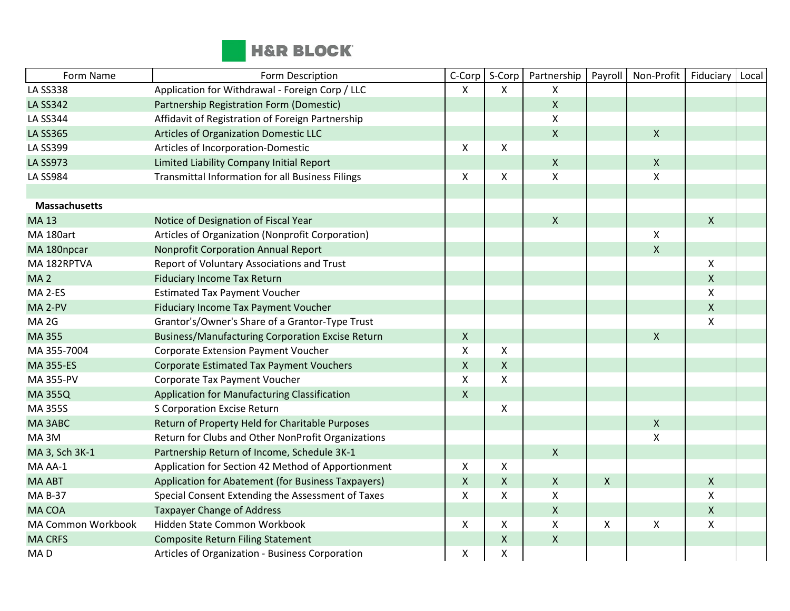

| Form Name            | Form Description                                        | C-Corp             | S-Corp             | Partnership               | Payroll                   | Non-Profit                | Fiduciary          | Local |
|----------------------|---------------------------------------------------------|--------------------|--------------------|---------------------------|---------------------------|---------------------------|--------------------|-------|
| <b>LA SS338</b>      | Application for Withdrawal - Foreign Corp / LLC         | X                  | X                  | X                         |                           |                           |                    |       |
| <b>LA SS342</b>      | Partnership Registration Form (Domestic)                |                    |                    | $\mathsf{X}$              |                           |                           |                    |       |
| <b>LA SS344</b>      | Affidavit of Registration of Foreign Partnership        |                    |                    | X                         |                           |                           |                    |       |
| <b>LA SS365</b>      | Articles of Organization Domestic LLC                   |                    |                    | $\mathsf{X}$              |                           | $\pmb{\mathsf{X}}$        |                    |       |
| <b>LA SS399</b>      | Articles of Incorporation-Domestic                      | X                  | X                  |                           |                           |                           |                    |       |
| <b>LA SS973</b>      | Limited Liability Company Initial Report                |                    |                    | $\mathsf X$               |                           | $\pmb{\mathsf{X}}$        |                    |       |
| <b>LA SS984</b>      | <b>Transmittal Information for all Business Filings</b> | X                  | X                  | Χ                         |                           | $\boldsymbol{\mathsf{X}}$ |                    |       |
|                      |                                                         |                    |                    |                           |                           |                           |                    |       |
| <b>Massachusetts</b> |                                                         |                    |                    |                           |                           |                           |                    |       |
| <b>MA13</b>          | Notice of Designation of Fiscal Year                    |                    |                    | $\mathsf{X}$              |                           |                           | $\mathsf{X}$       |       |
| MA 180art            | Articles of Organization (Nonprofit Corporation)        |                    |                    |                           |                           | Χ                         |                    |       |
| MA 180npcar          | Nonprofit Corporation Annual Report                     |                    |                    |                           |                           | $\pmb{\mathsf{X}}$        |                    |       |
| MA 182RPTVA          | Report of Voluntary Associations and Trust              |                    |                    |                           |                           |                           | X                  |       |
| MA <sub>2</sub>      | <b>Fiduciary Income Tax Return</b>                      |                    |                    |                           |                           |                           | $\pmb{\mathsf{X}}$ |       |
| MA 2-ES              | <b>Estimated Tax Payment Voucher</b>                    |                    |                    |                           |                           |                           | X                  |       |
| MA <sub>2-PV</sub>   | Fiduciary Income Tax Payment Voucher                    |                    |                    |                           |                           |                           | $\mathsf{X}$       |       |
| MA <sub>2G</sub>     | Grantor's/Owner's Share of a Grantor-Type Trust         |                    |                    |                           |                           |                           | X                  |       |
| MA 355               | <b>Business/Manufacturing Corporation Excise Return</b> | $\mathsf{X}$       |                    |                           |                           | $\mathsf{X}$              |                    |       |
| MA 355-7004          | Corporate Extension Payment Voucher                     | X                  | X                  |                           |                           |                           |                    |       |
| <b>MA 355-ES</b>     | <b>Corporate Estimated Tax Payment Vouchers</b>         | $\pmb{\mathsf{X}}$ | $\pmb{\mathsf{X}}$ |                           |                           |                           |                    |       |
| MA 355-PV            | Corporate Tax Payment Voucher                           | X                  | X                  |                           |                           |                           |                    |       |
| <b>MA 355Q</b>       | Application for Manufacturing Classification            | $\mathsf{X}$       |                    |                           |                           |                           |                    |       |
| <b>MA 355S</b>       | S Corporation Excise Return                             |                    | X                  |                           |                           |                           |                    |       |
| MA3ABC               | Return of Property Held for Charitable Purposes         |                    |                    |                           |                           | $\pmb{\mathsf{X}}$        |                    |       |
| MA3M                 | Return for Clubs and Other NonProfit Organizations      |                    |                    |                           |                           | X                         |                    |       |
| MA 3, Sch 3K-1       | Partnership Return of Income, Schedule 3K-1             |                    |                    | $\mathsf{X}$              |                           |                           |                    |       |
| MA AA-1              | Application for Section 42 Method of Apportionment      | $\mathsf{X}$       | X                  |                           |                           |                           |                    |       |
| <b>MA ABT</b>        | Application for Abatement (for Business Taxpayers)      | $\mathsf{X}$       | X                  | $\mathsf{X}$              | $\mathsf{X}$              |                           | $\mathsf{X}$       |       |
| <b>MA B-37</b>       | Special Consent Extending the Assessment of Taxes       | X                  | X                  | Χ                         |                           |                           | X                  |       |
| <b>MA COA</b>        | <b>Taxpayer Change of Address</b>                       |                    |                    | $\boldsymbol{\mathsf{X}}$ |                           |                           | $\mathsf X$        |       |
| MA Common Workbook   | Hidden State Common Workbook                            | $\mathsf{X}$       | X                  | X                         | $\boldsymbol{\mathsf{X}}$ | X                         | X                  |       |
| <b>MA CRFS</b>       | <b>Composite Return Filing Statement</b>                |                    | X                  | $\mathsf{X}$              |                           |                           |                    |       |
| MA <sub>D</sub>      | Articles of Organization - Business Corporation         | Χ                  | X                  |                           |                           |                           |                    |       |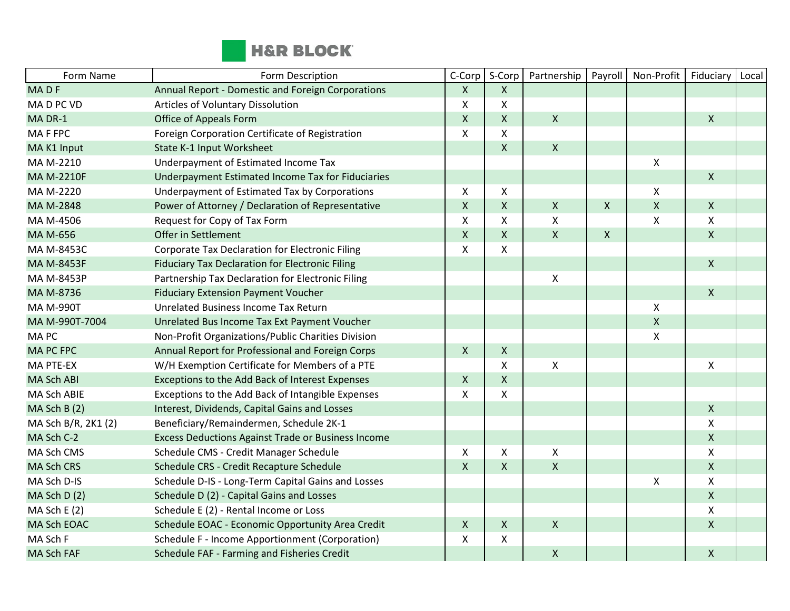

| Form Name           | Form Description                                       | C-Corp                    | S-Corp       | Partnership  | Payroll      | Non-Profit         | Fiduciary    | Local |
|---------------------|--------------------------------------------------------|---------------------------|--------------|--------------|--------------|--------------------|--------------|-------|
| MADF                | Annual Report - Domestic and Foreign Corporations      | $\mathsf{X}$              | X            |              |              |                    |              |       |
| MAD PC VD           | Articles of Voluntary Dissolution                      | X                         | X            |              |              |                    |              |       |
| MA DR-1             | Office of Appeals Form                                 | $\mathsf{X}$              | X            | $\mathsf{X}$ |              |                    | $\mathsf{X}$ |       |
| MA F FPC            | Foreign Corporation Certificate of Registration        | X                         | X            |              |              |                    |              |       |
| MAK1 Input          | State K-1 Input Worksheet                              |                           | X            | $\mathsf{X}$ |              |                    |              |       |
| MA M-2210           | Underpayment of Estimated Income Tax                   |                           |              |              |              | X                  |              |       |
| <b>MA M-2210F</b>   | Underpayment Estimated Income Tax for Fiduciaries      |                           |              |              |              |                    | $\mathsf{X}$ |       |
| MA M-2220           | Underpayment of Estimated Tax by Corporations          | $\boldsymbol{\mathsf{X}}$ | X            |              |              | $\pmb{\mathsf{X}}$ |              |       |
| MA M-2848           | Power of Attorney / Declaration of Representative      | $\mathsf{X}$              | $\mathsf{X}$ | $\mathsf{X}$ | $\mathsf{X}$ | $\pmb{\mathsf{X}}$ | $\mathsf{X}$ |       |
| MA M-4506           | Request for Copy of Tax Form                           | X                         | X            | X            |              | $\pmb{\mathsf{X}}$ | X            |       |
| MA M-656            | Offer in Settlement                                    | $\mathsf{X}$              | $\mathsf{X}$ | $\mathsf{X}$ | $\mathsf{X}$ |                    | $\mathsf{X}$ |       |
| MA M-8453C          | <b>Corporate Tax Declaration for Electronic Filing</b> | X                         | X            |              |              |                    |              |       |
| <b>MA M-8453F</b>   | <b>Fiduciary Tax Declaration for Electronic Filing</b> |                           |              |              |              |                    | $\mathsf{X}$ |       |
| MA M-8453P          | Partnership Tax Declaration for Electronic Filing      |                           |              | X            |              |                    |              |       |
| MA M-8736           | <b>Fiduciary Extension Payment Voucher</b>             |                           |              |              |              |                    | $\mathsf{X}$ |       |
| <b>MA M-990T</b>    | Unrelated Business Income Tax Return                   |                           |              |              |              | X                  |              |       |
| MA M-990T-7004      | Unrelated Bus Income Tax Ext Payment Voucher           |                           |              |              |              | $\pmb{\mathsf{X}}$ |              |       |
| <b>MAPC</b>         | Non-Profit Organizations/Public Charities Division     |                           |              |              |              | $\pmb{\mathsf{X}}$ |              |       |
| <b>MAPCFPC</b>      | Annual Report for Professional and Foreign Corps       | $\mathsf{X}$              | $\mathsf{X}$ |              |              |                    |              |       |
| <b>MA PTE-EX</b>    | W/H Exemption Certificate for Members of a PTE         |                           | X            | X            |              |                    | X            |       |
| <b>MA Sch ABI</b>   | Exceptions to the Add Back of Interest Expenses        | $\mathsf{X}$              | $\mathsf{X}$ |              |              |                    |              |       |
| <b>MA Sch ABIE</b>  | Exceptions to the Add Back of Intangible Expenses      | X                         | X            |              |              |                    |              |       |
| MA Sch B (2)        | Interest, Dividends, Capital Gains and Losses          |                           |              |              |              |                    | $\mathsf{X}$ |       |
| MA Sch B/R, 2K1 (2) | Beneficiary/Remaindermen, Schedule 2K-1                |                           |              |              |              |                    | X            |       |
| MA Sch C-2          | Excess Deductions Against Trade or Business Income     |                           |              |              |              |                    | $\mathsf X$  |       |
| MA Sch CMS          | Schedule CMS - Credit Manager Schedule                 | $\mathsf{X}$              | X            | X            |              |                    | X            |       |
| <b>MA Sch CRS</b>   | Schedule CRS - Credit Recapture Schedule               | $\mathsf{X}$              | $\mathsf{X}$ | $\mathsf{X}$ |              |                    | $\mathsf{X}$ |       |
| MA Sch D-IS         | Schedule D-IS - Long-Term Capital Gains and Losses     |                           |              |              |              | $\pmb{\mathsf{X}}$ | X            |       |
| MA Sch D(2)         | Schedule D (2) - Capital Gains and Losses              |                           |              |              |              |                    | $\mathsf{X}$ |       |
| MA Sch E $(2)$      | Schedule E (2) - Rental Income or Loss                 |                           |              |              |              |                    | X            |       |
| MA Sch EOAC         | Schedule EOAC - Economic Opportunity Area Credit       | $\mathsf{X}$              | X            | $\mathsf{X}$ |              |                    | $\mathsf{X}$ |       |
| MA Sch F            | Schedule F - Income Apportionment (Corporation)        | X                         | X            |              |              |                    |              |       |
| <b>MA Sch FAF</b>   | Schedule FAF - Farming and Fisheries Credit            |                           |              | $\mathsf{X}$ |              |                    | $\mathsf{X}$ |       |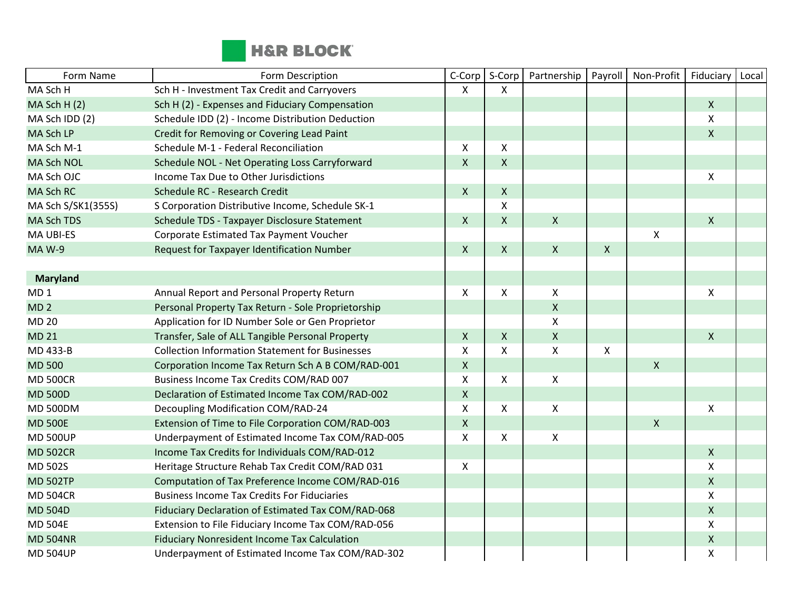

| Form Name          | Form Description                                       | C-Corp                    | S-Corp             | Partnership        | Payroll      | Non-Profit         | Fiduciary                 | Local |
|--------------------|--------------------------------------------------------|---------------------------|--------------------|--------------------|--------------|--------------------|---------------------------|-------|
| MA Sch H           | Sch H - Investment Tax Credit and Carryovers           | $\mathsf{X}$              | X.                 |                    |              |                    |                           |       |
| MA Sch H (2)       | Sch H (2) - Expenses and Fiduciary Compensation        |                           |                    |                    |              |                    | $\mathsf X$               |       |
| MA Sch IDD (2)     | Schedule IDD (2) - Income Distribution Deduction       |                           |                    |                    |              |                    | X                         |       |
| MA Sch LP          | Credit for Removing or Covering Lead Paint             |                           |                    |                    |              |                    | $\mathsf{X}$              |       |
| MA Sch M-1         | Schedule M-1 - Federal Reconciliation                  | X                         | X                  |                    |              |                    |                           |       |
| MA Sch NOL         | Schedule NOL - Net Operating Loss Carryforward         | $\mathsf{X}$              | X                  |                    |              |                    |                           |       |
| MA Sch OJC         | Income Tax Due to Other Jurisdictions                  |                           |                    |                    |              |                    | $\boldsymbol{\mathsf{X}}$ |       |
| <b>MA Sch RC</b>   | Schedule RC - Research Credit                          | $\mathsf{X}$              | $\pmb{\mathsf{X}}$ |                    |              |                    |                           |       |
| MA Sch S/SK1(355S) | S Corporation Distributive Income, Schedule SK-1       |                           | X                  |                    |              |                    |                           |       |
| <b>MA Sch TDS</b>  | Schedule TDS - Taxpayer Disclosure Statement           | $\mathsf{X}$              | $\pmb{\mathsf{X}}$ | $\mathsf X$        |              |                    | $\mathsf{X}$              |       |
| MA UBI-ES          | Corporate Estimated Tax Payment Voucher                |                           |                    |                    |              | $\pmb{\mathsf{X}}$ |                           |       |
| <b>MA W-9</b>      | Request for Taxpayer Identification Number             | $\mathsf{X}$              | $\mathsf{X}$       | $\mathsf{X}$       | $\mathsf{X}$ |                    |                           |       |
|                    |                                                        |                           |                    |                    |              |                    |                           |       |
| <b>Maryland</b>    |                                                        |                           |                    |                    |              |                    |                           |       |
| MD <sub>1</sub>    | Annual Report and Personal Property Return             | X                         | X                  | $\mathsf{X}$       |              |                    | X                         |       |
| MD <sub>2</sub>    | Personal Property Tax Return - Sole Proprietorship     |                           |                    | $\mathsf{X}$       |              |                    |                           |       |
| <b>MD 20</b>       | Application for ID Number Sole or Gen Proprietor       |                           |                    | $\pmb{\mathsf{X}}$ |              |                    |                           |       |
| <b>MD 21</b>       | Transfer, Sale of ALL Tangible Personal Property       | $\mathsf{X}$              | X                  | $\mathsf{X}$       |              |                    | $\mathsf{X}$              |       |
| MD 433-B           | <b>Collection Information Statement for Businesses</b> | X                         | X                  | $\pmb{\mathsf{X}}$ | X            |                    |                           |       |
| <b>MD 500</b>      | Corporation Income Tax Return Sch A B COM/RAD-001      | $\pmb{\mathsf{X}}$        |                    |                    |              | $\pmb{\mathsf{X}}$ |                           |       |
| <b>MD 500CR</b>    | Business Income Tax Credits COM/RAD 007                | $\mathsf{X}$              | X                  | $\mathsf{X}$       |              |                    |                           |       |
| <b>MD 500D</b>     | Declaration of Estimated Income Tax COM/RAD-002        | $\pmb{\mathsf{X}}$        |                    |                    |              |                    |                           |       |
| <b>MD 500DM</b>    | Decoupling Modification COM/RAD-24                     | $\boldsymbol{\mathsf{X}}$ | X                  | $\pmb{\times}$     |              |                    | $\boldsymbol{\mathsf{X}}$ |       |
| <b>MD 500E</b>     | Extension of Time to File Corporation COM/RAD-003      | $\mathsf X$               |                    |                    |              | $\mathsf X$        |                           |       |
| <b>MD 500UP</b>    | Underpayment of Estimated Income Tax COM/RAD-005       | X                         | X                  | $\mathsf{X}$       |              |                    |                           |       |
| <b>MD 502CR</b>    | Income Tax Credits for Individuals COM/RAD-012         |                           |                    |                    |              |                    | $\mathsf{X}$              |       |
| <b>MD 502S</b>     | Heritage Structure Rehab Tax Credit COM/RAD 031        | $\mathsf{X}$              |                    |                    |              |                    | $\mathsf{X}$              |       |
| <b>MD 502TP</b>    | Computation of Tax Preference Income COM/RAD-016       |                           |                    |                    |              |                    | $\mathsf{X}$              |       |
| <b>MD 504CR</b>    | <b>Business Income Tax Credits For Fiduciaries</b>     |                           |                    |                    |              |                    | $\boldsymbol{\mathsf{X}}$ |       |
| <b>MD 504D</b>     | Fiduciary Declaration of Estimated Tax COM/RAD-068     |                           |                    |                    |              |                    | $\pmb{\mathsf{X}}$        |       |
| <b>MD 504E</b>     | Extension to File Fiduciary Income Tax COM/RAD-056     |                           |                    |                    |              |                    | $\mathsf{X}$              |       |
| <b>MD 504NR</b>    | <b>Fiduciary Nonresident Income Tax Calculation</b>    |                           |                    |                    |              |                    | $\mathsf X$               |       |
| <b>MD 504UP</b>    | Underpayment of Estimated Income Tax COM/RAD-302       |                           |                    |                    |              |                    | X                         |       |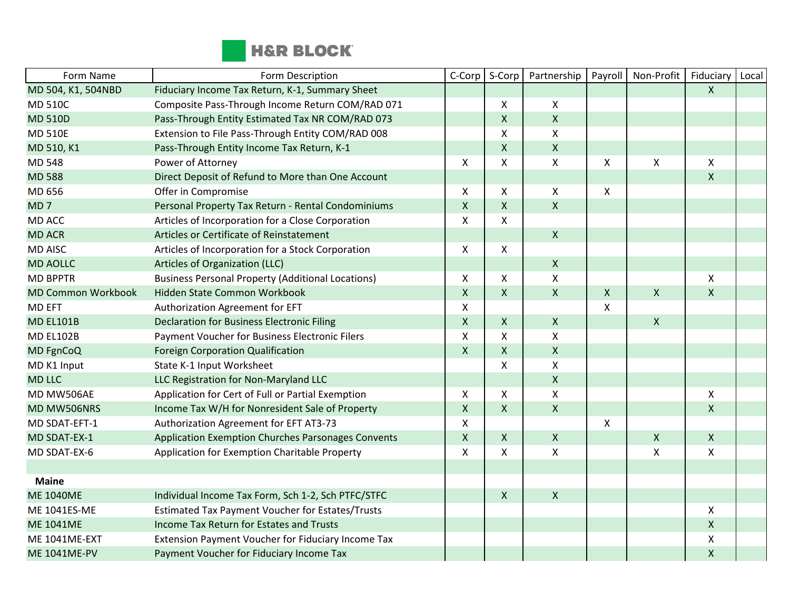

| Form Name                 | Form Description                                          | C-Corp                    | S-Corp       | Partnership        | Payroll                   | Non-Profit                | Fiduciary          | Local |
|---------------------------|-----------------------------------------------------------|---------------------------|--------------|--------------------|---------------------------|---------------------------|--------------------|-------|
| MD 504, K1, 504NBD        | Fiduciary Income Tax Return, K-1, Summary Sheet           |                           |              |                    |                           |                           | $\mathsf{X}$       |       |
| <b>MD 510C</b>            | Composite Pass-Through Income Return COM/RAD 071          |                           | X            | X                  |                           |                           |                    |       |
| <b>MD 510D</b>            | Pass-Through Entity Estimated Tax NR COM/RAD 073          |                           | $\mathsf{X}$ | $\mathsf{X}$       |                           |                           |                    |       |
| <b>MD 510E</b>            | Extension to File Pass-Through Entity COM/RAD 008         |                           | X            | X                  |                           |                           |                    |       |
| MD 510, K1                | Pass-Through Entity Income Tax Return, K-1                |                           | $\mathsf{X}$ | $\pmb{\mathsf{X}}$ |                           |                           |                    |       |
| <b>MD 548</b>             | Power of Attorney                                         | $\boldsymbol{\mathsf{X}}$ | X            | $\pmb{\mathsf{X}}$ | X                         | Χ                         | X                  |       |
| <b>MD 588</b>             | Direct Deposit of Refund to More than One Account         |                           |              |                    |                           |                           | $\mathsf{X}$       |       |
| MD 656                    | Offer in Compromise                                       | X                         | X            | X                  | $\boldsymbol{\mathsf{X}}$ |                           |                    |       |
| MD <sub>7</sub>           | Personal Property Tax Return - Rental Condominiums        | $\mathsf{X}$              | $\mathsf{X}$ | $\mathsf{X}$       |                           |                           |                    |       |
| MD ACC                    | Articles of Incorporation for a Close Corporation         | X                         | X            |                    |                           |                           |                    |       |
| <b>MD ACR</b>             | Articles or Certificate of Reinstatement                  |                           |              | $\pmb{\times}$     |                           |                           |                    |       |
| <b>MD AISC</b>            | Articles of Incorporation for a Stock Corporation         | $\mathsf{X}$              | X            |                    |                           |                           |                    |       |
| <b>MD AOLLC</b>           | Articles of Organization (LLC)                            |                           |              | $\mathsf{X}$       |                           |                           |                    |       |
| <b>MD BPPTR</b>           | <b>Business Personal Property (Additional Locations)</b>  | X                         | X            | X                  |                           |                           | X                  |       |
| <b>MD Common Workbook</b> | Hidden State Common Workbook                              | $\mathsf{X}$              | $\mathsf{X}$ | $\pmb{\times}$     | $\boldsymbol{X}$          | $\pmb{\chi}$              | $\mathsf{X}$       |       |
| <b>MD EFT</b>             | Authorization Agreement for EFT                           | X                         |              |                    | X                         |                           |                    |       |
| <b>MD EL101B</b>          | <b>Declaration for Business Electronic Filing</b>         | $\mathsf{X}$              | $\mathsf{X}$ | $\mathsf{X}$       |                           | $\mathsf{X}$              |                    |       |
| <b>MD EL102B</b>          | Payment Voucher for Business Electronic Filers            | X                         | X            | X                  |                           |                           |                    |       |
| MD FgnCoQ                 | Foreign Corporation Qualification                         | $\mathsf{X}$              | $\mathsf{X}$ | $\mathsf{X}$       |                           |                           |                    |       |
| MD K1 Input               | State K-1 Input Worksheet                                 |                           | X            | $\mathsf{X}$       |                           |                           |                    |       |
| <b>MD LLC</b>             | LLC Registration for Non-Maryland LLC                     |                           |              | $\mathsf X$        |                           |                           |                    |       |
| MD MW506AE                | Application for Cert of Full or Partial Exemption         | X                         | X            | X                  |                           |                           | X                  |       |
| MD MW506NRS               | Income Tax W/H for Nonresident Sale of Property           | $\mathsf{X}$              | $\mathsf{X}$ | $\mathsf{X}$       |                           |                           | $\mathsf{x}$       |       |
| MD SDAT-EFT-1             | Authorization Agreement for EFT AT3-73                    | X                         |              |                    | $\boldsymbol{\mathsf{X}}$ |                           |                    |       |
| MD SDAT-EX-1              | <b>Application Exemption Churches Parsonages Convents</b> | $\mathsf X$               | X            | $\pmb{\times}$     |                           | $\pmb{\mathsf{X}}$        | $\pmb{\mathsf{X}}$ |       |
| MD SDAT-EX-6              | Application for Exemption Charitable Property             | X                         | X            | $\pmb{\mathsf{X}}$ |                           | $\boldsymbol{\mathsf{X}}$ | X                  |       |
|                           |                                                           |                           |              |                    |                           |                           |                    |       |
| <b>Maine</b>              |                                                           |                           |              |                    |                           |                           |                    |       |
| <b>ME 1040ME</b>          | Individual Income Tax Form, Sch 1-2, Sch PTFC/STFC        |                           | $\mathsf{X}$ | $\mathsf X$        |                           |                           |                    |       |
| ME 1041ES-ME              | <b>Estimated Tax Payment Voucher for Estates/Trusts</b>   |                           |              |                    |                           |                           | X                  |       |
| <b>ME 1041ME</b>          | Income Tax Return for Estates and Trusts                  |                           |              |                    |                           |                           | $\mathsf{X}$       |       |
| <b>ME 1041ME-EXT</b>      | Extension Payment Voucher for Fiduciary Income Tax        |                           |              |                    |                           |                           | X                  |       |
| <b>ME 1041ME-PV</b>       | Payment Voucher for Fiduciary Income Tax                  |                           |              |                    |                           |                           | $\pmb{\mathsf{X}}$ |       |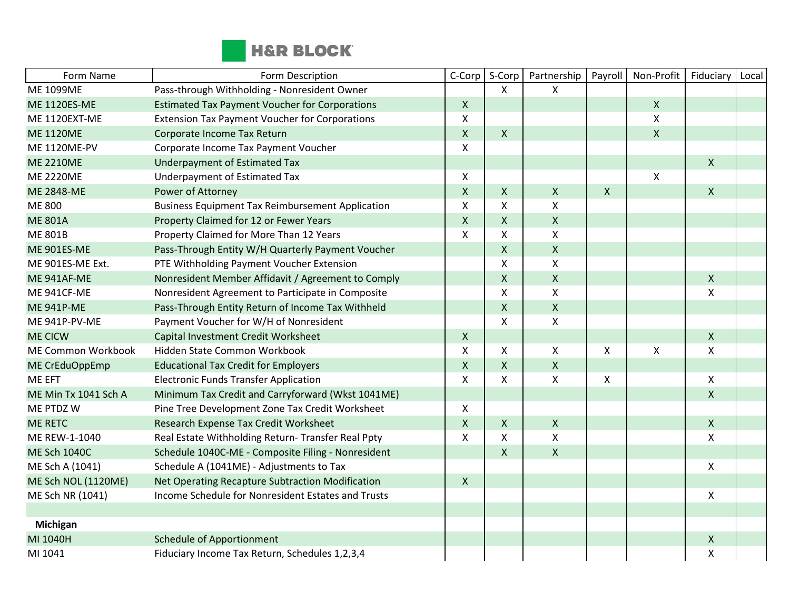

| Form Name            | Form Description                                        | C-Corp       | S-Corp             | Partnership        | Payroll                   | Non-Profit                | Fiduciary                 | Local |
|----------------------|---------------------------------------------------------|--------------|--------------------|--------------------|---------------------------|---------------------------|---------------------------|-------|
| <b>ME 1099ME</b>     | Pass-through Withholding - Nonresident Owner            |              | X                  | X                  |                           |                           |                           |       |
| <b>ME 1120ES-ME</b>  | <b>Estimated Tax Payment Voucher for Corporations</b>   | $\mathsf{X}$ |                    |                    |                           | $\boldsymbol{\mathsf{X}}$ |                           |       |
| ME 1120EXT-ME        | <b>Extension Tax Payment Voucher for Corporations</b>   | X            |                    |                    |                           | $\pmb{\mathsf{X}}$        |                           |       |
| <b>ME 1120ME</b>     | Corporate Income Tax Return                             | $\mathsf{X}$ | $\mathsf{X}$       |                    |                           | $\mathsf{X}$              |                           |       |
| <b>ME 1120ME-PV</b>  | Corporate Income Tax Payment Voucher                    | X            |                    |                    |                           |                           |                           |       |
| <b>ME 2210ME</b>     | Underpayment of Estimated Tax                           |              |                    |                    |                           |                           | $\mathsf{X}$              |       |
| <b>ME 2220ME</b>     | Underpayment of Estimated Tax                           | X            |                    |                    |                           | Χ                         |                           |       |
| <b>ME 2848-ME</b>    | Power of Attorney                                       | $\mathsf{X}$ | $\mathsf{X}$       | $\pmb{\times}$     | $\mathsf{X}$              |                           | $\mathsf{X}$              |       |
| ME 800               | <b>Business Equipment Tax Reimbursement Application</b> | X            | X                  | $\pmb{\times}$     |                           |                           |                           |       |
| <b>ME 801A</b>       | Property Claimed for 12 or Fewer Years                  | $\mathsf{X}$ | $\mathsf{X}$       | $\mathsf{X}$       |                           |                           |                           |       |
| <b>ME 801B</b>       | Property Claimed for More Than 12 Years                 | X            | X                  | $\pmb{\mathsf{X}}$ |                           |                           |                           |       |
| <b>ME 901ES-ME</b>   | Pass-Through Entity W/H Quarterly Payment Voucher       |              | $\pmb{\times}$     | $\mathsf X$        |                           |                           |                           |       |
| ME 901ES-ME Ext.     | PTE Withholding Payment Voucher Extension               |              | X                  | X                  |                           |                           |                           |       |
| ME 941AF-ME          | Nonresident Member Affidavit / Agreement to Comply      |              | $\pmb{\mathsf{X}}$ | $\mathsf{X}$       |                           |                           | $\mathsf{X}$              |       |
| ME 941CF-ME          | Nonresident Agreement to Participate in Composite       |              | X                  | $\mathsf{x}$       |                           |                           | $\boldsymbol{\mathsf{X}}$ |       |
| <b>ME 941P-ME</b>    | Pass-Through Entity Return of Income Tax Withheld       |              | $\mathsf{X}$       | $\mathsf{X}$       |                           |                           |                           |       |
| ME 941P-PV-ME        | Payment Voucher for W/H of Nonresident                  |              | X                  | X                  |                           |                           |                           |       |
| <b>ME CICW</b>       | Capital Investment Credit Worksheet                     | $\mathsf{X}$ |                    |                    |                           |                           | $\mathsf{X}$              |       |
| ME Common Workbook   | Hidden State Common Workbook                            | X            | X                  | X                  | $\boldsymbol{\mathsf{X}}$ | $\pmb{\times}$            | X                         |       |
| ME CrEduOppEmp       | <b>Educational Tax Credit for Employers</b>             | $\mathsf{X}$ | $\mathsf{X}$       | $\pmb{\times}$     |                           |                           |                           |       |
| ME EFT               | <b>Electronic Funds Transfer Application</b>            | X            | X                  | $\mathsf{X}$       | $\boldsymbol{\mathsf{X}}$ |                           | $\mathsf{X}$              |       |
| ME Min Tx 1041 Sch A | Minimum Tax Credit and Carryforward (Wkst 1041ME)       |              |                    |                    |                           |                           | $\mathsf{X}$              |       |
| ME PTDZ W            | Pine Tree Development Zone Tax Credit Worksheet         | X            |                    |                    |                           |                           |                           |       |
| <b>ME RETC</b>       | Research Expense Tax Credit Worksheet                   | $\mathsf{X}$ | $\mathsf{X}$       | $\mathsf X$        |                           |                           | $\mathsf X$               |       |
| ME REW-1-1040        | Real Estate Withholding Return- Transfer Real Ppty      | X            | X                  | $\mathsf{X}$       |                           |                           | $\boldsymbol{\mathsf{X}}$ |       |
| <b>ME Sch 1040C</b>  | Schedule 1040C-ME - Composite Filing - Nonresident      |              | X                  | $\pmb{\times}$     |                           |                           |                           |       |
| ME Sch A (1041)      | Schedule A (1041ME) - Adjustments to Tax                |              |                    |                    |                           |                           | X                         |       |
| ME Sch NOL (1120ME)  | Net Operating Recapture Subtraction Modification        | $\mathsf{X}$ |                    |                    |                           |                           |                           |       |
| ME Sch NR (1041)     | Income Schedule for Nonresident Estates and Trusts      |              |                    |                    |                           |                           | X                         |       |
|                      |                                                         |              |                    |                    |                           |                           |                           |       |
| Michigan             |                                                         |              |                    |                    |                           |                           |                           |       |
| MI 1040H             | <b>Schedule of Apportionment</b>                        |              |                    |                    |                           |                           | X                         |       |
| MI 1041              | Fiduciary Income Tax Return, Schedules 1,2,3,4          |              |                    |                    |                           |                           | $\pmb{\mathsf{X}}$        |       |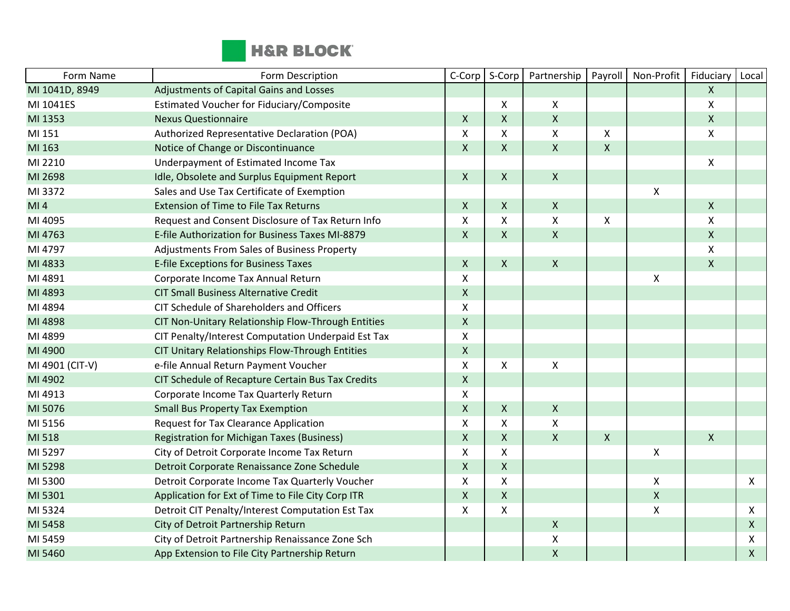

| Form Name       | Form Description                                   | C-Corp             | S-Corp             | Partnership        | Payroll            | Non-Profit         | Fiduciary        | Local        |
|-----------------|----------------------------------------------------|--------------------|--------------------|--------------------|--------------------|--------------------|------------------|--------------|
| MI 1041D, 8949  | Adjustments of Capital Gains and Losses            |                    |                    |                    |                    |                    | $\mathsf{X}$     |              |
| MI 1041ES       | Estimated Voucher for Fiduciary/Composite          |                    | X                  | X                  |                    |                    | X                |              |
| MI 1353         | <b>Nexus Questionnaire</b>                         | $\mathsf{X}$       | $\pmb{\mathsf{X}}$ | $\pmb{\mathsf{X}}$ |                    |                    | $\mathsf{X}$     |              |
| MI 151          | Authorized Representative Declaration (POA)        | X                  | X                  | $\pmb{\times}$     | X                  |                    | $\mathsf{X}$     |              |
| MI 163          | Notice of Change or Discontinuance                 | $\pmb{\mathsf{X}}$ | $\pmb{\mathsf{X}}$ | $\pmb{\times}$     | $\pmb{\mathsf{X}}$ |                    |                  |              |
| MI 2210         | Underpayment of Estimated Income Tax               |                    |                    |                    |                    |                    | $\boldsymbol{X}$ |              |
| MI 2698         | Idle, Obsolete and Surplus Equipment Report        | $\mathsf{X}$       | X                  | $\mathsf{X}$       |                    |                    |                  |              |
| MI 3372         | Sales and Use Tax Certificate of Exemption         |                    |                    |                    |                    | X                  |                  |              |
| MI <sub>4</sub> | Extension of Time to File Tax Returns              | $\mathsf{X}$       | $\mathsf{X}$       | $\mathsf X$        |                    |                    | $\mathsf{X}$     |              |
| MI 4095         | Request and Consent Disclosure of Tax Return Info  | X                  | X                  | $\pmb{\mathsf{X}}$ | X                  |                    | $\mathsf{X}$     |              |
| MI 4763         | E-file Authorization for Business Taxes MI-8879    | $\mathsf{X}$       | $\mathsf{X}$       | $\mathsf{X}$       |                    |                    | $\mathsf{X}$     |              |
| MI 4797         | Adjustments From Sales of Business Property        |                    |                    |                    |                    |                    | $\mathsf{X}$     |              |
| MI 4833         | E-file Exceptions for Business Taxes               | $\mathsf{X}$       | $\mathsf{X}$       | $\mathsf{X}$       |                    |                    | $\mathsf{X}$     |              |
| MI 4891         | Corporate Income Tax Annual Return                 | X                  |                    |                    |                    | X                  |                  |              |
| MI 4893         | <b>CIT Small Business Alternative Credit</b>       | $\mathsf X$        |                    |                    |                    |                    |                  |              |
| MI 4894         | CIT Schedule of Shareholders and Officers          | X                  |                    |                    |                    |                    |                  |              |
| MI 4898         | CIT Non-Unitary Relationship Flow-Through Entities | $\mathsf{X}$       |                    |                    |                    |                    |                  |              |
| MI 4899         | CIT Penalty/Interest Computation Underpaid Est Tax | X                  |                    |                    |                    |                    |                  |              |
| MI 4900         | CIT Unitary Relationships Flow-Through Entities    | $\mathsf{X}$       |                    |                    |                    |                    |                  |              |
| MI 4901 (CIT-V) | e-file Annual Return Payment Voucher               | X                  | X                  | Χ                  |                    |                    |                  |              |
| MI 4902         | CIT Schedule of Recapture Certain Bus Tax Credits  | $\mathsf X$        |                    |                    |                    |                    |                  |              |
| MI 4913         | Corporate Income Tax Quarterly Return              | X                  |                    |                    |                    |                    |                  |              |
| MI 5076         | <b>Small Bus Property Tax Exemption</b>            | $\mathsf{X}$       | X                  | $\mathsf{X}$       |                    |                    |                  |              |
| MI 5156         | <b>Request for Tax Clearance Application</b>       | $\pmb{\mathsf{X}}$ | Χ                  | $\pmb{\mathsf{X}}$ |                    |                    |                  |              |
| MI 518          | <b>Registration for Michigan Taxes (Business)</b>  | $\mathsf{X}$       | X                  | $\pmb{\mathsf{X}}$ | $\pmb{\mathsf{X}}$ |                    | $\mathsf{X}$     |              |
| MI 5297         | City of Detroit Corporate Income Tax Return        | X                  | X                  |                    |                    | X                  |                  |              |
| MI 5298         | Detroit Corporate Renaissance Zone Schedule        | $\mathsf{X}$       | $\pmb{\mathsf{X}}$ |                    |                    |                    |                  |              |
| MI 5300         | Detroit Corporate Income Tax Quarterly Voucher     | X                  | X                  |                    |                    | Χ                  |                  | X            |
| MI 5301         | Application for Ext of Time to File City Corp ITR  | $\mathsf{X}$       | $\pmb{\mathsf{X}}$ |                    |                    | $\pmb{\mathsf{X}}$ |                  |              |
| MI 5324         | Detroit CIT Penalty/Interest Computation Est Tax   | X                  | X                  |                    |                    | X                  |                  | X            |
| MI 5458         | City of Detroit Partnership Return                 |                    |                    | $\mathsf{X}$       |                    |                    |                  | $\mathsf{X}$ |
| MI 5459         | City of Detroit Partnership Renaissance Zone Sch   |                    |                    | Χ                  |                    |                    |                  | X            |
| MI 5460         | App Extension to File City Partnership Return      |                    |                    | $\pmb{\mathsf{X}}$ |                    |                    |                  | $\mathsf{X}$ |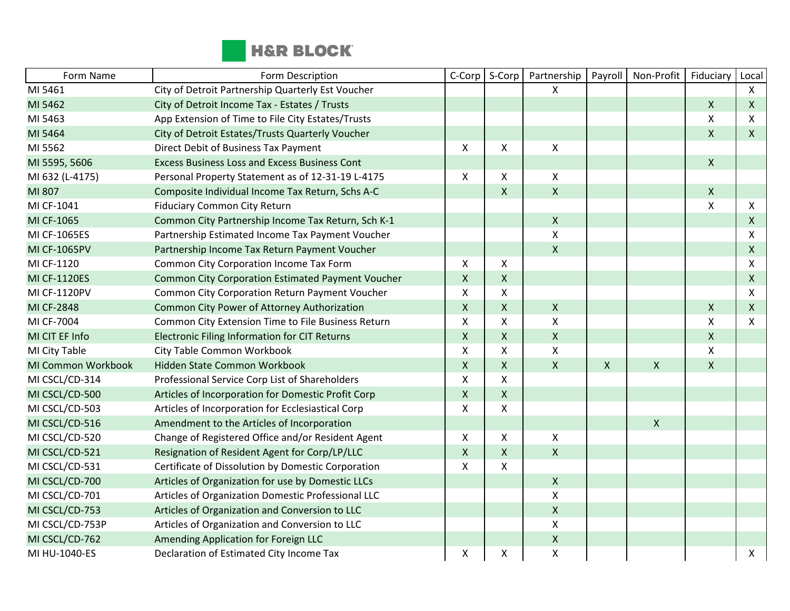

| Form Name          | Form Description                                         | C-Corp                    | S-Corp         | Partnership        | Payroll                   | Non-Profit   | Fiduciary          | Local        |
|--------------------|----------------------------------------------------------|---------------------------|----------------|--------------------|---------------------------|--------------|--------------------|--------------|
| MI 5461            | City of Detroit Partnership Quarterly Est Voucher        |                           |                | X                  |                           |              |                    | $\mathsf{X}$ |
| MI 5462            | City of Detroit Income Tax - Estates / Trusts            |                           |                |                    |                           |              | X                  | $\mathsf{X}$ |
| MI 5463            | App Extension of Time to File City Estates/Trusts        |                           |                |                    |                           |              | X                  | X            |
| MI 5464            | City of Detroit Estates/Trusts Quarterly Voucher         |                           |                |                    |                           |              | $\mathsf{X}$       | $\mathsf{X}$ |
| MI 5562            | Direct Debit of Business Tax Payment                     | $\mathsf{X}$              | X              | $\mathsf{X}$       |                           |              |                    |              |
| MI 5595, 5606      | <b>Excess Business Loss and Excess Business Cont</b>     |                           |                |                    |                           |              | $\mathsf{X}$       |              |
| MI 632 (L-4175)    | Personal Property Statement as of 12-31-19 L-4175        | X                         | X              | $\pmb{\times}$     |                           |              |                    |              |
| MI 807             | Composite Individual Income Tax Return, Schs A-C         |                           | $\mathsf{X}$   | $\mathsf{X}$       |                           |              | $\mathsf{X}$       |              |
| MI CF-1041         | <b>Fiduciary Common City Return</b>                      |                           |                |                    |                           |              | $\mathsf{x}$       | X            |
| MI CF-1065         | Common City Partnership Income Tax Return, Sch K-1       |                           |                | $\mathsf{X}$       |                           |              |                    | $\mathsf{X}$ |
| MI CF-1065ES       | Partnership Estimated Income Tax Payment Voucher         |                           |                | X                  |                           |              |                    | X            |
| MI CF-1065PV       | Partnership Income Tax Return Payment Voucher            |                           |                | $\pmb{\times}$     |                           |              |                    | $\mathsf{X}$ |
| MI CF-1120         | Common City Corporation Income Tax Form                  | $\mathsf{X}$              | X              |                    |                           |              |                    | X            |
| MI CF-1120ES       | <b>Common City Corporation Estimated Payment Voucher</b> | $\mathsf{X}$              | $\mathsf X$    |                    |                           |              |                    | $\mathsf{X}$ |
| MI CF-1120PV       | Common City Corporation Return Payment Voucher           | X                         | X              |                    |                           |              |                    | X            |
| MI CF-2848         | Common City Power of Attorney Authorization              | $\mathsf{X}$              | $\mathsf{X}$   | $\pmb{\times}$     |                           |              | $\mathsf{X}$       | $\mathsf{X}$ |
| MI CF-7004         | Common City Extension Time to File Business Return       | X                         | X              | $\pmb{\mathsf{X}}$ |                           |              | $\pmb{\mathsf{X}}$ | X            |
| MI CIT EF Info     | <b>Electronic Filing Information for CIT Returns</b>     | $\mathsf{X}$              | $\mathsf{X}$   | $\pmb{\times}$     |                           |              | $\mathsf{X}$       |              |
| MI City Table      | City Table Common Workbook                               | X                         | X              | X                  |                           |              | $\mathsf{X}$       |              |
| MI Common Workbook | Hidden State Common Workbook                             | $\mathsf{x}$              | $\mathsf{X}$   | $\mathsf{x}$       | $\boldsymbol{\mathsf{X}}$ | $\mathsf{X}$ | $\mathsf{X}$       |              |
| MI CSCL/CD-314     | Professional Service Corp List of Shareholders           | X                         | X              |                    |                           |              |                    |              |
| MI CSCL/CD-500     | Articles of Incorporation for Domestic Profit Corp       | $\mathsf X$               | $\pmb{\times}$ |                    |                           |              |                    |              |
| MI CSCL/CD-503     | Articles of Incorporation for Ecclesiastical Corp        | $\boldsymbol{\mathsf{X}}$ | X              |                    |                           |              |                    |              |
| MI CSCL/CD-516     | Amendment to the Articles of Incorporation               |                           |                |                    |                           | $\mathsf{X}$ |                    |              |
| MI CSCL/CD-520     | Change of Registered Office and/or Resident Agent        | $\mathsf{X}$              | X              | $\pmb{\mathsf{X}}$ |                           |              |                    |              |
| MI CSCL/CD-521     | Resignation of Resident Agent for Corp/LP/LLC            | $\mathsf{X}$              | $\mathsf{X}$   | $\pmb{\times}$     |                           |              |                    |              |
| MI CSCL/CD-531     | Certificate of Dissolution by Domestic Corporation       | X                         | X              |                    |                           |              |                    |              |
| MI CSCL/CD-700     | Articles of Organization for use by Domestic LLCs        |                           |                | $\mathsf{X}$       |                           |              |                    |              |
| MI CSCL/CD-701     | Articles of Organization Domestic Professional LLC       |                           |                | $\pmb{\times}$     |                           |              |                    |              |
| MI CSCL/CD-753     | Articles of Organization and Conversion to LLC           |                           |                | $\pmb{\mathsf{X}}$ |                           |              |                    |              |
| MI CSCL/CD-753P    | Articles of Organization and Conversion to LLC           |                           |                | $\pmb{\mathsf{X}}$ |                           |              |                    |              |
| MI CSCL/CD-762     | Amending Application for Foreign LLC                     |                           |                | $\pmb{\times}$     |                           |              |                    |              |
| MI HU-1040-ES      | Declaration of Estimated City Income Tax                 | X                         | X              | $\pmb{\mathsf{X}}$ |                           |              |                    | X            |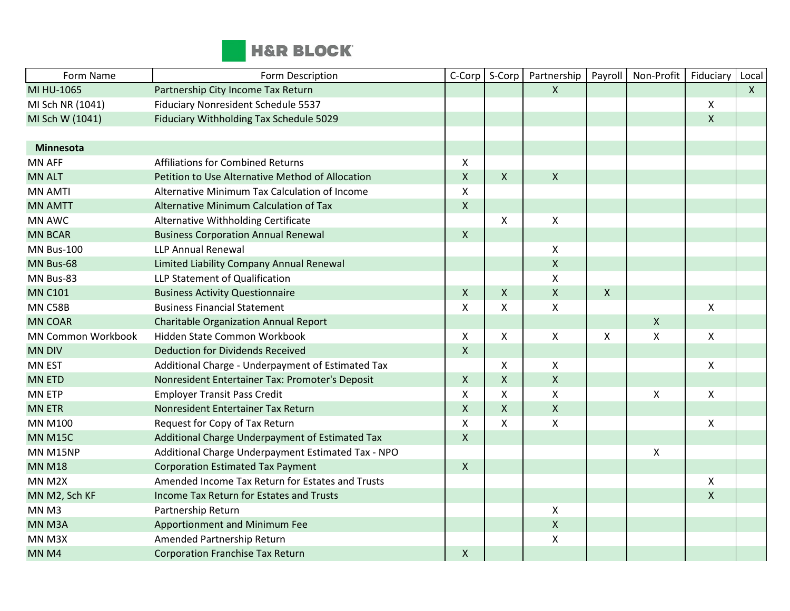

| Form Name                 | Form Description                                   | C-Corp             | S-Corp       | Partnership               | Payroll                   | Non-Profit     | Fiduciary | Local        |
|---------------------------|----------------------------------------------------|--------------------|--------------|---------------------------|---------------------------|----------------|-----------|--------------|
| MI HU-1065                | Partnership City Income Tax Return                 |                    |              | $\boldsymbol{\mathsf{X}}$ |                           |                |           | $\mathsf{X}$ |
| MI Sch NR (1041)          | Fiduciary Nonresident Schedule 5537                |                    |              |                           |                           |                | Χ         |              |
| MI Sch W (1041)           | Fiduciary Withholding Tax Schedule 5029            |                    |              |                           |                           |                | X         |              |
|                           |                                                    |                    |              |                           |                           |                |           |              |
| Minnesota                 |                                                    |                    |              |                           |                           |                |           |              |
| <b>MN AFF</b>             | <b>Affiliations for Combined Returns</b>           | X                  |              |                           |                           |                |           |              |
| <b>MN ALT</b>             | Petition to Use Alternative Method of Allocation   | $\pmb{\mathsf{X}}$ | $\mathsf{X}$ | $\mathsf{X}$              |                           |                |           |              |
| <b>MN AMTI</b>            | Alternative Minimum Tax Calculation of Income      | $\mathsf{x}$       |              |                           |                           |                |           |              |
| <b>MN AMTT</b>            | Alternative Minimum Calculation of Tax             | $\pmb{\mathsf{X}}$ |              |                           |                           |                |           |              |
| <b>MN AWC</b>             | Alternative Withholding Certificate                |                    | $\mathsf{X}$ | $\pmb{\mathsf{X}}$        |                           |                |           |              |
| <b>MN BCAR</b>            | <b>Business Corporation Annual Renewal</b>         | $\mathsf{X}$       |              |                           |                           |                |           |              |
| <b>MN Bus-100</b>         | <b>LLP Annual Renewal</b>                          |                    |              | X                         |                           |                |           |              |
| MN Bus-68                 | Limited Liability Company Annual Renewal           |                    |              | $\pmb{\mathsf{X}}$        |                           |                |           |              |
| MN Bus-83                 | LLP Statement of Qualification                     |                    |              | Χ                         |                           |                |           |              |
| <b>MN C101</b>            | <b>Business Activity Questionnaire</b>             | $\mathsf{X}$       | $\mathsf{X}$ | $\pmb{\mathsf{X}}$        | $\boldsymbol{\mathsf{X}}$ |                |           |              |
| <b>MN C58B</b>            | <b>Business Financial Statement</b>                | X                  | $\mathsf{X}$ | Χ                         |                           |                | X         |              |
| <b>MN COAR</b>            | <b>Charitable Organization Annual Report</b>       |                    |              |                           |                           | $\mathsf{X}$   |           |              |
| <b>MN Common Workbook</b> | Hidden State Common Workbook                       | Χ                  | $\mathsf{X}$ | $\pmb{\mathsf{X}}$        | $\mathsf{X}$              | X              | X         |              |
| <b>MN DIV</b>             | <b>Deduction for Dividends Received</b>            | $\pmb{\mathsf{X}}$ |              |                           |                           |                |           |              |
| <b>MN EST</b>             | Additional Charge - Underpayment of Estimated Tax  |                    | $\mathsf{X}$ | Χ                         |                           |                | X         |              |
| <b>MN ETD</b>             | Nonresident Entertainer Tax: Promoter's Deposit    | $\mathsf{X}$       | $\mathsf{X}$ | X                         |                           |                |           |              |
| <b>MN ETP</b>             | <b>Employer Transit Pass Credit</b>                | Χ                  | $\mathsf{X}$ | Χ                         |                           | Χ              | X         |              |
| <b>MN ETR</b>             | Nonresident Entertainer Tax Return                 | $\pmb{\mathsf{X}}$ | $\mathsf{X}$ | $\pmb{\mathsf{X}}$        |                           |                |           |              |
| <b>MN M100</b>            | Request for Copy of Tax Return                     | X                  | X            | Χ                         |                           |                | X         |              |
| <b>MN M15C</b>            | Additional Charge Underpayment of Estimated Tax    | $\pmb{\mathsf{X}}$ |              |                           |                           |                |           |              |
| <b>MN M15NP</b>           | Additional Charge Underpayment Estimated Tax - NPO |                    |              |                           |                           | $\pmb{\times}$ |           |              |
| <b>MN M18</b>             | <b>Corporation Estimated Tax Payment</b>           | $\mathsf X$        |              |                           |                           |                |           |              |
| MN M2X                    | Amended Income Tax Return for Estates and Trusts   |                    |              |                           |                           |                | Χ         |              |
| MN M2, Sch KF             | Income Tax Return for Estates and Trusts           |                    |              |                           |                           |                | X         |              |
| MN <sub>M3</sub>          | Partnership Return                                 |                    |              | Χ                         |                           |                |           |              |
| MN M3A                    | Apportionment and Minimum Fee                      |                    |              | $\pmb{\mathsf{X}}$        |                           |                |           |              |
| MN M3X                    | Amended Partnership Return                         |                    |              | Χ                         |                           |                |           |              |
| MN <sub>M4</sub>          | <b>Corporation Franchise Tax Return</b>            | X                  |              |                           |                           |                |           |              |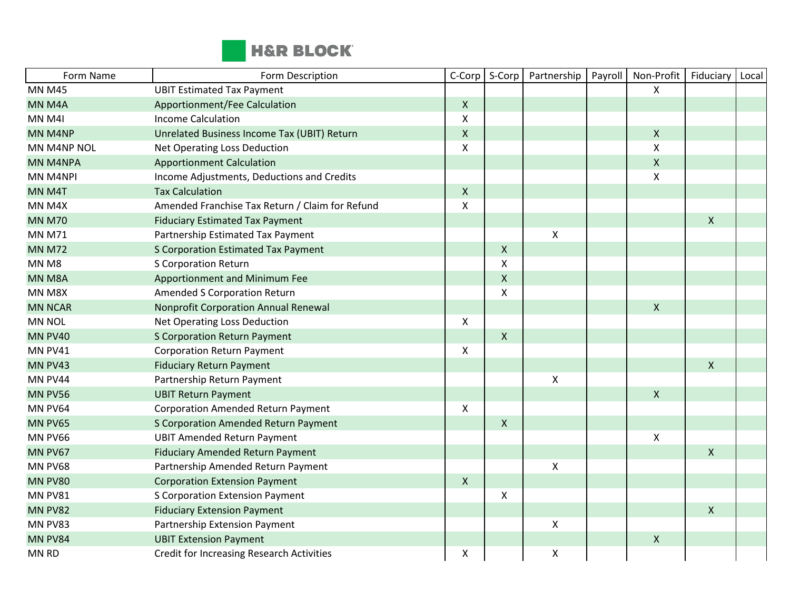

| Form Name      | Form Description                                 | C-Corp           | S-Corp                    | Partnership        | Payroll | Non-Profit                | Fiduciary    | Local |
|----------------|--------------------------------------------------|------------------|---------------------------|--------------------|---------|---------------------------|--------------|-------|
| <b>MN M45</b>  | <b>UBIT Estimated Tax Payment</b>                |                  |                           |                    |         | X                         |              |       |
| MN M4A         | Apportionment/Fee Calculation                    | $\mathsf{X}$     |                           |                    |         |                           |              |       |
| MN M4I         | <b>Income Calculation</b>                        | X                |                           |                    |         |                           |              |       |
| MN M4NP        | Unrelated Business Income Tax (UBIT) Return      | $\mathsf X$      |                           |                    |         | $\pmb{\times}$            |              |       |
| MN M4NP NOL    | Net Operating Loss Deduction                     | X                |                           |                    |         | $\pmb{\chi}$              |              |       |
| MN M4NPA       | <b>Apportionment Calculation</b>                 |                  |                           |                    |         | $\pmb{\times}$            |              |       |
| MN M4NPI       | Income Adjustments, Deductions and Credits       |                  |                           |                    |         | $\boldsymbol{\mathsf{X}}$ |              |       |
| MN M4T         | <b>Tax Calculation</b>                           | $\mathsf{X}$     |                           |                    |         |                           |              |       |
| MN M4X         | Amended Franchise Tax Return / Claim for Refund  | X                |                           |                    |         |                           |              |       |
| <b>MN M70</b>  | <b>Fiduciary Estimated Tax Payment</b>           |                  |                           |                    |         |                           | $\mathsf{X}$ |       |
| <b>MN M71</b>  | Partnership Estimated Tax Payment                |                  |                           | $\pmb{\mathsf{X}}$ |         |                           |              |       |
| <b>MN M72</b>  | <b>S Corporation Estimated Tax Payment</b>       |                  | $\pmb{\times}$            |                    |         |                           |              |       |
| MN M8          | <b>S Corporation Return</b>                      |                  | $\boldsymbol{\mathsf{X}}$ |                    |         |                           |              |       |
| MN M8A         | Apportionment and Minimum Fee                    |                  | $\mathsf{X}$              |                    |         |                           |              |       |
| MN M8X         | <b>Amended S Corporation Return</b>              |                  | X                         |                    |         |                           |              |       |
| <b>MN NCAR</b> | <b>Nonprofit Corporation Annual Renewal</b>      |                  |                           |                    |         | $\boldsymbol{\mathsf{X}}$ |              |       |
| <b>MN NOL</b>  | Net Operating Loss Deduction                     | $\boldsymbol{X}$ |                           |                    |         |                           |              |       |
| <b>MN PV40</b> | <b>S Corporation Return Payment</b>              |                  | $\pmb{\mathsf{X}}$        |                    |         |                           |              |       |
| MN PV41        | <b>Corporation Return Payment</b>                | X                |                           |                    |         |                           |              |       |
| MN PV43        | <b>Fiduciary Return Payment</b>                  |                  |                           |                    |         |                           | $\mathsf{X}$ |       |
| MN PV44        | Partnership Return Payment                       |                  |                           | X                  |         |                           |              |       |
| <b>MN PV56</b> | <b>UBIT Return Payment</b>                       |                  |                           |                    |         | $\boldsymbol{\mathsf{X}}$ |              |       |
| MN PV64        | <b>Corporation Amended Return Payment</b>        | X                |                           |                    |         |                           |              |       |
| MN PV65        | S Corporation Amended Return Payment             |                  | $\mathsf{X}$              |                    |         |                           |              |       |
| MN PV66        | <b>UBIT Amended Return Payment</b>               |                  |                           |                    |         | $\pmb{\times}$            |              |       |
| MN PV67        | <b>Fiduciary Amended Return Payment</b>          |                  |                           |                    |         |                           | $\mathsf{X}$ |       |
| <b>MN PV68</b> | Partnership Amended Return Payment               |                  |                           | $\pmb{\mathsf{X}}$ |         |                           |              |       |
| MN PV80        | <b>Corporation Extension Payment</b>             | $\mathsf{X}$     |                           |                    |         |                           |              |       |
| MN PV81        | <b>S Corporation Extension Payment</b>           |                  | X                         |                    |         |                           |              |       |
| MN PV82        | <b>Fiduciary Extension Payment</b>               |                  |                           |                    |         |                           | $\mathsf{X}$ |       |
| MN PV83        | Partnership Extension Payment                    |                  |                           | Χ                  |         |                           |              |       |
| MN PV84        | <b>UBIT Extension Payment</b>                    |                  |                           |                    |         | $\boldsymbol{X}$          |              |       |
| MN RD          | <b>Credit for Increasing Research Activities</b> | X                |                           | X                  |         |                           |              |       |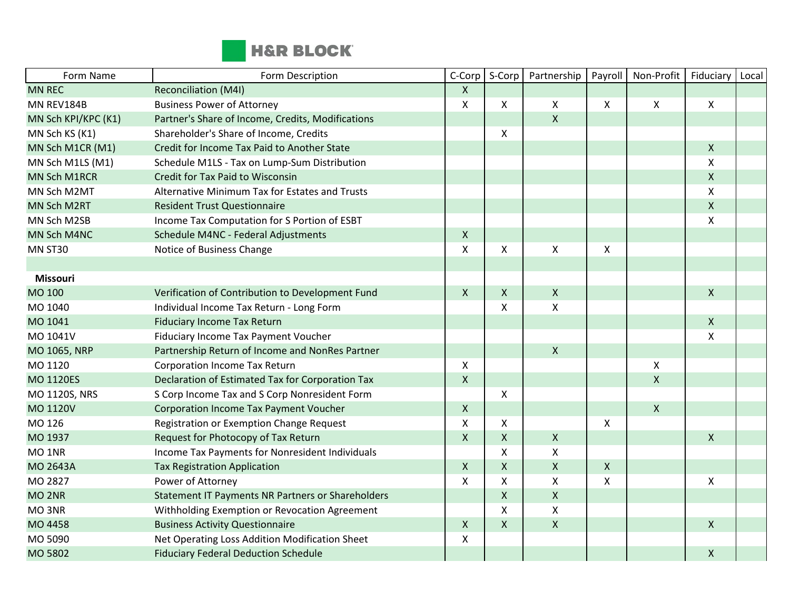

| Form Name           | Form Description                                  | C-Corp       | S-Corp             | Partnership        | Payroll                   | Non-Profit         | Fiduciary                 | Local |
|---------------------|---------------------------------------------------|--------------|--------------------|--------------------|---------------------------|--------------------|---------------------------|-------|
| <b>MN REC</b>       | Reconciliation (M4I)                              | X            |                    |                    |                           |                    |                           |       |
| MN REV184B          | <b>Business Power of Attorney</b>                 | X            | X                  | X                  | $\mathsf{X}$              | $\mathsf{X}$       | X                         |       |
| MN Sch KPI/KPC (K1) | Partner's Share of Income, Credits, Modifications |              |                    | $\mathsf{X}$       |                           |                    |                           |       |
| MN Sch KS (K1)      | Shareholder's Share of Income, Credits            |              | X                  |                    |                           |                    |                           |       |
| MN Sch M1CR (M1)    | Credit for Income Tax Paid to Another State       |              |                    |                    |                           |                    | $\mathsf{X}$              |       |
| MN Sch M1LS (M1)    | Schedule M1LS - Tax on Lump-Sum Distribution      |              |                    |                    |                           |                    | X                         |       |
| MN Sch M1RCR        | Credit for Tax Paid to Wisconsin                  |              |                    |                    |                           |                    | $\mathsf{X}$              |       |
| MN Sch M2MT         | Alternative Minimum Tax for Estates and Trusts    |              |                    |                    |                           |                    | $\mathsf{X}$              |       |
| MN Sch M2RT         | <b>Resident Trust Questionnaire</b>               |              |                    |                    |                           |                    | $\mathsf{X}$              |       |
| MN Sch M2SB         | Income Tax Computation for S Portion of ESBT      |              |                    |                    |                           |                    | $\pmb{\times}$            |       |
| MN Sch M4NC         | Schedule M4NC - Federal Adjustments               | $\mathsf{X}$ |                    |                    |                           |                    |                           |       |
| MN ST30             | Notice of Business Change                         | X            | X                  | Χ                  | $\boldsymbol{\mathsf{X}}$ |                    |                           |       |
|                     |                                                   |              |                    |                    |                           |                    |                           |       |
| <b>Missouri</b>     |                                                   |              |                    |                    |                           |                    |                           |       |
| MO 100              | Verification of Contribution to Development Fund  | $\mathsf{X}$ | $\mathsf{x}$       | $\pmb{\times}$     |                           |                    | $\mathsf{X}$              |       |
| MO 1040             | Individual Income Tax Return - Long Form          |              | X                  | $\pmb{\mathsf{X}}$ |                           |                    |                           |       |
| MO 1041             | <b>Fiduciary Income Tax Return</b>                |              |                    |                    |                           |                    | $\mathsf{X}$              |       |
| MO 1041V            | Fiduciary Income Tax Payment Voucher              |              |                    |                    |                           |                    | $\boldsymbol{\mathsf{X}}$ |       |
| MO 1065, NRP        | Partnership Return of Income and NonRes Partner   |              |                    | $\mathsf{x}$       |                           |                    |                           |       |
| MO 1120             | <b>Corporation Income Tax Return</b>              | X            |                    |                    |                           | $\pmb{\mathsf{X}}$ |                           |       |
| <b>MO 1120ES</b>    | Declaration of Estimated Tax for Corporation Tax  | $\mathsf{X}$ |                    |                    |                           | $\mathsf{\chi}$    |                           |       |
| MO 1120S, NRS       | S Corp Income Tax and S Corp Nonresident Form     |              | X                  |                    |                           |                    |                           |       |
| <b>MO 1120V</b>     | <b>Corporation Income Tax Payment Voucher</b>     | $\mathsf{X}$ |                    |                    |                           | $\mathsf{X}$       |                           |       |
| MO 126              | Registration or Exemption Change Request          | X            | X                  |                    | $\boldsymbol{\mathsf{X}}$ |                    |                           |       |
| MO 1937             | Request for Photocopy of Tax Return               | $\mathsf{X}$ | $\pmb{\mathsf{X}}$ | $\mathsf X$        |                           |                    | $\mathsf{X}$              |       |
| MO <sub>1NR</sub>   | Income Tax Payments for Nonresident Individuals   |              | $\pmb{\mathsf{X}}$ | $\pmb{\mathsf{X}}$ |                           |                    |                           |       |
| <b>MO 2643A</b>     | <b>Tax Registration Application</b>               | $\mathsf{X}$ | $\mathsf{X}$       | $\mathsf{X}$       | $\boldsymbol{\mathsf{X}}$ |                    |                           |       |
| MO 2827             | Power of Attorney                                 | X            | X                  | Χ                  | $\boldsymbol{\mathsf{X}}$ |                    | $\pmb{\times}$            |       |
| MO <sub>2NR</sub>   | Statement IT Payments NR Partners or Shareholders |              | $\mathsf{X}$       | $\pmb{\mathsf{X}}$ |                           |                    |                           |       |
| MO <sub>3NR</sub>   | Withholding Exemption or Revocation Agreement     |              | X                  | $\pmb{\times}$     |                           |                    |                           |       |
| MO 4458             | <b>Business Activity Questionnaire</b>            | $\mathsf{X}$ | $\mathsf{X}$       | $\mathsf{X}$       |                           |                    | $\mathsf{X}$              |       |
| MO 5090             | Net Operating Loss Addition Modification Sheet    | X            |                    |                    |                           |                    |                           |       |
| MO 5802             | <b>Fiduciary Federal Deduction Schedule</b>       |              |                    |                    |                           |                    | $\mathsf{X}$              |       |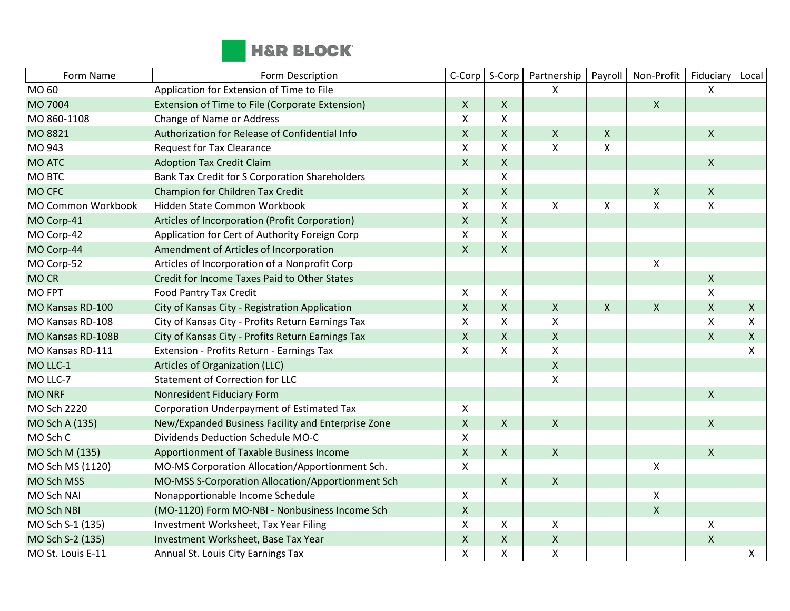

| Form Name          | Form Description                                   | C-Corp             | S-Corp             | Partnership        | Payroll | Non-Profit         | Fiduciary                 | Local        |
|--------------------|----------------------------------------------------|--------------------|--------------------|--------------------|---------|--------------------|---------------------------|--------------|
| MO 60              | Application for Extension of Time to File          |                    |                    | X                  |         |                    | X                         |              |
| MO 7004            | Extension of Time to File (Corporate Extension)    | $\mathsf{X}$       | X                  |                    |         | $\mathsf{X}$       |                           |              |
| MO 860-1108        | Change of Name or Address                          | X                  | X                  |                    |         |                    |                           |              |
| MO 8821            | Authorization for Release of Confidential Info     | $\mathsf{X}$       | X                  | $\mathsf X$        | X       |                    | $\mathsf{X}$              |              |
| MO 943             | <b>Request for Tax Clearance</b>                   | X                  | X                  | $\pmb{\mathsf{X}}$ | X       |                    |                           |              |
| <b>MO ATC</b>      | <b>Adoption Tax Credit Claim</b>                   | $\mathsf{X}$       | X                  |                    |         |                    | $\mathsf{X}$              |              |
| MO BTC             | Bank Tax Credit for S Corporation Shareholders     |                    | X                  |                    |         |                    |                           |              |
| <b>MO CFC</b>      | Champion for Children Tax Credit                   | $\mathsf{X}$       | $\pmb{\mathsf{X}}$ |                    |         | $\pmb{\mathsf{X}}$ | $\mathsf{X}$              |              |
| MO Common Workbook | Hidden State Common Workbook                       | X                  | X                  | $\pmb{\mathsf{X}}$ | X       | $\pmb{\mathsf{X}}$ | X                         |              |
| MO Corp-41         | Articles of Incorporation (Profit Corporation)     | $\mathsf{X}$       | $\pmb{\mathsf{X}}$ |                    |         |                    |                           |              |
| MO Corp-42         | Application for Cert of Authority Foreign Corp     | X                  | X                  |                    |         |                    |                           |              |
| MO Corp-44         | Amendment of Articles of Incorporation             | $\mathsf{X}$       | $\pmb{\mathsf{X}}$ |                    |         |                    |                           |              |
| MO Corp-52         | Articles of Incorporation of a Nonprofit Corp      |                    |                    |                    |         | $\pmb{\mathsf{X}}$ |                           |              |
| <b>MOCR</b>        | Credit for Income Taxes Paid to Other States       |                    |                    |                    |         |                    | $\pmb{\mathsf{X}}$        |              |
| <b>MO FPT</b>      | <b>Food Pantry Tax Credit</b>                      | X                  | X                  |                    |         |                    | Χ                         |              |
| MO Kansas RD-100   | City of Kansas City - Registration Application     | $\mathsf{X}$       | X                  | $\mathsf{X}$       | X       | $\pmb{\mathsf{X}}$ | $\mathsf{X}$              | X            |
| MO Kansas RD-108   | City of Kansas City - Profits Return Earnings Tax  | X                  | X                  | $\pmb{\mathsf{X}}$ |         |                    | Χ                         | X            |
| MO Kansas RD-108B  | City of Kansas City - Profits Return Earnings Tax  | $\mathsf{X}$       | $\mathsf{X}$       | $\mathsf{X}$       |         |                    | $\overline{X}$            | $\mathsf{X}$ |
| MO Kansas RD-111   | Extension - Profits Return - Earnings Tax          | X                  | X                  | $\pmb{\times}$     |         |                    |                           | X            |
| MO LLC-1           | Articles of Organization (LLC)                     |                    |                    | $\mathsf{X}$       |         |                    |                           |              |
| MO LLC-7           | <b>Statement of Correction for LLC</b>             |                    |                    | $\pmb{\mathsf{X}}$ |         |                    |                           |              |
| <b>MO NRF</b>      | Nonresident Fiduciary Form                         |                    |                    |                    |         |                    | $\mathsf{X}$              |              |
| MO Sch 2220        | Corporation Underpayment of Estimated Tax          | X                  |                    |                    |         |                    |                           |              |
| MO Sch A (135)     | New/Expanded Business Facility and Enterprise Zone | $\mathsf{X}$       | $\mathsf{X}$       | $\mathsf X$        |         |                    | $\mathsf{X}$              |              |
| MO Sch C           | Dividends Deduction Schedule MO-C                  | X                  |                    |                    |         |                    |                           |              |
| MO Sch M (135)     | Apportionment of Taxable Business Income           | $\mathsf{X}$       | $\mathsf{X}$       | $\mathsf{X}$       |         |                    | $\mathsf{X}$              |              |
| MO Sch MS (1120)   | MO-MS Corporation Allocation/Apportionment Sch.    | $\pmb{\mathsf{X}}$ |                    |                    |         | Χ                  |                           |              |
| MO Sch MSS         | MO-MSS S-Corporation Allocation/Apportionment Sch  |                    | $\mathsf{X}$       | $\mathsf{X}$       |         |                    |                           |              |
| MO Sch NAI         | Nonapportionable Income Schedule                   | X                  |                    |                    |         | $\pmb{\mathsf{X}}$ |                           |              |
| <b>MO Sch NBI</b>  | (MO-1120) Form MO-NBI - Nonbusiness Income Sch     | $\mathsf{X}$       |                    |                    |         | $\pmb{\mathsf{X}}$ |                           |              |
| MO Sch S-1 (135)   | Investment Worksheet, Tax Year Filing              | X                  | Χ                  | X                  |         |                    | $\boldsymbol{\mathsf{X}}$ |              |
| MO Sch S-2 (135)   | Investment Worksheet, Base Tax Year                | $\mathsf X$        | Χ                  | $\pmb{\mathsf{X}}$ |         |                    | $\mathsf{X}$              |              |
| MO St. Louis E-11  | Annual St. Louis City Earnings Tax                 | $\pmb{\mathsf{X}}$ | Χ                  | $\pmb{\mathsf{X}}$ |         |                    |                           | X            |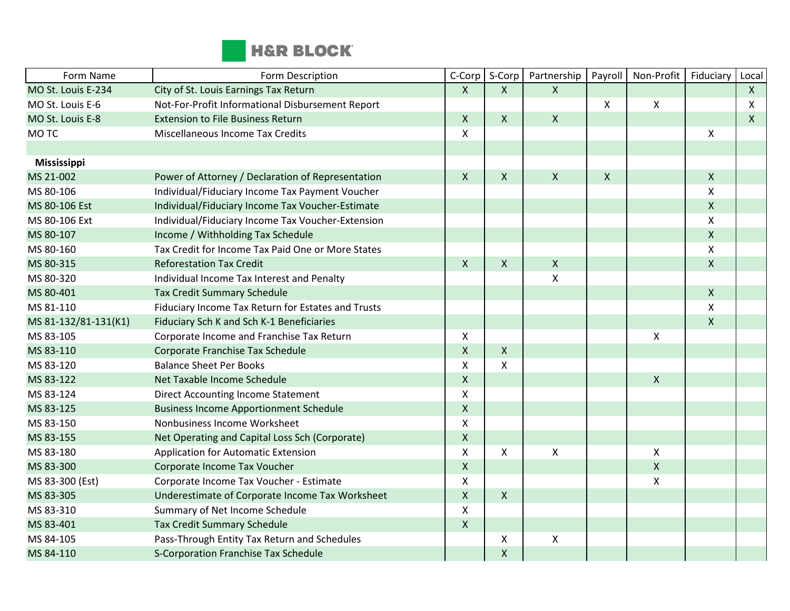

| Form Name            | Form Description                                   | C-Corp             | S-Corp       | Partnership        | Payroll            | Non-Profit                | Fiduciary    | Local        |
|----------------------|----------------------------------------------------|--------------------|--------------|--------------------|--------------------|---------------------------|--------------|--------------|
| MO St. Louis E-234   | City of St. Louis Earnings Tax Return              | $\mathsf{X}$       | $\mathsf{X}$ | X                  |                    |                           |              | $\mathsf{X}$ |
| MO St. Louis E-6     | Not-For-Profit Informational Disbursement Report   |                    |              |                    | $\pmb{\times}$     | $\boldsymbol{\mathsf{X}}$ |              | X            |
| MO St. Louis E-8     | <b>Extension to File Business Return</b>           | $\pmb{\mathsf{X}}$ | $\mathsf{X}$ | $\mathsf{X}$       |                    |                           |              | $\mathsf{X}$ |
| MO TC                | <b>Miscellaneous Income Tax Credits</b>            | X                  |              |                    |                    |                           | X            |              |
|                      |                                                    |                    |              |                    |                    |                           |              |              |
| <b>Mississippi</b>   |                                                    |                    |              |                    |                    |                           |              |              |
| MS 21-002            | Power of Attorney / Declaration of Representation  | $\pmb{\mathsf{X}}$ | $\mathsf{X}$ | Χ                  | $\pmb{\mathsf{X}}$ |                           | $\mathsf{X}$ |              |
| MS 80-106            | Individual/Fiduciary Income Tax Payment Voucher    |                    |              |                    |                    |                           | X            |              |
| MS 80-106 Est        | Individual/Fiduciary Income Tax Voucher-Estimate   |                    |              |                    |                    |                           | $\mathsf X$  |              |
| MS 80-106 Ext        | Individual/Fiduciary Income Tax Voucher-Extension  |                    |              |                    |                    |                           | X            |              |
| MS 80-107            | Income / Withholding Tax Schedule                  |                    |              |                    |                    |                           | $\mathsf{X}$ |              |
| MS 80-160            | Tax Credit for Income Tax Paid One or More States  |                    |              |                    |                    |                           | X            |              |
| MS 80-315            | <b>Reforestation Tax Credit</b>                    | $\pmb{\mathsf{X}}$ | $\mathsf{X}$ | $\pmb{\times}$     |                    |                           | $\mathsf{X}$ |              |
| MS 80-320            | Individual Income Tax Interest and Penalty         |                    |              | Χ                  |                    |                           |              |              |
| MS 80-401            | <b>Tax Credit Summary Schedule</b>                 |                    |              |                    |                    |                           | $\mathsf{X}$ |              |
| MS 81-110            | Fiduciary Income Tax Return for Estates and Trusts |                    |              |                    |                    |                           | X            |              |
| MS 81-132/81-131(K1) | Fiduciary Sch K and Sch K-1 Beneficiaries          |                    |              |                    |                    |                           | X            |              |
| MS 83-105            | Corporate Income and Franchise Tax Return          | $\pmb{\mathsf{X}}$ |              |                    |                    | $\mathsf{X}$              |              |              |
| MS 83-110            | Corporate Franchise Tax Schedule                   | $\pmb{\mathsf{X}}$ | $\mathsf{X}$ |                    |                    |                           |              |              |
| MS 83-120            | <b>Balance Sheet Per Books</b>                     | X                  | X            |                    |                    |                           |              |              |
| MS 83-122            | Net Taxable Income Schedule                        | $\pmb{\mathsf{X}}$ |              |                    |                    | $\mathsf{X}$              |              |              |
| MS 83-124            | <b>Direct Accounting Income Statement</b>          | $\pmb{\mathsf{X}}$ |              |                    |                    |                           |              |              |
| MS 83-125            | <b>Business Income Apportionment Schedule</b>      | $\pmb{\mathsf{X}}$ |              |                    |                    |                           |              |              |
| MS 83-150            | Nonbusiness Income Worksheet                       | $\pmb{\mathsf{X}}$ |              |                    |                    |                           |              |              |
| MS 83-155            | Net Operating and Capital Loss Sch (Corporate)     | $\pmb{\mathsf{X}}$ |              |                    |                    |                           |              |              |
| MS 83-180            | <b>Application for Automatic Extension</b>         | $\pmb{\mathsf{X}}$ | $\mathsf{X}$ | $\pmb{\mathsf{X}}$ |                    | X                         |              |              |
| MS 83-300            | Corporate Income Tax Voucher                       | $\pmb{\mathsf{X}}$ |              |                    |                    | $\pmb{\mathsf{X}}$        |              |              |
| MS 83-300 (Est)      | Corporate Income Tax Voucher - Estimate            | X                  |              |                    |                    | $\boldsymbol{\mathsf{X}}$ |              |              |
| MS 83-305            | Underestimate of Corporate Income Tax Worksheet    | $\pmb{\mathsf{X}}$ | $\mathsf{X}$ |                    |                    |                           |              |              |
| MS 83-310            | Summary of Net Income Schedule                     | $\pmb{\mathsf{X}}$ |              |                    |                    |                           |              |              |
| MS 83-401            | <b>Tax Credit Summary Schedule</b>                 | $\pmb{\mathsf{X}}$ |              |                    |                    |                           |              |              |
| MS 84-105            | Pass-Through Entity Tax Return and Schedules       |                    | X            | Χ                  |                    |                           |              |              |
| MS 84-110            | S-Corporation Franchise Tax Schedule               |                    | X            |                    |                    |                           |              |              |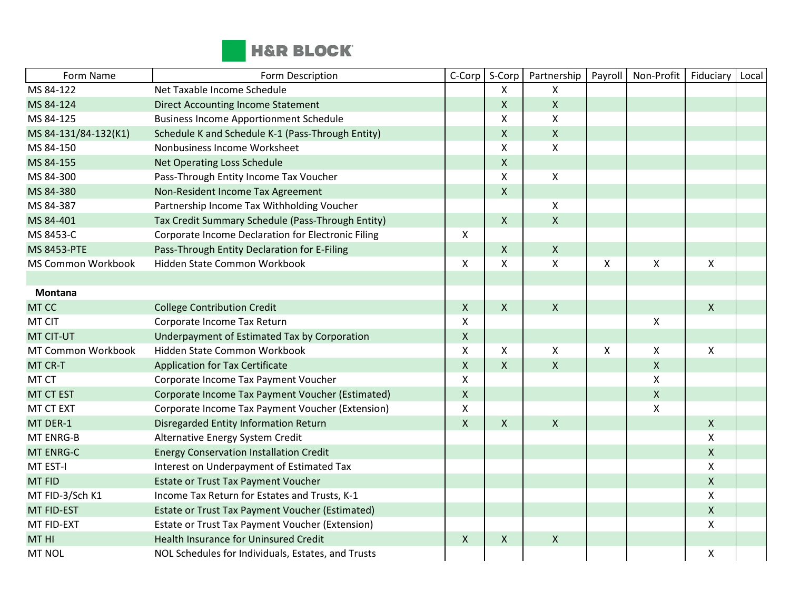

| Form Name                 | Form Description                                   | C-Corp             | S-Corp       | Partnership        | Payroll                   | Non-Profit         | Fiduciary          | Local |
|---------------------------|----------------------------------------------------|--------------------|--------------|--------------------|---------------------------|--------------------|--------------------|-------|
| MS 84-122                 | Net Taxable Income Schedule                        |                    | X            | X                  |                           |                    |                    |       |
| MS 84-124                 | <b>Direct Accounting Income Statement</b>          |                    | $\mathsf{X}$ | $\pmb{\times}$     |                           |                    |                    |       |
| MS 84-125                 | <b>Business Income Apportionment Schedule</b>      |                    | X            | X                  |                           |                    |                    |       |
| MS 84-131/84-132(K1)      | Schedule K and Schedule K-1 (Pass-Through Entity)  |                    | $\mathsf{X}$ | $\mathsf{X}$       |                           |                    |                    |       |
| MS 84-150                 | Nonbusiness Income Worksheet                       |                    | X            | $\mathsf{X}$       |                           |                    |                    |       |
| MS 84-155                 | <b>Net Operating Loss Schedule</b>                 |                    | $\mathsf{X}$ |                    |                           |                    |                    |       |
| MS 84-300                 | Pass-Through Entity Income Tax Voucher             |                    | X            | $\mathsf X$        |                           |                    |                    |       |
| MS 84-380                 | Non-Resident Income Tax Agreement                  |                    | $\mathsf{X}$ |                    |                           |                    |                    |       |
| MS 84-387                 | Partnership Income Tax Withholding Voucher         |                    |              | X                  |                           |                    |                    |       |
| MS 84-401                 | Tax Credit Summary Schedule (Pass-Through Entity)  |                    | $\mathsf{X}$ | $\pmb{\mathsf{X}}$ |                           |                    |                    |       |
| MS 8453-C                 | Corporate Income Declaration for Electronic Filing | $\mathsf{X}$       |              |                    |                           |                    |                    |       |
| <b>MS 8453-PTE</b>        | Pass-Through Entity Declaration for E-Filing       |                    | X            | $\pmb{\times}$     |                           |                    |                    |       |
| <b>MS Common Workbook</b> | Hidden State Common Workbook                       | $\mathsf{X}$       | X            | X                  | $\boldsymbol{\mathsf{X}}$ | $\mathsf{X}$       | $\mathsf{X}$       |       |
|                           |                                                    |                    |              |                    |                           |                    |                    |       |
| <b>Montana</b>            |                                                    |                    |              |                    |                           |                    |                    |       |
| MT CC                     | <b>College Contribution Credit</b>                 | $\mathsf{X}$       | $\mathsf{X}$ | $\boldsymbol{X}$   |                           |                    | $\mathsf{X}$       |       |
| MT CIT                    | Corporate Income Tax Return                        | $\pmb{\times}$     |              |                    |                           | $\pmb{\chi}$       |                    |       |
| <b>MT CIT-UT</b>          | Underpayment of Estimated Tax by Corporation       | $\mathsf{X}$       |              |                    |                           |                    |                    |       |
| MT Common Workbook        | Hidden State Common Workbook                       | $\mathsf{x}$       | X            | $\pmb{\times}$     | $\boldsymbol{\mathsf{X}}$ | $\mathsf{X}$       | X                  |       |
| MT CR-T                   | <b>Application for Tax Certificate</b>             | $\pmb{\mathsf{X}}$ | $\mathsf{X}$ | $\pmb{\mathsf{X}}$ |                           | $\pmb{\mathsf{X}}$ |                    |       |
| MT CT                     | Corporate Income Tax Payment Voucher               | X                  |              |                    |                           | $\pmb{\mathsf{X}}$ |                    |       |
| <b>MT CT EST</b>          | Corporate Income Tax Payment Voucher (Estimated)   | $\mathsf X$        |              |                    |                           | $\mathsf{X}$       |                    |       |
| MT CT EXT                 | Corporate Income Tax Payment Voucher (Extension)   | X                  |              |                    |                           | $\pmb{\chi}$       |                    |       |
| MT DER-1                  | Disregarded Entity Information Return              | $\mathsf{X}$       | $\mathsf{X}$ | $\mathsf{X}$       |                           |                    | $\mathsf{X}$       |       |
| <b>MT ENRG-B</b>          | Alternative Energy System Credit                   |                    |              |                    |                           |                    | X                  |       |
| <b>MT ENRG-C</b>          | <b>Energy Conservation Installation Credit</b>     |                    |              |                    |                           |                    | $\mathsf{X}$       |       |
| MT EST-I                  | Interest on Underpayment of Estimated Tax          |                    |              |                    |                           |                    | X                  |       |
| <b>MT FID</b>             | <b>Estate or Trust Tax Payment Voucher</b>         |                    |              |                    |                           |                    | $\mathsf{X}$       |       |
| MT FID-3/Sch K1           | Income Tax Return for Estates and Trusts, K-1      |                    |              |                    |                           |                    | $\mathsf{X}$       |       |
| <b>MT FID-EST</b>         | Estate or Trust Tax Payment Voucher (Estimated)    |                    |              |                    |                           |                    | $\mathsf{X}$       |       |
| MT FID-EXT                | Estate or Trust Tax Payment Voucher (Extension)    |                    |              |                    |                           |                    | X                  |       |
| MT HI                     | Health Insurance for Uninsured Credit              | $\mathsf{X}$       | $\mathsf{X}$ | $\pmb{\times}$     |                           |                    |                    |       |
| <b>MT NOL</b>             | NOL Schedules for Individuals, Estates, and Trusts |                    |              |                    |                           |                    | $\pmb{\mathsf{X}}$ |       |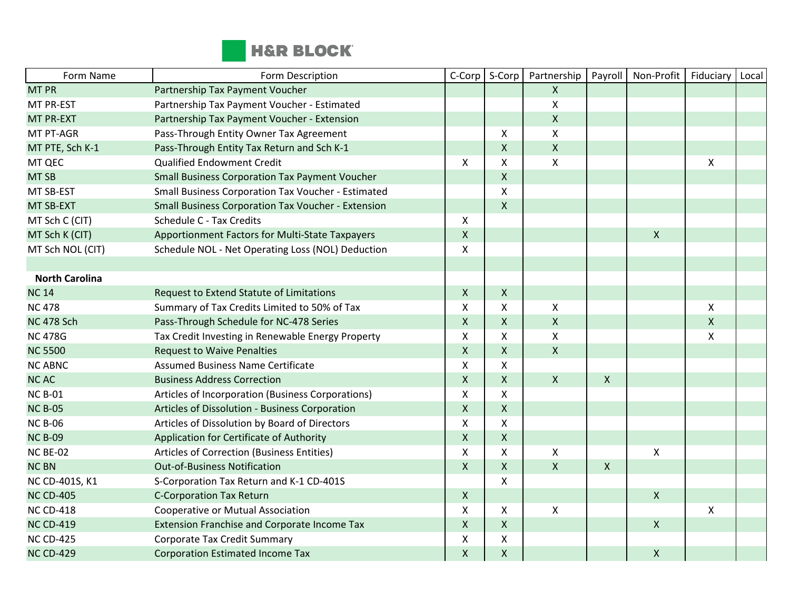

| Form Name             | Form Description                                          | C-Corp                    | S-Corp       | Partnership        | Payroll      | Non-Profit         | Fiduciary          | Local |
|-----------------------|-----------------------------------------------------------|---------------------------|--------------|--------------------|--------------|--------------------|--------------------|-------|
| <b>MT PR</b>          | Partnership Tax Payment Voucher                           |                           |              | $\mathsf{X}$       |              |                    |                    |       |
| MT PR-EST             | Partnership Tax Payment Voucher - Estimated               |                           |              | X                  |              |                    |                    |       |
| <b>MT PR-EXT</b>      | Partnership Tax Payment Voucher - Extension               |                           |              | $\mathsf{X}$       |              |                    |                    |       |
| MT PT-AGR             | Pass-Through Entity Owner Tax Agreement                   |                           | X            | X                  |              |                    |                    |       |
| MT PTE, Sch K-1       | Pass-Through Entity Tax Return and Sch K-1                |                           | X            | $\mathsf{X}$       |              |                    |                    |       |
| MT QEC                | <b>Qualified Endowment Credit</b>                         | $\mathsf{X}$              | X            | X                  |              |                    | $\pmb{\mathsf{X}}$ |       |
| MT <sub>SB</sub>      | <b>Small Business Corporation Tax Payment Voucher</b>     |                           | $\mathsf{X}$ |                    |              |                    |                    |       |
| MT SB-EST             | Small Business Corporation Tax Voucher - Estimated        |                           | X            |                    |              |                    |                    |       |
| MT SB-EXT             | <b>Small Business Corporation Tax Voucher - Extension</b> |                           | X            |                    |              |                    |                    |       |
| MT Sch C (CIT)        | Schedule C - Tax Credits                                  | X                         |              |                    |              |                    |                    |       |
| MT Sch K (CIT)        | Apportionment Factors for Multi-State Taxpayers           | $\mathsf{X}$              |              |                    |              | $\pmb{\mathsf{X}}$ |                    |       |
| MT Sch NOL (CIT)      | Schedule NOL - Net Operating Loss (NOL) Deduction         | $\mathsf{X}$              |              |                    |              |                    |                    |       |
|                       |                                                           |                           |              |                    |              |                    |                    |       |
| <b>North Carolina</b> |                                                           |                           |              |                    |              |                    |                    |       |
| <b>NC14</b>           | Request to Extend Statute of Limitations                  | $\mathsf{X}$              | X            |                    |              |                    |                    |       |
| <b>NC 478</b>         | Summary of Tax Credits Limited to 50% of Tax              | $\mathsf{X}$              | X            | $\mathsf{X}$       |              |                    | X                  |       |
| <b>NC 478 Sch</b>     | Pass-Through Schedule for NC-478 Series                   | $\mathsf{X}$              | X            | $\mathsf{X}$       |              |                    | $\mathsf{X}$       |       |
| <b>NC 478G</b>        | Tax Credit Investing in Renewable Energy Property         | $\pmb{\times}$            | X            | $\pmb{\mathsf{X}}$ |              |                    | Χ                  |       |
| <b>NC 5500</b>        | <b>Request to Waive Penalties</b>                         | $\mathsf{X}$              | X            | $\mathsf{X}$       |              |                    |                    |       |
| <b>NC ABNC</b>        | <b>Assumed Business Name Certificate</b>                  | X                         | X            |                    |              |                    |                    |       |
| <b>NCAC</b>           | <b>Business Address Correction</b>                        | $\mathsf{X}$              | X            | $\mathsf{X}$       | $\mathsf{X}$ |                    |                    |       |
| <b>NC B-01</b>        | Articles of Incorporation (Business Corporations)         | $\mathsf{X}$              | X            |                    |              |                    |                    |       |
| <b>NC B-05</b>        | Articles of Dissolution - Business Corporation            | $\pmb{\times}$            | $\mathsf{X}$ |                    |              |                    |                    |       |
| <b>NC B-06</b>        | Articles of Dissolution by Board of Directors             | $\boldsymbol{\mathsf{X}}$ | X            |                    |              |                    |                    |       |
| <b>NC B-09</b>        | Application for Certificate of Authority                  | $\mathsf{X}$              | X            |                    |              |                    |                    |       |
| NC BE-02              | Articles of Correction (Business Entities)                | $\boldsymbol{\mathsf{X}}$ | X            | X                  |              | X                  |                    |       |
| <b>NC BN</b>          | <b>Out-of-Business Notification</b>                       | $\mathsf{X}$              | $\mathsf{X}$ | $\mathsf{X}$       | $\mathsf{X}$ |                    |                    |       |
| NC CD-401S, K1        | S-Corporation Tax Return and K-1 CD-401S                  |                           | X            |                    |              |                    |                    |       |
| <b>NC CD-405</b>      | <b>C-Corporation Tax Return</b>                           | $\mathsf{X}$              |              |                    |              | X                  |                    |       |
| <b>NC CD-418</b>      | Cooperative or Mutual Association                         | $\pmb{\times}$            | X            | $\pmb{\mathsf{X}}$ |              |                    | $\pmb{\mathsf{X}}$ |       |
| <b>NC CD-419</b>      | Extension Franchise and Corporate Income Tax              | $\mathsf{X}$              | $\mathsf X$  |                    |              | $\pmb{\mathsf{X}}$ |                    |       |
| <b>NC CD-425</b>      | <b>Corporate Tax Credit Summary</b>                       | $\pmb{\times}$            | X            |                    |              |                    |                    |       |
| <b>NC CD-429</b>      | <b>Corporation Estimated Income Tax</b>                   | $\mathsf{X}$              | Χ            |                    |              | X                  |                    |       |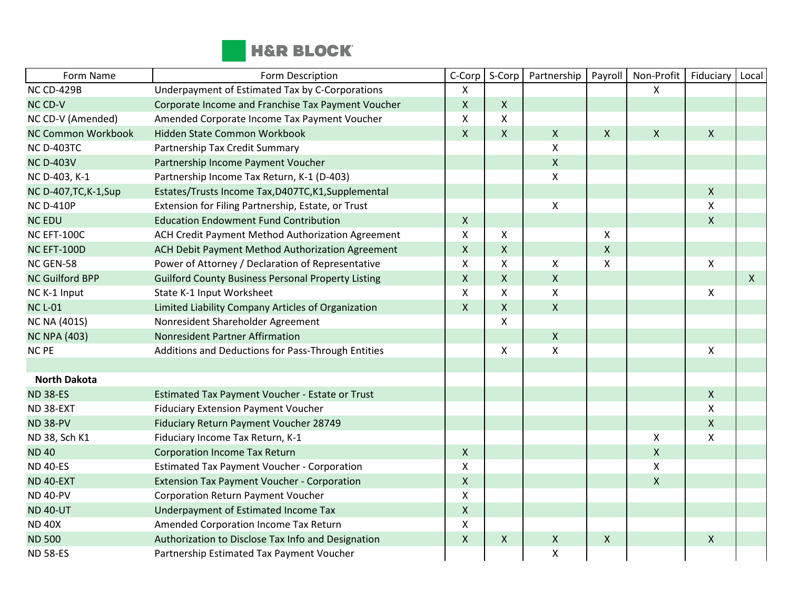

| Form Name                 | Form Description                                          | C-Corp             | S-Corp       | Partnership        | Payroll                   | Non-Profit                | Fiduciary                 | Local        |
|---------------------------|-----------------------------------------------------------|--------------------|--------------|--------------------|---------------------------|---------------------------|---------------------------|--------------|
| <b>NC CD-429B</b>         | Underpayment of Estimated Tax by C-Corporations           | X                  |              |                    |                           | X                         |                           |              |
| NC CD-V                   | Corporate Income and Franchise Tax Payment Voucher        | $\mathsf{X}$       | $\mathsf{X}$ |                    |                           |                           |                           |              |
| NC CD-V (Amended)         | Amended Corporate Income Tax Payment Voucher              | X                  | X            |                    |                           |                           |                           |              |
| <b>NC Common Workbook</b> | Hidden State Common Workbook                              | $\mathsf{X}$       | $\mathsf{X}$ | $\mathsf{X}$       | $\boldsymbol{X}$          | $\boldsymbol{\mathsf{X}}$ | $\mathsf{X}$              |              |
| <b>NC D-403TC</b>         | Partnership Tax Credit Summary                            |                    |              | $\pmb{\times}$     |                           |                           |                           |              |
| <b>NC D-403V</b>          | Partnership Income Payment Voucher                        |                    |              | $\pmb{\times}$     |                           |                           |                           |              |
| NC D-403, K-1             | Partnership Income Tax Return, K-1 (D-403)                |                    |              | X                  |                           |                           |                           |              |
| NC D-407, TC, K-1, Sup    | Estates/Trusts Income Tax, D407TC, K1, Supplemental       |                    |              |                    |                           |                           | $\mathsf{X}$              |              |
| <b>NC D-410P</b>          | Extension for Filing Partnership, Estate, or Trust        |                    |              | X                  |                           |                           | X                         |              |
| <b>NC EDU</b>             | <b>Education Endowment Fund Contribution</b>              | $\mathsf{X}$       |              |                    |                           |                           | $\mathsf{X}$              |              |
| NC EFT-100C               | ACH Credit Payment Method Authorization Agreement         | X                  | X            |                    | $\boldsymbol{\mathsf{X}}$ |                           |                           |              |
| NC EFT-100D               | ACH Debit Payment Method Authorization Agreement          | $\mathsf{X}$       | $\mathsf{X}$ |                    | $\boldsymbol{\mathsf{X}}$ |                           |                           |              |
| NC GEN-58                 | Power of Attorney / Declaration of Representative         | Χ                  | X            | $\pmb{\mathsf{X}}$ | $\boldsymbol{\mathsf{x}}$ |                           | $\pmb{\times}$            |              |
| <b>NC Guilford BPP</b>    | <b>Guilford County Business Personal Property Listing</b> | $\pmb{\mathsf{X}}$ | $\mathsf{X}$ | $\mathsf X$        |                           |                           |                           | $\mathsf{X}$ |
| NC K-1 Input              | State K-1 Input Worksheet                                 | $\mathsf X$        | X            | $\mathsf{x}$       |                           |                           | $\boldsymbol{\mathsf{X}}$ |              |
| <b>NC L-01</b>            | Limited Liability Company Articles of Organization        | $\mathsf{X}$       | $\mathsf{X}$ | $\mathsf{X}$       |                           |                           |                           |              |
| <b>NC NA (401S)</b>       | Nonresident Shareholder Agreement                         |                    | X            |                    |                           |                           |                           |              |
| <b>NC NPA (403)</b>       | Nonresident Partner Affirmation                           |                    |              | $\mathsf X$        |                           |                           |                           |              |
| <b>NC PE</b>              | Additions and Deductions for Pass-Through Entities        |                    | X            | X                  |                           |                           | X                         |              |
|                           |                                                           |                    |              |                    |                           |                           |                           |              |
| <b>North Dakota</b>       |                                                           |                    |              |                    |                           |                           |                           |              |
| <b>ND 38-ES</b>           | Estimated Tax Payment Voucher - Estate or Trust           |                    |              |                    |                           |                           | $\mathsf{X}$              |              |
| ND 38-EXT                 | <b>Fiduciary Extension Payment Voucher</b>                |                    |              |                    |                           |                           | X                         |              |
| <b>ND 38-PV</b>           | Fiduciary Return Payment Voucher 28749                    |                    |              |                    |                           |                           | $\mathsf{X}$              |              |
| ND 38, Sch K1             | Fiduciary Income Tax Return, K-1                          |                    |              |                    |                           | Χ                         | $\pmb{\times}$            |              |
| <b>ND 40</b>              | <b>Corporation Income Tax Return</b>                      | $\mathsf{X}$       |              |                    |                           | $\pmb{\mathsf{X}}$        |                           |              |
| <b>ND 40-ES</b>           | <b>Estimated Tax Payment Voucher - Corporation</b>        | X                  |              |                    |                           | $\pmb{\chi}$              |                           |              |
| ND 40-EXT                 | <b>Extension Tax Payment Voucher - Corporation</b>        | $\mathsf{X}$       |              |                    |                           | $\pmb{\chi}$              |                           |              |
| <b>ND 40-PV</b>           | Corporation Return Payment Voucher                        | X                  |              |                    |                           |                           |                           |              |
| <b>ND 40-UT</b>           | Underpayment of Estimated Income Tax                      | $\mathsf{X}$       |              |                    |                           |                           |                           |              |
| <b>ND 40X</b>             | Amended Corporation Income Tax Return                     | X                  |              |                    |                           |                           |                           |              |
| <b>ND 500</b>             | Authorization to Disclose Tax Info and Designation        | $\mathsf{X}$       | $\mathsf{X}$ | $\pmb{\times}$     | $\boldsymbol{X}$          |                           | $\boldsymbol{\mathsf{X}}$ |              |
| <b>ND 58-ES</b>           | Partnership Estimated Tax Payment Voucher                 |                    |              | $\pmb{\mathsf{X}}$ |                           |                           |                           |              |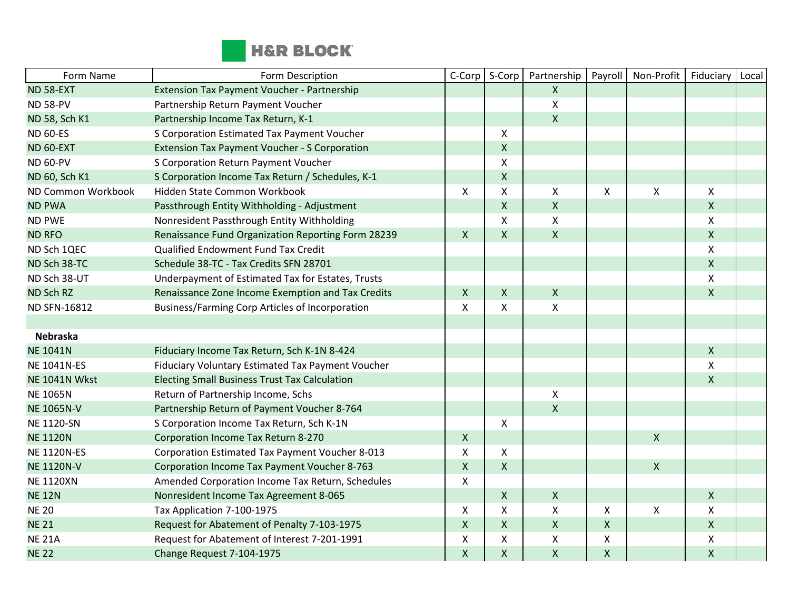

| Form Name            | Form Description                                       | C-Corp         | S-Corp       | Partnership        | Payroll                   | Non-Profit   | Fiduciary                 | Local |
|----------------------|--------------------------------------------------------|----------------|--------------|--------------------|---------------------------|--------------|---------------------------|-------|
| <b>ND 58-EXT</b>     | Extension Tax Payment Voucher - Partnership            |                |              | $\mathsf{X}$       |                           |              |                           |       |
| <b>ND 58-PV</b>      | Partnership Return Payment Voucher                     |                |              | $\pmb{\mathsf{X}}$ |                           |              |                           |       |
| ND 58, Sch K1        | Partnership Income Tax Return, K-1                     |                |              | $\pmb{\times}$     |                           |              |                           |       |
| <b>ND 60-ES</b>      | S Corporation Estimated Tax Payment Voucher            |                | X            |                    |                           |              |                           |       |
| ND 60-EXT            | <b>Extension Tax Payment Voucher - S Corporation</b>   |                | $\mathsf{X}$ |                    |                           |              |                           |       |
| <b>ND 60-PV</b>      | S Corporation Return Payment Voucher                   |                | X            |                    |                           |              |                           |       |
| ND 60, Sch K1        | S Corporation Income Tax Return / Schedules, K-1       |                | $\mathsf X$  |                    |                           |              |                           |       |
| ND Common Workbook   | Hidden State Common Workbook                           | $\mathsf{x}$   | X            | X                  | $\boldsymbol{\mathsf{x}}$ | $\mathsf{X}$ | $\mathsf{X}$              |       |
| <b>ND PWA</b>        | Passthrough Entity Withholding - Adjustment            |                | $\mathsf{X}$ | $\mathsf{X}$       |                           |              | $\mathsf{X}$              |       |
| <b>ND PWE</b>        | Nonresident Passthrough Entity Withholding             |                | X            | $\pmb{\times}$     |                           |              | $\mathsf{X}$              |       |
| <b>ND RFO</b>        | Renaissance Fund Organization Reporting Form 28239     | $\mathsf{X}$   | $\mathsf{X}$ | $\pmb{\mathsf{X}}$ |                           |              | $\mathsf{X}$              |       |
| ND Sch 1QEC          | Qualified Endowment Fund Tax Credit                    |                |              |                    |                           |              | X                         |       |
| ND Sch 38-TC         | Schedule 38-TC - Tax Credits SFN 28701                 |                |              |                    |                           |              | $\mathsf{X}$              |       |
| ND Sch 38-UT         | Underpayment of Estimated Tax for Estates, Trusts      |                |              |                    |                           |              | $\boldsymbol{\mathsf{X}}$ |       |
| ND Sch RZ            | Renaissance Zone Income Exemption and Tax Credits      | $\mathsf{X}$   | $\mathsf{X}$ | $\pmb{\times}$     |                           |              | $\pmb{\mathsf{X}}$        |       |
| ND SFN-16812         | <b>Business/Farming Corp Articles of Incorporation</b> | X              | X            | $\pmb{\times}$     |                           |              |                           |       |
|                      |                                                        |                |              |                    |                           |              |                           |       |
| <b>Nebraska</b>      |                                                        |                |              |                    |                           |              |                           |       |
| <b>NE 1041N</b>      | Fiduciary Income Tax Return, Sch K-1N 8-424            |                |              |                    |                           |              | $\mathsf{X}$              |       |
| <b>NE 1041N-ES</b>   | Fiduciary Voluntary Estimated Tax Payment Voucher      |                |              |                    |                           |              | X                         |       |
| <b>NE 1041N Wkst</b> | <b>Electing Small Business Trust Tax Calculation</b>   |                |              |                    |                           |              | $\mathsf{X}$              |       |
| <b>NE 1065N</b>      | Return of Partnership Income, Schs                     |                |              | X                  |                           |              |                           |       |
| <b>NE 1065N-V</b>    | Partnership Return of Payment Voucher 8-764            |                |              | $\pmb{\times}$     |                           |              |                           |       |
| <b>NE 1120-SN</b>    | S Corporation Income Tax Return, Sch K-1N              |                | X            |                    |                           |              |                           |       |
| <b>NE 1120N</b>      | Corporation Income Tax Return 8-270                    | $\mathsf{X}$   |              |                    |                           | $\mathsf{X}$ |                           |       |
| <b>NE 1120N-ES</b>   | Corporation Estimated Tax Payment Voucher 8-013        | X              | X            |                    |                           |              |                           |       |
| <b>NE 1120N-V</b>    | Corporation Income Tax Payment Voucher 8-763           | $\mathsf{X}$   | $\mathsf{X}$ |                    |                           | $\mathsf{X}$ |                           |       |
| <b>NE 1120XN</b>     | Amended Corporation Income Tax Return, Schedules       | X              |              |                    |                           |              |                           |       |
| <b>NE 12N</b>        | Nonresident Income Tax Agreement 8-065                 |                | $\mathsf{X}$ | $\mathsf{X}$       |                           |              | $\mathsf{X}$              |       |
| <b>NE 20</b>         | Tax Application 7-100-1975                             | X              | X            | $\mathsf{X}$       | $\boldsymbol{\mathsf{X}}$ | $\pmb{\chi}$ | X                         |       |
| <b>NE 21</b>         | Request for Abatement of Penalty 7-103-1975            | $\pmb{\times}$ | $\mathsf{X}$ | $\pmb{\times}$     | $\pmb{\times}$            |              | $\mathsf{X}$              |       |
| <b>NE 21A</b>        | Request for Abatement of Interest 7-201-1991           | X              | X            | $\pmb{\mathsf{X}}$ | $\pmb{\mathsf{X}}$        |              | X                         |       |
| <b>NE 22</b>         | Change Request 7-104-1975                              | $\mathsf{X}$   | $\mathsf{X}$ | $\pmb{\times}$     | $\pmb{\mathsf{X}}$        |              | $\mathsf{X}$              |       |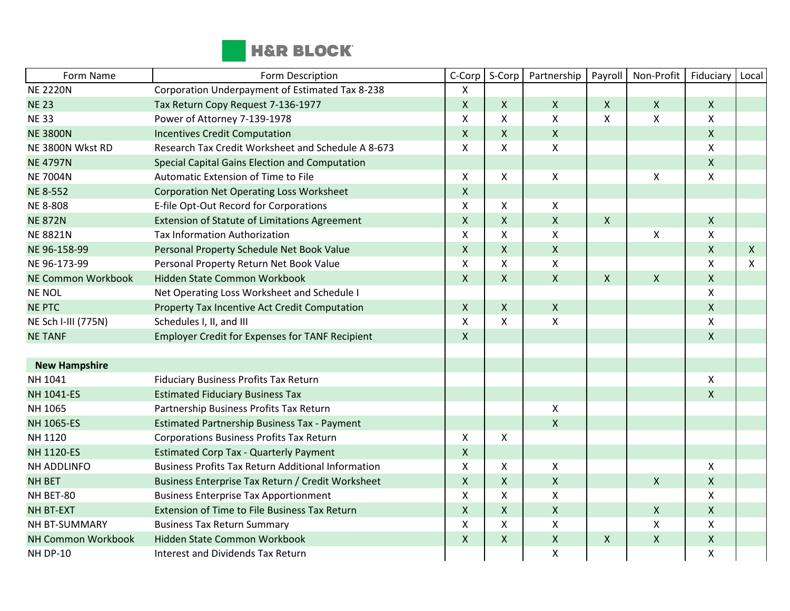

| Form Name            | Form Description                                          | C-Corp             | S-Corp       | Partnership        | Payroll                   | Non-Profit         | Fiduciary          | Local        |
|----------------------|-----------------------------------------------------------|--------------------|--------------|--------------------|---------------------------|--------------------|--------------------|--------------|
| <b>NE 2220N</b>      | Corporation Underpayment of Estimated Tax 8-238           | X                  |              |                    |                           |                    |                    |              |
| <b>NE 23</b>         | Tax Return Copy Request 7-136-1977                        | $\mathsf{X}$       | $\mathsf{X}$ | $\mathsf{X}$       | $\boldsymbol{\mathsf{X}}$ | $\mathsf{X}$       | $\mathsf{X}$       |              |
| <b>NE33</b>          | Power of Attorney 7-139-1978                              | $\pmb{\times}$     | X            | X                  | $\boldsymbol{\mathsf{X}}$ | $\mathsf{X}$       | $\pmb{\mathsf{X}}$ |              |
| <b>NE 3800N</b>      | <b>Incentives Credit Computation</b>                      | $\pmb{\times}$     | $\mathsf{X}$ | $\mathsf{X}$       |                           |                    | $\mathsf{X}$       |              |
| NE 3800N Wkst RD     | Research Tax Credit Worksheet and Schedule A 8-673        | $\mathsf{X}$       | X            | $\mathsf{x}$       |                           |                    | X                  |              |
| <b>NE 4797N</b>      | Special Capital Gains Election and Computation            |                    |              |                    |                           |                    | $\mathsf{X}$       |              |
| <b>NE 7004N</b>      | Automatic Extension of Time to File                       | $\mathsf{X}$       | X            | $\pmb{\times}$     |                           | $\pmb{\times}$     | $\mathsf{x}$       |              |
| <b>NE 8-552</b>      | <b>Corporation Net Operating Loss Worksheet</b>           | $\mathsf{X}$       |              |                    |                           |                    |                    |              |
| <b>NE 8-808</b>      | E-file Opt-Out Record for Corporations                    | X                  | X            | X                  |                           |                    |                    |              |
| <b>NE 872N</b>       | <b>Extension of Statute of Limitations Agreement</b>      | $\mathsf{x}$       | $\mathsf{X}$ | $\mathsf{x}$       | $\boldsymbol{\mathsf{X}}$ |                    | $\mathsf{X}$       |              |
| <b>NE 8821N</b>      | <b>Tax Information Authorization</b>                      | X                  | X            | X                  |                           | $\pmb{\chi}$       | $\mathsf{X}$       |              |
| NE 96-158-99         | Personal Property Schedule Net Book Value                 | $\mathsf X$        | $\mathsf{X}$ | $\mathsf{X}$       |                           |                    | $\mathsf{X}$       | $\mathsf{X}$ |
| NE 96-173-99         | Personal Property Return Net Book Value                   | $\pmb{\times}$     | X            | X                  |                           |                    | $\mathsf{X}$       | X            |
| NE Common Workbook   | Hidden State Common Workbook                              | $\mathsf{X}$       | $\mathsf{X}$ | $\pmb{\times}$     | $\mathsf{X}$              | $\pmb{\mathsf{X}}$ | $\mathsf{X}$       |              |
| NE NOL               | Net Operating Loss Worksheet and Schedule I               |                    |              |                    |                           |                    | $\mathsf{X}$       |              |
| <b>NE PTC</b>        | Property Tax Incentive Act Credit Computation             | $\mathsf{X}$       | $\mathsf{X}$ | $\pmb{\times}$     |                           |                    | $\mathsf{X}$       |              |
| NE Sch I-III (775N)  | Schedules I, II, and III                                  | $\pmb{\times}$     | X            | X                  |                           |                    | X                  |              |
| <b>NE TANF</b>       | <b>Employer Credit for Expenses for TANF Recipient</b>    | $\mathsf{X}$       |              |                    |                           |                    | $\mathsf{X}$       |              |
|                      |                                                           |                    |              |                    |                           |                    |                    |              |
| <b>New Hampshire</b> |                                                           |                    |              |                    |                           |                    |                    |              |
| NH 1041              | Fiduciary Business Profits Tax Return                     |                    |              |                    |                           |                    | X                  |              |
| NH 1041-ES           | <b>Estimated Fiduciary Business Tax</b>                   |                    |              |                    |                           |                    | $\mathsf{X}$       |              |
| NH 1065              | Partnership Business Profits Tax Return                   |                    |              | $\mathsf{X}$       |                           |                    |                    |              |
| NH 1065-ES           | <b>Estimated Partnership Business Tax - Payment</b>       |                    |              | $\mathsf{X}$       |                           |                    |                    |              |
| NH 1120              | Corporations Business Profits Tax Return                  | $\mathsf{X}$       | X            |                    |                           |                    |                    |              |
| <b>NH 1120-ES</b>    | <b>Estimated Corp Tax - Quarterly Payment</b>             | $\pmb{\mathsf{X}}$ |              |                    |                           |                    |                    |              |
| NH ADDLINFO          | <b>Business Profits Tax Return Additional Information</b> | X                  | X            | X                  |                           |                    | X                  |              |
| <b>NH BET</b>        | Business Enterprise Tax Return / Credit Worksheet         | $\mathsf{X}$       | $\mathsf{X}$ | $\pmb{\mathsf{X}}$ |                           | $\mathsf{X}$       | $\mathsf{X}$       |              |
| NH BET-80            | <b>Business Enterprise Tax Apportionment</b>              | $\pmb{\times}$     | X            | Χ                  |                           |                    | X                  |              |
| <b>NH BT-EXT</b>     | Extension of Time to File Business Tax Return             | $\pmb{\mathsf{X}}$ | $\mathsf{X}$ | $\pmb{\times}$     |                           | $\pmb{\chi}$       | $\mathsf{X}$       |              |
| NH BT-SUMMARY        | <b>Business Tax Return Summary</b>                        | $\pmb{\times}$     | X            | Χ                  |                           | $\mathsf{X}$       | X                  |              |
| NH Common Workbook   | Hidden State Common Workbook                              | $\mathsf{X}$       | $\mathsf{X}$ | $\pmb{\times}$     | $\boldsymbol{X}$          | $\mathsf X$        | $\mathsf X$        |              |
| <b>NH DP-10</b>      | <b>Interest and Dividends Tax Return</b>                  |                    |              | $\pmb{\mathsf{X}}$ |                           |                    | X                  |              |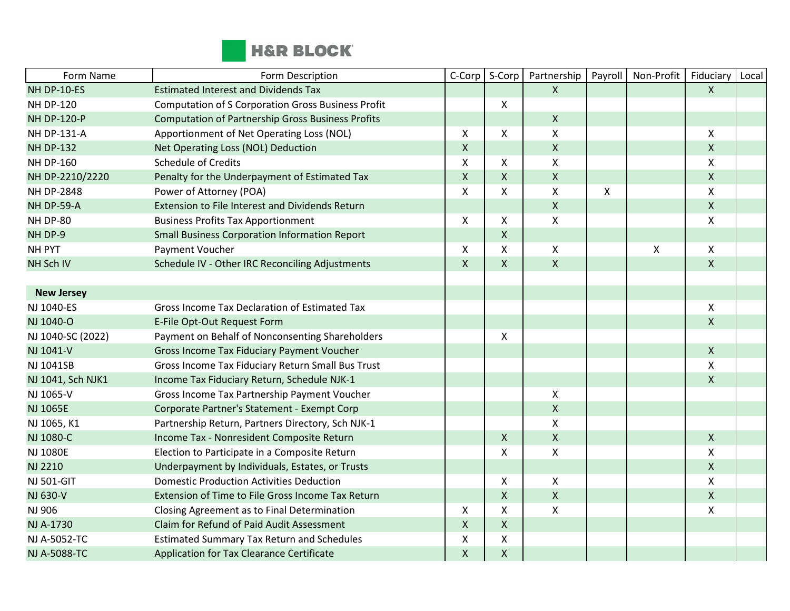

| Form Name          | Form Description                                          | C-Corp                    | S-Corp             | Partnership        | Payroll | Non-Profit | Fiduciary          | Local |
|--------------------|-----------------------------------------------------------|---------------------------|--------------------|--------------------|---------|------------|--------------------|-------|
| NH DP-10-ES        | <b>Estimated Interest and Dividends Tax</b>               |                           |                    | $\mathsf{X}$       |         |            | $\mathsf{X}$       |       |
| <b>NH DP-120</b>   | <b>Computation of S Corporation Gross Business Profit</b> |                           | X                  |                    |         |            |                    |       |
| <b>NH DP-120-P</b> | <b>Computation of Partnership Gross Business Profits</b>  |                           |                    | $\mathsf{X}$       |         |            |                    |       |
| <b>NH DP-131-A</b> | Apportionment of Net Operating Loss (NOL)                 | X                         | X                  | X                  |         |            | $\mathsf{X}$       |       |
| <b>NH DP-132</b>   | Net Operating Loss (NOL) Deduction                        | $\pmb{\times}$            |                    | $\pmb{\mathsf{X}}$ |         |            | $\mathsf{X}$       |       |
| <b>NH DP-160</b>   | <b>Schedule of Credits</b>                                | $\mathsf{X}$              | X                  | $\mathsf{X}$       |         |            | X                  |       |
| NH DP-2210/2220    | Penalty for the Underpayment of Estimated Tax             | $\mathsf{X}$              | X                  | $\mathsf{X}$       |         |            | $\mathsf{X}$       |       |
| <b>NH DP-2848</b>  | Power of Attorney (POA)                                   | $\boldsymbol{\mathsf{X}}$ | X                  | $\pmb{\mathsf{X}}$ | X       |            | X                  |       |
| NH DP-59-A         | Extension to File Interest and Dividends Return           |                           |                    | $\pmb{\mathsf{X}}$ |         |            | $\mathsf X$        |       |
| NH DP-80           | <b>Business Profits Tax Apportionment</b>                 | X                         | X                  | $\pmb{\times}$     |         |            | X                  |       |
| NH DP-9            | <b>Small Business Corporation Information Report</b>      |                           | $\pmb{\mathsf{X}}$ |                    |         |            |                    |       |
| NH PYT             | Payment Voucher                                           | X                         | X                  | X                  |         | Χ          | X                  |       |
| NH Sch IV          | Schedule IV - Other IRC Reconciling Adjustments           | $\mathsf{X}$              | X                  | $\mathsf{X}$       |         |            | $\mathsf{X}$       |       |
|                    |                                                           |                           |                    |                    |         |            |                    |       |
| <b>New Jersey</b>  |                                                           |                           |                    |                    |         |            |                    |       |
| NJ 1040-ES         | Gross Income Tax Declaration of Estimated Tax             |                           |                    |                    |         |            | $\pmb{\times}$     |       |
| NJ 1040-O          | E-File Opt-Out Request Form                               |                           |                    |                    |         |            | $\mathsf{X}$       |       |
| NJ 1040-SC (2022)  | Payment on Behalf of Nonconsenting Shareholders           |                           | X                  |                    |         |            |                    |       |
| NJ 1041-V          | Gross Income Tax Fiduciary Payment Voucher                |                           |                    |                    |         |            | $\mathsf{X}$       |       |
| NJ 1041SB          | Gross Income Tax Fiduciary Return Small Bus Trust         |                           |                    |                    |         |            | $\mathsf{X}$       |       |
| NJ 1041, Sch NJK1  | Income Tax Fiduciary Return, Schedule NJK-1               |                           |                    |                    |         |            | $\mathsf{X}$       |       |
| NJ 1065-V          | Gross Income Tax Partnership Payment Voucher              |                           |                    | X                  |         |            |                    |       |
| NJ 1065E           | Corporate Partner's Statement - Exempt Corp               |                           |                    | $\pmb{\mathsf{X}}$ |         |            |                    |       |
| NJ 1065, K1        | Partnership Return, Partners Directory, Sch NJK-1         |                           |                    | $\pmb{\mathsf{X}}$ |         |            |                    |       |
| NJ 1080-C          | Income Tax - Nonresident Composite Return                 |                           | $\mathsf{X}$       | $\mathsf X$        |         |            | $\pmb{\mathsf{X}}$ |       |
| <b>NJ 1080E</b>    | Election to Participate in a Composite Return             |                           | X                  | $\pmb{\times}$     |         |            | X                  |       |
| NJ 2210            | Underpayment by Individuals, Estates, or Trusts           |                           |                    |                    |         |            | $\mathsf{X}$       |       |
| <b>NJ 501-GIT</b>  | <b>Domestic Production Activities Deduction</b>           |                           | X                  | $\pmb{\times}$     |         |            | X                  |       |
| NJ 630-V           | Extension of Time to File Gross Income Tax Return         |                           | X                  | $\mathsf X$        |         |            | $\mathsf X$        |       |
| NJ 906             | Closing Agreement as to Final Determination               | $\mathsf{X}$              | X                  | $\pmb{\mathsf{X}}$ |         |            | $\pmb{\mathsf{X}}$ |       |
| NJ A-1730          | Claim for Refund of Paid Audit Assessment                 | $\mathsf{X}$              | $\pmb{\mathsf{X}}$ |                    |         |            |                    |       |
| NJ A-5052-TC       | <b>Estimated Summary Tax Return and Schedules</b>         | X                         | Χ                  |                    |         |            |                    |       |
| NJ A-5088-TC       | Application for Tax Clearance Certificate                 | $\mathsf{X}$              | $\pmb{\mathsf{X}}$ |                    |         |            |                    |       |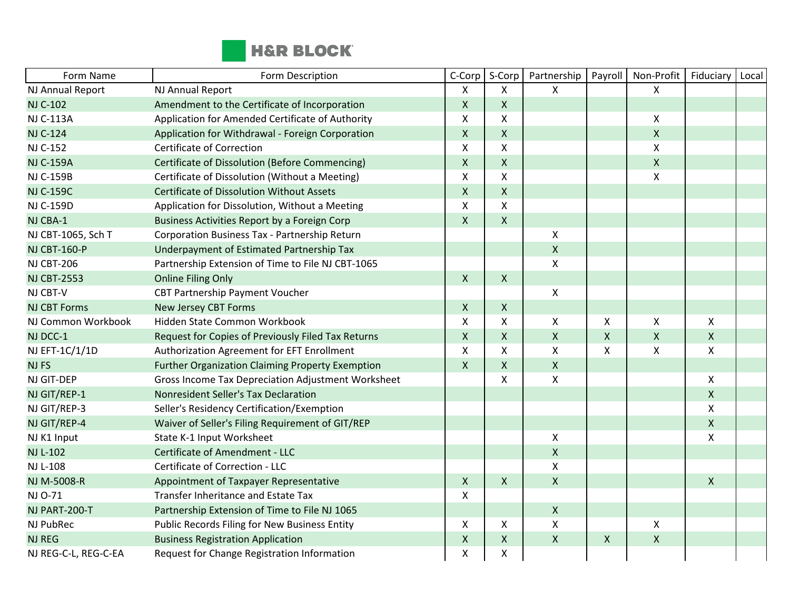

| Form Name            | Form Description                                          | C-Corp                    | S-Corp             | Partnership        | Payroll            | Non-Profit                | Fiduciary    | Local |
|----------------------|-----------------------------------------------------------|---------------------------|--------------------|--------------------|--------------------|---------------------------|--------------|-------|
| NJ Annual Report     | NJ Annual Report                                          | X                         | X                  | X                  |                    | $\pmb{\mathsf{X}}$        |              |       |
| <b>NJ C-102</b>      | Amendment to the Certificate of Incorporation             | $\mathsf X$               | X                  |                    |                    |                           |              |       |
| <b>NJ C-113A</b>     | Application for Amended Certificate of Authority          | $\pmb{\mathsf{X}}$        | Χ                  |                    |                    | X                         |              |       |
| <b>NJ C-124</b>      | Application for Withdrawal - Foreign Corporation          | $\boldsymbol{\mathsf{X}}$ | X                  |                    |                    | $\pmb{\mathsf{X}}$        |              |       |
| NJ C-152             | <b>Certificate of Correction</b>                          | $\boldsymbol{\mathsf{X}}$ | X                  |                    |                    | $\pmb{\mathsf{X}}$        |              |       |
| <b>NJ C-159A</b>     | <b>Certificate of Dissolution (Before Commencing)</b>     | $\mathsf{X}$              | Χ                  |                    |                    | $\pmb{\mathsf{X}}$        |              |       |
| <b>NJ C-159B</b>     | Certificate of Dissolution (Without a Meeting)            | X                         | X                  |                    |                    | $\boldsymbol{\mathsf{X}}$ |              |       |
| <b>NJ C-159C</b>     | <b>Certificate of Dissolution Without Assets</b>          | $\mathsf{X}$              | $\pmb{\mathsf{X}}$ |                    |                    |                           |              |       |
| <b>NJ C-159D</b>     | Application for Dissolution, Without a Meeting            | $\boldsymbol{\mathsf{X}}$ | X                  |                    |                    |                           |              |       |
| NJ CBA-1             | Business Activities Report by a Foreign Corp              | $\mathsf X$               | $\pmb{\mathsf{X}}$ |                    |                    |                           |              |       |
| NJ CBT-1065, Sch T   | Corporation Business Tax - Partnership Return             |                           |                    | X                  |                    |                           |              |       |
| <b>NJ CBT-160-P</b>  | Underpayment of Estimated Partnership Tax                 |                           |                    | $\mathsf{X}$       |                    |                           |              |       |
| <b>NJ CBT-206</b>    | Partnership Extension of Time to File NJ CBT-1065         |                           |                    | $\pmb{\mathsf{X}}$ |                    |                           |              |       |
| <b>NJ CBT-2553</b>   | <b>Online Filing Only</b>                                 | $\mathsf{X}$              | X                  |                    |                    |                           |              |       |
| NJ CBT-V             | CBT Partnership Payment Voucher                           |                           |                    | $\mathsf{X}$       |                    |                           |              |       |
| <b>NJ CBT Forms</b>  | <b>New Jersey CBT Forms</b>                               | $\mathsf{X}$              | X                  |                    |                    |                           |              |       |
| NJ Common Workbook   | Hidden State Common Workbook                              | X                         | Χ                  | $\pmb{\mathsf{X}}$ | X                  | Χ                         | Χ            |       |
| NJ DCC-1             | Request for Copies of Previously Filed Tax Returns        | $\mathsf X$               | $\pmb{\mathsf{X}}$ | $\mathsf{X}$       | $\pmb{\mathsf{X}}$ | $\pmb{\mathsf{X}}$        | X            |       |
| NJ EFT-1C/1/1D       | Authorization Agreement for EFT Enrollment                | $\mathsf{x}$              | X                  | X                  | $\mathsf{x}$       | X                         | X            |       |
| <b>NJFS</b>          | <b>Further Organization Claiming Property Exemption</b>   | $\mathsf{x}$              | X                  | $\mathsf{X}$       |                    |                           |              |       |
| NJ GIT-DEP           | <b>Gross Income Tax Depreciation Adjustment Worksheet</b> |                           | X                  | $\mathsf{X}$       |                    |                           | X            |       |
| NJ GIT/REP-1         | Nonresident Seller's Tax Declaration                      |                           |                    |                    |                    |                           | $\mathsf{X}$ |       |
| NJ GIT/REP-3         | Seller's Residency Certification/Exemption                |                           |                    |                    |                    |                           | Χ            |       |
| NJ GIT/REP-4         | Waiver of Seller's Filing Requirement of GIT/REP          |                           |                    |                    |                    |                           | $\mathsf{X}$ |       |
| NJ K1 Input          | State K-1 Input Worksheet                                 |                           |                    | X                  |                    |                           | Χ            |       |
| <b>NJ L-102</b>      | Certificate of Amendment - LLC                            |                           |                    | $\pmb{\times}$     |                    |                           |              |       |
| NJ L-108             | Certificate of Correction - LLC                           |                           |                    | $\pmb{\mathsf{X}}$ |                    |                           |              |       |
| NJ M-5008-R          | Appointment of Taxpayer Representative                    | $\mathsf{X}$              | X                  | $\mathsf{X}$       |                    |                           | $\mathsf{X}$ |       |
| NJ 0-71              | Transfer Inheritance and Estate Tax                       | X                         |                    |                    |                    |                           |              |       |
| NJ PART-200-T        | Partnership Extension of Time to File NJ 1065             |                           |                    | $\mathsf{X}$       |                    |                           |              |       |
| NJ PubRec            | Public Records Filing for New Business Entity             | X                         | X                  | X                  |                    | X                         |              |       |
| <b>NJ REG</b>        | <b>Business Registration Application</b>                  | $\pmb{\mathsf{X}}$        | $\pmb{\mathsf{X}}$ | $\pmb{\times}$     | $\pmb{\times}$     | $\pmb{\mathsf{X}}$        |              |       |
| NJ REG-C-L, REG-C-EA | Request for Change Registration Information               | $\pmb{\mathsf{X}}$        | Χ                  |                    |                    |                           |              |       |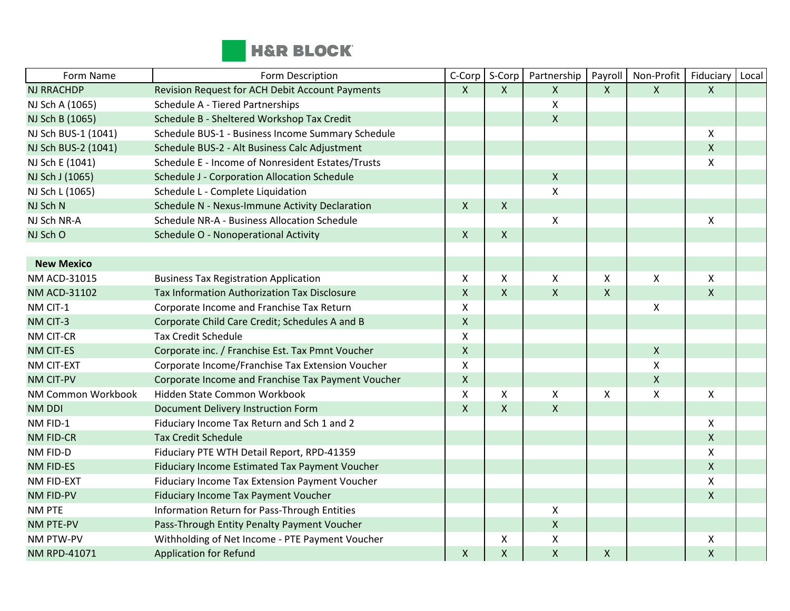

| Form Name           | Form Description                                    | C-Corp             | S-Corp       | Partnership        | Payroll            | Non-Profit         | Fiduciary    | Local |
|---------------------|-----------------------------------------------------|--------------------|--------------|--------------------|--------------------|--------------------|--------------|-------|
| <b>NJ RRACHDP</b>   | Revision Request for ACH Debit Account Payments     | $\mathsf{X}$       | $\mathsf{X}$ | $\mathsf{X}$       | $\mathsf{X}$       | $\mathsf{X}$       | $\mathsf{X}$ |       |
| NJ Sch A (1065)     | Schedule A - Tiered Partnerships                    |                    |              | $\pmb{\mathsf{X}}$ |                    |                    |              |       |
| NJ Sch B (1065)     | Schedule B - Sheltered Workshop Tax Credit          |                    |              | $\mathsf{X}$       |                    |                    |              |       |
| NJ Sch BUS-1 (1041) | Schedule BUS-1 - Business Income Summary Schedule   |                    |              |                    |                    |                    | $\mathsf{X}$ |       |
| NJ Sch BUS-2 (1041) | Schedule BUS-2 - Alt Business Calc Adjustment       |                    |              |                    |                    |                    | $\mathsf{X}$ |       |
| NJ Sch E (1041)     | Schedule E - Income of Nonresident Estates/Trusts   |                    |              |                    |                    |                    | X            |       |
| NJ Sch J (1065)     | <b>Schedule J - Corporation Allocation Schedule</b> |                    |              | $\mathsf X$        |                    |                    |              |       |
| NJ Sch L (1065)     | Schedule L - Complete Liquidation                   |                    |              | $\mathsf{X}$       |                    |                    |              |       |
| NJ Sch N            | Schedule N - Nexus-Immune Activity Declaration      | $\mathsf{X}$       | $\mathsf{X}$ |                    |                    |                    |              |       |
| NJ Sch NR-A         | Schedule NR-A - Business Allocation Schedule        |                    |              | X                  |                    |                    | X            |       |
| NJ Sch O            | Schedule O - Nonoperational Activity                | $\mathsf{X}$       | $\mathsf{X}$ |                    |                    |                    |              |       |
|                     |                                                     |                    |              |                    |                    |                    |              |       |
| <b>New Mexico</b>   |                                                     |                    |              |                    |                    |                    |              |       |
| NM ACD-31015        | <b>Business Tax Registration Application</b>        | X                  | X            | X                  | $\pmb{\times}$     | X                  | $\mathsf{X}$ |       |
| <b>NM ACD-31102</b> | Tax Information Authorization Tax Disclosure        | $\mathsf{X}$       | X            | $\mathsf{X}$       | $\pmb{\mathsf{X}}$ |                    | $\mathsf{X}$ |       |
| NM CIT-1            | Corporate Income and Franchise Tax Return           | X                  |              |                    |                    | $\pmb{\mathsf{X}}$ |              |       |
| NM CIT-3            | Corporate Child Care Credit; Schedules A and B      | $\pmb{\mathsf{X}}$ |              |                    |                    |                    |              |       |
| NM CIT-CR           | <b>Tax Credit Schedule</b>                          | Χ                  |              |                    |                    |                    |              |       |
| NM CIT-ES           | Corporate inc. / Franchise Est. Tax Pmnt Voucher    | $\mathsf{X}$       |              |                    |                    | $\pmb{\mathsf{X}}$ |              |       |
| NM CIT-EXT          | Corporate Income/Franchise Tax Extension Voucher    | X                  |              |                    |                    | $\mathsf{X}$       |              |       |
| <b>NM CIT-PV</b>    | Corporate Income and Franchise Tax Payment Voucher  | $\mathsf{X}$       |              |                    |                    | $\pmb{\mathsf{X}}$ |              |       |
| NM Common Workbook  | Hidden State Common Workbook                        | X                  | X            | X                  | X                  | Χ                  | X            |       |
| <b>NM DDI</b>       | Document Delivery Instruction Form                  | $\mathsf{X}$       | $\mathsf{X}$ | $\mathsf{X}$       |                    |                    |              |       |
| NM FID-1            | Fiduciary Income Tax Return and Sch 1 and 2         |                    |              |                    |                    |                    | X            |       |
| <b>NM FID-CR</b>    | <b>Tax Credit Schedule</b>                          |                    |              |                    |                    |                    | $\mathsf{X}$ |       |
| NM FID-D            | Fiduciary PTE WTH Detail Report, RPD-41359          |                    |              |                    |                    |                    | X            |       |
| <b>NM FID-ES</b>    | Fiduciary Income Estimated Tax Payment Voucher      |                    |              |                    |                    |                    | $\mathsf{X}$ |       |
| NM FID-EXT          | Fiduciary Income Tax Extension Payment Voucher      |                    |              |                    |                    |                    | Χ            |       |
| <b>NM FID-PV</b>    | Fiduciary Income Tax Payment Voucher                |                    |              |                    |                    |                    | $\mathsf{X}$ |       |
| NM PTE              | Information Return for Pass-Through Entities        |                    |              | X                  |                    |                    |              |       |
| NM PTE-PV           | Pass-Through Entity Penalty Payment Voucher         |                    |              | $\pmb{\mathsf{X}}$ |                    |                    |              |       |
| NM PTW-PV           | Withholding of Net Income - PTE Payment Voucher     |                    | X            | X                  |                    |                    | X            |       |
| NM RPD-41071        | <b>Application for Refund</b>                       | $\mathsf{X}$       | $\mathsf{X}$ | $\mathsf{X}$       | $\pmb{\mathsf{X}}$ |                    | $\mathsf{X}$ |       |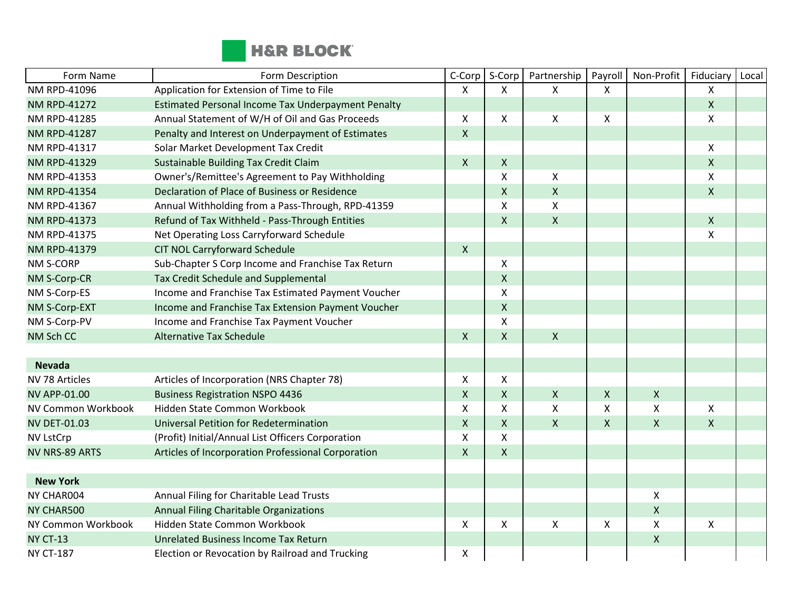

| Form Name             | Form Description                                   | C-Corp       | S-Corp             | Partnership        | Payroll            | Non-Profit         | Fiduciary    | Local |
|-----------------------|----------------------------------------------------|--------------|--------------------|--------------------|--------------------|--------------------|--------------|-------|
| NM RPD-41096          | Application for Extension of Time to File          | X            | X                  | X                  | X                  |                    | X            |       |
| <b>NM RPD-41272</b>   | Estimated Personal Income Tax Underpayment Penalty |              |                    |                    |                    |                    | $\mathsf{X}$ |       |
| <b>NM RPD-41285</b>   | Annual Statement of W/H of Oil and Gas Proceeds    | X            | X                  | X                  | $\pmb{\times}$     |                    | X            |       |
| <b>NM RPD-41287</b>   | Penalty and Interest on Underpayment of Estimates  | $\mathsf{X}$ |                    |                    |                    |                    |              |       |
| <b>NM RPD-41317</b>   | Solar Market Development Tax Credit                |              |                    |                    |                    |                    | X            |       |
| <b>NM RPD-41329</b>   | Sustainable Building Tax Credit Claim              | $\mathsf{X}$ | $\mathsf{X}$       |                    |                    |                    | $\mathsf{X}$ |       |
| NM RPD-41353          | Owner's/Remittee's Agreement to Pay Withholding    |              | X                  | Χ                  |                    |                    | Χ            |       |
| <b>NM RPD-41354</b>   | Declaration of Place of Business or Residence      |              | $\mathsf{X}$       | $\mathsf{X}$       |                    |                    | $\mathsf{X}$ |       |
| NM RPD-41367          | Annual Withholding from a Pass-Through, RPD-41359  |              | X                  | $\pmb{\mathsf{X}}$ |                    |                    |              |       |
| <b>NM RPD-41373</b>   | Refund of Tax Withheld - Pass-Through Entities     |              | $\mathsf{X}$       | $\mathsf{X}$       |                    |                    | X            |       |
| NM RPD-41375          | Net Operating Loss Carryforward Schedule           |              |                    |                    |                    |                    | X            |       |
| <b>NM RPD-41379</b>   | <b>CIT NOL Carryforward Schedule</b>               | $\mathsf{X}$ |                    |                    |                    |                    |              |       |
| <b>NM S-CORP</b>      | Sub-Chapter S Corp Income and Franchise Tax Return |              | X                  |                    |                    |                    |              |       |
| NM S-Corp-CR          | Tax Credit Schedule and Supplemental               |              | $\pmb{\mathsf{X}}$ |                    |                    |                    |              |       |
| NM S-Corp-ES          | Income and Franchise Tax Estimated Payment Voucher |              | X                  |                    |                    |                    |              |       |
| NM S-Corp-EXT         | Income and Franchise Tax Extension Payment Voucher |              | $\mathsf{X}$       |                    |                    |                    |              |       |
| NM S-Corp-PV          | Income and Franchise Tax Payment Voucher           |              | $\pmb{\mathsf{X}}$ |                    |                    |                    |              |       |
| NM Sch CC             | <b>Alternative Tax Schedule</b>                    | $\mathsf{X}$ | $\mathsf{X}$       | $\mathsf{X}$       |                    |                    |              |       |
|                       |                                                    |              |                    |                    |                    |                    |              |       |
| <b>Nevada</b>         |                                                    |              |                    |                    |                    |                    |              |       |
| NV 78 Articles        | Articles of Incorporation (NRS Chapter 78)         | X            | X                  |                    |                    |                    |              |       |
| <b>NV APP-01.00</b>   | <b>Business Registration NSPO 4436</b>             | $\mathsf{X}$ | $\mathsf{X}$       | $\mathsf{X}$       | $\pmb{\mathsf{X}}$ | X                  |              |       |
| NV Common Workbook    | Hidden State Common Workbook                       | $\mathsf{x}$ | X                  | X                  | $\pmb{\chi}$       | $\mathsf{X}$       | X            |       |
| <b>NV DET-01.03</b>   | Universal Petition for Redetermination             | $\mathsf{X}$ | $\mathsf{X}$       | $\mathsf{X}$       | $\mathsf{X}$       | $\pmb{\mathsf{X}}$ | X            |       |
| <b>NV LstCrp</b>      | (Profit) Initial/Annual List Officers Corporation  | $\mathsf X$  | X                  |                    |                    |                    |              |       |
| <b>NV NRS-89 ARTS</b> | Articles of Incorporation Professional Corporation | $\mathsf{X}$ | $\mathsf{X}$       |                    |                    |                    |              |       |
|                       |                                                    |              |                    |                    |                    |                    |              |       |
| <b>New York</b>       |                                                    |              |                    |                    |                    |                    |              |       |
| NY CHAR004            | Annual Filing for Charitable Lead Trusts           |              |                    |                    |                    | X                  |              |       |
| NY CHAR500            | Annual Filing Charitable Organizations             |              |                    |                    |                    | $\pmb{\mathsf{X}}$ |              |       |
| NY Common Workbook    | Hidden State Common Workbook                       | $\mathsf{X}$ | X                  | X                  | X                  | X                  | X            |       |
| <b>NY CT-13</b>       | <b>Unrelated Business Income Tax Return</b>        |              |                    |                    |                    | $\pmb{\mathsf{X}}$ |              |       |
| <b>NY CT-187</b>      | Election or Revocation by Railroad and Trucking    | X            |                    |                    |                    |                    |              |       |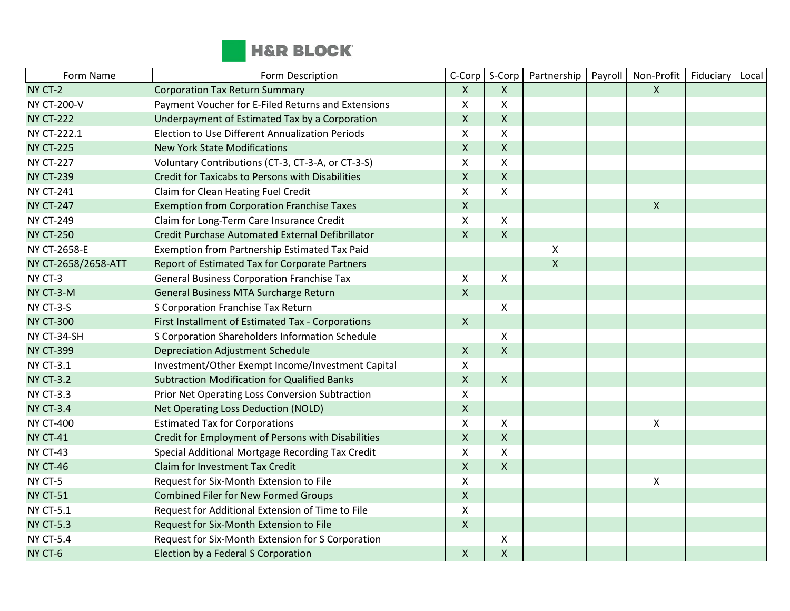

| Form Name           | Form Description                                    | C-Corp       | S-Corp             | Partnership  | Payroll | Non-Profit                | Fiduciary | Local |
|---------------------|-----------------------------------------------------|--------------|--------------------|--------------|---------|---------------------------|-----------|-------|
| NY CT-2             | <b>Corporation Tax Return Summary</b>               | $\mathsf{X}$ | $\mathsf{X}$       |              |         | $\boldsymbol{\mathsf{X}}$ |           |       |
| <b>NY CT-200-V</b>  | Payment Voucher for E-Filed Returns and Extensions  | X            | X                  |              |         |                           |           |       |
| <b>NY CT-222</b>    | Underpayment of Estimated Tax by a Corporation      | $\mathsf{X}$ | $\mathsf{x}$       |              |         |                           |           |       |
| NY CT-222.1         | Election to Use Different Annualization Periods     | X            | X                  |              |         |                           |           |       |
| <b>NY CT-225</b>    | <b>New York State Modifications</b>                 | $\mathsf{X}$ | $\mathsf{x}$       |              |         |                           |           |       |
| <b>NY CT-227</b>    | Voluntary Contributions (CT-3, CT-3-A, or CT-3-S)   | X            | X                  |              |         |                           |           |       |
| <b>NY CT-239</b>    | Credit for Taxicabs to Persons with Disabilities    | $\mathsf{X}$ | $\pmb{\mathsf{X}}$ |              |         |                           |           |       |
| <b>NY CT-241</b>    | Claim for Clean Heating Fuel Credit                 | X            | $\pmb{\mathsf{X}}$ |              |         |                           |           |       |
| <b>NY CT-247</b>    | <b>Exemption from Corporation Franchise Taxes</b>   | $\mathsf{X}$ |                    |              |         | $\pmb{\times}$            |           |       |
| <b>NY CT-249</b>    | Claim for Long-Term Care Insurance Credit           | X            | X                  |              |         |                           |           |       |
| <b>NY CT-250</b>    | Credit Purchase Automated External Defibrillator    | $\mathsf{X}$ | $\mathsf{X}$       |              |         |                           |           |       |
| NY CT-2658-E        | Exemption from Partnership Estimated Tax Paid       |              |                    | X            |         |                           |           |       |
| NY CT-2658/2658-ATT | Report of Estimated Tax for Corporate Partners      |              |                    | $\mathsf{X}$ |         |                           |           |       |
| NY CT-3             | <b>General Business Corporation Franchise Tax</b>   | X            | X                  |              |         |                           |           |       |
| NY CT-3-M           | General Business MTA Surcharge Return               | $\mathsf{X}$ |                    |              |         |                           |           |       |
| NY CT-3-S           | S Corporation Franchise Tax Return                  |              | X                  |              |         |                           |           |       |
| <b>NY CT-300</b>    | First Installment of Estimated Tax - Corporations   | $\mathsf{X}$ |                    |              |         |                           |           |       |
| NY CT-34-SH         | S Corporation Shareholders Information Schedule     |              | X                  |              |         |                           |           |       |
| <b>NY CT-399</b>    | <b>Depreciation Adjustment Schedule</b>             | $\mathsf{X}$ | $\mathsf{X}$       |              |         |                           |           |       |
| <b>NY CT-3.1</b>    | Investment/Other Exempt Income/Investment Capital   | X            |                    |              |         |                           |           |       |
| <b>NY CT-3.2</b>    | <b>Subtraction Modification for Qualified Banks</b> | $\mathsf{X}$ | $\mathsf{X}$       |              |         |                           |           |       |
| <b>NY CT-3.3</b>    | Prior Net Operating Loss Conversion Subtraction     | X            |                    |              |         |                           |           |       |
| <b>NY CT-3.4</b>    | Net Operating Loss Deduction (NOLD)                 | $\mathsf{X}$ |                    |              |         |                           |           |       |
| <b>NY CT-400</b>    | <b>Estimated Tax for Corporations</b>               | X            | X                  |              |         | $\pmb{\times}$            |           |       |
| <b>NY CT-41</b>     | Credit for Employment of Persons with Disabilities  | $\mathsf X$  | $\mathsf{x}$       |              |         |                           |           |       |
| NY CT-43            | Special Additional Mortgage Recording Tax Credit    | X            | $\pmb{\mathsf{X}}$ |              |         |                           |           |       |
| <b>NY CT-46</b>     | Claim for Investment Tax Credit                     | $\mathsf{X}$ | $\mathsf{X}$       |              |         |                           |           |       |
| NY CT-5             | Request for Six-Month Extension to File             | X            |                    |              |         | $\pmb{\mathsf{X}}$        |           |       |
| <b>NY CT-51</b>     | <b>Combined Filer for New Formed Groups</b>         | $\mathsf{X}$ |                    |              |         |                           |           |       |
| <b>NY CT-5.1</b>    | Request for Additional Extension of Time to File    | X            |                    |              |         |                           |           |       |
| <b>NY CT-5.3</b>    | Request for Six-Month Extension to File             | $\mathsf{X}$ |                    |              |         |                           |           |       |
| <b>NY CT-5.4</b>    | Request for Six-Month Extension for S Corporation   |              | X                  |              |         |                           |           |       |
| NY CT-6             | Election by a Federal S Corporation                 | $\mathsf X$  | $\pmb{\mathsf{X}}$ |              |         |                           |           |       |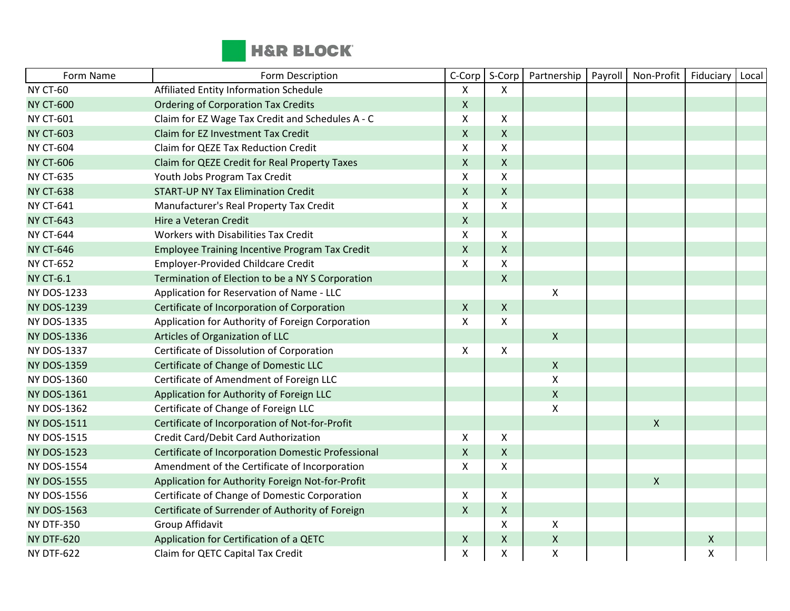

| Form Name          | Form Description                                      | C-Corp             | S-Corp             | Partnership        | Payroll | Non-Profit   | Fiduciary | Local |
|--------------------|-------------------------------------------------------|--------------------|--------------------|--------------------|---------|--------------|-----------|-------|
| <b>NY CT-60</b>    | Affiliated Entity Information Schedule                | X                  | $\mathsf{X}$       |                    |         |              |           |       |
| <b>NY CT-600</b>   | <b>Ordering of Corporation Tax Credits</b>            | $\pmb{\mathsf{X}}$ |                    |                    |         |              |           |       |
| <b>NY CT-601</b>   | Claim for EZ Wage Tax Credit and Schedules A - C      | X                  | $\pmb{\times}$     |                    |         |              |           |       |
| <b>NY CT-603</b>   | Claim for EZ Investment Tax Credit                    | $\mathsf{X}$       | $\pmb{\times}$     |                    |         |              |           |       |
| <b>NY CT-604</b>   | Claim for QEZE Tax Reduction Credit                   | X                  | $\pmb{\times}$     |                    |         |              |           |       |
| <b>NY CT-606</b>   | Claim for QEZE Credit for Real Property Taxes         | $\pmb{\mathsf{X}}$ | $\mathsf{X}$       |                    |         |              |           |       |
| <b>NY CT-635</b>   | Youth Jobs Program Tax Credit                         | X                  | $\pmb{\times}$     |                    |         |              |           |       |
| <b>NY CT-638</b>   | <b>START-UP NY Tax Elimination Credit</b>             | $\mathsf{X}$       | $\mathsf{X}$       |                    |         |              |           |       |
| <b>NY CT-641</b>   | Manufacturer's Real Property Tax Credit               | $\mathsf{X}$       | $\pmb{\times}$     |                    |         |              |           |       |
| <b>NY CT-643</b>   | Hire a Veteran Credit                                 | $\pmb{\mathsf{X}}$ |                    |                    |         |              |           |       |
| <b>NY CT-644</b>   | Workers with Disabilities Tax Credit                  | X                  | $\pmb{\times}$     |                    |         |              |           |       |
| <b>NY CT-646</b>   | <b>Employee Training Incentive Program Tax Credit</b> | $\pmb{\mathsf{X}}$ | $\pmb{\times}$     |                    |         |              |           |       |
| <b>NY CT-652</b>   | <b>Employer-Provided Childcare Credit</b>             | X                  | $\pmb{\times}$     |                    |         |              |           |       |
| <b>NY CT-6.1</b>   | Termination of Election to be a NY S Corporation      |                    | $\mathsf{X}$       |                    |         |              |           |       |
| <b>NY DOS-1233</b> | Application for Reservation of Name - LLC             |                    |                    | Χ                  |         |              |           |       |
| <b>NY DOS-1239</b> | Certificate of Incorporation of Corporation           | $\pmb{\mathsf{X}}$ | $\mathsf{X}$       |                    |         |              |           |       |
| <b>NY DOS-1335</b> | Application for Authority of Foreign Corporation      | X                  | $\pmb{\times}$     |                    |         |              |           |       |
| <b>NY DOS-1336</b> | Articles of Organization of LLC                       |                    |                    | $\pmb{\mathsf{X}}$ |         |              |           |       |
| <b>NY DOS-1337</b> | Certificate of Dissolution of Corporation             | $\mathsf{X}$       | $\mathsf{X}$       |                    |         |              |           |       |
| <b>NY DOS-1359</b> | Certificate of Change of Domestic LLC                 |                    |                    | $\pmb{\mathsf{X}}$ |         |              |           |       |
| <b>NY DOS-1360</b> | Certificate of Amendment of Foreign LLC               |                    |                    | $\pmb{\mathsf{X}}$ |         |              |           |       |
| <b>NY DOS-1361</b> | Application for Authority of Foreign LLC              |                    |                    | $\pmb{\mathsf{X}}$ |         |              |           |       |
| <b>NY DOS-1362</b> | Certificate of Change of Foreign LLC                  |                    |                    | X                  |         |              |           |       |
| <b>NY DOS-1511</b> | Certificate of Incorporation of Not-for-Profit        |                    |                    |                    |         | $\mathsf{X}$ |           |       |
| <b>NY DOS-1515</b> | Credit Card/Debit Card Authorization                  | X                  | X                  |                    |         |              |           |       |
| <b>NY DOS-1523</b> | Certificate of Incorporation Domestic Professional    | $\pmb{\mathsf{X}}$ | $\mathsf{X}$       |                    |         |              |           |       |
| <b>NY DOS-1554</b> | Amendment of the Certificate of Incorporation         | X                  | X                  |                    |         |              |           |       |
| <b>NY DOS-1555</b> | Application for Authority Foreign Not-for-Profit      |                    |                    |                    |         | $\mathsf{x}$ |           |       |
| <b>NY DOS-1556</b> | Certificate of Change of Domestic Corporation         | X                  | X                  |                    |         |              |           |       |
| <b>NY DOS-1563</b> | Certificate of Surrender of Authority of Foreign      | $\mathsf X$        | $\pmb{\times}$     |                    |         |              |           |       |
| <b>NY DTF-350</b>  | Group Affidavit                                       |                    | X                  | Χ                  |         |              |           |       |
| <b>NY DTF-620</b>  | Application for Certification of a QETC               | $\pmb{\times}$     | $\pmb{\times}$     | $\pmb{\mathsf{X}}$ |         |              | X         |       |
| <b>NY DTF-622</b>  | Claim for QETC Capital Tax Credit                     | Χ                  | $\pmb{\mathsf{X}}$ | Χ                  |         |              | Χ         |       |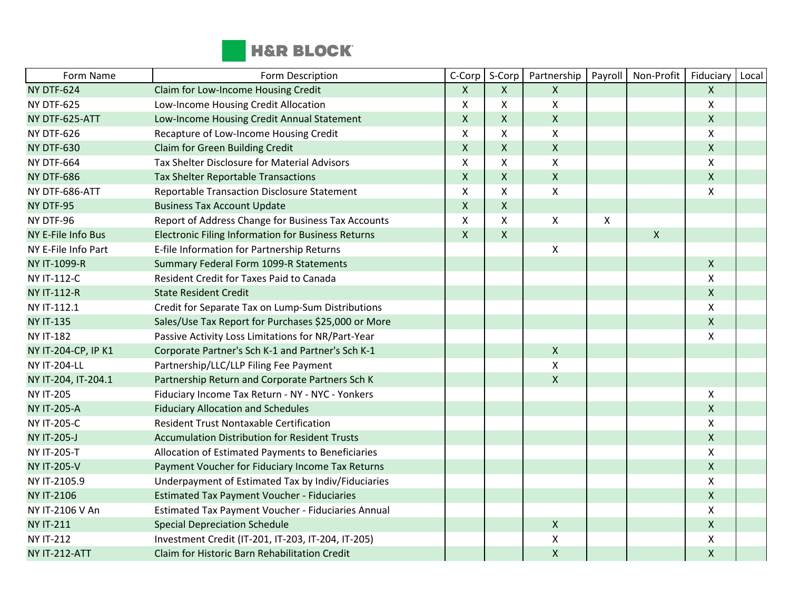

| Form Name            | Form Description                                          | C-Corp         | S-Corp       | Partnership               | Payroll | Non-Profit     | Fiduciary          | Local |
|----------------------|-----------------------------------------------------------|----------------|--------------|---------------------------|---------|----------------|--------------------|-------|
| <b>NY DTF-624</b>    | Claim for Low-Income Housing Credit                       | X              | X            | $\mathsf{X}$              |         |                | $\pmb{\times}$     |       |
| <b>NY DTF-625</b>    | Low-Income Housing Credit Allocation                      | X              | Χ            | $\boldsymbol{\mathsf{X}}$ |         |                | Χ                  |       |
| NY DTF-625-ATT       | Low-Income Housing Credit Annual Statement                | $\mathsf{X}$   | Χ            | $\mathsf{X}$              |         |                | $\mathsf{X}$       |       |
| <b>NY DTF-626</b>    | Recapture of Low-Income Housing Credit                    | $\mathsf{X}$   | X            | $\boldsymbol{\mathsf{X}}$ |         |                | X                  |       |
| <b>NY DTF-630</b>    | Claim for Green Building Credit                           | $\pmb{\times}$ | X            | $\mathsf{X}$              |         |                | $\pmb{\mathsf{X}}$ |       |
| <b>NY DTF-664</b>    | Tax Shelter Disclosure for Material Advisors              | $\pmb{\times}$ | X            | $\pmb{\mathsf{X}}$        |         |                | X                  |       |
| <b>NY DTF-686</b>    | <b>Tax Shelter Reportable Transactions</b>                | $\pmb{\times}$ | X            | $\mathsf{X}$              |         |                | $\mathsf{X}$       |       |
| NY DTF-686-ATT       | Reportable Transaction Disclosure Statement               | $\mathsf{X}$   | Χ            | $\pmb{\mathsf{X}}$        |         |                | X                  |       |
| NY DTF-95            | <b>Business Tax Account Update</b>                        | $\mathsf{x}$   | $\mathsf{X}$ |                           |         |                |                    |       |
| NY DTF-96            | Report of Address Change for Business Tax Accounts        | $\mathsf{x}$   | X            | X                         | X       |                |                    |       |
| NY E-File Info Bus   | <b>Electronic Filing Information for Business Returns</b> | $\mathsf{X}$   | X.           |                           |         | $\pmb{\times}$ |                    |       |
| NY E-File Info Part  | E-file Information for Partnership Returns                |                |              | $\pmb{\times}$            |         |                |                    |       |
| NY IT-1099-R         | Summary Federal Form 1099-R Statements                    |                |              |                           |         |                | $\mathsf{X}$       |       |
| <b>NY IT-112-C</b>   | <b>Resident Credit for Taxes Paid to Canada</b>           |                |              |                           |         |                | $\mathsf{X}$       |       |
| <b>NY IT-112-R</b>   | <b>State Resident Credit</b>                              |                |              |                           |         |                | $\pmb{\mathsf{X}}$ |       |
| NY IT-112.1          | Credit for Separate Tax on Lump-Sum Distributions         |                |              |                           |         |                | X                  |       |
| <b>NY IT-135</b>     | Sales/Use Tax Report for Purchases \$25,000 or More       |                |              |                           |         |                | $\mathsf{X}$       |       |
| <b>NY IT-182</b>     | Passive Activity Loss Limitations for NR/Part-Year        |                |              |                           |         |                | X                  |       |
| NY IT-204-CP, IP K1  | Corporate Partner's Sch K-1 and Partner's Sch K-1         |                |              | $\pmb{\times}$            |         |                |                    |       |
| <b>NY IT-204-LL</b>  | Partnership/LLC/LLP Filing Fee Payment                    |                |              | $\boldsymbol{\mathsf{X}}$ |         |                |                    |       |
| NY IT-204, IT-204.1  | Partnership Return and Corporate Partners Sch K           |                |              | $\mathsf{X}$              |         |                |                    |       |
| <b>NY IT-205</b>     | Fiduciary Income Tax Return - NY - NYC - Yonkers          |                |              |                           |         |                | X                  |       |
| <b>NY IT-205-A</b>   | <b>Fiduciary Allocation and Schedules</b>                 |                |              |                           |         |                | $\mathsf{X}$       |       |
| <b>NY IT-205-C</b>   | <b>Resident Trust Nontaxable Certification</b>            |                |              |                           |         |                | X                  |       |
| <b>NY IT-205-J</b>   | <b>Accumulation Distribution for Resident Trusts</b>      |                |              |                           |         |                | $\pmb{\mathsf{X}}$ |       |
| <b>NY IT-205-T</b>   | Allocation of Estimated Payments to Beneficiaries         |                |              |                           |         |                | Χ                  |       |
| <b>NY IT-205-V</b>   | Payment Voucher for Fiduciary Income Tax Returns          |                |              |                           |         |                | $\mathsf{X}$       |       |
| NY IT-2105.9         | Underpayment of Estimated Tax by Indiv/Fiduciaries        |                |              |                           |         |                | X                  |       |
| <b>NY IT-2106</b>    | <b>Estimated Tax Payment Voucher - Fiduciaries</b>        |                |              |                           |         |                | $\mathsf{X}$       |       |
| NY IT-2106 V An      | Estimated Tax Payment Voucher - Fiduciaries Annual        |                |              |                           |         |                | X                  |       |
| <b>NY IT-211</b>     | <b>Special Depreciation Schedule</b>                      |                |              | $\mathsf{X}$              |         |                | $\mathsf{X}$       |       |
| <b>NY IT-212</b>     | Investment Credit (IT-201, IT-203, IT-204, IT-205)        |                |              | Χ                         |         |                | X                  |       |
| <b>NY IT-212-ATT</b> | Claim for Historic Barn Rehabilitation Credit             |                |              | $\pmb{\mathsf{X}}$        |         |                | X                  |       |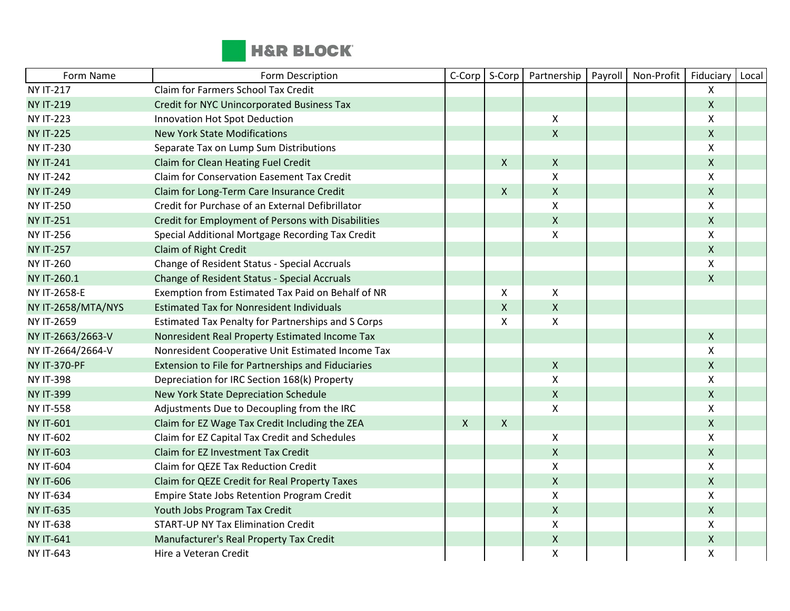

| Form Name           | Form Description                                   | C-Corp       | S-Corp | Partnership        | Payroll | Non-Profit | Fiduciary          | Local |
|---------------------|----------------------------------------------------|--------------|--------|--------------------|---------|------------|--------------------|-------|
| <b>NY IT-217</b>    | Claim for Farmers School Tax Credit                |              |        |                    |         |            | X                  |       |
| <b>NY IT-219</b>    | <b>Credit for NYC Unincorporated Business Tax</b>  |              |        |                    |         |            | $\mathsf{X}$       |       |
| <b>NY IT-223</b>    | Innovation Hot Spot Deduction                      |              |        | $\pmb{\times}$     |         |            | X                  |       |
| <b>NY IT-225</b>    | <b>New York State Modifications</b>                |              |        | $\pmb{\mathsf{X}}$ |         |            | $\pmb{\mathsf{X}}$ |       |
| <b>NY IT-230</b>    | Separate Tax on Lump Sum Distributions             |              |        |                    |         |            | X                  |       |
| <b>NY IT-241</b>    | Claim for Clean Heating Fuel Credit                |              | X.     | $\pmb{\mathsf{X}}$ |         |            | $\mathsf{X}$       |       |
| <b>NY IT-242</b>    | <b>Claim for Conservation Easement Tax Credit</b>  |              |        | $\pmb{\mathsf{X}}$ |         |            | X                  |       |
| <b>NY IT-249</b>    | Claim for Long-Term Care Insurance Credit          |              | X      | $\mathsf{X}$       |         |            | $\mathsf{X}$       |       |
| <b>NY IT-250</b>    | Credit for Purchase of an External Defibrillator   |              |        | X                  |         |            | X                  |       |
| <b>NY IT-251</b>    | Credit for Employment of Persons with Disabilities |              |        | $\mathsf{X}$       |         |            | $\mathsf{X}$       |       |
| <b>NY IT-256</b>    | Special Additional Mortgage Recording Tax Credit   |              |        | $\pmb{\times}$     |         |            | X                  |       |
| <b>NY IT-257</b>    | Claim of Right Credit                              |              |        |                    |         |            | $\mathsf{X}$       |       |
| <b>NY IT-260</b>    | Change of Resident Status - Special Accruals       |              |        |                    |         |            | X                  |       |
| NY IT-260.1         | Change of Resident Status - Special Accruals       |              |        |                    |         |            | $\mathsf{X}$       |       |
| NY IT-2658-E        | Exemption from Estimated Tax Paid on Behalf of NR  |              | X      | X                  |         |            |                    |       |
| NY IT-2658/MTA/NYS  | <b>Estimated Tax for Nonresident Individuals</b>   |              | X      | $\pmb{\times}$     |         |            |                    |       |
| <b>NY IT-2659</b>   | Estimated Tax Penalty for Partnerships and S Corps |              | Χ      | $\mathsf{X}$       |         |            |                    |       |
| NY IT-2663/2663-V   | Nonresident Real Property Estimated Income Tax     |              |        |                    |         |            | $\mathsf{X}$       |       |
| NY IT-2664/2664-V   | Nonresident Cooperative Unit Estimated Income Tax  |              |        |                    |         |            | X                  |       |
| <b>NY IT-370-PF</b> | Extension to File for Partnerships and Fiduciaries |              |        | $\mathsf{X}$       |         |            | $\mathsf X$        |       |
| <b>NY IT-398</b>    | Depreciation for IRC Section 168(k) Property       |              |        | $\pmb{\times}$     |         |            | X                  |       |
| <b>NY IT-399</b>    | New York State Depreciation Schedule               |              |        | $\mathsf{X}$       |         |            | $\pmb{\mathsf{X}}$ |       |
| <b>NY IT-558</b>    | Adjustments Due to Decoupling from the IRC         |              |        | X                  |         |            | X                  |       |
| <b>NY IT-601</b>    | Claim for EZ Wage Tax Credit Including the ZEA     | $\mathsf{X}$ | X      |                    |         |            | $\pmb{\mathsf{X}}$ |       |
| <b>NY IT-602</b>    | Claim for EZ Capital Tax Credit and Schedules      |              |        | $\pmb{\times}$     |         |            | Χ                  |       |
| <b>NY IT-603</b>    | Claim for EZ Investment Tax Credit                 |              |        | $\mathsf{X}$       |         |            | $\mathsf{X}$       |       |
| <b>NY IT-604</b>    | <b>Claim for QEZE Tax Reduction Credit</b>         |              |        | $\mathsf{\chi}$    |         |            | X                  |       |
| <b>NY IT-606</b>    | Claim for QEZE Credit for Real Property Taxes      |              |        | $\pmb{\mathsf{X}}$ |         |            | $\mathsf{X}$       |       |
| <b>NY IT-634</b>    | Empire State Jobs Retention Program Credit         |              |        | $\pmb{\mathsf{X}}$ |         |            | X                  |       |
| <b>NY IT-635</b>    | Youth Jobs Program Tax Credit                      |              |        | $\pmb{\times}$     |         |            | $\pmb{\mathsf{X}}$ |       |
| <b>NY IT-638</b>    | <b>START-UP NY Tax Elimination Credit</b>          |              |        | Χ                  |         |            | X                  |       |
| <b>NY IT-641</b>    | Manufacturer's Real Property Tax Credit            |              |        | $\pmb{\mathsf{X}}$ |         |            | $\pmb{\mathsf{X}}$ |       |
| <b>NY IT-643</b>    | Hire a Veteran Credit                              |              |        | X                  |         |            | Χ                  |       |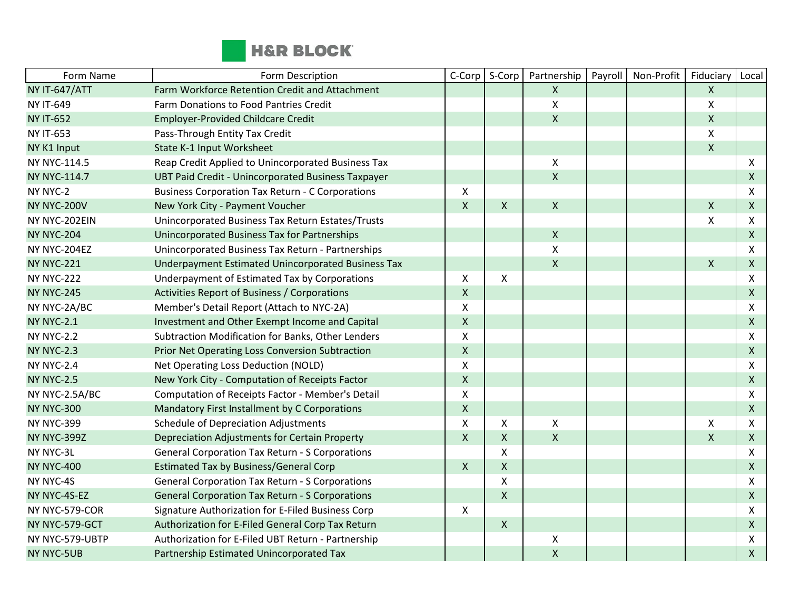

| Form Name            | Form Description                                          | C-Corp             | S-Corp             | Partnership        | Payroll | Non-Profit | Fiduciary                 | Local        |
|----------------------|-----------------------------------------------------------|--------------------|--------------------|--------------------|---------|------------|---------------------------|--------------|
| <b>NY IT-647/ATT</b> | Farm Workforce Retention Credit and Attachment            |                    |                    | $\mathsf{X}$       |         |            | $\mathsf{X}$              |              |
| <b>NY IT-649</b>     | Farm Donations to Food Pantries Credit                    |                    |                    | Χ                  |         |            | $\pmb{\times}$            |              |
| <b>NY IT-652</b>     | <b>Employer-Provided Childcare Credit</b>                 |                    |                    | $\mathsf{X}$       |         |            | $\mathsf{X}$              |              |
| <b>NY IT-653</b>     | Pass-Through Entity Tax Credit                            |                    |                    |                    |         |            | X                         |              |
| NY K1 Input          | State K-1 Input Worksheet                                 |                    |                    |                    |         |            | $\pmb{\mathsf{X}}$        |              |
| NY NYC-114.5         | Reap Credit Applied to Unincorporated Business Tax        |                    |                    | X                  |         |            |                           | X            |
| <b>NY NYC-114.7</b>  | <b>UBT Paid Credit - Unincorporated Business Taxpayer</b> |                    |                    | $\pmb{\mathsf{X}}$ |         |            |                           | $\mathsf{X}$ |
| NY NYC-2             | <b>Business Corporation Tax Return - C Corporations</b>   | X                  |                    |                    |         |            |                           | $\mathsf{x}$ |
| <b>NY NYC-200V</b>   | New York City - Payment Voucher                           | $\mathsf{X}$       | $\mathsf{X}$       | $\mathsf{X}$       |         |            | $\mathsf{X}$              | X            |
| NY NYC-202EIN        | Unincorporated Business Tax Return Estates/Trusts         |                    |                    |                    |         |            | $\boldsymbol{\mathsf{X}}$ | X            |
| <b>NY NYC-204</b>    | Unincorporated Business Tax for Partnerships              |                    |                    | $\mathsf{X}$       |         |            |                           | $\mathsf{X}$ |
| NY NYC-204EZ         | Unincorporated Business Tax Return - Partnerships         |                    |                    | Χ                  |         |            |                           | X            |
| <b>NY NYC-221</b>    | Underpayment Estimated Unincorporated Business Tax        |                    |                    | $\pmb{\mathsf{X}}$ |         |            | $\mathsf{x}$              | $\mathsf{X}$ |
| <b>NY NYC-222</b>    | Underpayment of Estimated Tax by Corporations             | X                  | X                  |                    |         |            |                           | X            |
| <b>NY NYC-245</b>    | Activities Report of Business / Corporations              | $\mathsf{X}$       |                    |                    |         |            |                           | X            |
| NY NYC-2A/BC         | Member's Detail Report (Attach to NYC-2A)                 | X                  |                    |                    |         |            |                           | X            |
| <b>NY NYC-2.1</b>    | Investment and Other Exempt Income and Capital            | $\pmb{\mathsf{X}}$ |                    |                    |         |            |                           | $\mathsf{X}$ |
| <b>NY NYC-2.2</b>    | Subtraction Modification for Banks, Other Lenders         | X                  |                    |                    |         |            |                           | X            |
| <b>NY NYC-2.3</b>    | Prior Net Operating Loss Conversion Subtraction           | $\mathsf{X}$       |                    |                    |         |            |                           | $\mathsf{X}$ |
| <b>NY NYC-2.4</b>    | Net Operating Loss Deduction (NOLD)                       | X                  |                    |                    |         |            |                           | X            |
| <b>NY NYC-2.5</b>    | New York City - Computation of Receipts Factor            | $\mathsf{X}$       |                    |                    |         |            |                           | $\mathsf{X}$ |
| NY NYC-2.5A/BC       | Computation of Receipts Factor - Member's Detail          | X                  |                    |                    |         |            |                           | X            |
| <b>NY NYC-300</b>    | Mandatory First Installment by C Corporations             | $\mathsf{X}$       |                    |                    |         |            |                           | $\mathsf{X}$ |
| <b>NY NYC-399</b>    | <b>Schedule of Depreciation Adjustments</b>               | X                  | X                  | $\mathsf{X}$       |         |            | X                         | X            |
| <b>NY NYC-399Z</b>   | Depreciation Adjustments for Certain Property             | $\pmb{\mathsf{X}}$ | $\mathsf{x}$       | $\pmb{\mathsf{X}}$ |         |            | $\mathsf{\chi}$           | $\mathsf{X}$ |
| NY NYC-3L            | <b>General Corporation Tax Return - S Corporations</b>    |                    | X                  |                    |         |            |                           | X            |
| <b>NY NYC-400</b>    | <b>Estimated Tax by Business/General Corp</b>             | $\mathsf{X}$       | $\pmb{\mathsf{X}}$ |                    |         |            |                           | $\mathsf{X}$ |
| NY NYC-4S            | <b>General Corporation Tax Return - S Corporations</b>    |                    | $\pmb{\mathsf{X}}$ |                    |         |            |                           | Χ            |
| NY NYC-4S-EZ         | <b>General Corporation Tax Return - S Corporations</b>    |                    | $\mathsf{X}$       |                    |         |            |                           | X            |
| NY NYC-579-COR       | Signature Authorization for E-Filed Business Corp         | X                  |                    |                    |         |            |                           | X            |
| NY NYC-579-GCT       | Authorization for E-Filed General Corp Tax Return         |                    | $\mathsf{X}$       |                    |         |            |                           | $\mathsf{X}$ |
| NY NYC-579-UBTP      | Authorization for E-Filed UBT Return - Partnership        |                    |                    | Χ                  |         |            |                           | X            |
| <b>NY NYC-5UB</b>    | Partnership Estimated Unincorporated Tax                  |                    |                    | $\mathsf{x}$       |         |            |                           | X            |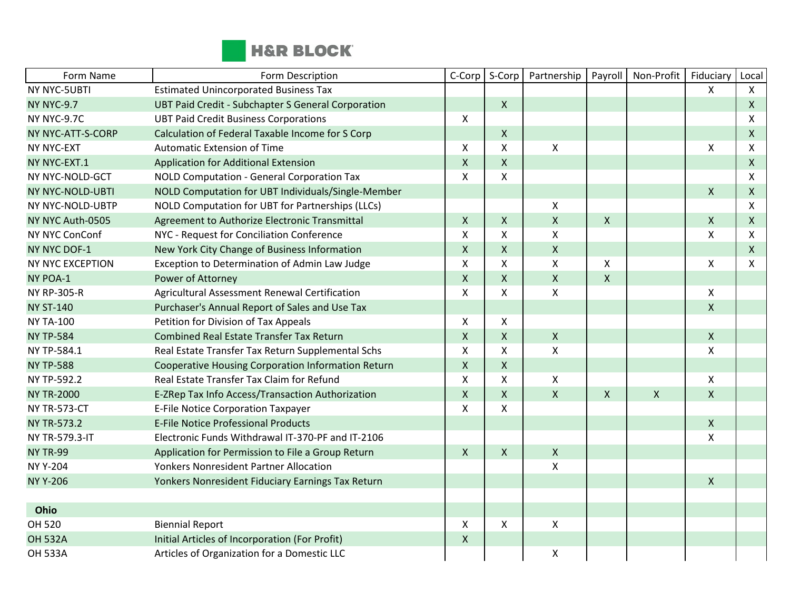

| Form Name           | Form Description                                   | C-Corp             | S-Corp             | Partnership    | Payroll                   | Non-Profit         | Fiduciary    | Local          |
|---------------------|----------------------------------------------------|--------------------|--------------------|----------------|---------------------------|--------------------|--------------|----------------|
| NY NYC-5UBTI        | <b>Estimated Unincorporated Business Tax</b>       |                    |                    |                |                           |                    | $\mathsf{X}$ | $\mathsf{X}$   |
| <b>NY NYC-9.7</b>   | UBT Paid Credit - Subchapter S General Corporation |                    | $\mathsf{X}$       |                |                           |                    |              | $\mathsf{X}$   |
| NY NYC-9.7C         | <b>UBT Paid Credit Business Corporations</b>       | X                  |                    |                |                           |                    |              | $\pmb{\times}$ |
| NY NYC-ATT-S-CORP   | Calculation of Federal Taxable Income for S Corp   |                    | $\mathsf{X}$       |                |                           |                    |              | $\mathsf{X}$   |
| NY NYC-EXT          | <b>Automatic Extension of Time</b>                 | X                  | X                  | $\pmb{\times}$ |                           |                    | X            | $\pmb{\times}$ |
| NY NYC-EXT.1        | Application for Additional Extension               | $\mathsf{X}$       | $\pmb{\mathsf{X}}$ |                |                           |                    |              | $\mathsf{X}$   |
| NY NYC-NOLD-GCT     | NOLD Computation - General Corporation Tax         | X                  | X                  |                |                           |                    |              | $\pmb{\times}$ |
| NY NYC-NOLD-UBTI    | NOLD Computation for UBT Individuals/Single-Member |                    |                    |                |                           |                    | $\mathsf{X}$ | $\mathsf{X}$   |
| NY NYC-NOLD-UBTP    | NOLD Computation for UBT for Partnerships (LLCs)   |                    |                    | X              |                           |                    |              | $\mathsf{X}$   |
| NY NYC Auth-0505    | Agreement to Authorize Electronic Transmittal      | $\mathsf{X}$       | $\mathsf{X}$       | $\pmb{\times}$ | $\boldsymbol{\mathsf{X}}$ |                    | $\mathsf{X}$ | $\mathsf{X}$   |
| NY NYC ConConf      | NYC - Request for Conciliation Conference          | X                  | X                  | X              |                           |                    | X            | $\mathsf{X}$   |
| <b>NY NYC DOF-1</b> | New York City Change of Business Information       | $\mathsf{X}$       | $\mathsf{X}$       | $\pmb{\times}$ |                           |                    |              | $\mathsf{X}$   |
| NY NYC EXCEPTION    | Exception to Determination of Admin Law Judge      | X                  | X                  | X              | $\boldsymbol{\mathsf{X}}$ |                    | X            | $\mathsf{x}$   |
| NY POA-1            | Power of Attorney                                  | $\mathsf{X}$       | $\mathsf{X}$       | $\pmb{\times}$ | $\mathsf{X}$              |                    |              |                |
| <b>NY RP-305-R</b>  | Agricultural Assessment Renewal Certification      | X                  | X                  | $\mathsf{X}$   |                           |                    | X            |                |
| <b>NY ST-140</b>    | Purchaser's Annual Report of Sales and Use Tax     |                    |                    |                |                           |                    | $\mathsf{X}$ |                |
| <b>NY TA-100</b>    | Petition for Division of Tax Appeals               | X                  | X                  |                |                           |                    |              |                |
| <b>NY TP-584</b>    | <b>Combined Real Estate Transfer Tax Return</b>    | $\mathsf{X}$       | $\mathsf{X}$       | $\pmb{\times}$ |                           |                    | $\mathsf{X}$ |                |
| NY TP-584.1         | Real Estate Transfer Tax Return Supplemental Schs  | $\mathsf{x}$       | X                  | X              |                           |                    | $\mathsf{X}$ |                |
| <b>NY TP-588</b>    | Cooperative Housing Corporation Information Return | $\mathsf{X}$       | $\mathsf{X}$       |                |                           |                    |              |                |
| NY TP-592.2         | Real Estate Transfer Tax Claim for Refund          | X                  | X                  | $\mathsf{X}$   |                           |                    | X            |                |
| <b>NY TR-2000</b>   | E-ZRep Tax Info Access/Transaction Authorization   | $\mathsf{X}$       | $\mathsf{X}$       | $\pmb{\times}$ | $\mathsf{X}$              | $\pmb{\mathsf{X}}$ | $\mathsf{X}$ |                |
| <b>NY TR-573-CT</b> | <b>E-File Notice Corporation Taxpayer</b>          | $\pmb{\mathsf{X}}$ | $\mathsf{x}$       |                |                           |                    |              |                |
| <b>NY TR-573.2</b>  | <b>E-File Notice Professional Products</b>         |                    |                    |                |                           |                    | $\mathsf{X}$ |                |
| NY TR-579.3-IT      | Electronic Funds Withdrawal IT-370-PF and IT-2106  |                    |                    |                |                           |                    | X            |                |
| <b>NY TR-99</b>     | Application for Permission to File a Group Return  | $\mathsf{X}$       | $\mathsf{X}$       | $\mathsf{X}$   |                           |                    |              |                |
| <b>NY Y-204</b>     | <b>Yonkers Nonresident Partner Allocation</b>      |                    |                    | Χ              |                           |                    |              |                |
| <b>NY Y-206</b>     | Yonkers Nonresident Fiduciary Earnings Tax Return  |                    |                    |                |                           |                    | $\mathsf{X}$ |                |
|                     |                                                    |                    |                    |                |                           |                    |              |                |
| Ohio                |                                                    |                    |                    |                |                           |                    |              |                |
| OH 520              | <b>Biennial Report</b>                             | X                  | X                  | $\mathsf{X}$   |                           |                    |              |                |
| <b>OH 532A</b>      | Initial Articles of Incorporation (For Profit)     | $\mathsf{X}$       |                    |                |                           |                    |              |                |
| <b>OH 533A</b>      | Articles of Organization for a Domestic LLC        |                    |                    | Χ              |                           |                    |              |                |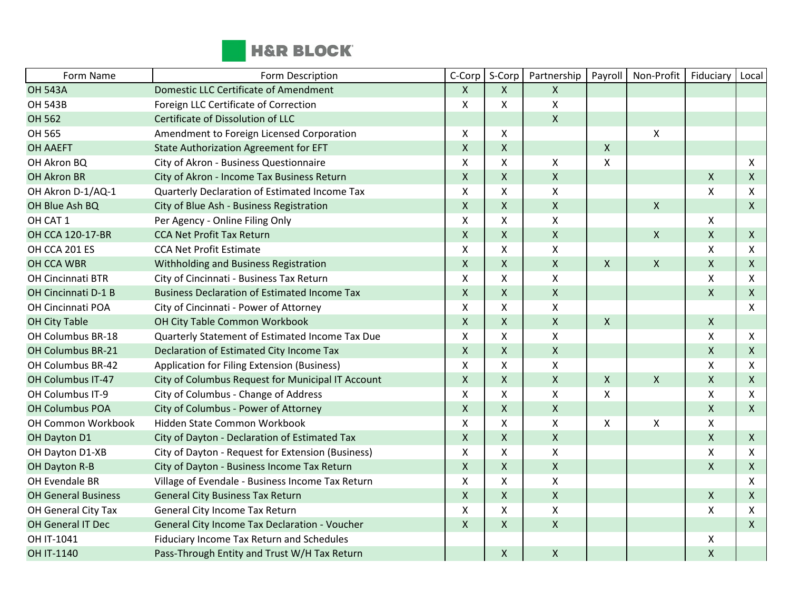

| Form Name                  | Form Description                                    | C-Corp             | S-Corp | Partnership        | Payroll            | Non-Profit         | Fiduciary          | Local        |
|----------------------------|-----------------------------------------------------|--------------------|--------|--------------------|--------------------|--------------------|--------------------|--------------|
| <b>OH 543A</b>             | <b>Domestic LLC Certificate of Amendment</b>        | X                  | X      | $\mathsf{X}$       |                    |                    |                    |              |
| <b>OH 543B</b>             | Foreign LLC Certificate of Correction               | $\pmb{\times}$     | X      | $\pmb{\mathsf{X}}$ |                    |                    |                    |              |
| OH 562                     | Certificate of Dissolution of LLC                   |                    |        | $\mathsf{x}$       |                    |                    |                    |              |
| OH 565                     | Amendment to Foreign Licensed Corporation           | X                  | X      |                    |                    | Χ                  |                    |              |
| <b>OH AAEFT</b>            | <b>State Authorization Agreement for EFT</b>        | $\pmb{\times}$     | X      |                    | $\pmb{\mathsf{X}}$ |                    |                    |              |
| OH Akron BQ                | City of Akron - Business Questionnaire              | X                  | Χ      | X                  | Χ                  |                    |                    | X            |
| <b>OH Akron BR</b>         | City of Akron - Income Tax Business Return          | $\pmb{\times}$     | X      | $\pmb{\times}$     |                    |                    | X                  | $\mathsf{X}$ |
| OH Akron D-1/AQ-1          | Quarterly Declaration of Estimated Income Tax       | $\pmb{\mathsf{X}}$ | Χ      | $\mathsf{X}$       |                    |                    | X                  | X            |
| OH Blue Ash BQ             | City of Blue Ash - Business Registration            | $\mathsf{X}$       | X      | $\pmb{\times}$     |                    | $\pmb{\mathsf{X}}$ |                    | $\mathsf{X}$ |
| OH CAT 1                   | Per Agency - Online Filing Only                     | $\pmb{\mathsf{X}}$ | X      | $\pmb{\times}$     |                    |                    | X                  |              |
| OH CCA 120-17-BR           | <b>CCA Net Profit Tax Return</b>                    | $\mathsf{X}$       | X      | $\pmb{\times}$     |                    | $\pmb{\mathsf{X}}$ | $\mathsf X$        | $\mathsf{X}$ |
| OH CCA 201 ES              | <b>CCA Net Profit Estimate</b>                      | X                  | X      | $\pmb{\mathsf{X}}$ |                    |                    | X                  | X            |
| OH CCA WBR                 | Withholding and Business Registration               | $\pmb{\mathsf{X}}$ | Χ      | $\pmb{\mathsf{X}}$ | $\mathsf{x}$       | X                  | $\mathsf{X}$       | $\mathsf{X}$ |
| OH Cincinnati BTR          | City of Cincinnati - Business Tax Return            | X                  | Χ      | $\pmb{\mathsf{X}}$ |                    |                    | X                  | X            |
| OH Cincinnati D-1 B        | <b>Business Declaration of Estimated Income Tax</b> | $\pmb{\mathsf{X}}$ | Χ      | $\mathsf X$        |                    |                    | $\pmb{\mathsf{X}}$ | $\mathsf{X}$ |
| OH Cincinnati POA          | City of Cincinnati - Power of Attorney              | $\mathsf{x}$       | X      | $\pmb{\times}$     |                    |                    |                    | X            |
| <b>OH City Table</b>       | OH City Table Common Workbook                       | $\mathsf{X}$       | X      | $\pmb{\times}$     | $\pmb{\mathsf{X}}$ |                    | $\mathsf{X}$       |              |
| OH Columbus BR-18          | Quarterly Statement of Estimated Income Tax Due     | $\mathsf{X}$       | Χ      | $\pmb{\mathsf{X}}$ |                    |                    | X                  | X            |
| OH Columbus BR-21          | Declaration of Estimated City Income Tax            | $\mathsf{X}$       | X      | $\pmb{\times}$     |                    |                    | $\pmb{\mathsf{X}}$ | $\mathsf{X}$ |
| OH Columbus BR-42          | Application for Filing Extension (Business)         | $\mathsf{X}$       | X      | $\pmb{\mathsf{X}}$ |                    |                    | X                  | X            |
| OH Columbus IT-47          | City of Columbus Request for Municipal IT Account   | $\mathsf{X}$       | X      | $\mathsf{X}$       | $\pmb{\mathsf{X}}$ | Χ                  | $\mathsf{X}$       | $\mathsf{X}$ |
| OH Columbus IT-9           | City of Columbus - Change of Address                | $\mathsf{X}$       | x      | $\pmb{\times}$     | X                  |                    | X                  | $\mathsf{x}$ |
| <b>OH Columbus POA</b>     | City of Columbus - Power of Attorney                | $\mathsf{X}$       | X      | $\mathsf{X}$       |                    |                    | X                  | $\mathsf{X}$ |
| OH Common Workbook         | Hidden State Common Workbook                        | X                  | Χ      | X                  | X                  | Χ                  | X                  |              |
| OH Dayton D1               | City of Dayton - Declaration of Estimated Tax       | $\pmb{\times}$     | X      | $\pmb{\mathsf{X}}$ |                    |                    | $\mathsf{X}$       | $\mathsf{X}$ |
| OH Dayton D1-XB            | City of Dayton - Request for Extension (Business)   | $\pmb{\times}$     | Χ      | $\pmb{\times}$     |                    |                    | X                  | X            |
| OH Dayton R-B              | City of Dayton - Business Income Tax Return         | $\mathsf{X}$       | X      | $\pmb{\times}$     |                    |                    | X                  | $\mathsf{X}$ |
| OH Evendale BR             | Village of Evendale - Business Income Tax Return    | X                  | Χ      | $\pmb{\chi}$       |                    |                    |                    | X            |
| <b>OH General Business</b> | <b>General City Business Tax Return</b>             | $\mathsf{X}$       | X      | $\mathsf{X}$       |                    |                    | $\mathsf{X}$       | $\mathsf{X}$ |
| OH General City Tax        | General City Income Tax Return                      | X                  | X      | $\pmb{\times}$     |                    |                    | X                  | X            |
| OH General IT Dec          | General City Income Tax Declaration - Voucher       | $\mathsf{X}$       | X      | $\pmb{\times}$     |                    |                    |                    | $\mathsf{X}$ |
| OH IT-1041                 | Fiduciary Income Tax Return and Schedules           |                    |        |                    |                    |                    | X                  |              |
| OH IT-1140                 | Pass-Through Entity and Trust W/H Tax Return        |                    | Χ      | $\pmb{\times}$     |                    |                    | X                  |              |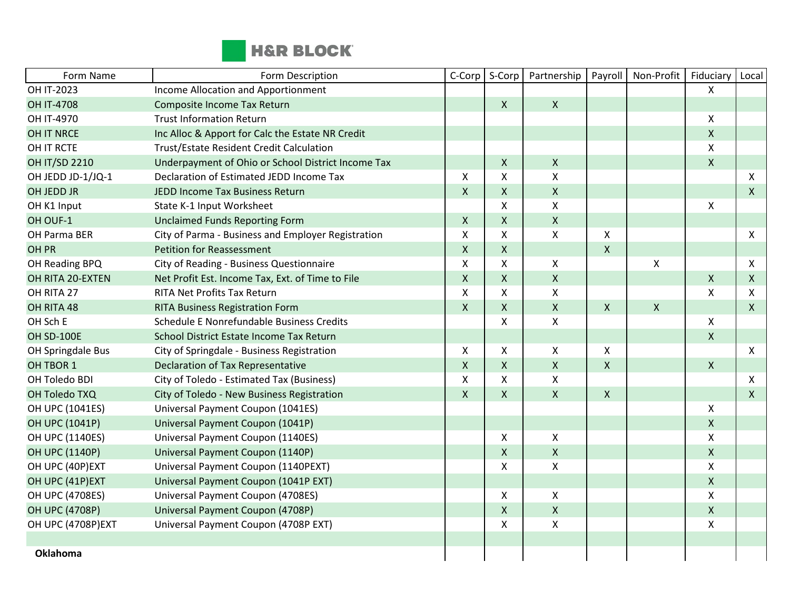

| Form Name            | Form Description                                   | C-Corp                    | S-Corp             | Partnership               | Payroll                   | Non-Profit   | Fiduciary          | Local        |
|----------------------|----------------------------------------------------|---------------------------|--------------------|---------------------------|---------------------------|--------------|--------------------|--------------|
| OH IT-2023           | Income Allocation and Apportionment                |                           |                    |                           |                           |              | $\mathsf{X}$       |              |
| <b>OH IT-4708</b>    | Composite Income Tax Return                        |                           | $\mathsf{X}$       | $\mathsf{X}$              |                           |              |                    |              |
| OH IT-4970           | <b>Trust Information Return</b>                    |                           |                    |                           |                           |              | X                  |              |
| <b>OH IT NRCE</b>    | Inc Alloc & Apport for Calc the Estate NR Credit   |                           |                    |                           |                           |              | $\mathsf{X}$       |              |
| OH IT RCTE           | <b>Trust/Estate Resident Credit Calculation</b>    |                           |                    |                           |                           |              | X                  |              |
| <b>OH IT/SD 2210</b> | Underpayment of Ohio or School District Income Tax |                           | X                  | X                         |                           |              | $\mathsf{X}$       |              |
| OH JEDD JD-1/JQ-1    | Declaration of Estimated JEDD Income Tax           | X                         | X                  | $\boldsymbol{\mathsf{X}}$ |                           |              |                    | X            |
| OH JEDD JR           | JEDD Income Tax Business Return                    | $\mathsf{X}$              | $\mathsf{X}$       | $\mathsf{X}$              |                           |              |                    | $\mathsf{X}$ |
| OH K1 Input          | State K-1 Input Worksheet                          |                           | X                  | $\pmb{\times}$            |                           |              | X                  |              |
| OH OUF-1             | <b>Unclaimed Funds Reporting Form</b>              | $\mathsf{X}$              | $\pmb{\mathsf{X}}$ | $\pmb{\times}$            |                           |              |                    |              |
| OH Parma BER         | City of Parma - Business and Employer Registration | $\mathsf{X}$              | X                  | X                         | X                         |              |                    | X            |
| OH PR                | <b>Petition for Reassessment</b>                   | $\mathsf{X}$              | $\mathsf{X}$       |                           | $\mathsf{X}$              |              |                    |              |
| OH Reading BPQ       | City of Reading - Business Questionnaire           | $\boldsymbol{\mathsf{X}}$ | X                  | X                         |                           | $\pmb{\chi}$ |                    | X            |
| OH RITA 20-EXTEN     | Net Profit Est. Income Tax, Ext. of Time to File   | $\mathsf{X}$              | X                  | $\mathsf{X}$              |                           |              | $\mathsf{X}$       | $\mathsf{X}$ |
| OH RITA 27           | <b>RITA Net Profits Tax Return</b>                 | $\boldsymbol{\mathsf{X}}$ | X                  | $\pmb{\mathsf{X}}$        |                           |              | $\mathsf{x}$       | X            |
| OH RITA 48           | <b>RITA Business Registration Form</b>             | $\mathsf{X}$              | $\mathsf{X}$       | $\mathsf{X}$              | $\boldsymbol{\mathsf{X}}$ | $\mathsf{X}$ |                    | $\mathsf{X}$ |
| OH Sch E             | Schedule E Nonrefundable Business Credits          |                           | X                  | X                         |                           |              | X                  |              |
| <b>OH SD-100E</b>    | School District Estate Income Tax Return           |                           |                    |                           |                           |              | $\mathsf{X}$       |              |
| OH Springdale Bus    | City of Springdale - Business Registration         | $\mathsf{X}$              | X                  | X                         | $\pmb{\times}$            |              |                    | $\mathsf{X}$ |
| OH TBOR 1            | Declaration of Tax Representative                  | $\mathsf{X}$              | $\mathsf{X}$       | $\mathsf{X}$              | $\pmb{\times}$            |              | $\mathsf{X}$       |              |
| OH Toledo BDI        | City of Toledo - Estimated Tax (Business)          | $\mathsf{X}$              | X                  | $\mathsf{X}$              |                           |              |                    | X            |
| OH Toledo TXQ        | City of Toledo - New Business Registration         | $\mathsf{X}$              | $\mathsf{X}$       | $\mathsf{X}$              | $\mathsf{X}$              |              |                    | $\mathsf{X}$ |
| OH UPC (1041ES)      | Universal Payment Coupon (1041ES)                  |                           |                    |                           |                           |              | X                  |              |
| OH UPC (1041P)       | Universal Payment Coupon (1041P)                   |                           |                    |                           |                           |              | $\mathsf{X}$       |              |
| OH UPC (1140ES)      | Universal Payment Coupon (1140ES)                  |                           | X                  | X                         |                           |              | X                  |              |
| OH UPC (1140P)       | Universal Payment Coupon (1140P)                   |                           | X                  | $\mathsf{X}$              |                           |              | $\mathsf X$        |              |
| OH UPC (40P)EXT      | Universal Payment Coupon (1140PEXT)                |                           | X                  | X                         |                           |              | X                  |              |
| OH UPC (41P)EXT      | Universal Payment Coupon (1041P EXT)               |                           |                    |                           |                           |              | $\mathsf{X}$       |              |
| OH UPC (4708ES)      | Universal Payment Coupon (4708ES)                  |                           | X                  | $\pmb{\times}$            |                           |              | $\pmb{\mathsf{X}}$ |              |
| OH UPC (4708P)       | Universal Payment Coupon (4708P)                   |                           | X                  | $\mathsf{X}$              |                           |              | $\mathsf{X}$       |              |
| OH UPC (4708P)EXT    | Universal Payment Coupon (4708P EXT)               |                           | X                  | X                         |                           |              | X                  |              |
|                      |                                                    |                           |                    |                           |                           |              |                    |              |
| <b>Oklahoma</b>      |                                                    |                           |                    |                           |                           |              |                    |              |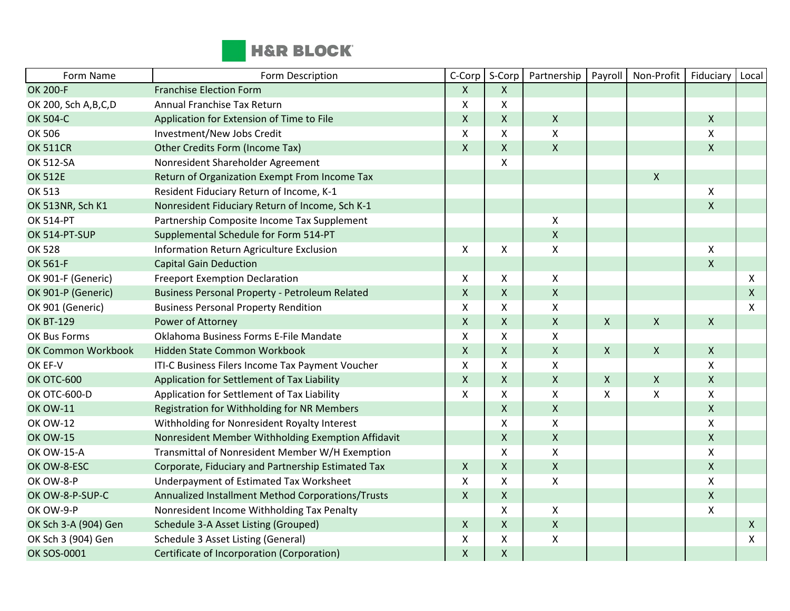

| Form Name              | Form Description                                      | C-Corp                    | S-Corp             | Partnership               | Payroll                   | Non-Profit         | Fiduciary               | Local        |
|------------------------|-------------------------------------------------------|---------------------------|--------------------|---------------------------|---------------------------|--------------------|-------------------------|--------------|
| OK 200-F               | <b>Franchise Election Form</b>                        | $\mathsf{X}$              | X                  |                           |                           |                    |                         |              |
| OK 200, Sch A, B, C, D | Annual Franchise Tax Return                           | Χ                         | X                  |                           |                           |                    |                         |              |
| OK 504-C               | Application for Extension of Time to File             | $\pmb{\times}$            | X                  | $\mathsf{X}$              |                           |                    | $\mathsf{X}$            |              |
| OK 506                 | Investment/New Jobs Credit                            | $\boldsymbol{\mathsf{X}}$ | X                  | $\boldsymbol{\mathsf{X}}$ |                           |                    | X                       |              |
| <b>OK 511CR</b>        | Other Credits Form (Income Tax)                       | $\mathsf{X}$              | X                  | $\mathsf{X}$              |                           |                    | $\pmb{\mathsf{X}}$      |              |
| OK 512-SA              | Nonresident Shareholder Agreement                     |                           | X                  |                           |                           |                    |                         |              |
| <b>OK 512E</b>         | Return of Organization Exempt From Income Tax         |                           |                    |                           |                           | $\pmb{\chi}$       |                         |              |
| OK 513                 | Resident Fiduciary Return of Income, K-1              |                           |                    |                           |                           |                    | X                       |              |
| OK 513NR, Sch K1       | Nonresident Fiduciary Return of Income, Sch K-1       |                           |                    |                           |                           |                    | $\mathsf{X}$            |              |
| <b>OK 514-PT</b>       | Partnership Composite Income Tax Supplement           |                           |                    | X                         |                           |                    |                         |              |
| OK 514-PT-SUP          | Supplemental Schedule for Form 514-PT                 |                           |                    | $\pmb{\times}$            |                           |                    |                         |              |
| OK 528                 | Information Return Agriculture Exclusion              | X                         | X                  | Χ                         |                           |                    | X                       |              |
| OK 561-F               | <b>Capital Gain Deduction</b>                         |                           |                    |                           |                           |                    | $\overline{\mathsf{X}}$ |              |
| OK 901-F (Generic)     | <b>Freeport Exemption Declaration</b>                 | X                         | X                  | $\mathsf{X}$              |                           |                    |                         | X            |
| OK 901-P (Generic)     | <b>Business Personal Property - Petroleum Related</b> | $\mathsf X$               | X                  | $\mathsf{X}$              |                           |                    |                         | $\mathsf{X}$ |
| OK 901 (Generic)       | <b>Business Personal Property Rendition</b>           | X                         | Χ                  | X                         |                           |                    |                         | X            |
| <b>OK BT-129</b>       | Power of Attorney                                     | $\pmb{\times}$            | $\mathsf{X}$       | $\mathsf{X}$              | $\mathsf{X}$              | $\mathsf{X}$       | $\mathsf{X}$            |              |
| OK Bus Forms           | Oklahoma Business Forms E-File Mandate                | X                         | X                  | X                         |                           |                    |                         |              |
| OK Common Workbook     | Hidden State Common Workbook                          | $\mathsf{X}$              | X                  | $\boldsymbol{\mathsf{X}}$ | $\mathsf{X}$              | $\pmb{\mathsf{X}}$ | $\mathsf{X}$            |              |
| OK EF-V                | ITI-C Business Filers Income Tax Payment Voucher      | $\pmb{\times}$            | X                  | $\pmb{\times}$            |                           |                    | X                       |              |
| <b>OK OTC-600</b>      | Application for Settlement of Tax Liability           | $\mathsf{X}$              | $\mathsf{X}$       | $\mathsf{X}$              | $\mathsf{X}$              | $\pmb{\times}$     | $\mathsf{X}$            |              |
| OK OTC-600-D           | Application for Settlement of Tax Liability           | $\mathsf{X}$              | X                  | X                         | $\boldsymbol{\mathsf{X}}$ | $\mathsf{X}$       | X                       |              |
| <b>OK OW-11</b>        | Registration for Withholding for NR Members           |                           | X                  | $\mathsf{X}$              |                           |                    | $\mathsf{X}$            |              |
| <b>OK OW-12</b>        | Withholding for Nonresident Royalty Interest          |                           | X                  | $\pmb{\times}$            |                           |                    | X                       |              |
| <b>OK OW-15</b>        | Nonresident Member Withholding Exemption Affidavit    |                           | $\mathsf{X}$       | $\pmb{\times}$            |                           |                    | $\mathsf{X}$            |              |
| <b>OK OW-15-A</b>      | Transmittal of Nonresident Member W/H Exemption       |                           | X                  | $\pmb{\times}$            |                           |                    | $\pmb{\mathsf{X}}$      |              |
| OK OW-8-ESC            | Corporate, Fiduciary and Partnership Estimated Tax    | $\mathsf{X}$              | X                  | $\pmb{\times}$            |                           |                    | $\mathsf{X}$            |              |
| OK OW-8-P              | Underpayment of Estimated Tax Worksheet               | $\mathsf{X}$              | X                  | X                         |                           |                    | X                       |              |
| OK OW-8-P-SUP-C        | Annualized Installment Method Corporations/Trusts     | $\mathsf{X}$              | X                  |                           |                           |                    | $\mathsf{X}$            |              |
| OK OW-9-P              | Nonresident Income Withholding Tax Penalty            |                           | X                  | X                         |                           |                    | $\pmb{\mathsf{X}}$      |              |
| OK Sch 3-A (904) Gen   | Schedule 3-A Asset Listing (Grouped)                  | $\mathsf{X}$              | $\mathsf{X}$       | $\mathsf{X}$              |                           |                    |                         | $\mathsf{X}$ |
| OK Sch 3 (904) Gen     | Schedule 3 Asset Listing (General)                    | X                         | X                  | X                         |                           |                    |                         | X            |
| <b>OK SOS-0001</b>     | Certificate of Incorporation (Corporation)            | $\mathsf{X}$              | $\pmb{\mathsf{X}}$ |                           |                           |                    |                         |              |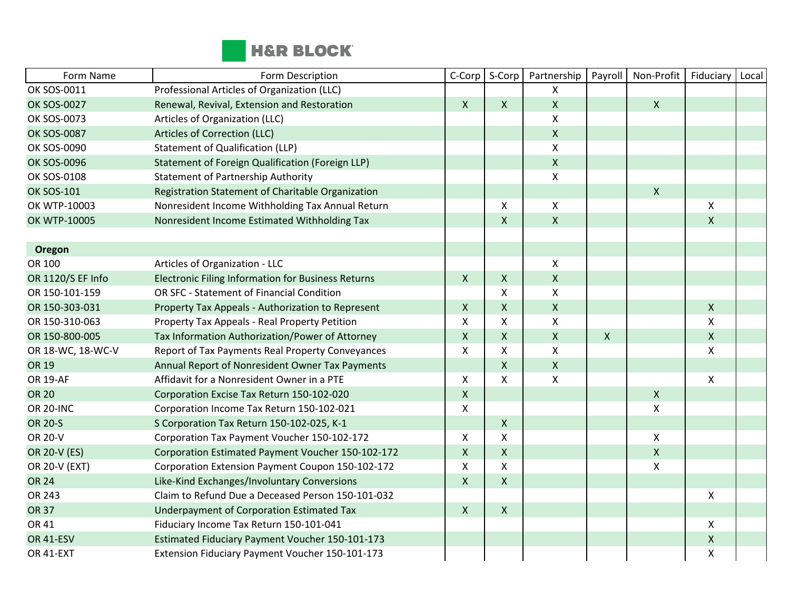

| Form Name          | Form Description                                          | C-Corp             | S-Corp             | Partnership        | Payroll      | Non-Profit         | Fiduciary          | Local |
|--------------------|-----------------------------------------------------------|--------------------|--------------------|--------------------|--------------|--------------------|--------------------|-------|
| OK SOS-0011        | Professional Articles of Organization (LLC)               |                    |                    | X                  |              |                    |                    |       |
| <b>OK SOS-0027</b> | Renewal, Revival, Extension and Restoration               | $\mathsf{X}$       | $\mathsf{X}$       | $\mathsf{X}$       |              | $\mathsf{x}$       |                    |       |
| OK SOS-0073        | Articles of Organization (LLC)                            |                    |                    | X                  |              |                    |                    |       |
| <b>OK SOS-0087</b> | Articles of Correction (LLC)                              |                    |                    | $\mathsf X$        |              |                    |                    |       |
| OK SOS-0090        | <b>Statement of Qualification (LLP)</b>                   |                    |                    | $\pmb{\times}$     |              |                    |                    |       |
| <b>OK SOS-0096</b> | Statement of Foreign Qualification (Foreign LLP)          |                    |                    | $\mathsf{X}$       |              |                    |                    |       |
| OK SOS-0108        | <b>Statement of Partnership Authority</b>                 |                    |                    | $\pmb{\mathsf{X}}$ |              |                    |                    |       |
| <b>OK SOS-101</b>  | Registration Statement of Charitable Organization         |                    |                    |                    |              | $\pmb{\mathsf{X}}$ |                    |       |
| OK WTP-10003       | Nonresident Income Withholding Tax Annual Return          |                    | X                  | X                  |              |                    | X                  |       |
| OK WTP-10005       | Nonresident Income Estimated Withholding Tax              |                    | $\mathsf{X}$       | $\pmb{\times}$     |              |                    | $\mathsf{X}$       |       |
|                    |                                                           |                    |                    |                    |              |                    |                    |       |
| Oregon             |                                                           |                    |                    |                    |              |                    |                    |       |
| OR 100             | Articles of Organization - LLC                            |                    |                    | Χ                  |              |                    |                    |       |
| OR 1120/S EF Info  | <b>Electronic Filing Information for Business Returns</b> | $\mathsf{X}$       | $\mathsf{X}$       | $\mathsf X$        |              |                    |                    |       |
| OR 150-101-159     | OR SFC - Statement of Financial Condition                 |                    | X                  | $\pmb{\times}$     |              |                    |                    |       |
| OR 150-303-031     | Property Tax Appeals - Authorization to Represent         | $\mathsf{X}$       | $\mathsf{X}$       | $\mathsf{X}$       |              |                    | $\mathsf{X}$       |       |
| OR 150-310-063     | Property Tax Appeals - Real Property Petition             | Χ                  | $\pmb{\mathsf{X}}$ | X                  |              |                    | $\pmb{\mathsf{X}}$ |       |
| OR 150-800-005     | Tax Information Authorization/Power of Attorney           | $\mathsf{X}$       | $\mathsf{X}$       | $\pmb{\times}$     | $\mathsf{X}$ |                    | $\mathsf{X}$       |       |
| OR 18-WC, 18-WC-V  | Report of Tax Payments Real Property Conveyances          | X                  | X                  | X                  |              |                    | X                  |       |
| OR 19              | Annual Report of Nonresident Owner Tax Payments           |                    | $\mathsf{X}$       | $\pmb{\mathsf{X}}$ |              |                    |                    |       |
| <b>OR 19-AF</b>    | Affidavit for a Nonresident Owner in a PTE                | X                  | $\mathsf{X}$       | $\mathsf{X}$       |              |                    | X                  |       |
| <b>OR 20</b>       | Corporation Excise Tax Return 150-102-020                 | $\pmb{\mathsf{X}}$ |                    |                    |              | $\pmb{\mathsf{X}}$ |                    |       |
| <b>OR 20-INC</b>   | Corporation Income Tax Return 150-102-021                 | X                  |                    |                    |              | $\pmb{\mathsf{X}}$ |                    |       |
| <b>OR 20-S</b>     | S Corporation Tax Return 150-102-025, K-1                 |                    | $\mathsf{X}$       |                    |              |                    |                    |       |
| OR 20-V            | Corporation Tax Payment Voucher 150-102-172               | $\mathsf{X}$       | X                  |                    |              | X                  |                    |       |
| OR 20-V (ES)       | Corporation Estimated Payment Voucher 150-102-172         | $\pmb{\times}$     | $\mathsf X$        |                    |              | $\pmb{\mathsf{X}}$ |                    |       |
| OR 20-V (EXT)      | Corporation Extension Payment Coupon 150-102-172          | X                  | X                  |                    |              | $\pmb{\mathsf{X}}$ |                    |       |
| <b>OR 24</b>       | Like-Kind Exchanges/Involuntary Conversions               | $\mathsf{X}$       | $\mathsf{X}$       |                    |              |                    |                    |       |
| OR 243             | Claim to Refund Due a Deceased Person 150-101-032         |                    |                    |                    |              |                    | $\pmb{\mathsf{X}}$ |       |
| <b>OR 37</b>       | Underpayment of Corporation Estimated Tax                 | $\mathsf{X}$       | $\mathsf{X}$       |                    |              |                    |                    |       |
| OR 41              | Fiduciary Income Tax Return 150-101-041                   |                    |                    |                    |              |                    | X                  |       |
| <b>OR 41-ESV</b>   | Estimated Fiduciary Payment Voucher 150-101-173           |                    |                    |                    |              |                    | $\mathsf X$        |       |
| <b>OR 41-EXT</b>   | Extension Fiduciary Payment Voucher 150-101-173           |                    |                    |                    |              |                    | X                  |       |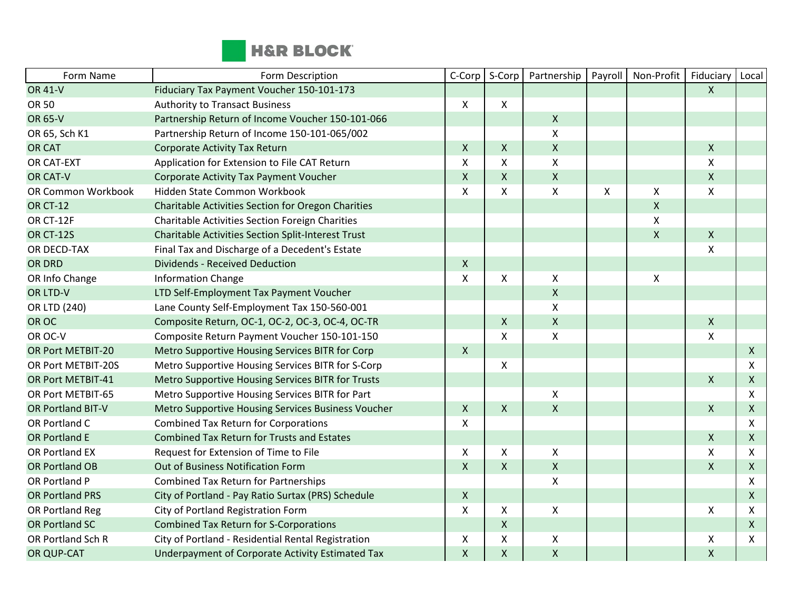

| Form Name                | Form Description                                          | C-Corp         | S-Corp | Partnership        | Payroll | Non-Profit         | Fiduciary          | Local          |
|--------------------------|-----------------------------------------------------------|----------------|--------|--------------------|---------|--------------------|--------------------|----------------|
| <b>OR 41-V</b>           | Fiduciary Tax Payment Voucher 150-101-173                 |                |        |                    |         |                    | X                  |                |
| <b>OR 50</b>             | <b>Authority to Transact Business</b>                     | X              | X      |                    |         |                    |                    |                |
| <b>OR 65-V</b>           | Partnership Return of Income Voucher 150-101-066          |                |        | $\mathsf{X}$       |         |                    |                    |                |
| OR 65, Sch K1            | Partnership Return of Income 150-101-065/002              |                |        | $\pmb{\mathsf{X}}$ |         |                    |                    |                |
| <b>OR CAT</b>            | Corporate Activity Tax Return                             | $\pmb{\times}$ | X      | $\mathsf X$        |         |                    | $\pmb{\mathsf{X}}$ |                |
| OR CAT-EXT               | Application for Extension to File CAT Return              | $\pmb{\times}$ | Χ      | $\pmb{\times}$     |         |                    | Χ                  |                |
| OR CAT-V                 | Corporate Activity Tax Payment Voucher                    | $\mathsf{X}$   | Χ      | $\mathsf{X}$       |         |                    | $\pmb{\mathsf{X}}$ |                |
| OR Common Workbook       | Hidden State Common Workbook                              | $\mathsf{X}$   | Χ      | $\mathsf{X}$       | X       | Χ                  | X                  |                |
| <b>OR CT-12</b>          | Charitable Activities Section for Oregon Charities        |                |        |                    |         | $\pmb{\mathsf{X}}$ |                    |                |
| OR CT-12F                | Charitable Activities Section Foreign Charities           |                |        |                    |         | Χ                  |                    |                |
| <b>OR CT-12S</b>         | <b>Charitable Activities Section Split-Interest Trust</b> |                |        |                    |         | $\pmb{\mathsf{X}}$ | $\mathsf{X}$       |                |
| OR DECD-TAX              | Final Tax and Discharge of a Decedent's Estate            |                |        |                    |         |                    | X                  |                |
| <b>OR DRD</b>            | <b>Dividends - Received Deduction</b>                     | $\mathsf{X}$   |        |                    |         |                    |                    |                |
| OR Info Change           | <b>Information Change</b>                                 | $\mathsf{x}$   | X      | $\pmb{\times}$     |         | X                  |                    |                |
| OR LTD-V                 | LTD Self-Employment Tax Payment Voucher                   |                |        | $\mathsf X$        |         |                    |                    |                |
| OR LTD (240)             | Lane County Self-Employment Tax 150-560-001               |                |        | $\pmb{\times}$     |         |                    |                    |                |
| OR OC                    | Composite Return, OC-1, OC-2, OC-3, OC-4, OC-TR           |                | X      | $\mathsf{X}$       |         |                    | X                  |                |
| OR OC-V                  | Composite Return Payment Voucher 150-101-150              |                | Χ      | $\mathsf{\chi}$    |         |                    | X                  |                |
| OR Port METBIT-20        | Metro Supportive Housing Services BITR for Corp           | $\mathsf{X}$   |        |                    |         |                    |                    | $\mathsf{X}$   |
| OR Port METBIT-20S       | Metro Supportive Housing Services BITR for S-Corp         |                | X      |                    |         |                    |                    | X              |
| OR Port METBIT-41        | Metro Supportive Housing Services BITR for Trusts         |                |        |                    |         |                    | X                  | $\mathsf{X}$   |
| OR Port METBIT-65        | Metro Supportive Housing Services BITR for Part           |                |        | X                  |         |                    |                    | X              |
| <b>OR Portland BIT-V</b> | Metro Supportive Housing Services Business Voucher        | $\mathsf{X}$   | X      | $\pmb{\mathsf{X}}$ |         |                    | X                  | $\mathsf{X}$   |
| OR Portland C            | <b>Combined Tax Return for Corporations</b>               | $\pmb{\times}$ |        |                    |         |                    |                    | X              |
| OR Portland E            | <b>Combined Tax Return for Trusts and Estates</b>         |                |        |                    |         |                    | $\mathsf{X}$       | $\mathsf{X}$   |
| OR Portland EX           | Request for Extension of Time to File                     | X              | X      | $\pmb{\times}$     |         |                    | X                  | X              |
| <b>OR Portland OB</b>    | Out of Business Notification Form                         | $\mathsf{X}$   | X      | $\mathsf{X}$       |         |                    | X                  | $\mathsf{X}$   |
| OR Portland P            | <b>Combined Tax Return for Partnerships</b>               |                |        | $\pmb{\mathsf{X}}$ |         |                    |                    | X              |
| <b>OR Portland PRS</b>   | City of Portland - Pay Ratio Surtax (PRS) Schedule        | $\mathsf{X}$   |        |                    |         |                    |                    | $\pmb{\times}$ |
| OR Portland Reg          | City of Portland Registration Form                        | $\pmb{\times}$ | X      | $\pmb{\times}$     |         |                    | Χ                  | X              |
| <b>OR Portland SC</b>    | <b>Combined Tax Return for S-Corporations</b>             |                | Χ      |                    |         |                    |                    | $\mathsf{X}$   |
| OR Portland Sch R        | City of Portland - Residential Rental Registration        | X              | X      | X                  |         |                    | X                  | X              |
| OR QUP-CAT               | Underpayment of Corporate Activity Estimated Tax          | $\pmb{\times}$ | X      | $\pmb{\times}$     |         |                    | $\mathsf{X}$       |                |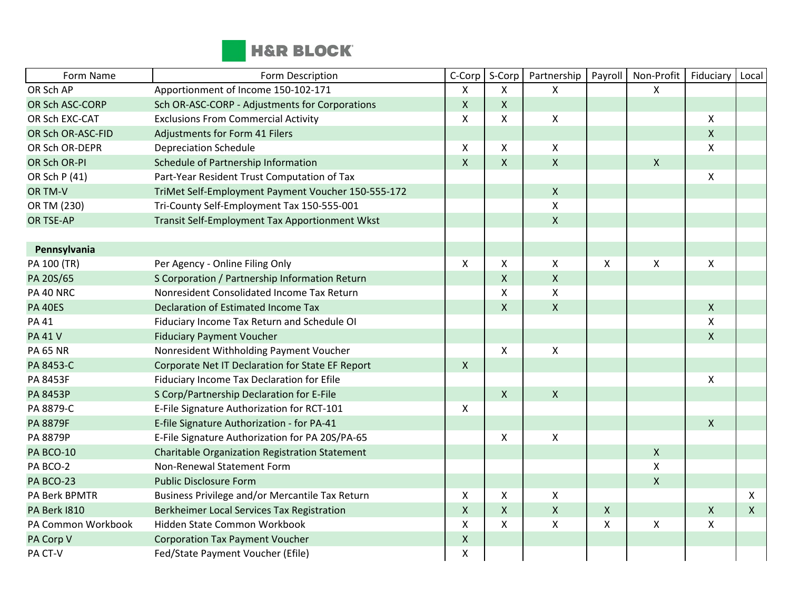

| Form Name           | Form Description                                      | C-Corp             | S-Corp             | Partnership        | Payroll                   | Non-Profit         | Fiduciary          | Local        |
|---------------------|-------------------------------------------------------|--------------------|--------------------|--------------------|---------------------------|--------------------|--------------------|--------------|
| OR Sch AP           | Apportionment of Income 150-102-171                   | $\mathsf{X}$       | X                  | X                  |                           | X                  |                    |              |
| OR Sch ASC-CORP     | Sch OR-ASC-CORP - Adjustments for Corporations        | $\mathsf{X}$       | $\pmb{\mathsf{X}}$ |                    |                           |                    |                    |              |
| OR Sch EXC-CAT      | <b>Exclusions From Commercial Activity</b>            | $\mathsf{X}$       | X                  | $\mathsf X$        |                           |                    | X                  |              |
| OR Sch OR-ASC-FID   | Adjustments for Form 41 Filers                        |                    |                    |                    |                           |                    | $\mathsf{X}$       |              |
| OR Sch OR-DEPR      | <b>Depreciation Schedule</b>                          | X                  | X                  | $\mathsf{X}$       |                           |                    | X                  |              |
| OR Sch OR-PI        | Schedule of Partnership Information                   | $\mathsf{X}$       | X                  | $\mathsf{X}$       |                           | $\pmb{\mathsf{X}}$ |                    |              |
| OR Sch P (41)       | Part-Year Resident Trust Computation of Tax           |                    |                    |                    |                           |                    | X                  |              |
| OR TM-V             | TriMet Self-Employment Payment Voucher 150-555-172    |                    |                    | $\pmb{\times}$     |                           |                    |                    |              |
| OR TM (230)         | Tri-County Self-Employment Tax 150-555-001            |                    |                    | X                  |                           |                    |                    |              |
| <b>OR TSE-AP</b>    | Transit Self-Employment Tax Apportionment Wkst        |                    |                    | $\mathsf{X}$       |                           |                    |                    |              |
|                     |                                                       |                    |                    |                    |                           |                    |                    |              |
| Pennsylvania        |                                                       |                    |                    |                    |                           |                    |                    |              |
| PA 100 (TR)         | Per Agency - Online Filing Only                       | $\mathsf{X}$       | Χ                  | $\mathsf X$        | $\pmb{\chi}$              | Χ                  | Χ                  |              |
| PA 20S/65           | S Corporation / Partnership Information Return        |                    | X                  | $\mathsf{X}$       |                           |                    |                    |              |
| PA 40 NRC           | Nonresident Consolidated Income Tax Return            |                    | X                  | $\pmb{\mathsf{X}}$ |                           |                    |                    |              |
| <b>PA 40ES</b>      | Declaration of Estimated Income Tax                   |                    | X                  | $\mathsf{X}$       |                           |                    | $\mathsf{X}$       |              |
| <b>PA 41</b>        | Fiduciary Income Tax Return and Schedule OI           |                    |                    |                    |                           |                    | Χ                  |              |
| <b>PA 41 V</b>      | <b>Fiduciary Payment Voucher</b>                      |                    |                    |                    |                           |                    | $\mathsf{X}$       |              |
| <b>PA 65 NR</b>     | Nonresident Withholding Payment Voucher               |                    | X                  | X                  |                           |                    |                    |              |
| PA 8453-C           | Corporate Net IT Declaration for State EF Report      | $\mathsf{X}$       |                    |                    |                           |                    |                    |              |
| PA 8453F            | Fiduciary Income Tax Declaration for Efile            |                    |                    |                    |                           |                    | $\mathsf{X}$       |              |
| <b>PA 8453P</b>     | S Corp/Partnership Declaration for E-File             |                    | $\mathsf{X}$       | $\pmb{\times}$     |                           |                    |                    |              |
| PA 8879-C           | E-File Signature Authorization for RCT-101            | $\mathsf{X}$       |                    |                    |                           |                    |                    |              |
| <b>PA 8879F</b>     | E-file Signature Authorization - for PA-41            |                    |                    |                    |                           |                    | $\mathsf{X}$       |              |
| PA 8879P            | E-File Signature Authorization for PA 20S/PA-65       |                    | X                  | X                  |                           |                    |                    |              |
| PA BCO-10           | <b>Charitable Organization Registration Statement</b> |                    |                    |                    |                           | $\pmb{\mathsf{X}}$ |                    |              |
| PA BCO-2            | Non-Renewal Statement Form                            |                    |                    |                    |                           | Χ                  |                    |              |
| PA BCO-23           | <b>Public Disclosure Form</b>                         |                    |                    |                    |                           | $\pmb{\mathsf{X}}$ |                    |              |
| PA Berk BPMTR       | Business Privilege and/or Mercantile Tax Return       | X                  | X                  | X                  |                           |                    |                    | X            |
| <b>PA Berk 1810</b> | Berkheimer Local Services Tax Registration            | $\pmb{\times}$     | X                  | $\pmb{\times}$     | $\pmb{\mathsf{X}}$        |                    | $\pmb{\mathsf{X}}$ | $\mathsf{X}$ |
| PA Common Workbook  | Hidden State Common Workbook                          | $\mathsf{X}$       | X                  | X                  | $\boldsymbol{\mathsf{X}}$ | X                  | X                  |              |
| PA Corp V           | <b>Corporation Tax Payment Voucher</b>                | $\pmb{\mathsf{X}}$ |                    |                    |                           |                    |                    |              |
| PA CT-V             | Fed/State Payment Voucher (Efile)                     | $\pmb{\mathsf{X}}$ |                    |                    |                           |                    |                    |              |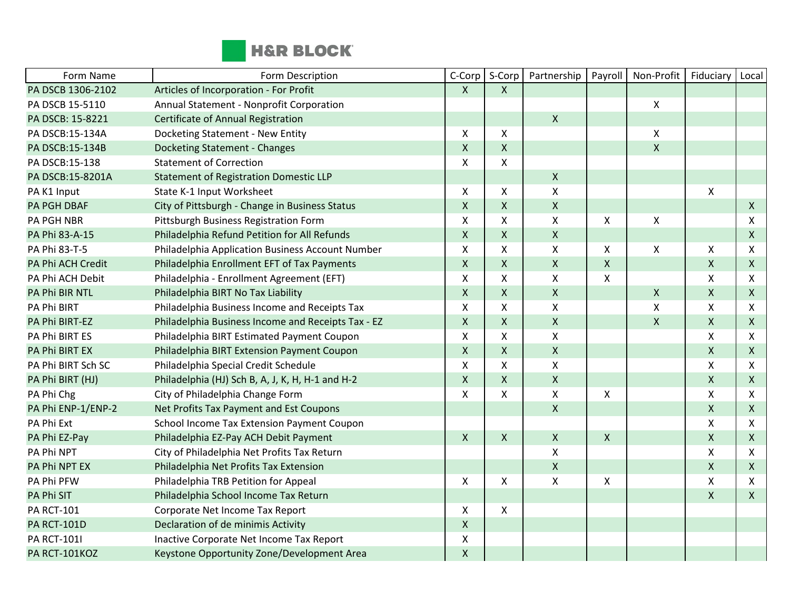

| Form Name          | Form Description                                   | C-Corp             | S-Corp             | Partnership               | Payroll                   | Non-Profit         | Fiduciary          | Local              |
|--------------------|----------------------------------------------------|--------------------|--------------------|---------------------------|---------------------------|--------------------|--------------------|--------------------|
| PA DSCB 1306-2102  | Articles of Incorporation - For Profit             | $\mathsf{X}$       | $\mathsf{X}$       |                           |                           |                    |                    |                    |
| PA DSCB 15-5110    | Annual Statement - Nonprofit Corporation           |                    |                    |                           |                           | Χ                  |                    |                    |
| PA DSCB: 15-8221   | Certificate of Annual Registration                 |                    |                    | $\mathsf{X}$              |                           |                    |                    |                    |
| PA DSCB:15-134A    | Docketing Statement - New Entity                   | $\mathsf{X}$       | X                  |                           |                           | X                  |                    |                    |
| PA DSCB:15-134B    | <b>Docketing Statement - Changes</b>               | $\pmb{\mathsf{X}}$ | $\pmb{\mathsf{X}}$ |                           |                           | $\pmb{\mathsf{X}}$ |                    |                    |
| PA DSCB:15-138     | <b>Statement of Correction</b>                     | X                  | X                  |                           |                           |                    |                    |                    |
| PA DSCB:15-8201A   | <b>Statement of Registration Domestic LLP</b>      |                    |                    | $\mathsf{X}$              |                           |                    |                    |                    |
| PA K1 Input        | State K-1 Input Worksheet                          | X                  | X                  | $\pmb{\mathsf{X}}$        |                           |                    | $\mathsf{X}$       |                    |
| <b>PA PGH DBAF</b> | City of Pittsburgh - Change in Business Status     | $\pmb{\times}$     | $\mathsf{X}$       | $\mathsf{X}$              |                           |                    |                    | $\mathsf{X}$       |
| <b>PA PGH NBR</b>  | Pittsburgh Business Registration Form              | $\mathsf X$        | X                  | $\mathsf{x}$              | $\boldsymbol{\mathsf{X}}$ | $\pmb{\mathsf{X}}$ |                    | $\pmb{\mathsf{X}}$ |
| PA Phi 83-A-15     | Philadelphia Refund Petition for All Refunds       | $\mathsf{X}$       | $\mathsf{X}$       | $\mathsf{X}$              |                           |                    |                    | $\mathsf{X}$       |
| PA Phi 83-T-5      | Philadelphia Application Business Account Number   | Χ                  | X                  | X                         | X                         | Χ                  | Χ                  | X                  |
| PA Phi ACH Credit  | Philadelphia Enrollment EFT of Tax Payments        | $\mathsf{X}$       | X                  | $\mathsf{X}$              | $\pmb{\mathsf{X}}$        |                    | $\mathsf{X}$       | $\mathsf{X}$       |
| PA Phi ACH Debit   | Philadelphia - Enrollment Agreement (EFT)          | X                  | X                  | X                         | X                         |                    | X                  | X                  |
| PA Phi BIR NTL     | Philadelphia BIRT No Tax Liability                 | $\pmb{\times}$     | $\mathsf{X}$       | $\mathsf{X}$              |                           | $\pmb{\mathsf{X}}$ | X                  | $\mathsf{X}$       |
| PA Phi BIRT        | Philadelphia Business Income and Receipts Tax      | X                  | X                  | X                         |                           | Χ                  | X                  | X                  |
| PA Phi BIRT-EZ     | Philadelphia Business Income and Receipts Tax - EZ | $\mathsf X$        | $\mathsf X$        | $\mathsf X$               |                           | $\mathsf{X}$       | $\mathsf{X}$       | $\mathsf{X}$       |
| PA Phi BIRT ES     | Philadelphia BIRT Estimated Payment Coupon         | $\pmb{\times}$     | X                  | $\pmb{\mathsf{X}}$        |                           |                    | X                  | X                  |
| PA Phi BIRT EX     | Philadelphia BIRT Extension Payment Coupon         | $\mathsf{X}$       | $\mathsf{X}$       | $\boldsymbol{\mathsf{X}}$ |                           |                    | $\pmb{\mathsf{X}}$ | $\mathsf{X}$       |
| PA Phi BIRT Sch SC | Philadelphia Special Credit Schedule               | $\pmb{\times}$     | X                  | $\mathsf{X}$              |                           |                    | X                  | X                  |
| PA Phi BIRT (HJ)   | Philadelphia (HJ) Sch B, A, J, K, H, H-1 and H-2   | $\mathsf{X}$       | $\mathsf{X}$       | $\mathsf{X}$              |                           |                    | X                  | $\mathsf{X}$       |
| PA Phi Chg         | City of Philadelphia Change Form                   | $\pmb{\times}$     | X                  | X                         | $\pmb{\times}$            |                    | X                  | X                  |
| PA Phi ENP-1/ENP-2 | Net Profits Tax Payment and Est Coupons            |                    |                    | $\mathsf{X}$              |                           |                    | $\mathsf{X}$       | $\mathsf{X}$       |
| PA Phi Ext         | School Income Tax Extension Payment Coupon         |                    |                    |                           |                           |                    | X                  | X                  |
| PA Phi EZ-Pay      | Philadelphia EZ-Pay ACH Debit Payment              | $\pmb{\times}$     | $\mathsf{X}$       | $\mathsf{X}$              | $\pmb{\mathsf{X}}$        |                    | $\pmb{\mathsf{X}}$ | $\mathsf{X}$       |
| PA Phi NPT         | City of Philadelphia Net Profits Tax Return        |                    |                    | X                         |                           |                    | X                  | X                  |
| PA Phi NPT EX      | Philadelphia Net Profits Tax Extension             |                    |                    | $\mathsf{X}$              |                           |                    | $\mathsf{X}$       | $\mathsf{X}$       |
| PA Phi PFW         | Philadelphia TRB Petition for Appeal               | $\pmb{\times}$     | X                  | $\pmb{\mathsf{X}}$        | $\pmb{\chi}$              |                    | Χ                  | X                  |
| PA Phi SIT         | Philadelphia School Income Tax Return              |                    |                    |                           |                           |                    | X                  | $\mathsf{X}$       |
| <b>PA RCT-101</b>  | Corporate Net Income Tax Report                    | $\mathsf{X}$       | X                  |                           |                           |                    |                    |                    |
| <b>PA RCT-101D</b> | Declaration of de minimis Activity                 | $\pmb{\mathsf{X}}$ |                    |                           |                           |                    |                    |                    |
| <b>PA RCT-101I</b> | Inactive Corporate Net Income Tax Report           | X                  |                    |                           |                           |                    |                    |                    |
| PA RCT-101KOZ      | Keystone Opportunity Zone/Development Area         | $\mathsf X$        |                    |                           |                           |                    |                    |                    |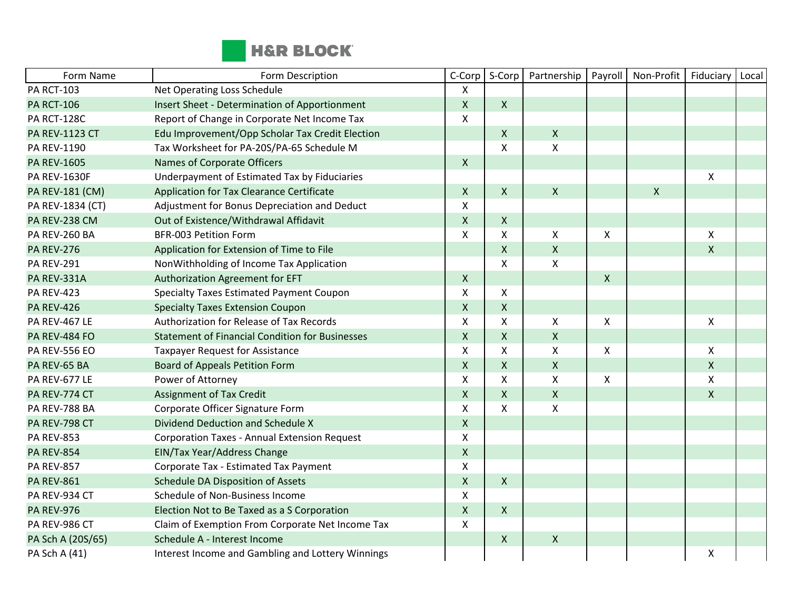

| Form Name             | Form Description                                       | C-Corp         | S-Corp             | Partnership        | Payroll                   | Non-Profit   | Fiduciary    | Local |
|-----------------------|--------------------------------------------------------|----------------|--------------------|--------------------|---------------------------|--------------|--------------|-------|
| <b>PA RCT-103</b>     | Net Operating Loss Schedule                            | X              |                    |                    |                           |              |              |       |
| <b>PA RCT-106</b>     | <b>Insert Sheet - Determination of Apportionment</b>   | $\mathsf{X}$   | $\mathsf{X}$       |                    |                           |              |              |       |
| PA RCT-128C           | Report of Change in Corporate Net Income Tax           | X              |                    |                    |                           |              |              |       |
| <b>PA REV-1123 CT</b> | Edu Improvement/Opp Scholar Tax Credit Election        |                | $\mathsf{X}$       | $\mathsf{X}$       |                           |              |              |       |
| PA REV-1190           | Tax Worksheet for PA-20S/PA-65 Schedule M              |                | $\pmb{\mathsf{X}}$ | $\pmb{\times}$     |                           |              |              |       |
| <b>PA REV-1605</b>    | Names of Corporate Officers                            | $\mathsf{X}$   |                    |                    |                           |              |              |       |
| <b>PA REV-1630F</b>   | Underpayment of Estimated Tax by Fiduciaries           |                |                    |                    |                           |              | $\pmb{\chi}$ |       |
| PA REV-181 (CM)       | Application for Tax Clearance Certificate              | $\mathsf{X}$   | $\mathsf{X}$       | $\mathsf{X}$       |                           | $\mathsf{x}$ |              |       |
| PA REV-1834 (CT)      | Adjustment for Bonus Depreciation and Deduct           | X              |                    |                    |                           |              |              |       |
| PA REV-238 CM         | Out of Existence/Withdrawal Affidavit                  | $\mathsf{X}$   | $\mathsf{X}$       |                    |                           |              |              |       |
| PA REV-260 BA         | <b>BFR-003 Petition Form</b>                           | X              | X                  | $\pmb{\times}$     | $\boldsymbol{\mathsf{X}}$ |              | X            |       |
| <b>PA REV-276</b>     | Application for Extension of Time to File              |                | $\mathsf{X}$       | $\mathsf X$        |                           |              | $\mathsf{X}$ |       |
| <b>PA REV-291</b>     | NonWithholding of Income Tax Application               |                | X                  | X                  |                           |              |              |       |
| <b>PA REV-331A</b>    | Authorization Agreement for EFT                        | $\mathsf{X}$   |                    |                    | $\mathsf{X}$              |              |              |       |
| <b>PA REV-423</b>     | Specialty Taxes Estimated Payment Coupon               | X              | X                  |                    |                           |              |              |       |
| <b>PA REV-426</b>     | <b>Specialty Taxes Extension Coupon</b>                | $\mathsf{X}$   | $\mathsf{X}$       |                    |                           |              |              |       |
| PA REV-467 LE         | Authorization for Release of Tax Records               | $\mathsf{x}$   | X                  | $\pmb{\mathsf{X}}$ | $\pmb{\times}$            |              | $\mathsf X$  |       |
| PA REV-484 FO         | <b>Statement of Financial Condition for Businesses</b> | $\mathsf{X}$   | $\mathsf{X}$       | $\pmb{\mathsf{X}}$ |                           |              |              |       |
| <b>PA REV-556 EO</b>  | <b>Taxpayer Request for Assistance</b>                 | X              | X                  | X                  | $\boldsymbol{\mathsf{X}}$ |              | $\mathsf{X}$ |       |
| PA REV-65 BA          | <b>Board of Appeals Petition Form</b>                  | $\mathsf{X}$   | $\mathsf{X}$       | $\mathsf{X}$       |                           |              | $\mathsf{X}$ |       |
| PA REV-677 LE         | Power of Attorney                                      | X              | X                  | X                  | $\boldsymbol{\mathsf{X}}$ |              | X            |       |
| PA REV-774 CT         | <b>Assignment of Tax Credit</b>                        | $\mathsf{X}$   | $\mathsf{X}$       | $\pmb{\times}$     |                           |              | $\mathsf{X}$ |       |
| PA REV-788 BA         | Corporate Officer Signature Form                       | $\pmb{\times}$ | X                  | $\pmb{\mathsf{X}}$ |                           |              |              |       |
| PA REV-798 CT         | Dividend Deduction and Schedule X                      | $\mathsf X$    |                    |                    |                           |              |              |       |
| <b>PA REV-853</b>     | <b>Corporation Taxes - Annual Extension Request</b>    | X              |                    |                    |                           |              |              |       |
| <b>PA REV-854</b>     | EIN/Tax Year/Address Change                            | $\mathsf X$    |                    |                    |                           |              |              |       |
| <b>PA REV-857</b>     | Corporate Tax - Estimated Tax Payment                  | X              |                    |                    |                           |              |              |       |
| <b>PA REV-861</b>     | Schedule DA Disposition of Assets                      | $\mathsf{X}$   | $\mathsf{X}$       |                    |                           |              |              |       |
| PA REV-934 CT         | Schedule of Non-Business Income                        | X              |                    |                    |                           |              |              |       |
| <b>PA REV-976</b>     | Election Not to Be Taxed as a S Corporation            | $\mathsf{X}$   | $\mathsf{X}$       |                    |                           |              |              |       |
| PA REV-986 CT         | Claim of Exemption From Corporate Net Income Tax       | X              |                    |                    |                           |              |              |       |
| PA Sch A (20S/65)     | Schedule A - Interest Income                           |                | $\mathsf{X}$       | $\boldsymbol{X}$   |                           |              |              |       |
| PA Sch A (41)         | Interest Income and Gambling and Lottery Winnings      |                |                    |                    |                           |              | Χ            |       |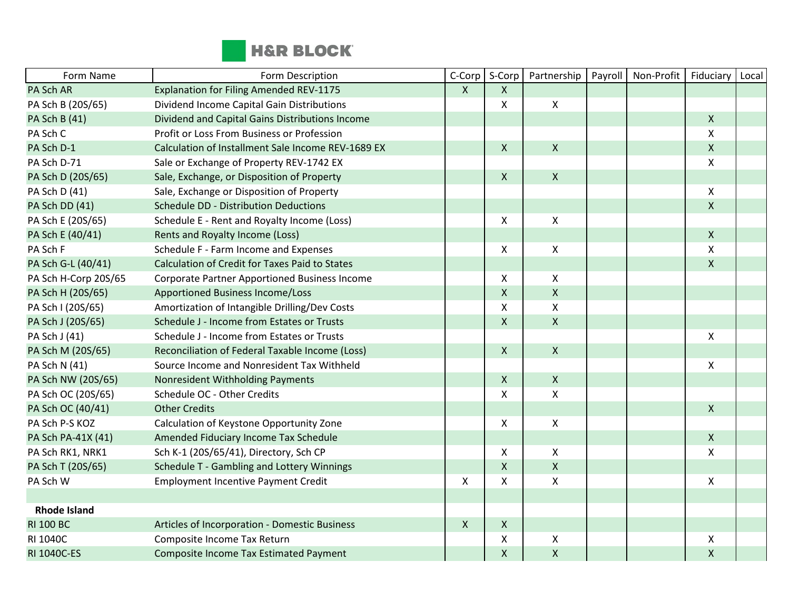

| Form Name            | Form Description                                      | C-Corp                    | S-Corp       | Partnership        | Payroll | Non-Profit | Fiduciary    | Local |
|----------------------|-------------------------------------------------------|---------------------------|--------------|--------------------|---------|------------|--------------|-------|
| PA Sch AR            | <b>Explanation for Filing Amended REV-1175</b>        | $\mathsf{X}$              | X            |                    |         |            |              |       |
| PA Sch B (20S/65)    | Dividend Income Capital Gain Distributions            |                           | X            | $\mathsf{X}$       |         |            |              |       |
| PA Sch B (41)        | Dividend and Capital Gains Distributions Income       |                           |              |                    |         |            | $\mathsf{X}$ |       |
| PA Sch C             | Profit or Loss From Business or Profession            |                           |              |                    |         |            | X            |       |
| PA Sch D-1           | Calculation of Installment Sale Income REV-1689 EX    |                           | X            | $\mathsf{X}$       |         |            | $\mathsf{X}$ |       |
| PA Sch D-71          | Sale or Exchange of Property REV-1742 EX              |                           |              |                    |         |            | X            |       |
| PA Sch D (20S/65)    | Sale, Exchange, or Disposition of Property            |                           | $\mathsf{X}$ | $\pmb{\times}$     |         |            |              |       |
| PA Sch D (41)        | Sale, Exchange or Disposition of Property             |                           |              |                    |         |            | $\mathsf{X}$ |       |
| PA Sch DD (41)       | Schedule DD - Distribution Deductions                 |                           |              |                    |         |            | $\mathsf{X}$ |       |
| PA Sch E (20S/65)    | Schedule E - Rent and Royalty Income (Loss)           |                           | X            | $\mathsf{X}$       |         |            |              |       |
| PA Sch E (40/41)     | Rents and Royalty Income (Loss)                       |                           |              |                    |         |            | $\mathsf{X}$ |       |
| PA Sch F             | Schedule F - Farm Income and Expenses                 |                           | X            | $\mathsf{X}$       |         |            | X            |       |
| PA Sch G-L (40/41)   | <b>Calculation of Credit for Taxes Paid to States</b> |                           |              |                    |         |            | $\mathsf{X}$ |       |
| PA Sch H-Corp 20S/65 | Corporate Partner Apportioned Business Income         |                           | X            | $\mathsf{X}$       |         |            |              |       |
| PA Sch H (20S/65)    | Apportioned Business Income/Loss                      |                           | X            | $\mathsf{X}$       |         |            |              |       |
| PA Sch I (20S/65)    | Amortization of Intangible Drilling/Dev Costs         |                           | Χ            | X                  |         |            |              |       |
| PA Sch J (20S/65)    | Schedule J - Income from Estates or Trusts            |                           | $\mathsf{X}$ | $\mathsf{X}$       |         |            |              |       |
| PA Sch J (41)        | Schedule J - Income from Estates or Trusts            |                           |              |                    |         |            | X            |       |
| PA Sch M (20S/65)    | Reconciliation of Federal Taxable Income (Loss)       |                           | $\mathsf{X}$ | $\mathsf{X}$       |         |            |              |       |
| PA Sch N (41)        | Source Income and Nonresident Tax Withheld            |                           |              |                    |         |            | X            |       |
| PA Sch NW (20S/65)   | Nonresident Withholding Payments                      |                           | X            | $\mathsf{X}$       |         |            |              |       |
| PA Sch OC (20S/65)   | Schedule OC - Other Credits                           |                           | X            | X                  |         |            |              |       |
| PA Sch OC (40/41)    | <b>Other Credits</b>                                  |                           |              |                    |         |            | $\mathsf{X}$ |       |
| PA Sch P-S KOZ       | Calculation of Keystone Opportunity Zone              |                           | X            | X                  |         |            |              |       |
| PA Sch PA-41X (41)   | Amended Fiduciary Income Tax Schedule                 |                           |              |                    |         |            | $\mathsf{X}$ |       |
| PA Sch RK1, NRK1     | Sch K-1 (20S/65/41), Directory, Sch CP                |                           | X            | $\pmb{\times}$     |         |            | Χ            |       |
| PA Sch T (20S/65)    | Schedule T - Gambling and Lottery Winnings            |                           | X            | $\mathsf{X}$       |         |            |              |       |
| PA Sch W             | <b>Employment Incentive Payment Credit</b>            | $\boldsymbol{\mathsf{X}}$ | X            | $\pmb{\mathsf{X}}$ |         |            | Χ            |       |
|                      |                                                       |                           |              |                    |         |            |              |       |
| <b>Rhode Island</b>  |                                                       |                           |              |                    |         |            |              |       |
| <b>RI 100 BC</b>     | Articles of Incorporation - Domestic Business         | $\mathsf{X}$              | X            |                    |         |            |              |       |
| RI 1040C             | Composite Income Tax Return                           |                           | X            | X                  |         |            | Χ            |       |
| RI 1040C-ES          | <b>Composite Income Tax Estimated Payment</b>         |                           | $\mathsf{X}$ | $\mathsf{X}$       |         |            | $\mathsf{X}$ |       |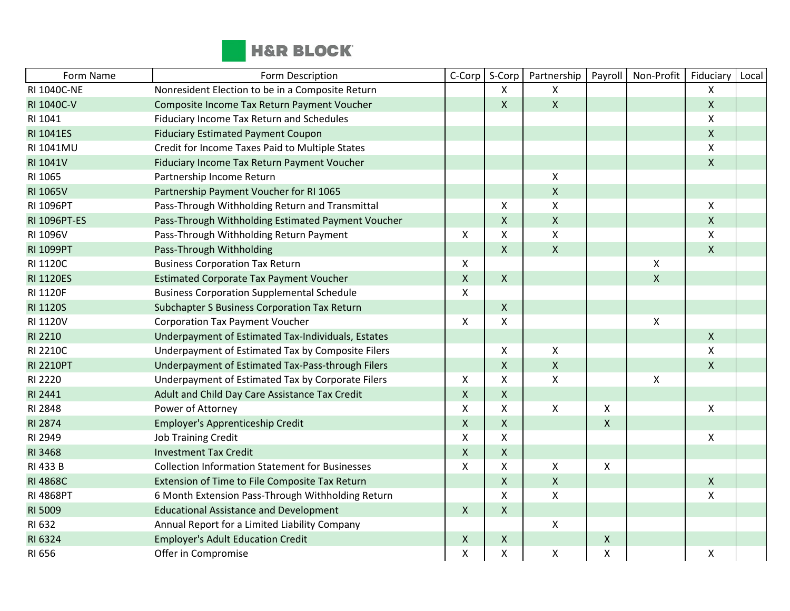

| Form Name          | Form Description                                       | C-Corp             | S-Corp             | Partnership               | Payroll            | Non-Profit         | Fiduciary          | Local |
|--------------------|--------------------------------------------------------|--------------------|--------------------|---------------------------|--------------------|--------------------|--------------------|-------|
| <b>RI 1040C-NE</b> | Nonresident Election to be in a Composite Return       |                    | X                  | $\mathsf{X}$              |                    |                    | Χ                  |       |
| RI 1040C-V         | Composite Income Tax Return Payment Voucher            |                    | X                  | $\mathsf{X}$              |                    |                    | X                  |       |
| RI 1041            | Fiduciary Income Tax Return and Schedules              |                    |                    |                           |                    |                    | Χ                  |       |
| <b>RI 1041ES</b>   | <b>Fiduciary Estimated Payment Coupon</b>              |                    |                    |                           |                    |                    | $\pmb{\mathsf{X}}$ |       |
| RI 1041MU          | Credit for Income Taxes Paid to Multiple States        |                    |                    |                           |                    |                    | Χ                  |       |
| RI 1041V           | Fiduciary Income Tax Return Payment Voucher            |                    |                    |                           |                    |                    | X                  |       |
| RI 1065            | Partnership Income Return                              |                    |                    | $\pmb{\mathsf{X}}$        |                    |                    |                    |       |
| <b>RI 1065V</b>    | Partnership Payment Voucher for RI 1065                |                    |                    | $\pmb{\mathsf{X}}$        |                    |                    |                    |       |
| RI 1096PT          | Pass-Through Withholding Return and Transmittal        |                    | X                  | $\boldsymbol{\mathsf{X}}$ |                    |                    | X                  |       |
| RI 1096PT-ES       | Pass-Through Withholding Estimated Payment Voucher     |                    | X                  | $\pmb{\times}$            |                    |                    | X                  |       |
| RI 1096V           | Pass-Through Withholding Return Payment                | X                  | X                  | $\pmb{\times}$            |                    |                    | X                  |       |
| <b>RI 1099PT</b>   | Pass-Through Withholding                               |                    | $\pmb{\mathsf{X}}$ | $\mathsf{X}$              |                    |                    | $\mathsf{X}$       |       |
| RI 1120C           | <b>Business Corporation Tax Return</b>                 | X                  |                    |                           |                    | Χ                  |                    |       |
| <b>RI 1120ES</b>   | <b>Estimated Corporate Tax Payment Voucher</b>         | $\mathsf{X}$       | $\mathsf{X}$       |                           |                    | $\pmb{\mathsf{X}}$ |                    |       |
| RI 1120F           | <b>Business Corporation Supplemental Schedule</b>      | X                  |                    |                           |                    |                    |                    |       |
| <b>RI 1120S</b>    | Subchapter S Business Corporation Tax Return           |                    | Χ                  |                           |                    |                    |                    |       |
| RI 1120V           | <b>Corporation Tax Payment Voucher</b>                 | X                  | Χ                  |                           |                    | $\pmb{\mathsf{X}}$ |                    |       |
| <b>RI 2210</b>     | Underpayment of Estimated Tax-Individuals, Estates     |                    |                    |                           |                    |                    | X                  |       |
| RI 2210C           | Underpayment of Estimated Tax by Composite Filers      |                    | X                  | $\pmb{\times}$            |                    |                    | Χ                  |       |
| <b>RI 2210PT</b>   | Underpayment of Estimated Tax-Pass-through Filers      |                    | $\pmb{\mathsf{X}}$ | $\pmb{\mathsf{X}}$        |                    |                    | X                  |       |
| RI 2220            | Underpayment of Estimated Tax by Corporate Filers      | X                  | Χ                  | $\pmb{\times}$            |                    | Χ                  |                    |       |
| RI 2441            | Adult and Child Day Care Assistance Tax Credit         | $\mathsf{X}$       | Χ                  |                           |                    |                    |                    |       |
| RI 2848            | Power of Attorney                                      | X                  | Χ                  | $\mathsf{X}$              | Χ                  |                    | Χ                  |       |
| RI 2874            | Employer's Apprenticeship Credit                       | $\mathsf X$        | X                  |                           | $\mathsf{X}$       |                    |                    |       |
| RI 2949            | <b>Job Training Credit</b>                             | X                  | X                  |                           |                    |                    | X                  |       |
| RI 3468            | <b>Investment Tax Credit</b>                           | $\pmb{\mathsf{X}}$ | $\pmb{\mathsf{X}}$ |                           |                    |                    |                    |       |
| RI 433 B           | <b>Collection Information Statement for Businesses</b> | X                  | X                  | X                         | X                  |                    |                    |       |
| <b>RI 4868C</b>    | Extension of Time to File Composite Tax Return         |                    | $\pmb{\mathsf{X}}$ | $\pmb{\mathsf{X}}$        |                    |                    | $\pmb{\mathsf{X}}$ |       |
| <b>RI 4868PT</b>   | 6 Month Extension Pass-Through Withholding Return      |                    | X                  | $\pmb{\mathsf{X}}$        |                    |                    | Χ                  |       |
| RI 5009            | <b>Educational Assistance and Development</b>          | $\mathsf{X}$       | $\pmb{\mathsf{X}}$ |                           |                    |                    |                    |       |
| RI 632             | Annual Report for a Limited Liability Company          |                    |                    | $\pmb{\times}$            |                    |                    |                    |       |
| RI 6324            | <b>Employer's Adult Education Credit</b>               | X                  | $\mathsf X$        |                           | $\pmb{\mathsf{X}}$ |                    |                    |       |
| RI 656             | Offer in Compromise                                    | X                  | Χ                  | $\pmb{\times}$            | X                  |                    | Χ                  |       |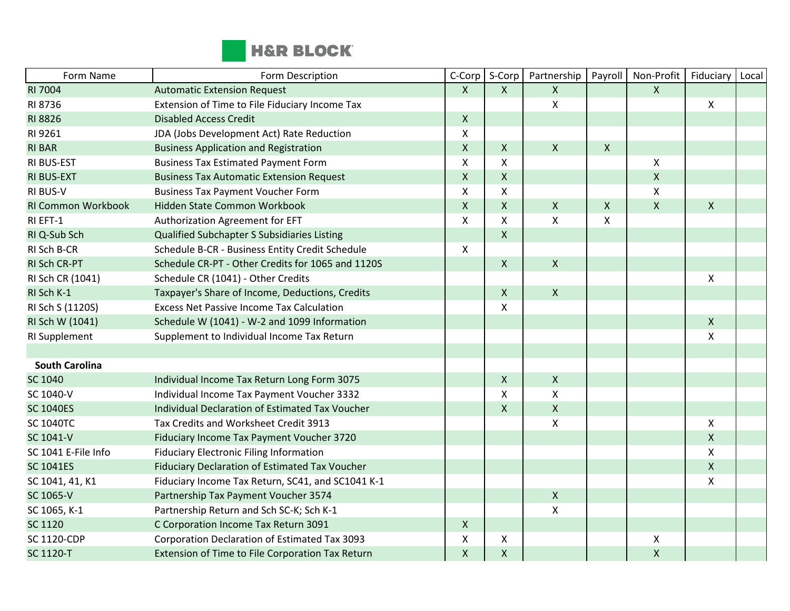

| Form Name                 | Form Description                                  | C-Corp         | S-Corp       | Partnership               | Payroll                   | Non-Profit     | Fiduciary          | Local |
|---------------------------|---------------------------------------------------|----------------|--------------|---------------------------|---------------------------|----------------|--------------------|-------|
| <b>RI 7004</b>            | <b>Automatic Extension Request</b>                | $\mathsf{X}$   | $\mathsf{X}$ | $\mathsf{X}$              |                           | $\pmb{\times}$ |                    |       |
| RI 8736                   | Extension of Time to File Fiduciary Income Tax    |                |              | X                         |                           |                | X                  |       |
| RI 8826                   | <b>Disabled Access Credit</b>                     | $\mathsf{X}$   |              |                           |                           |                |                    |       |
| RI 9261                   | JDA (Jobs Development Act) Rate Reduction         | $\mathsf X$    |              |                           |                           |                |                    |       |
| <b>RI BAR</b>             | <b>Business Application and Registration</b>      | $\mathsf{X}$   | X            | $\mathsf{X}$              | $\boldsymbol{\mathsf{X}}$ |                |                    |       |
| <b>RI BUS-EST</b>         | <b>Business Tax Estimated Payment Form</b>        | X              | X            |                           |                           | $\pmb{\times}$ |                    |       |
| RI BUS-EXT                | <b>Business Tax Automatic Extension Request</b>   | $\mathsf X$    | $\mathsf X$  |                           |                           | $\mathsf{X}$   |                    |       |
| <b>RI BUS-V</b>           | <b>Business Tax Payment Voucher Form</b>          | $\pmb{\times}$ | X            |                           |                           | $\pmb{\chi}$   |                    |       |
| <b>RI Common Workbook</b> | Hidden State Common Workbook                      | $\mathsf{X}$   | $\mathsf{X}$ | $\boldsymbol{X}$          | $\boldsymbol{\mathsf{X}}$ | $\pmb{\chi}$   | $\mathsf{X}$       |       |
| RI EFT-1                  | Authorization Agreement for EFT                   | $\mathsf{X}$   | X            | X                         | $\boldsymbol{\mathsf{X}}$ |                |                    |       |
| RI Q-Sub Sch              | Qualified Subchapter S Subsidiaries Listing       |                | $\mathsf{X}$ |                           |                           |                |                    |       |
| RI Sch B-CR               | Schedule B-CR - Business Entity Credit Schedule   | $\mathsf{X}$   |              |                           |                           |                |                    |       |
| RI Sch CR-PT              | Schedule CR-PT - Other Credits for 1065 and 1120S |                | $\mathsf{X}$ | $\mathsf{X}$              |                           |                |                    |       |
| RI Sch CR (1041)          | Schedule CR (1041) - Other Credits                |                |              |                           |                           |                | X                  |       |
| RI Sch K-1                | Taxpayer's Share of Income, Deductions, Credits   |                | $\mathsf{X}$ | $\boldsymbol{X}$          |                           |                |                    |       |
| RI Sch S (1120S)          | <b>Excess Net Passive Income Tax Calculation</b>  |                | X            |                           |                           |                |                    |       |
| RI Sch W (1041)           | Schedule W (1041) - W-2 and 1099 Information      |                |              |                           |                           |                | $\pmb{\mathsf{X}}$ |       |
| RI Supplement             | Supplement to Individual Income Tax Return        |                |              |                           |                           |                | X                  |       |
|                           |                                                   |                |              |                           |                           |                |                    |       |
| <b>South Carolina</b>     |                                                   |                |              |                           |                           |                |                    |       |
| SC 1040                   | Individual Income Tax Return Long Form 3075       |                | $\mathsf{X}$ | $\mathsf{X}$              |                           |                |                    |       |
| SC 1040-V                 | Individual Income Tax Payment Voucher 3332        |                | X            | X                         |                           |                |                    |       |
| <b>SC 1040ES</b>          | Individual Declaration of Estimated Tax Voucher   |                | $\mathsf{X}$ | $\mathsf{X}$              |                           |                |                    |       |
| <b>SC 1040TC</b>          | Tax Credits and Worksheet Credit 3913             |                |              | $\pmb{\times}$            |                           |                | X                  |       |
| SC 1041-V                 | Fiduciary Income Tax Payment Voucher 3720         |                |              |                           |                           |                | $\mathsf{X}$       |       |
| SC 1041 E-File Info       | <b>Fiduciary Electronic Filing Information</b>    |                |              |                           |                           |                | $\mathsf{X}$       |       |
| <b>SC 1041ES</b>          | Fiduciary Declaration of Estimated Tax Voucher    |                |              |                           |                           |                | $\mathsf{X}$       |       |
| SC 1041, 41, K1           | Fiduciary Income Tax Return, SC41, and SC1041 K-1 |                |              |                           |                           |                | $\pmb{\mathsf{X}}$ |       |
| SC 1065-V                 | Partnership Tax Payment Voucher 3574              |                |              | $\boldsymbol{\mathsf{X}}$ |                           |                |                    |       |
| SC 1065, K-1              | Partnership Return and Sch SC-K; Sch K-1          |                |              | X                         |                           |                |                    |       |
| SC 1120                   | C Corporation Income Tax Return 3091              | $\mathsf{X}$   |              |                           |                           |                |                    |       |
| <b>SC 1120-CDP</b>        | Corporation Declaration of Estimated Tax 3093     | X              | X            |                           |                           | X              |                    |       |
| <b>SC 1120-T</b>          | Extension of Time to File Corporation Tax Return  | $\mathsf{X}$   | $\mathsf{X}$ |                           |                           | $\mathsf{X}$   |                    |       |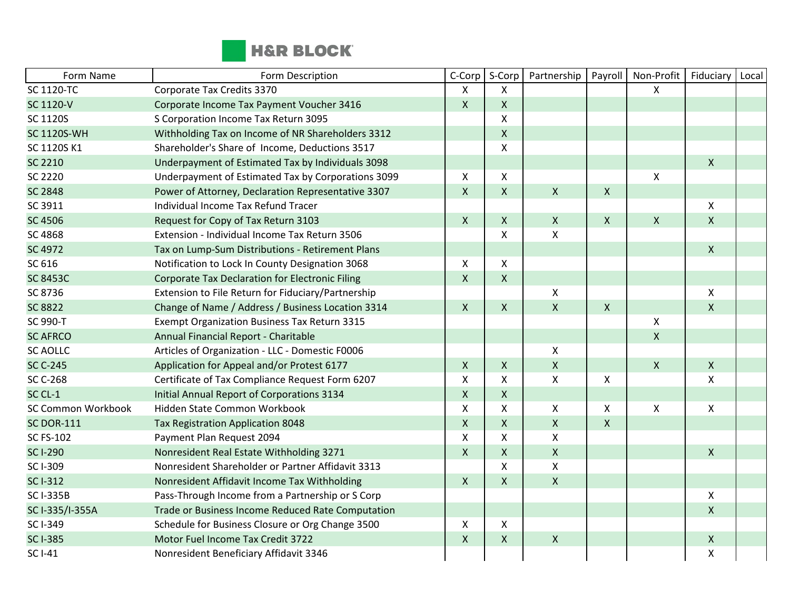

| Form Name                 | Form Description                                       | C-Corp         | S-Corp       | Partnership        | Payroll            | Non-Profit         | Fiduciary          | Local |
|---------------------------|--------------------------------------------------------|----------------|--------------|--------------------|--------------------|--------------------|--------------------|-------|
| <b>SC 1120-TC</b>         | Corporate Tax Credits 3370                             | X              | X            |                    |                    | X                  |                    |       |
| SC 1120-V                 | Corporate Income Tax Payment Voucher 3416              | $\pmb{\times}$ | X            |                    |                    |                    |                    |       |
| SC 1120S                  | S Corporation Income Tax Return 3095                   |                | X            |                    |                    |                    |                    |       |
| <b>SC 1120S-WH</b>        | Withholding Tax on Income of NR Shareholders 3312      |                | X            |                    |                    |                    |                    |       |
| SC 1120S K1               | Shareholder's Share of Income, Deductions 3517         |                | X            |                    |                    |                    |                    |       |
| SC 2210                   | Underpayment of Estimated Tax by Individuals 3098      |                |              |                    |                    |                    | $\mathsf{X}$       |       |
| SC 2220                   | Underpayment of Estimated Tax by Corporations 3099     | X              | Χ            |                    |                    | Χ                  |                    |       |
| <b>SC 2848</b>            | Power of Attorney, Declaration Representative 3307     | $\mathsf{X}$   | $\mathsf{X}$ | $\pmb{\times}$     | $\mathsf{X}$       |                    |                    |       |
| SC 3911                   | Individual Income Tax Refund Tracer                    |                |              |                    |                    |                    | X                  |       |
| <b>SC 4506</b>            | Request for Copy of Tax Return 3103                    | $\mathsf{X}$   | X            | $\mathsf{X}$       | $\mathsf{X}$       | $\mathsf{X}$       | $\mathsf{X}$       |       |
| SC 4868                   | Extension - Individual Income Tax Return 3506          |                | X            | $\pmb{\times}$     |                    |                    |                    |       |
| SC 4972                   | Tax on Lump-Sum Distributions - Retirement Plans       |                |              |                    |                    |                    | $\mathsf{X}$       |       |
| SC 616                    | Notification to Lock In County Designation 3068        | $\pmb{\times}$ | X            |                    |                    |                    |                    |       |
| <b>SC 8453C</b>           | <b>Corporate Tax Declaration for Electronic Filing</b> | $\pmb{\times}$ | $\mathsf{X}$ |                    |                    |                    |                    |       |
| SC 8736                   | Extension to File Return for Fiduciary/Partnership     |                |              | $\pmb{\times}$     |                    |                    | X                  |       |
| <b>SC 8822</b>            | Change of Name / Address / Business Location 3314      | $\mathsf{X}$   | $\mathsf{X}$ | $\mathsf{X}$       | $\mathsf{x}$       |                    | X                  |       |
| SC 990-T                  | <b>Exempt Organization Business Tax Return 3315</b>    |                |              |                    |                    | Χ                  |                    |       |
| <b>SC AFRCO</b>           | Annual Financial Report - Charitable                   |                |              |                    |                    | $\pmb{\mathsf{X}}$ |                    |       |
| <b>SC AOLLC</b>           | Articles of Organization - LLC - Domestic F0006        |                |              | $\pmb{\times}$     |                    |                    |                    |       |
| <b>SC C-245</b>           | Application for Appeal and/or Protest 6177             | $\mathsf{X}$   | X            | $\pmb{\times}$     |                    | $\pmb{\mathsf{X}}$ | X                  |       |
| <b>SC C-268</b>           | Certificate of Tax Compliance Request Form 6207        | X              | X            | $\pmb{\times}$     | X                  |                    | X                  |       |
| SC CL-1                   | <b>Initial Annual Report of Corporations 3134</b>      | $\pmb{\times}$ | X            |                    |                    |                    |                    |       |
| <b>SC Common Workbook</b> | Hidden State Common Workbook                           | $\mathsf{X}$   | X            | $\pmb{\times}$     | X                  | Χ                  | $\pmb{\mathsf{X}}$ |       |
| <b>SC DOR-111</b>         | <b>Tax Registration Application 8048</b>               | $\mathsf{x}$   | $\mathsf{X}$ | $\pmb{\times}$     | $\pmb{\mathsf{X}}$ |                    |                    |       |
| <b>SC FS-102</b>          | Payment Plan Request 2094                              | $\pmb{\times}$ | X            | $\pmb{\times}$     |                    |                    |                    |       |
| <b>SC I-290</b>           | Nonresident Real Estate Withholding 3271               | $\mathsf{X}$   | Χ            | $\pmb{\times}$     |                    |                    | $\mathsf{X}$       |       |
| SC I-309                  | Nonresident Shareholder or Partner Affidavit 3313      |                | X            | $\mathsf{x}$       |                    |                    |                    |       |
| <b>SC I-312</b>           | Nonresident Affidavit Income Tax Withholding           | $\mathsf{X}$   | X            | $\mathsf{X}$       |                    |                    |                    |       |
| <b>SC I-335B</b>          | Pass-Through Income from a Partnership or S Corp       |                |              |                    |                    |                    | $\mathsf{X}$       |       |
| SC I-335/I-355A           | Trade or Business Income Reduced Rate Computation      |                |              |                    |                    |                    | $\pmb{\mathsf{X}}$ |       |
| SC I-349                  | Schedule for Business Closure or Org Change 3500       | X              | X            |                    |                    |                    |                    |       |
| <b>SC I-385</b>           | Motor Fuel Income Tax Credit 3722                      | $\mathsf{X}$   | $\mathsf X$  | $\pmb{\mathsf{X}}$ |                    |                    | Χ                  |       |
| <b>SC I-41</b>            | Nonresident Beneficiary Affidavit 3346                 |                |              |                    |                    |                    | X                  |       |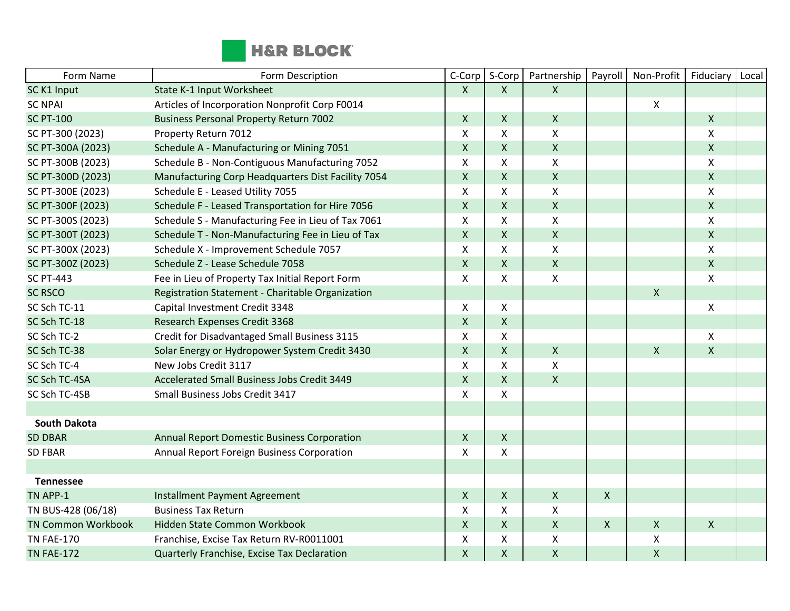

| Form Name                 | Form Description                                   | C-Corp             | S-Corp                    | Partnership        | Payroll      | Non-Profit                | Fiduciary                 | Local |
|---------------------------|----------------------------------------------------|--------------------|---------------------------|--------------------|--------------|---------------------------|---------------------------|-------|
| SC K1 Input               | State K-1 Input Worksheet                          | X                  | X                         | $\mathsf{x}$       |              |                           |                           |       |
| <b>SC NPAI</b>            | Articles of Incorporation Nonprofit Corp F0014     |                    |                           |                    |              | X                         |                           |       |
| <b>SC PT-100</b>          | <b>Business Personal Property Return 7002</b>      | X                  | $\mathsf{X}$              | $\mathsf{X}$       |              |                           | $\mathsf{X}$              |       |
| SC PT-300 (2023)          | Property Return 7012                               | X                  | $\mathsf{X}$              | Χ                  |              |                           | $\pmb{\times}$            |       |
| SC PT-300A (2023)         | Schedule A - Manufacturing or Mining 7051          | $\pmb{\mathsf{X}}$ | $\pmb{\times}$            | $\pmb{\mathsf{X}}$ |              |                           | $\mathsf X$               |       |
| SC PT-300B (2023)         | Schedule B - Non-Contiguous Manufacturing 7052     | Χ                  | $\mathsf{X}$              | X                  |              |                           | $\pmb{\times}$            |       |
| SC PT-300D (2023)         | Manufacturing Corp Headquarters Dist Facility 7054 | X                  | $\mathsf{X}$              | $\pmb{\mathsf{X}}$ |              |                           | $\mathsf{X}$              |       |
| SC PT-300E (2023)         | Schedule E - Leased Utility 7055                   | X                  | $\boldsymbol{\mathsf{X}}$ | X                  |              |                           | X                         |       |
| SC PT-300F (2023)         | Schedule F - Leased Transportation for Hire 7056   | X                  | $\mathsf{X}$              | $\pmb{\mathsf{X}}$ |              |                           | $\mathsf{X}$              |       |
| SC PT-300S (2023)         | Schedule S - Manufacturing Fee in Lieu of Tax 7061 | X                  | $\pmb{\times}$            | $\pmb{\mathsf{X}}$ |              |                           | X                         |       |
| SC PT-300T (2023)         | Schedule T - Non-Manufacturing Fee in Lieu of Tax  | $\pmb{\mathsf{X}}$ | $\mathsf{X}$              | $\pmb{\mathsf{X}}$ |              |                           | $\pmb{\times}$            |       |
| SC PT-300X (2023)         | Schedule X - Improvement Schedule 7057             | X                  | $\mathsf{X}$              | X                  |              |                           | X                         |       |
| SC PT-300Z (2023)         | Schedule Z - Lease Schedule 7058                   | X                  | $\mathsf{X}$              | $\mathsf{X}$       |              |                           | $\mathsf{x}$              |       |
| <b>SC PT-443</b>          | Fee in Lieu of Property Tax Initial Report Form    | X                  | $\mathsf{X}$              | Χ                  |              |                           | $\boldsymbol{\mathsf{X}}$ |       |
| <b>SC RSCO</b>            | Registration Statement - Charitable Organization   |                    |                           |                    |              | $\boldsymbol{\mathsf{X}}$ |                           |       |
| SC Sch TC-11              | Capital Investment Credit 3348                     | Χ                  | $\mathsf{X}$              |                    |              |                           | X                         |       |
| SC Sch TC-18              | Research Expenses Credit 3368                      | $\pmb{\times}$     | $\mathsf{X}$              |                    |              |                           |                           |       |
| SC Sch TC-2               | Credit for Disadvantaged Small Business 3115       | X                  | X                         |                    |              |                           | $\pmb{\times}$            |       |
| SC Sch TC-38              | Solar Energy or Hydropower System Credit 3430      | $\pmb{\mathsf{X}}$ | $\mathsf{X}$              | $\pmb{\mathsf{X}}$ |              | $\mathsf{X}$              | $\mathsf{x}$              |       |
| SC Sch TC-4               | New Jobs Credit 3117                               | Χ                  | $\mathsf{X}$              | X                  |              |                           |                           |       |
| SC Sch TC-4SA             | Accelerated Small Business Jobs Credit 3449        | X                  | $\mathsf{X}$              | $\mathsf{X}$       |              |                           |                           |       |
| SC Sch TC-4SB             | Small Business Jobs Credit 3417                    | X                  | $\mathsf{X}$              |                    |              |                           |                           |       |
|                           |                                                    |                    |                           |                    |              |                           |                           |       |
| <b>South Dakota</b>       |                                                    |                    |                           |                    |              |                           |                           |       |
| <b>SD DBAR</b>            | <b>Annual Report Domestic Business Corporation</b> | $\pmb{\times}$     | $\pmb{\times}$            |                    |              |                           |                           |       |
| <b>SD FBAR</b>            | Annual Report Foreign Business Corporation         | $\mathsf{x}$       | $\mathsf{X}$              |                    |              |                           |                           |       |
|                           |                                                    |                    |                           |                    |              |                           |                           |       |
| <b>Tennessee</b>          |                                                    |                    |                           |                    |              |                           |                           |       |
| TN APP-1                  | <b>Installment Payment Agreement</b>               | $\pmb{\times}$     | $\mathsf{X}$              | $\pmb{\mathsf{X}}$ | $\mathsf{X}$ |                           |                           |       |
| TN BUS-428 (06/18)        | <b>Business Tax Return</b>                         | $\mathsf{x}$       | $\mathsf{X}$              | $\mathsf{x}$       |              |                           |                           |       |
| <b>TN Common Workbook</b> | Hidden State Common Workbook                       | X                  | $\mathsf{X}$              | $\pmb{\mathsf{X}}$ | $\mathsf{X}$ | $\boldsymbol{\mathsf{X}}$ | $\mathsf{X}$              |       |
| <b>TN FAE-170</b>         | Franchise, Excise Tax Return RV-R0011001           | Χ                  | X                         | X                  |              | X                         |                           |       |
| <b>TN FAE-172</b>         | Quarterly Franchise, Excise Tax Declaration        | $\pmb{\mathsf{X}}$ | $\mathsf{X}$              | $\mathsf{X}$       |              | $\pmb{\mathsf{X}}$        |                           |       |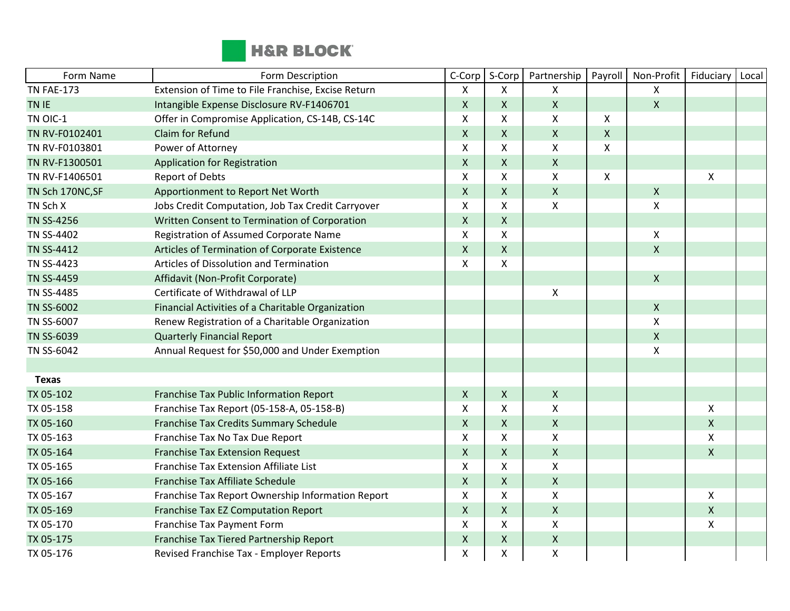

| Form Name         | Form Description                                   | C-Corp             | S-Corp                    | Partnership        | Payroll                   | Non-Profit                | Fiduciary          | Local |
|-------------------|----------------------------------------------------|--------------------|---------------------------|--------------------|---------------------------|---------------------------|--------------------|-------|
| <b>TN FAE-173</b> | Extension of Time to File Franchise, Excise Return | X                  | $\mathsf{X}$              | X                  |                           | X                         |                    |       |
| TN IE             | Intangible Expense Disclosure RV-F1406701          | $\mathsf X$        | $\mathsf{X}$              | $\mathsf{X}$       |                           | $\mathsf{X}$              |                    |       |
| TN OIC-1          | Offer in Compromise Application, CS-14B, CS-14C    | Χ                  | $\boldsymbol{\mathsf{X}}$ | Χ                  | $\boldsymbol{\mathsf{X}}$ |                           |                    |       |
| TN RV-F0102401    | Claim for Refund                                   | Χ                  | $\mathsf{X}$              | $\pmb{\mathsf{X}}$ | $\mathsf{X}$              |                           |                    |       |
| TN RV-F0103801    | Power of Attorney                                  | Χ                  | $\pmb{\times}$            | Χ                  | X                         |                           |                    |       |
| TN RV-F1300501    | Application for Registration                       | $\pmb{\mathsf{X}}$ | $\mathsf{X}$              | $\pmb{\mathsf{X}}$ |                           |                           |                    |       |
| TN RV-F1406501    | <b>Report of Debts</b>                             | X                  | X                         | X                  | $\boldsymbol{X}$          |                           | X                  |       |
| TN Sch 170NC, SF  | Apportionment to Report Net Worth                  | $\pmb{\times}$     | $\mathsf{X}$              | $\pmb{\mathsf{X}}$ |                           | $\boldsymbol{X}$          |                    |       |
| TN Sch X          | Jobs Credit Computation, Job Tax Credit Carryover  | X                  | $\mathsf{X}$              | X                  |                           | X                         |                    |       |
| <b>TN SS-4256</b> | Written Consent to Termination of Corporation      | $\pmb{\mathsf{X}}$ | $\pmb{\times}$            |                    |                           |                           |                    |       |
| <b>TN SS-4402</b> | Registration of Assumed Corporate Name             | $\mathsf{x}$       | $\pmb{\times}$            |                    |                           | $\pmb{\times}$            |                    |       |
| <b>TN SS-4412</b> | Articles of Termination of Corporate Existence     | $\mathsf{X}$       | $\mathsf{X}$              |                    |                           | $\mathsf{X}$              |                    |       |
| TN SS-4423        | Articles of Dissolution and Termination            | Χ                  | $\pmb{\mathsf{X}}$        |                    |                           |                           |                    |       |
| <b>TN SS-4459</b> | Affidavit (Non-Profit Corporate)                   |                    |                           |                    |                           | $\mathsf{X}$              |                    |       |
| TN SS-4485        | Certificate of Withdrawal of LLP                   |                    |                           | X                  |                           |                           |                    |       |
| <b>TN SS-6002</b> | Financial Activities of a Charitable Organization  |                    |                           |                    |                           | $\mathsf{X}$              |                    |       |
| TN SS-6007        | Renew Registration of a Charitable Organization    |                    |                           |                    |                           | X                         |                    |       |
| <b>TN SS-6039</b> | <b>Quarterly Financial Report</b>                  |                    |                           |                    |                           | $\boldsymbol{\mathsf{X}}$ |                    |       |
| TN SS-6042        | Annual Request for \$50,000 and Under Exemption    |                    |                           |                    |                           | X                         |                    |       |
|                   |                                                    |                    |                           |                    |                           |                           |                    |       |
| <b>Texas</b>      |                                                    |                    |                           |                    |                           |                           |                    |       |
| TX 05-102         | Franchise Tax Public Information Report            | $\mathsf{X}$       | $\mathsf{X}$              | $\pmb{\mathsf{X}}$ |                           |                           |                    |       |
| TX 05-158         | Franchise Tax Report (05-158-A, 05-158-B)          | X                  | X                         | X                  |                           |                           | X                  |       |
| TX 05-160         | Franchise Tax Credits Summary Schedule             | Χ                  | $\mathsf{X}$              | $\pmb{\mathsf{X}}$ |                           |                           | $\mathsf{X}$       |       |
| TX 05-163         | Franchise Tax No Tax Due Report                    | X                  | $\mathsf{X}$              | X                  |                           |                           | $\mathsf{X}$       |       |
| TX 05-164         | <b>Franchise Tax Extension Request</b>             | $\pmb{\mathsf{X}}$ | $\pmb{\times}$            | $\pmb{\mathsf{X}}$ |                           |                           | $\mathsf X$        |       |
| TX 05-165         | Franchise Tax Extension Affiliate List             | X                  | X                         | X                  |                           |                           |                    |       |
| TX 05-166         | Franchise Tax Affiliate Schedule                   | $\pmb{\mathsf{X}}$ | $\mathsf{X}$              | $\pmb{\mathsf{X}}$ |                           |                           |                    |       |
| TX 05-167         | Franchise Tax Report Ownership Information Report  | X                  | $\mathsf{X}$              | X                  |                           |                           | $\mathsf{X}$       |       |
| TX 05-169         | Franchise Tax EZ Computation Report                | $\pmb{\mathsf{X}}$ | $\mathsf{X}$              | $\pmb{\mathsf{X}}$ |                           |                           | $\pmb{\mathsf{X}}$ |       |
| TX 05-170         | Franchise Tax Payment Form                         | $\mathsf{x}$       | $\mathsf{X}$              | X                  |                           |                           | X                  |       |
| TX 05-175         | Franchise Tax Tiered Partnership Report            | $\pmb{\times}$     | $\mathsf{X}$              | $\pmb{\mathsf{X}}$ |                           |                           |                    |       |
| TX 05-176         | Revised Franchise Tax - Employer Reports           | X                  | $\pmb{\mathsf{X}}$        | X                  |                           |                           |                    |       |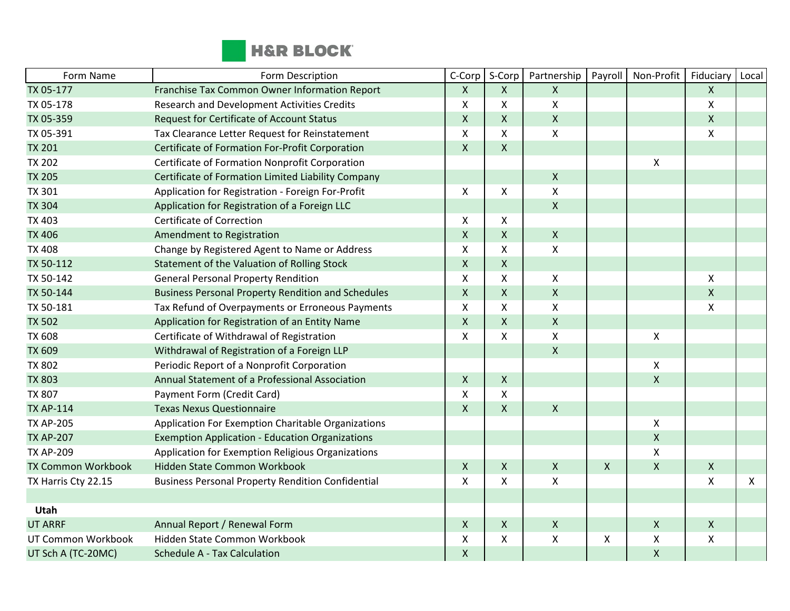

| Form Name                 | Form Description                                          | C-Corp             | S-Corp       | Partnership        | Payroll        | Non-Profit         | Fiduciary          | Local |
|---------------------------|-----------------------------------------------------------|--------------------|--------------|--------------------|----------------|--------------------|--------------------|-------|
| TX 05-177                 | Franchise Tax Common Owner Information Report             | $\mathsf{X}$       | X            | X                  |                |                    | $\mathsf{X}$       |       |
| TX 05-178                 | Research and Development Activities Credits               | $\pmb{\times}$     | X            | X                  |                |                    | $\pmb{\mathsf{X}}$ |       |
| TX 05-359                 | Request for Certificate of Account Status                 | $\mathsf{X}$       | $\mathsf{X}$ | $\mathsf{X}$       |                |                    | $\mathsf{X}$       |       |
| TX 05-391                 | Tax Clearance Letter Request for Reinstatement            | X                  | X            | X                  |                |                    | X                  |       |
| <b>TX 201</b>             | Certificate of Formation For-Profit Corporation           | $\mathsf X$        | $\mathsf X$  |                    |                |                    |                    |       |
| <b>TX 202</b>             | Certificate of Formation Nonprofit Corporation            |                    |              |                    |                | $\pmb{\chi}$       |                    |       |
| <b>TX 205</b>             | Certificate of Formation Limited Liability Company        |                    |              | $\pmb{\times}$     |                |                    |                    |       |
| <b>TX 301</b>             | Application for Registration - Foreign For-Profit         | X                  | X            | X                  |                |                    |                    |       |
| <b>TX 304</b>             | Application for Registration of a Foreign LLC             |                    |              | $\mathsf{X}$       |                |                    |                    |       |
| <b>TX 403</b>             | <b>Certificate of Correction</b>                          | X                  | X            |                    |                |                    |                    |       |
| <b>TX 406</b>             | Amendment to Registration                                 | $\mathsf{X}$       | $\mathsf{X}$ | $\mathsf{X}$       |                |                    |                    |       |
| <b>TX 408</b>             | Change by Registered Agent to Name or Address             | X                  | X            | X                  |                |                    |                    |       |
| TX 50-112                 | Statement of the Valuation of Rolling Stock               | $\mathsf{X}$       | $\mathsf{X}$ |                    |                |                    |                    |       |
| TX 50-142                 | <b>General Personal Property Rendition</b>                | X                  | X            | X                  |                |                    | X                  |       |
| TX 50-144                 | <b>Business Personal Property Rendition and Schedules</b> | $\mathsf X$        | X            | $\mathsf X$        |                |                    | $\mathsf{X}$       |       |
| TX 50-181                 | Tax Refund of Overpayments or Erroneous Payments          | $\mathsf{X}$       | X            | $\mathsf{x}$       |                |                    | X                  |       |
| <b>TX 502</b>             | Application for Registration of an Entity Name            | $\mathsf{X}$       | $\mathsf{X}$ | $\mathsf{X}$       |                |                    |                    |       |
| <b>TX 608</b>             | Certificate of Withdrawal of Registration                 | $\pmb{\times}$     | X            | X                  |                | $\pmb{\chi}$       |                    |       |
| <b>TX 609</b>             | Withdrawal of Registration of a Foreign LLP               |                    |              | $\pmb{\times}$     |                |                    |                    |       |
| <b>TX 802</b>             | Periodic Report of a Nonprofit Corporation                |                    |              |                    |                | $\pmb{\mathsf{X}}$ |                    |       |
| <b>TX 803</b>             | Annual Statement of a Professional Association            | $\mathsf{X}$       | $\mathsf{X}$ |                    |                | $\mathsf{X}$       |                    |       |
| <b>TX 807</b>             | Payment Form (Credit Card)                                | X                  | X            |                    |                |                    |                    |       |
| <b>TX AP-114</b>          | <b>Texas Nexus Questionnaire</b>                          | $\mathsf{X}$       | $\mathsf{X}$ | $\mathsf{X}$       |                |                    |                    |       |
| <b>TX AP-205</b>          | Application For Exemption Charitable Organizations        |                    |              |                    |                | $\pmb{\mathsf{X}}$ |                    |       |
| <b>TX AP-207</b>          | <b>Exemption Application - Education Organizations</b>    |                    |              |                    |                | $\pmb{\mathsf{X}}$ |                    |       |
| <b>TX AP-209</b>          | Application for Exemption Religious Organizations         |                    |              |                    |                | $\pmb{\chi}$       |                    |       |
| <b>TX Common Workbook</b> | Hidden State Common Workbook                              | $\mathsf{X}$       | $\mathsf{X}$ | $\pmb{\times}$     | $\pmb{\times}$ | $\mathsf{X}$       | $\mathsf{X}$       |       |
| TX Harris Cty 22.15       | <b>Business Personal Property Rendition Confidential</b>  | $\pmb{\mathsf{X}}$ | X            | $\pmb{\mathsf{X}}$ |                |                    | X                  | X     |
|                           |                                                           |                    |              |                    |                |                    |                    |       |
| Utah                      |                                                           |                    |              |                    |                |                    |                    |       |
| <b>UT ARRF</b>            | Annual Report / Renewal Form                              | $\mathsf{X}$       | $\mathsf{X}$ | $\mathsf{X}$       |                | $\mathsf{X}$       | $\mathsf{X}$       |       |
| UT Common Workbook        | Hidden State Common Workbook                              | X                  | X            | X                  | X              | $\pmb{\times}$     | X                  |       |
| UT Sch A (TC-20MC)        | <b>Schedule A - Tax Calculation</b>                       | $\mathsf{X}$       |              |                    |                | $\pmb{\chi}$       |                    |       |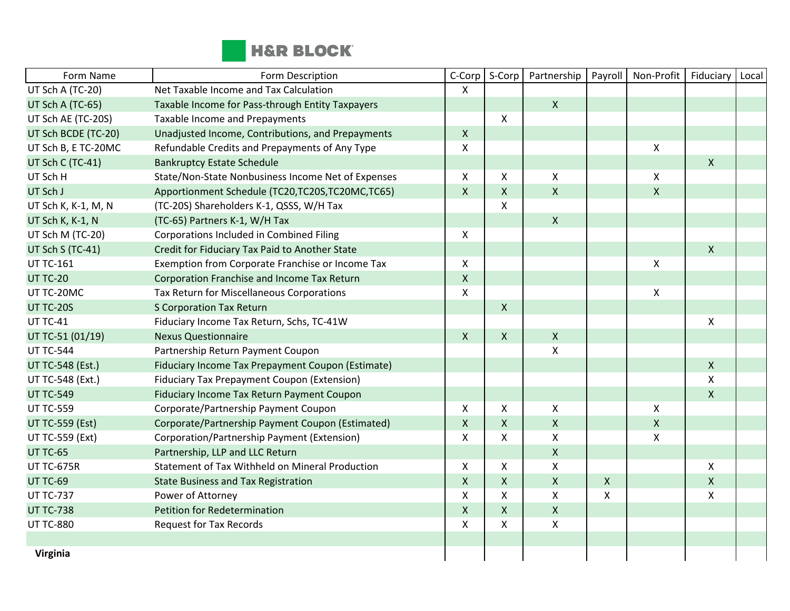

| Form Name               | Form Description                                   | C-Corp         | S-Corp             | Partnership        | Payroll            | Non-Profit         | Fiduciary                 | Local |
|-------------------------|----------------------------------------------------|----------------|--------------------|--------------------|--------------------|--------------------|---------------------------|-------|
| UT Sch A (TC-20)        | Net Taxable Income and Tax Calculation             | X              |                    |                    |                    |                    |                           |       |
| UT Sch A (TC-65)        | Taxable Income for Pass-through Entity Taxpayers   |                |                    | $\mathsf{X}$       |                    |                    |                           |       |
| UT Sch AE (TC-20S)      | Taxable Income and Prepayments                     |                | $\pmb{\mathsf{X}}$ |                    |                    |                    |                           |       |
| UT Sch BCDE (TC-20)     | Unadjusted Income, Contributions, and Prepayments  | $\mathsf{X}$   |                    |                    |                    |                    |                           |       |
| UT Sch B, E TC-20MC     | Refundable Credits and Prepayments of Any Type     | X              |                    |                    |                    | X                  |                           |       |
| UT Sch C (TC-41)        | <b>Bankruptcy Estate Schedule</b>                  |                |                    |                    |                    |                    | $\mathsf{X}$              |       |
| UT Sch H                | State/Non-State Nonbusiness Income Net of Expenses | X              | X                  | X                  |                    | Χ                  |                           |       |
| UT Sch J                | Apportionment Schedule (TC20,TC20S,TC20MC,TC65)    | $\mathsf{X}$   | X                  | $\mathsf{X}$       |                    | $\mathsf{X}$       |                           |       |
| UT Sch K, K-1, M, N     | (TC-20S) Shareholders K-1, QSSS, W/H Tax           |                | X                  |                    |                    |                    |                           |       |
| UT Sch K, K-1, N        | (TC-65) Partners K-1, W/H Tax                      |                |                    | $\mathsf{X}$       |                    |                    |                           |       |
| UT Sch M (TC-20)        | Corporations Included in Combined Filing           | X              |                    |                    |                    |                    |                           |       |
| UT Sch S (TC-41)        | Credit for Fiduciary Tax Paid to Another State     |                |                    |                    |                    |                    | $\mathsf{X}$              |       |
| <b>UT TC-161</b>        | Exemption from Corporate Franchise or Income Tax   | $\mathsf{x}$   |                    |                    |                    | $\pmb{\mathsf{X}}$ |                           |       |
| <b>UT TC-20</b>         | Corporation Franchise and Income Tax Return        | $\mathsf{X}$   |                    |                    |                    |                    |                           |       |
| UT TC-20MC              | Tax Return for Miscellaneous Corporations          | X              |                    |                    |                    | $\pmb{\mathsf{X}}$ |                           |       |
| UT TC-20S               | <b>S Corporation Tax Return</b>                    |                | $\pmb{\times}$     |                    |                    |                    |                           |       |
| <b>UT TC-41</b>         | Fiduciary Income Tax Return, Schs, TC-41W          |                |                    |                    |                    |                    | X                         |       |
| UT TC-51 (01/19)        | <b>Nexus Questionnaire</b>                         | $\mathsf{X}$   | $\mathsf{X}$       | $\mathsf{X}$       |                    |                    |                           |       |
| <b>UT TC-544</b>        | Partnership Return Payment Coupon                  |                |                    | $\mathsf{X}$       |                    |                    |                           |       |
| <b>UT TC-548 (Est.)</b> | Fiduciary Income Tax Prepayment Coupon (Estimate)  |                |                    |                    |                    |                    | $\mathsf{X}$              |       |
| UT TC-548 (Ext.)        | Fiduciary Tax Prepayment Coupon (Extension)        |                |                    |                    |                    |                    | $\boldsymbol{\mathsf{X}}$ |       |
| <b>UT TC-549</b>        | Fiduciary Income Tax Return Payment Coupon         |                |                    |                    |                    |                    | $\mathsf{X}$              |       |
| <b>UT TC-559</b>        | Corporate/Partnership Payment Coupon               | X              | X                  | $\pmb{\mathsf{X}}$ |                    | $\pmb{\mathsf{X}}$ |                           |       |
| <b>UT TC-559 (Est)</b>  | Corporate/Partnership Payment Coupon (Estimated)   | $\pmb{\times}$ | $\mathsf{X}$       | $\pmb{\times}$     |                    | $\pmb{\mathsf{X}}$ |                           |       |
| <b>UT TC-559 (Ext)</b>  | Corporation/Partnership Payment (Extension)        | X              | X                  | X                  |                    | X                  |                           |       |
| UT TC-65                | Partnership, LLP and LLC Return                    |                |                    | $\mathsf X$        |                    |                    |                           |       |
| <b>UT TC-675R</b>       | Statement of Tax Withheld on Mineral Production    | X              | X                  | $\mathsf{\chi}$    |                    |                    | $\pmb{\mathsf{X}}$        |       |
| UT TC-69                | <b>State Business and Tax Registration</b>         | $\mathsf{X}$   | $\mathsf{X}$       | $\pmb{\mathsf{X}}$ | $\pmb{\mathsf{X}}$ |                    | $\mathsf{X}$              |       |
| <b>UT TC-737</b>        | Power of Attorney                                  | $\mathsf{x}$   | X                  | X                  | X                  |                    | $\boldsymbol{\mathsf{X}}$ |       |
| <b>UT TC-738</b>        | <b>Petition for Redetermination</b>                | $\mathsf{X}$   | X                  | $\mathsf{X}$       |                    |                    |                           |       |
| <b>UT TC-880</b>        | <b>Request for Tax Records</b>                     | X              | X                  | X                  |                    |                    |                           |       |
|                         |                                                    |                |                    |                    |                    |                    |                           |       |
| Virginia                |                                                    |                |                    |                    |                    |                    |                           |       |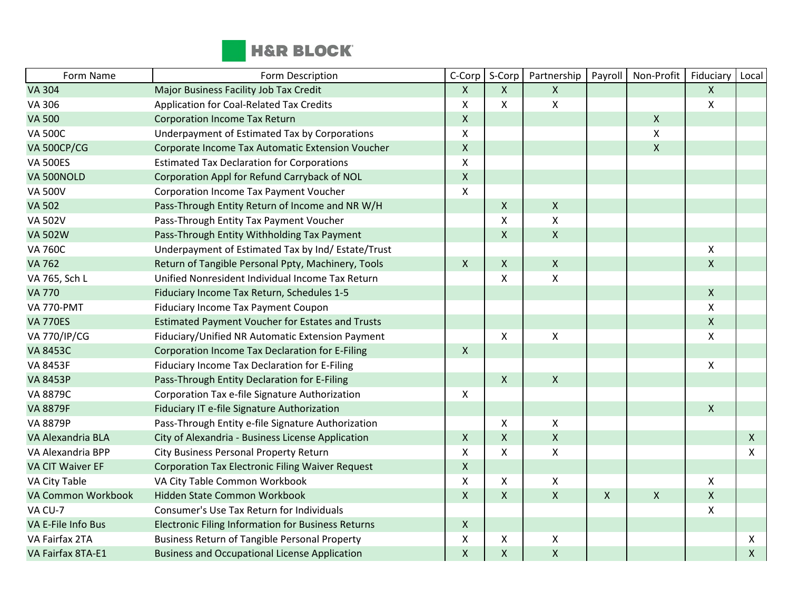

| Form Name               | Form Description                                          | C-Corp                    | S-Corp         | Partnership        | Payroll      | Non-Profit   | Fiduciary          | Local        |
|-------------------------|-----------------------------------------------------------|---------------------------|----------------|--------------------|--------------|--------------|--------------------|--------------|
| <b>VA 304</b>           | Major Business Facility Job Tax Credit                    | $\mathsf{X}$              | $\mathsf{X}$   | $\pmb{\mathsf{X}}$ |              |              | X                  |              |
| VA 306                  | Application for Coal-Related Tax Credits                  | X                         | X              | Χ                  |              |              | X                  |              |
| <b>VA 500</b>           | <b>Corporation Income Tax Return</b>                      | $\mathsf{X}$              |                |                    |              | $\mathsf{X}$ |                    |              |
| <b>VA 500C</b>          | Underpayment of Estimated Tax by Corporations             | X                         |                |                    |              | X            |                    |              |
| <b>VA 500CP/CG</b>      | Corporate Income Tax Automatic Extension Voucher          | $\mathsf X$               |                |                    |              | $\mathsf{X}$ |                    |              |
| <b>VA 500ES</b>         | <b>Estimated Tax Declaration for Corporations</b>         | X                         |                |                    |              |              |                    |              |
| VA 500NOLD              | Corporation Appl for Refund Carryback of NOL              | $\pmb{\mathsf{X}}$        |                |                    |              |              |                    |              |
| <b>VA 500V</b>          | Corporation Income Tax Payment Voucher                    | X                         |                |                    |              |              |                    |              |
| <b>VA 502</b>           | Pass-Through Entity Return of Income and NR W/H           |                           | $\mathsf{X}$   | $\mathsf X$        |              |              |                    |              |
| <b>VA 502V</b>          | Pass-Through Entity Tax Payment Voucher                   |                           | X              | Χ                  |              |              |                    |              |
| <b>VA 502W</b>          | Pass-Through Entity Withholding Tax Payment               |                           | $\mathsf{X}$   | $\pmb{\mathsf{X}}$ |              |              |                    |              |
| <b>VA 760C</b>          | Underpayment of Estimated Tax by Ind/ Estate/Trust        |                           |                |                    |              |              | X                  |              |
| <b>VA 762</b>           | Return of Tangible Personal Ppty, Machinery, Tools        | $\mathsf{X}$              | $\mathsf{X}$   | $\mathsf{X}$       |              |              | $\mathsf{X}$       |              |
| VA 765, Sch L           | Unified Nonresident Individual Income Tax Return          |                           | X              | $\pmb{\mathsf{X}}$ |              |              |                    |              |
| <b>VA 770</b>           | Fiduciary Income Tax Return, Schedules 1-5                |                           |                |                    |              |              | $\pmb{\mathsf{X}}$ |              |
| <b>VA 770-PMT</b>       | Fiduciary Income Tax Payment Coupon                       |                           |                |                    |              |              | X                  |              |
| <b>VA 770ES</b>         | <b>Estimated Payment Voucher for Estates and Trusts</b>   |                           |                |                    |              |              | $\pmb{\mathsf{X}}$ |              |
| <b>VA 770/IP/CG</b>     | Fiduciary/Unified NR Automatic Extension Payment          |                           | X              | $\pmb{\mathsf{X}}$ |              |              | X                  |              |
| <b>VA 8453C</b>         | Corporation Income Tax Declaration for E-Filing           | $\mathsf{X}$              |                |                    |              |              |                    |              |
| <b>VA 8453F</b>         | Fiduciary Income Tax Declaration for E-Filing             |                           |                |                    |              |              | X                  |              |
| <b>VA 8453P</b>         | Pass-Through Entity Declaration for E-Filing              |                           | $\mathsf{X}$   | $\pmb{\mathsf{X}}$ |              |              |                    |              |
| <b>VA 8879C</b>         | Corporation Tax e-file Signature Authorization            | X                         |                |                    |              |              |                    |              |
| <b>VA 8879F</b>         | Fiduciary IT e-file Signature Authorization               |                           |                |                    |              |              | $\mathsf{X}$       |              |
| <b>VA 8879P</b>         | Pass-Through Entity e-file Signature Authorization        |                           | X              | Χ                  |              |              |                    |              |
| VA Alexandria BLA       | City of Alexandria - Business License Application         | $\boldsymbol{\mathsf{X}}$ | $\mathsf{X}$   | $\pmb{\mathsf{X}}$ |              |              |                    | $\mathsf{X}$ |
| VA Alexandria BPP       | City Business Personal Property Return                    | X                         | X              | $\pmb{\mathsf{X}}$ |              |              |                    | $\mathsf{X}$ |
| <b>VA CIT Waiver EF</b> | <b>Corporation Tax Electronic Filing Waiver Request</b>   | $\mathsf{X}$              |                |                    |              |              |                    |              |
| VA City Table           | VA City Table Common Workbook                             | $\boldsymbol{\mathsf{X}}$ | X              | $\pmb{\mathsf{X}}$ |              |              | X                  |              |
| VA Common Workbook      | Hidden State Common Workbook                              | $\mathsf{X}$              | $\mathsf{X}$   | $\pmb{\mathsf{X}}$ | $\mathsf{X}$ | $\mathsf{X}$ | $\mathsf{X}$       |              |
| VA CU-7                 | Consumer's Use Tax Return for Individuals                 |                           |                |                    |              |              | X                  |              |
| VA E-File Info Bus      | <b>Electronic Filing Information for Business Returns</b> | $\mathsf{X}$              |                |                    |              |              |                    |              |
| VA Fairfax 2TA          | <b>Business Return of Tangible Personal Property</b>      | X                         | X              | Χ                  |              |              |                    | X            |
| VA Fairfax 8TA-E1       | <b>Business and Occupational License Application</b>      | $\pmb{\mathsf{X}}$        | $\pmb{\times}$ | $\pmb{\mathsf{X}}$ |              |              |                    | $\mathsf{X}$ |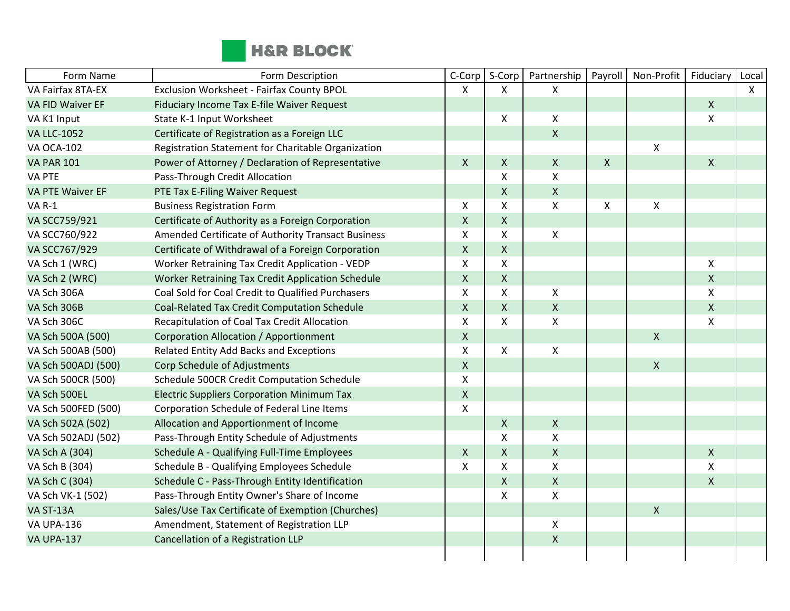

| Form Name               | Form Description                                   | C-Corp         | S-Corp       | Partnership        | Payroll      | Non-Profit         | Fiduciary                 | Local |
|-------------------------|----------------------------------------------------|----------------|--------------|--------------------|--------------|--------------------|---------------------------|-------|
| VA Fairfax 8TA-EX       | Exclusion Worksheet - Fairfax County BPOL          | X              | X            | X                  |              |                    |                           | X     |
| <b>VA FID Waiver EF</b> | Fiduciary Income Tax E-file Waiver Request         |                |              |                    |              |                    | $\mathsf{X}$              |       |
| VA K1 Input             | State K-1 Input Worksheet                          |                | X            | $\pmb{\times}$     |              |                    | $\mathsf{X}$              |       |
| <b>VA LLC-1052</b>      | Certificate of Registration as a Foreign LLC       |                |              | $\mathsf{X}$       |              |                    |                           |       |
| <b>VA OCA-102</b>       | Registration Statement for Charitable Organization |                |              |                    |              | Χ                  |                           |       |
| <b>VA PAR 101</b>       | Power of Attorney / Declaration of Representative  | $\mathsf{X}$   | X            | $\mathsf{X}$       | $\mathsf{X}$ |                    | $\mathsf{X}$              |       |
| <b>VA PTE</b>           | Pass-Through Credit Allocation                     |                | X            | $\pmb{\mathsf{X}}$ |              |                    |                           |       |
| <b>VA PTE Waiver EF</b> | PTE Tax E-Filing Waiver Request                    |                | $\mathsf{X}$ | $\mathsf{x}$       |              |                    |                           |       |
| <b>VA R-1</b>           | <b>Business Registration Form</b>                  | X              | X            | X                  | X            | X                  |                           |       |
| VA SCC759/921           | Certificate of Authority as a Foreign Corporation  | $\mathsf{X}$   | $\mathsf{X}$ |                    |              |                    |                           |       |
| VA SCC760/922           | Amended Certificate of Authority Transact Business | X              | X            | $\pmb{\mathsf{X}}$ |              |                    |                           |       |
| VA SCC767/929           | Certificate of Withdrawal of a Foreign Corporation | $\mathsf{X}$   | $\mathsf{X}$ |                    |              |                    |                           |       |
| VA Sch 1 (WRC)          | Worker Retraining Tax Credit Application - VEDP    | Χ              | X            |                    |              |                    | $\pmb{\times}$            |       |
| VA Sch 2 (WRC)          | Worker Retraining Tax Credit Application Schedule  | $\mathsf{X}$   | $\mathsf{X}$ |                    |              |                    | $\mathsf{X}$              |       |
| VA Sch 306A             | Coal Sold for Coal Credit to Qualified Purchasers  | X              | X            | $\mathsf{X}$       |              |                    | $\mathsf{X}$              |       |
| VA Sch 306B             | Coal-Related Tax Credit Computation Schedule       | $\mathsf{X}$   | $\mathsf{X}$ | $\mathsf{X}$       |              |                    | $\mathsf{X}$              |       |
| VA Sch 306C             | Recapitulation of Coal Tax Credit Allocation       | X              | X.           | $\mathsf{X}$       |              |                    | $\boldsymbol{\mathsf{X}}$ |       |
| VA Sch 500A (500)       | <b>Corporation Allocation / Apportionment</b>      | $\mathsf X$    |              |                    |              | $\pmb{\mathsf{X}}$ |                           |       |
| VA Sch 500AB (500)      | Related Entity Add Backs and Exceptions            | $\mathsf{x}$   | X            | $\pmb{\times}$     |              |                    |                           |       |
| VA Sch 500ADJ (500)     | Corp Schedule of Adjustments                       | $\mathsf{X}$   |              |                    |              | $\mathsf{X}$       |                           |       |
| VA Sch 500CR (500)      | Schedule 500CR Credit Computation Schedule         | X              |              |                    |              |                    |                           |       |
| VA Sch 500EL            | <b>Electric Suppliers Corporation Minimum Tax</b>  | $\mathsf X$    |              |                    |              |                    |                           |       |
| VA Sch 500FED (500)     | Corporation Schedule of Federal Line Items         | $\pmb{\times}$ |              |                    |              |                    |                           |       |
| VA Sch 502A (502)       | Allocation and Apportionment of Income             |                | X            | $\mathsf{X}$       |              |                    |                           |       |
| VA Sch 502ADJ (502)     | Pass-Through Entity Schedule of Adjustments        |                | X            | $\pmb{\mathsf{X}}$ |              |                    |                           |       |
| VA Sch A (304)          | Schedule A - Qualifying Full-Time Employees        | $\mathsf{X}$   | X            | $\mathsf{X}$       |              |                    | $\mathsf{X}$              |       |
| VA Sch B (304)          | Schedule B - Qualifying Employees Schedule         | X              | X            | $\mathsf{X}$       |              |                    | $\boldsymbol{\mathsf{X}}$ |       |
| VA Sch C (304)          | Schedule C - Pass-Through Entity Identification    |                | X            | $\pmb{\times}$     |              |                    | $\mathsf{X}$              |       |
| VA Sch VK-1 (502)       | Pass-Through Entity Owner's Share of Income        |                | X            | X                  |              |                    |                           |       |
| VA ST-13A               | Sales/Use Tax Certificate of Exemption (Churches)  |                |              |                    |              | $\mathsf{X}$       |                           |       |
| <b>VA UPA-136</b>       | Amendment, Statement of Registration LLP           |                |              | $\mathsf{X}$       |              |                    |                           |       |
| <b>VA UPA-137</b>       | Cancellation of a Registration LLP                 |                |              | $\pmb{\mathsf{X}}$ |              |                    |                           |       |
|                         |                                                    |                |              |                    |              |                    |                           |       |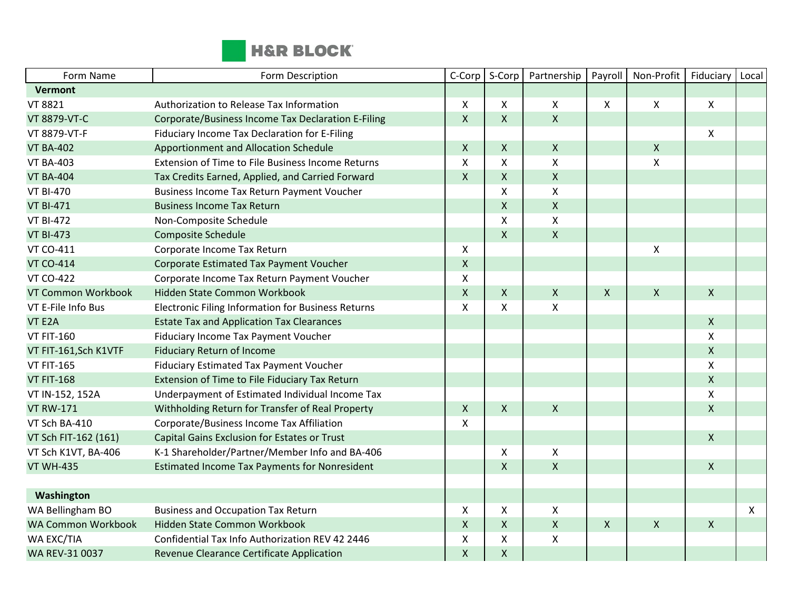

| Form Name                 | Form Description                                     | C-Corp                    | S-Corp       | Partnership        | Payroll                   | Non-Profit         | Fiduciary    | Local        |
|---------------------------|------------------------------------------------------|---------------------------|--------------|--------------------|---------------------------|--------------------|--------------|--------------|
| Vermont                   |                                                      |                           |              |                    |                           |                    |              |              |
| VT 8821                   | Authorization to Release Tax Information             | X                         | X            | X                  | $\pmb{\times}$            | $\pmb{\mathsf{X}}$ | X            |              |
| VT 8879-VT-C              | Corporate/Business Income Tax Declaration E-Filing   | $\mathsf{X}$              | X            | $\mathsf{X}$       |                           |                    |              |              |
| VT 8879-VT-F              | Fiduciary Income Tax Declaration for E-Filing        |                           |              |                    |                           |                    | X            |              |
| <b>VT BA-402</b>          | Apportionment and Allocation Schedule                | $\mathsf{X}$              | X            | $\mathsf{X}$       |                           | $\pmb{\mathsf{X}}$ |              |              |
| <b>VT BA-403</b>          | Extension of Time to File Business Income Returns    | X                         | X            | X                  |                           | X                  |              |              |
| <b>VT BA-404</b>          | Tax Credits Earned, Applied, and Carried Forward     | $\mathsf{X}$              | $\mathsf{X}$ | $\mathsf{X}$       |                           |                    |              |              |
| <b>VT BI-470</b>          | Business Income Tax Return Payment Voucher           |                           | X            | $\pmb{\mathsf{X}}$ |                           |                    |              |              |
| <b>VT BI-471</b>          | <b>Business Income Tax Return</b>                    |                           | X            | $\mathsf{X}$       |                           |                    |              |              |
| <b>VT BI-472</b>          | Non-Composite Schedule                               |                           | X            | $\mathsf{X}$       |                           |                    |              |              |
| <b>VT BI-473</b>          | <b>Composite Schedule</b>                            |                           | $\mathsf{X}$ | $\mathsf{X}$       |                           |                    |              |              |
| <b>VT CO-411</b>          | Corporate Income Tax Return                          | $\mathsf{X}$              |              |                    |                           | X                  |              |              |
| <b>VT CO-414</b>          | Corporate Estimated Tax Payment Voucher              | $\mathsf{X}$              |              |                    |                           |                    |              |              |
| <b>VT CO-422</b>          | Corporate Income Tax Return Payment Voucher          | X                         |              |                    |                           |                    |              |              |
| VT Common Workbook        | Hidden State Common Workbook                         | $\pmb{\mathsf{X}}$        | X            | $\pmb{\times}$     | $\pmb{\mathsf{X}}$        | $\pmb{\mathsf{X}}$ | X            |              |
| VT E-File Info Bus        | Electronic Filing Information for Business Returns   | $\boldsymbol{\mathsf{X}}$ | X            | $\pmb{\times}$     |                           |                    |              |              |
| VT E2A                    | <b>Estate Tax and Application Tax Clearances</b>     |                           |              |                    |                           |                    | $\mathsf{X}$ |              |
| <b>VT FIT-160</b>         | Fiduciary Income Tax Payment Voucher                 |                           |              |                    |                           |                    | X            |              |
| VT FIT-161, Sch K1VTF     | <b>Fiduciary Return of Income</b>                    |                           |              |                    |                           |                    | $\mathsf{X}$ |              |
| <b>VT FIT-165</b>         | Fiduciary Estimated Tax Payment Voucher              |                           |              |                    |                           |                    | X            |              |
| <b>VT FIT-168</b>         | Extension of Time to File Fiduciary Tax Return       |                           |              |                    |                           |                    | $\mathsf{X}$ |              |
| VT IN-152, 152A           | Underpayment of Estimated Individual Income Tax      |                           |              |                    |                           |                    | X            |              |
| <b>VT RW-171</b>          | Withholding Return for Transfer of Real Property     | $\mathsf{X}$              | X            | $\mathsf{X}$       |                           |                    | $\mathsf{X}$ |              |
| VT Sch BA-410             | Corporate/Business Income Tax Affiliation            | X                         |              |                    |                           |                    |              |              |
| VT Sch FIT-162 (161)      | Capital Gains Exclusion for Estates or Trust         |                           |              |                    |                           |                    | $\mathsf{X}$ |              |
| VT Sch K1VT, BA-406       | K-1 Shareholder/Partner/Member Info and BA-406       |                           | X            | X                  |                           |                    |              |              |
| <b>VT WH-435</b>          | <b>Estimated Income Tax Payments for Nonresident</b> |                           | $\mathsf{X}$ | $\mathsf{X}$       |                           |                    | $\mathsf{X}$ |              |
|                           |                                                      |                           |              |                    |                           |                    |              |              |
| Washington                |                                                      |                           |              |                    |                           |                    |              |              |
| WA Bellingham BO          | <b>Business and Occupation Tax Return</b>            | $\mathsf{X}$              | X            | $\mathsf{X}$       |                           |                    |              | $\mathsf{X}$ |
| <b>WA Common Workbook</b> | Hidden State Common Workbook                         | $\mathsf{x}$              | X            | $\mathsf{X}$       | $\boldsymbol{\mathsf{X}}$ | $\pmb{\mathsf{X}}$ | $\mathsf{X}$ |              |
| WA EXC/TIA                | Confidential Tax Info Authorization REV 42 2446      | X                         | X            | X                  |                           |                    |              |              |
| WA REV-31 0037            | Revenue Clearance Certificate Application            | $\pmb{\mathsf{X}}$        | $\mathsf{X}$ |                    |                           |                    |              |              |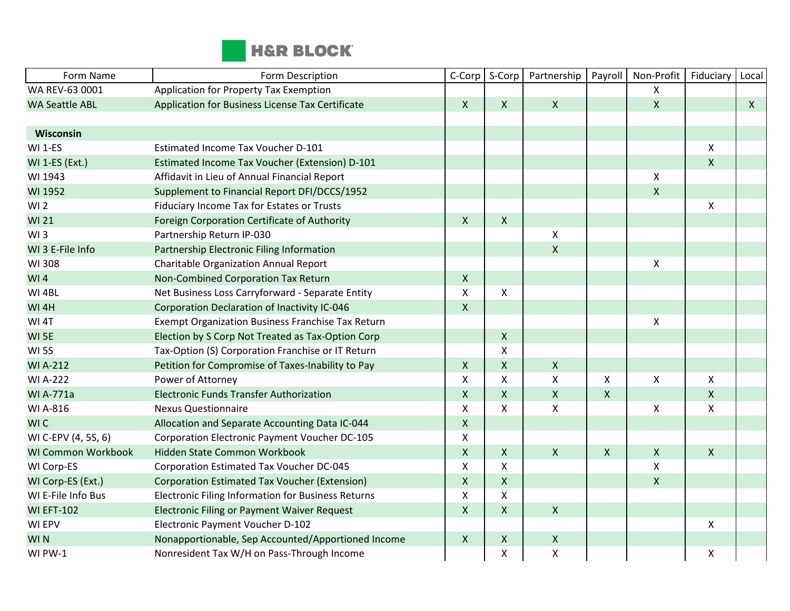

| Form Name                 | Form Description                                      | C-Corp             | S-Corp       | Partnership        | Payroll        | Non-Profit         | Fiduciary    | Local        |
|---------------------------|-------------------------------------------------------|--------------------|--------------|--------------------|----------------|--------------------|--------------|--------------|
| WA REV-63 0001            | Application for Property Tax Exemption                |                    |              |                    |                | X                  |              |              |
| <b>WA Seattle ABL</b>     | Application for Business License Tax Certificate      | $\mathsf{X}$       | $\mathsf{X}$ | $\mathsf{X}$       |                | $\pmb{\mathsf{X}}$ |              | $\mathsf{X}$ |
|                           |                                                       |                    |              |                    |                |                    |              |              |
| Wisconsin                 |                                                       |                    |              |                    |                |                    |              |              |
| WI 1-ES                   | Estimated Income Tax Voucher D-101                    |                    |              |                    |                |                    | X            |              |
| <b>WI 1-ES (Ext.)</b>     | <b>Estimated Income Tax Voucher (Extension) D-101</b> |                    |              |                    |                |                    | $\mathsf{X}$ |              |
| WI 1943                   | Affidavit in Lieu of Annual Financial Report          |                    |              |                    |                | Χ                  |              |              |
| WI 1952                   | Supplement to Financial Report DFI/DCCS/1952          |                    |              |                    |                | $\pmb{\mathsf{X}}$ |              |              |
| W <sub>1</sub> 2          | Fiduciary Income Tax for Estates or Trusts            |                    |              |                    |                |                    | X            |              |
| <b>WI 21</b>              | Foreign Corporation Certificate of Authority          | $\mathsf{X}$       | $\mathsf{X}$ |                    |                |                    |              |              |
| W13                       | Partnership Return IP-030                             |                    |              | X                  |                |                    |              |              |
| WI 3 E-File Info          | Partnership Electronic Filing Information             |                    |              | $\mathsf{X}$       |                |                    |              |              |
| WI 308                    | Charitable Organization Annual Report                 |                    |              |                    |                | X                  |              |              |
| W <sub>1</sub> 4          | Non-Combined Corporation Tax Return                   | $\mathsf{X}$       |              |                    |                |                    |              |              |
| WI 4BL                    | Net Business Loss Carryforward - Separate Entity      | $\mathsf{X}$       | X            |                    |                |                    |              |              |
| WI <sub>4H</sub>          | Corporation Declaration of Inactivity IC-046          | $\mathsf{X}$       |              |                    |                |                    |              |              |
| WI <sub>4T</sub>          | Exempt Organization Business Franchise Tax Return     |                    |              |                    |                | Χ                  |              |              |
| WI <sub>5E</sub>          | Election by S Corp Not Treated as Tax-Option Corp     |                    | $\mathsf{X}$ |                    |                |                    |              |              |
| <b>WI5S</b>               | Tax-Option (S) Corporation Franchise or IT Return     |                    | X            |                    |                |                    |              |              |
| <b>WI A-212</b>           | Petition for Compromise of Taxes-Inability to Pay     | $\mathsf{X}$       | X            | $\mathsf{X}$       |                |                    |              |              |
| <b>WI A-222</b>           | Power of Attorney                                     | X                  | X            | X                  | $\pmb{\times}$ | X                  | X            |              |
| <b>WI A-771a</b>          | <b>Electronic Funds Transfer Authorization</b>        | $\pmb{\times}$     | X            | $\pmb{\times}$     | $\mathsf{X}$   |                    | $\mathsf{X}$ |              |
| WI A-816                  | <b>Nexus Questionnaire</b>                            | $\pmb{\times}$     | X            | $\pmb{\mathsf{X}}$ |                | X                  | X            |              |
| WI C                      | Allocation and Separate Accounting Data IC-044        | $\mathsf{X}$       |              |                    |                |                    |              |              |
| WI C-EPV (4, 5S, 6)       | Corporation Electronic Payment Voucher DC-105         | $\pmb{\times}$     |              |                    |                |                    |              |              |
| <b>WI Common Workbook</b> | Hidden State Common Workbook                          | $\pmb{\times}$     | X            | $\mathsf{X}$       | $\pmb{\times}$ | $\pmb{\mathsf{X}}$ | $\mathsf{X}$ |              |
| WI Corp-ES                | Corporation Estimated Tax Voucher DC-045              | X                  | X            |                    |                | Χ                  |              |              |
| WI Corp-ES (Ext.)         | <b>Corporation Estimated Tax Voucher (Extension)</b>  | $\mathsf{X}$       | $\mathsf{X}$ |                    |                | $\mathsf{X}$       |              |              |
| WI E-File Info Bus        | Electronic Filing Information for Business Returns    | X                  | X            |                    |                |                    |              |              |
| <b>WI EFT-102</b>         | <b>Electronic Filing or Payment Waiver Request</b>    | $\pmb{\times}$     | X            | $\pmb{\times}$     |                |                    |              |              |
| WI EPV                    | Electronic Payment Voucher D-102                      |                    |              |                    |                |                    | X            |              |
| <b>WIN</b>                | Nonapportionable, Sep Accounted/Apportioned Income    | $\pmb{\mathsf{X}}$ | X            | $\boldsymbol{X}$   |                |                    |              |              |
| WI PW-1                   | Nonresident Tax W/H on Pass-Through Income            |                    | X            | $\pmb{\mathsf{X}}$ |                |                    | Χ            |              |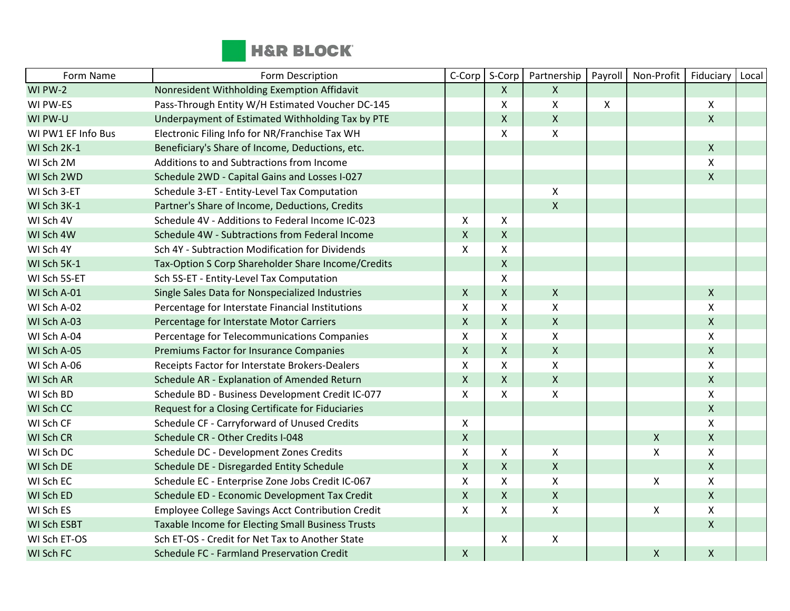

| Form Name          | Form Description                                   | C-Corp             | S-Corp             | Partnership               | Payroll | Non-Profit         | Fiduciary          | Local |
|--------------------|----------------------------------------------------|--------------------|--------------------|---------------------------|---------|--------------------|--------------------|-------|
| WI PW-2            | Nonresident Withholding Exemption Affidavit        |                    | X                  | $\mathsf{X}$              |         |                    |                    |       |
| WI PW-ES           | Pass-Through Entity W/H Estimated Voucher DC-145   |                    | Χ                  | $\boldsymbol{\mathsf{X}}$ | X       |                    | X                  |       |
| WI PW-U            | Underpayment of Estimated Withholding Tax by PTE   |                    | X                  | $\mathsf{X}$              |         |                    | $\mathsf{X}$       |       |
| WI PW1 EF Info Bus | Electronic Filing Info for NR/Franchise Tax WH     |                    | X                  | $\pmb{\mathsf{X}}$        |         |                    |                    |       |
| WI Sch 2K-1        | Beneficiary's Share of Income, Deductions, etc.    |                    |                    |                           |         |                    | X                  |       |
| WI Sch 2M          | Additions to and Subtractions from Income          |                    |                    |                           |         |                    | X                  |       |
| WI Sch 2WD         | Schedule 2WD - Capital Gains and Losses I-027      |                    |                    |                           |         |                    | $\mathsf{X}$       |       |
| WI Sch 3-ET        | Schedule 3-ET - Entity-Level Tax Computation       |                    |                    | $\pmb{\times}$            |         |                    |                    |       |
| WI Sch 3K-1        | Partner's Share of Income, Deductions, Credits     |                    |                    | $\pmb{\times}$            |         |                    |                    |       |
| WI Sch 4V          | Schedule 4V - Additions to Federal Income IC-023   | X                  | X                  |                           |         |                    |                    |       |
| WI Sch 4W          | Schedule 4W - Subtractions from Federal Income     | $\mathsf{X}$       | X                  |                           |         |                    |                    |       |
| WI Sch 4Y          | Sch 4Y - Subtraction Modification for Dividends    | $\mathsf{x}$       | X                  |                           |         |                    |                    |       |
| WI Sch 5K-1        | Tax-Option S Corp Shareholder Share Income/Credits |                    | X                  |                           |         |                    |                    |       |
| WI Sch 5S-ET       | Sch 5S-ET - Entity-Level Tax Computation           |                    | Χ                  |                           |         |                    |                    |       |
| WI Sch A-01        | Single Sales Data for Nonspecialized Industries    | $\pmb{\times}$     | $\pmb{\mathsf{X}}$ | $\pmb{\mathsf{X}}$        |         |                    | $\pmb{\mathsf{X}}$ |       |
| WI Sch A-02        | Percentage for Interstate Financial Institutions   | $\mathsf{x}$       | Χ                  | $\pmb{\times}$            |         |                    | Χ                  |       |
| WI Sch A-03        | Percentage for Interstate Motor Carriers           | $\mathsf{X}$       | $\mathsf{X}$       | $\mathsf{X}$              |         |                    | $\mathsf{X}$       |       |
| WI Sch A-04        | Percentage for Telecommunications Companies        | $\pmb{\mathsf{X}}$ | Χ                  | $\pmb{\mathsf{X}}$        |         |                    | X                  |       |
| WI Sch A-05        | Premiums Factor for Insurance Companies            | $\mathsf{X}$       | X                  | $\mathsf{X}$              |         |                    | $\mathsf{X}$       |       |
| WI Sch A-06        | Receipts Factor for Interstate Brokers-Dealers     | $\pmb{\mathsf{X}}$ | X                  | $\pmb{\mathsf{X}}$        |         |                    | Χ                  |       |
| WI Sch AR          | Schedule AR - Explanation of Amended Return        | $\mathsf{X}$       | X                  | $\mathsf{X}$              |         |                    | $\mathsf{X}$       |       |
| WI Sch BD          | Schedule BD - Business Development Credit IC-077   | X                  | X                  | $\mathsf{X}$              |         |                    | X                  |       |
| WI Sch CC          | Request for a Closing Certificate for Fiduciaries  |                    |                    |                           |         |                    | $\mathsf{X}$       |       |
| WI Sch CF          | Schedule CF - Carryforward of Unused Credits       | X                  |                    |                           |         |                    | X                  |       |
| WI Sch CR          | Schedule CR - Other Credits I-048                  | $\mathsf X$        |                    |                           |         | $\pmb{\mathsf{X}}$ | X                  |       |
| WI Sch DC          | Schedule DC - Development Zones Credits            | $\pmb{\times}$     | X                  | $\pmb{\times}$            |         | Χ                  | X                  |       |
| WI Sch DE          | Schedule DE - Disregarded Entity Schedule          | $\mathsf{X}$       | X                  | $\mathsf{X}$              |         |                    | $\mathsf{X}$       |       |
| WI Sch EC          | Schedule EC - Enterprise Zone Jobs Credit IC-067   | $\pmb{\times}$     | X                  | $\mathsf{X}$              |         | $\pmb{\mathsf{X}}$ | Χ                  |       |
| WI Sch ED          | Schedule ED - Economic Development Tax Credit      | $\mathsf{x}$       | $\mathsf{X}$       | $\mathsf{X}$              |         |                    | $\mathsf{X}$       |       |
| WI Sch ES          | Employee College Savings Acct Contribution Credit  | X                  | Χ                  | X                         |         | Χ                  | X                  |       |
| <b>WI Sch ESBT</b> | Taxable Income for Electing Small Business Trusts  |                    |                    |                           |         |                    | $\pmb{\mathsf{X}}$ |       |
| WI Sch ET-OS       | Sch ET-OS - Credit for Net Tax to Another State    |                    | X                  | $\pmb{\mathsf{X}}$        |         |                    |                    |       |
| WI Sch FC          | Schedule FC - Farmland Preservation Credit         | $\mathsf{X}$       |                    |                           |         | $\mathsf{X}$       | $\mathsf{X}$       |       |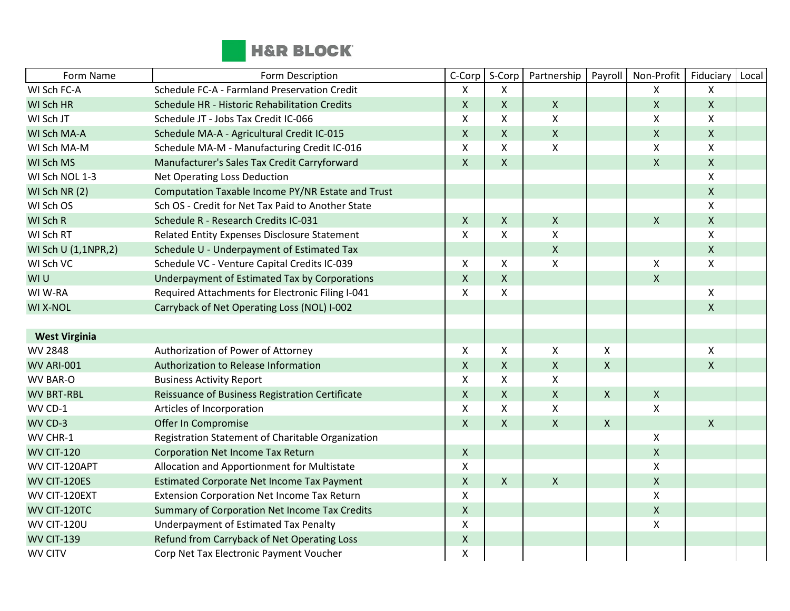

| Form Name            | Form Description                                   | C-Corp                    | S-Corp       | Partnership               | Payroll            | Non-Profit         | Fiduciary    | Local |
|----------------------|----------------------------------------------------|---------------------------|--------------|---------------------------|--------------------|--------------------|--------------|-------|
| WI Sch FC-A          | Schedule FC-A - Farmland Preservation Credit       | X                         | X            |                           |                    | X                  | X            |       |
| WI Sch HR            | Schedule HR - Historic Rehabilitation Credits      | $\mathsf{X}$              | $\mathsf{X}$ | $\mathsf{X}$              |                    | $\pmb{\mathsf{X}}$ | $\mathsf{X}$ |       |
| WI Sch JT            | Schedule JT - Jobs Tax Credit IC-066               | X                         | X            | X                         |                    | X                  | X            |       |
| WI Sch MA-A          | Schedule MA-A - Agricultural Credit IC-015         | $\mathsf{X}$              | X            | $\boldsymbol{\mathsf{X}}$ |                    | $\pmb{\mathsf{X}}$ | $\mathsf{X}$ |       |
| WI Sch MA-M          | Schedule MA-M - Manufacturing Credit IC-016        | $\boldsymbol{\mathsf{X}}$ | X            | X                         |                    | Χ                  | X            |       |
| WI Sch MS            | Manufacturer's Sales Tax Credit Carryforward       | $\mathsf{X}$              | $\mathsf{X}$ |                           |                    | $\pmb{\mathsf{X}}$ | $\mathsf{X}$ |       |
| WI Sch NOL 1-3       | Net Operating Loss Deduction                       |                           |              |                           |                    |                    | X            |       |
| WI Sch NR (2)        | Computation Taxable Income PY/NR Estate and Trust  |                           |              |                           |                    |                    | $\mathsf{X}$ |       |
| WI Sch OS            | Sch OS - Credit for Net Tax Paid to Another State  |                           |              |                           |                    |                    | X            |       |
| WI Sch R             | Schedule R - Research Credits IC-031               | $\mathsf{X}$              | X            | $\boldsymbol{\mathsf{X}}$ |                    | $\pmb{\mathsf{X}}$ | $\mathsf{X}$ |       |
| WI Sch RT            | Related Entity Expenses Disclosure Statement       | $\mathsf{X}$              | X            | $\mathsf{X}$              |                    |                    | X            |       |
| WI Sch U (1,1NPR,2)  | Schedule U - Underpayment of Estimated Tax         |                           |              | $\mathsf{X}$              |                    |                    | $\mathsf{X}$ |       |
| WI Sch VC            | Schedule VC - Venture Capital Credits IC-039       | X                         | X            | X                         |                    | X                  | X            |       |
| WI U                 | Underpayment of Estimated Tax by Corporations      | $\mathsf{X}$              | X            |                           |                    | $\pmb{\mathsf{X}}$ |              |       |
| WI W-RA              | Required Attachments for Electronic Filing I-041   | X                         | X            |                           |                    |                    | X            |       |
| <b>WI X-NOL</b>      | Carryback of Net Operating Loss (NOL) I-002        |                           |              |                           |                    |                    | $\mathsf{X}$ |       |
|                      |                                                    |                           |              |                           |                    |                    |              |       |
| <b>West Virginia</b> |                                                    |                           |              |                           |                    |                    |              |       |
| WV 2848              | Authorization of Power of Attorney                 | $\mathsf{X}$              | X            | X                         | $\pmb{\mathsf{X}}$ |                    | X            |       |
| WV ARI-001           | Authorization to Release Information               | $\pmb{\mathsf{X}}$        | X            | $\pmb{\mathsf{X}}$        | $\pmb{\mathsf{X}}$ |                    | $\mathsf{X}$ |       |
| <b>WV BAR-O</b>      | <b>Business Activity Report</b>                    | $\mathsf{X}$              | X            | X                         |                    |                    |              |       |
| <b>WV BRT-RBL</b>    | Reissuance of Business Registration Certificate    | $\mathsf{X}$              | $\mathsf{X}$ | $\mathsf{X}$              | $\mathsf{X}$       | $\pmb{\mathsf{X}}$ |              |       |
| WV CD-1              | Articles of Incorporation                          | X                         | X            | X                         |                    | X                  |              |       |
| WV CD-3              | Offer In Compromise                                | $\mathsf{X}$              | $\mathsf{X}$ | $\mathsf{X}$              | $\mathsf{X}$       |                    | $\mathsf{X}$ |       |
| WV CHR-1             | Registration Statement of Charitable Organization  |                           |              |                           |                    | X                  |              |       |
| <b>WV CIT-120</b>    | <b>Corporation Net Income Tax Return</b>           | $\mathsf X$               |              |                           |                    | $\pmb{\mathsf{X}}$ |              |       |
| WV CIT-120APT        | Allocation and Apportionment for Multistate        | Χ                         |              |                           |                    | X                  |              |       |
| WV CIT-120ES         | <b>Estimated Corporate Net Income Tax Payment</b>  | $\mathsf{X}$              | X            | $\mathsf{X}$              |                    | $\mathsf{X}$       |              |       |
| WV CIT-120EXT        | <b>Extension Corporation Net Income Tax Return</b> | Χ                         |              |                           |                    | $\pmb{\mathsf{X}}$ |              |       |
| WV CIT-120TC         | Summary of Corporation Net Income Tax Credits      | $\mathsf{X}$              |              |                           |                    | $\pmb{\mathsf{X}}$ |              |       |
| <b>WV CIT-120U</b>   | Underpayment of Estimated Tax Penalty              | $\pmb{\times}$            |              |                           |                    | $\pmb{\mathsf{X}}$ |              |       |
| <b>WV CIT-139</b>    | Refund from Carryback of Net Operating Loss        | $\mathsf X$               |              |                           |                    |                    |              |       |
| <b>WV CITV</b>       | Corp Net Tax Electronic Payment Voucher            | X                         |              |                           |                    |                    |              |       |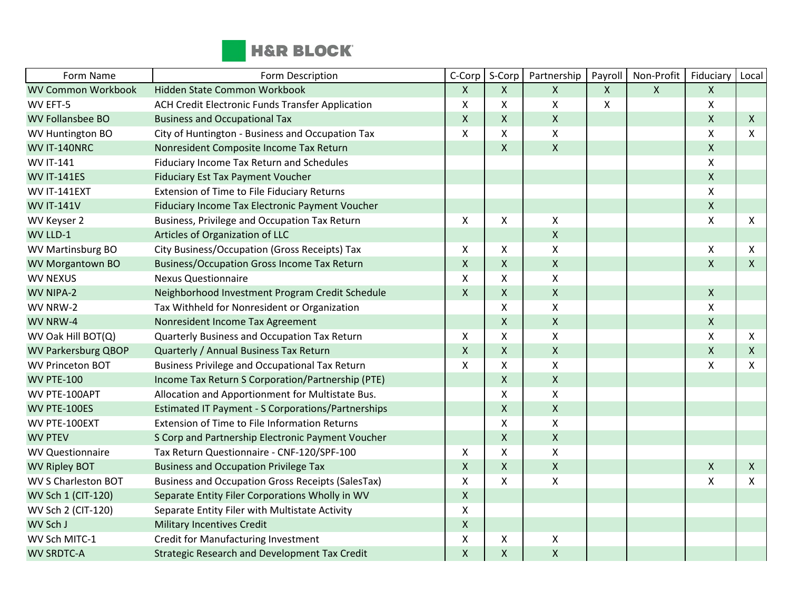

| Form Name                  | Form Description                                          | C-Corp             | S-Corp         | Partnership        | Payroll      | Non-Profit   | Fiduciary                 | Local        |
|----------------------------|-----------------------------------------------------------|--------------------|----------------|--------------------|--------------|--------------|---------------------------|--------------|
| <b>WV Common Workbook</b>  | Hidden State Common Workbook                              | $\mathsf{X}$       | X              | $\mathsf{X}$       | $\mathsf{X}$ | $\mathsf{X}$ | $\mathsf{X}$              |              |
| WV EFT-5                   | ACH Credit Electronic Funds Transfer Application          | X                  | X              | X                  | Χ            |              | $\pmb{\times}$            |              |
| <b>WV Follansbee BO</b>    | <b>Business and Occupational Tax</b>                      | $\mathsf{X}$       | X              | $\mathsf{X}$       |              |              | $\mathsf{X}$              | $\mathsf{X}$ |
| WV Huntington BO           | City of Huntington - Business and Occupation Tax          | X                  | X              | $\pmb{\mathsf{X}}$ |              |              | $\boldsymbol{\mathsf{X}}$ | X            |
| WV IT-140NRC               | Nonresident Composite Income Tax Return                   |                    | $\mathsf{X}$   | $\pmb{\times}$     |              |              | $\pmb{\mathsf{X}}$        |              |
| <b>WV IT-141</b>           | Fiduciary Income Tax Return and Schedules                 |                    |                |                    |              |              | X                         |              |
| <b>WV IT-141ES</b>         | <b>Fiduciary Est Tax Payment Voucher</b>                  |                    |                |                    |              |              | $\mathsf{x}$              |              |
| WV IT-141EXT               | <b>Extension of Time to File Fiduciary Returns</b>        |                    |                |                    |              |              | $\pmb{\times}$            |              |
| <b>WV IT-141V</b>          | Fiduciary Income Tax Electronic Payment Voucher           |                    |                |                    |              |              | $\mathsf X$               |              |
| WV Keyser 2                | Business, Privilege and Occupation Tax Return             | $\mathsf{X}$       | X              | X                  |              |              | $\mathsf{x}$              | X            |
| WV LLD-1                   | Articles of Organization of LLC                           |                    |                | $\pmb{\times}$     |              |              |                           |              |
| WV Martinsburg BO          | City Business/Occupation (Gross Receipts) Tax             | X                  | X              | X                  |              |              | X                         | X            |
| <b>WV Morgantown BO</b>    | <b>Business/Occupation Gross Income Tax Return</b>        | $\mathsf{X}$       | $\mathsf{X}$   | $\pmb{\mathsf{X}}$ |              |              | $\mathsf{X}$              | $\mathsf{X}$ |
| <b>WV NEXUS</b>            | <b>Nexus Questionnaire</b>                                | $\pmb{\times}$     | X              | $\pmb{\mathsf{X}}$ |              |              |                           |              |
| WV NIPA-2                  | Neighborhood Investment Program Credit Schedule           | $\mathsf{X}$       | $\mathsf{X}$   | $\pmb{\times}$     |              |              | $\mathsf{X}$              |              |
| WV NRW-2                   | Tax Withheld for Nonresident or Organization              |                    | X              | $\pmb{\mathsf{X}}$ |              |              | X                         |              |
| WV NRW-4                   | Nonresident Income Tax Agreement                          |                    | $\mathsf X$    | $\pmb{\mathsf{X}}$ |              |              | $\mathsf{X}$              |              |
| WV Oak Hill BOT(Q)         | Quarterly Business and Occupation Tax Return              | X                  | X              | X                  |              |              | $\mathsf{x}$              | X            |
| <b>WV Parkersburg QBOP</b> | Quarterly / Annual Business Tax Return                    | $\mathsf{X}$       | $\mathsf{X}$   | $\mathsf{X}$       |              |              | $\pmb{\mathsf{X}}$        | $\mathsf{X}$ |
| <b>WV Princeton BOT</b>    | <b>Business Privilege and Occupational Tax Return</b>     | $\mathsf{x}$       | X              | $\mathsf{x}$       |              |              | $\boldsymbol{\mathsf{X}}$ | X            |
| <b>WV PTE-100</b>          | Income Tax Return S Corporation/Partnership (PTE)         |                    | $\mathsf{X}$   | $\mathsf{X}$       |              |              |                           |              |
| WV PTE-100APT              | Allocation and Apportionment for Multistate Bus.          |                    | X              | X                  |              |              |                           |              |
| WV PTE-100ES               | <b>Estimated IT Payment - S Corporations/Partnerships</b> |                    | $\mathsf X$    | $\mathsf{x}$       |              |              |                           |              |
| WV PTE-100EXT              | <b>Extension of Time to File Information Returns</b>      |                    | X              | X                  |              |              |                           |              |
| <b>WV PTEV</b>             | S Corp and Partnership Electronic Payment Voucher         |                    | $\mathsf X$    | $\mathsf X$        |              |              |                           |              |
| <b>WV Questionnaire</b>    | Tax Return Questionnaire - CNF-120/SPF-100                | X                  | X              | $\pmb{\mathsf{X}}$ |              |              |                           |              |
| <b>WV Ripley BOT</b>       | <b>Business and Occupation Privilege Tax</b>              | $\pmb{\mathsf{X}}$ | $\pmb{\times}$ | $\pmb{\times}$     |              |              | $\boldsymbol{X}$          | $\mathsf{X}$ |
| <b>WV S Charleston BOT</b> | <b>Business and Occupation Gross Receipts (SalesTax)</b>  | $\pmb{\times}$     | X              | X                  |              |              | $\mathsf{X}$              | $\mathsf{X}$ |
| WV Sch 1 (CIT-120)         | Separate Entity Filer Corporations Wholly in WV           | $\mathsf{X}$       |                |                    |              |              |                           |              |
| WV Sch 2 (CIT-120)         | Separate Entity Filer with Multistate Activity            | X                  |                |                    |              |              |                           |              |
| WV Sch J                   | <b>Military Incentives Credit</b>                         | $\mathsf{X}$       |                |                    |              |              |                           |              |
| WV Sch MITC-1              | <b>Credit for Manufacturing Investment</b>                | X                  | X              | Χ                  |              |              |                           |              |
| <b>WV SRDTC-A</b>          | <b>Strategic Research and Development Tax Credit</b>      | X                  | $\mathsf{X}$   | $\mathsf X$        |              |              |                           |              |